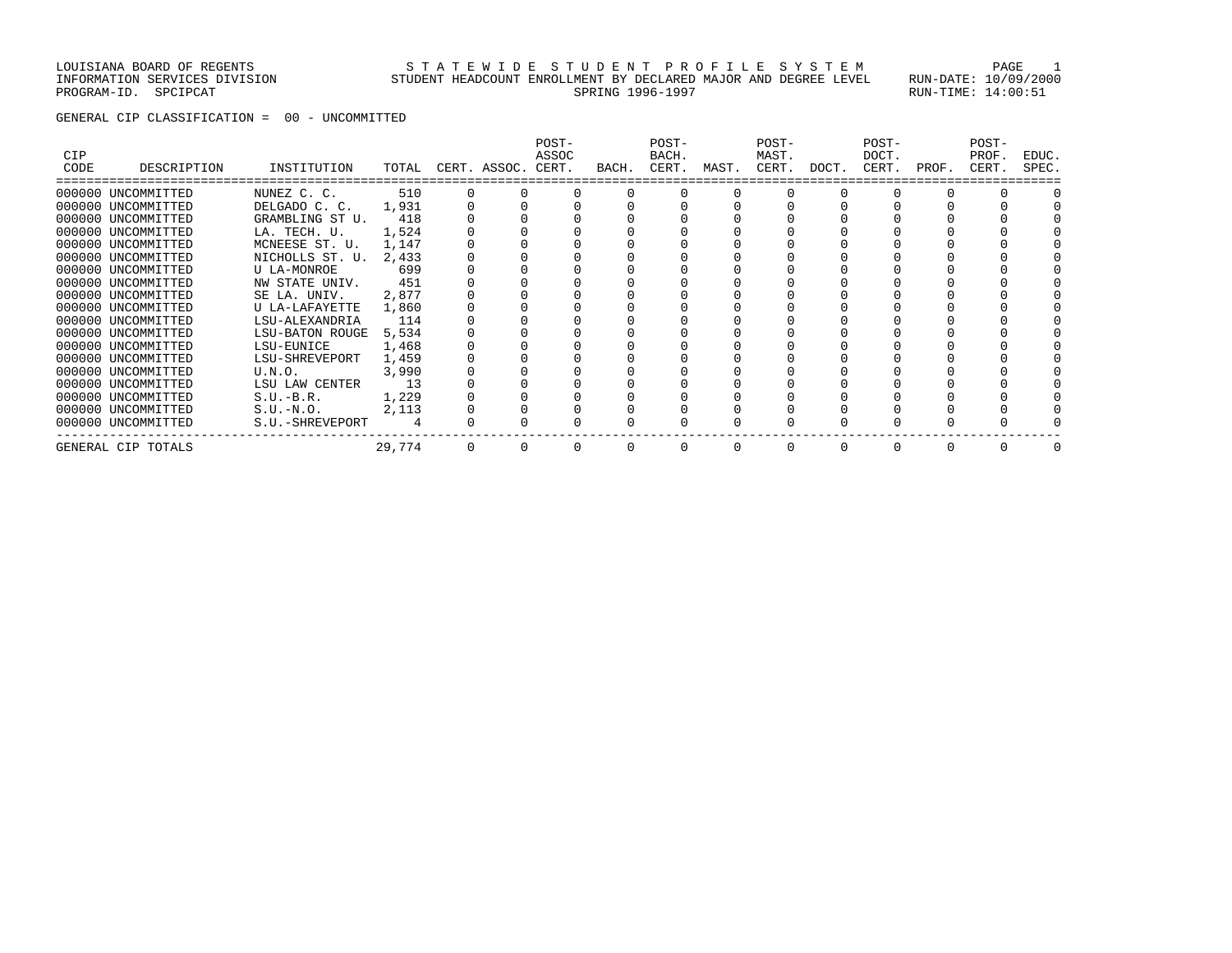### LOUISIANA BOARD OF REGENTS STATEWIDE STUDENT PROFILE SYSTEM PAGE 1 INFORMATION SERVICES DIVISION STUDENT HEADCOUNT ENROLLMENT BY DECLARED MAJOR AND DEGREE LEVEL RUN-DATE: 10/09/2000 PROGRAM-ID. SPCIPCAT SERING 1996-1997 SPRING 1996-1997 SPROGRAM-ID. SPCIPCAT: 14:00:51

GENERAL CIP CLASSIFICATION = 00 - UNCOMMITTED

| CIP<br>CODE | DESCRIPTION        | INSTITUTION     | TOTAL  | CERT. ASSOC. | POST-<br>ASSOC<br>CERT. | BACH. | POST-<br>BACH.<br>CERT. | MAST. | POST-<br>MAST.<br>CERT. | DOCT.    | POST-<br>DOCT.<br>CERT. | PROF.    | POST-<br>PROF.<br>CERT. | EDUC.<br>SPEC. |
|-------------|--------------------|-----------------|--------|--------------|-------------------------|-------|-------------------------|-------|-------------------------|----------|-------------------------|----------|-------------------------|----------------|
|             |                    |                 |        |              |                         |       |                         |       |                         |          |                         |          |                         |                |
|             | 000000 UNCOMMITTED | NUNEZ C. C.     | 510    |              |                         |       |                         |       |                         |          |                         |          |                         |                |
|             | 000000 UNCOMMITTED | DELGADO C. C.   | 1,931  |              |                         |       |                         |       |                         |          |                         |          |                         |                |
|             | 000000 UNCOMMITTED | GRAMBLING ST U. | 418    |              |                         |       |                         |       |                         |          |                         |          |                         |                |
|             | 000000 UNCOMMITTED | LA. TECH. U.    | 1,524  |              |                         |       |                         |       |                         |          |                         |          |                         |                |
|             | 000000 UNCOMMITTED | MCNEESE ST. U.  | 1,147  |              |                         |       |                         |       |                         |          |                         |          |                         |                |
|             | 000000 UNCOMMITTED | NICHOLLS ST. U. | 2,433  |              |                         |       |                         |       |                         |          |                         |          |                         |                |
|             | 000000 UNCOMMITTED | U LA-MONROE     | 699    |              |                         |       |                         |       |                         |          |                         |          |                         |                |
|             | 000000 UNCOMMITTED | NW STATE UNIV.  | 451    |              |                         |       |                         |       |                         |          |                         |          |                         |                |
|             | 000000 UNCOMMITTED | SE LA. UNIV.    | 2,877  |              |                         |       |                         |       |                         |          |                         |          |                         |                |
|             | 000000 UNCOMMITTED | U LA-LAFAYETTE  | 1,860  |              |                         |       |                         |       |                         |          |                         |          |                         |                |
|             | 000000 UNCOMMITTED | LSU-ALEXANDRIA  | 114    |              |                         |       |                         |       |                         |          |                         |          |                         |                |
|             | 000000 UNCOMMITTED | LSU-BATON ROUGE | 5,534  |              |                         |       |                         |       |                         |          |                         |          |                         |                |
|             | 000000 UNCOMMITTED | LSU-EUNICE      | 1,468  |              |                         |       |                         |       |                         |          |                         |          |                         |                |
|             | 000000 UNCOMMITTED | LSU-SHREVEPORT  | 1,459  |              |                         |       |                         |       |                         |          |                         |          |                         |                |
|             | 000000 UNCOMMITTED | U.N.O.          | 3,990  |              |                         |       |                         |       |                         |          |                         |          |                         |                |
|             | 000000 UNCOMMITTED | LSU LAW CENTER  | 13     |              |                         |       |                         |       |                         |          |                         |          |                         |                |
|             | 000000 UNCOMMITTED | $S.U.-B.R.$     | 1,229  |              |                         |       |                         |       |                         |          |                         |          |                         |                |
|             | 000000 UNCOMMITTED | $S.U.-N.O.$     | 2,113  |              |                         |       |                         |       |                         |          |                         |          |                         |                |
|             | 000000 UNCOMMITTED | S.U.-SHREVEPORT |        |              |                         |       |                         |       |                         |          |                         |          |                         |                |
|             | GENERAL CIP TOTALS |                 | 29,774 |              |                         |       |                         | 0     | $\Omega$                | $\Omega$ |                         | $\Omega$ |                         |                |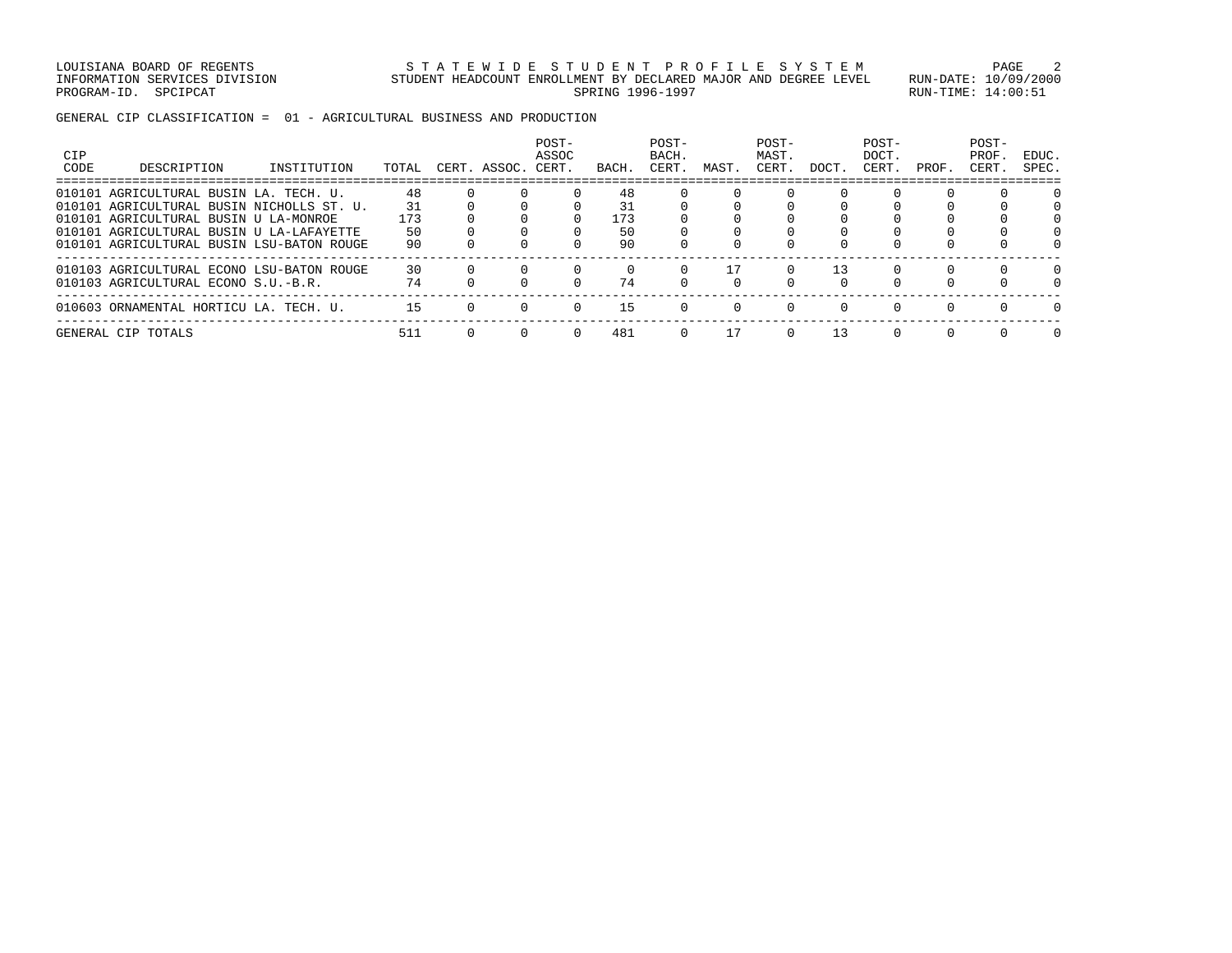LOUISIANA BOARD OF REGENTS STATEWIDE STUDENT PROFILE SYSTEM PAGE 2 INFORMATION SERVICES DIVISION STUDENT HEADCOUNT ENROLLMENT BY DECLARED MAJOR AND DEGREE LEVEL RUN-DATE: 10/09/2000 PROGRAM-ID. SPCIPCAT SERING 1996-1997 SPRING 1996-1997 SPROGRAM-ID. SPCIPCAT: 14:00:51

GENERAL CIP CLASSIFICATION = 01 - AGRICULTURAL BUSINESS AND PRODUCTION

| <b>CIP</b><br>CODE | DESCRIPTION                                                                           | INSTITUTION | TOTAL     | CERT. ASSOC. | POST-<br>ASSOC<br>CERT. | BACH.     | POST-<br>BACH.<br>CERT. | MAST. | POST-<br>MAST.<br>CERT. | DOCT.          | POST-<br>DOCT.<br>CERT. | PROF.  | POST-<br>PROF<br>CERT. | EDUC.<br>SPEC. |
|--------------------|---------------------------------------------------------------------------------------|-------------|-----------|--------------|-------------------------|-----------|-------------------------|-------|-------------------------|----------------|-------------------------|--------|------------------------|----------------|
| 010101             | AGRICULTURAL BUSIN LA. TECH. U.<br>010101 AGRICULTURAL BUSIN NICHOLLS ST. U.          |             | 48<br>31  |              |                         | 48<br>31  |                         |       |                         |                |                         |        |                        |                |
|                    | 010101 AGRICULTURAL BUSIN U LA-MONROE                                                 |             | 173<br>50 |              |                         | 173<br>50 |                         |       |                         |                |                         |        |                        |                |
|                    | 010101 AGRICULTURAL BUSIN U LA-LAFAYETTE<br>010101 AGRICULTURAL BUSIN LSU-BATON ROUGE |             | 90        |              |                         | 90        |                         |       |                         |                |                         |        |                        |                |
|                    | 010103 AGRICULTURAL ECONO LSU-BATON ROUGE<br>010103 AGRICULTURAL ECONO S.U.-B.R.      |             | 30<br>74  |              |                         | 74        |                         |       | $\Omega$                | 13<br>$\Omega$ |                         |        |                        |                |
|                    | 010603 ORNAMENTAL HORTICU LA. TECH. U.                                                |             | 15        |              | $\cap$                  | 15        | $\Omega$                | n.    | $\Omega$                | $\cap$         | $\cap$                  | $\cap$ | $\cap$                 | $\cap$         |
|                    | GENERAL CIP TOTALS                                                                    |             | 511       |              |                         | 481       | $\Omega$                |       | 0                       | 13             |                         |        |                        |                |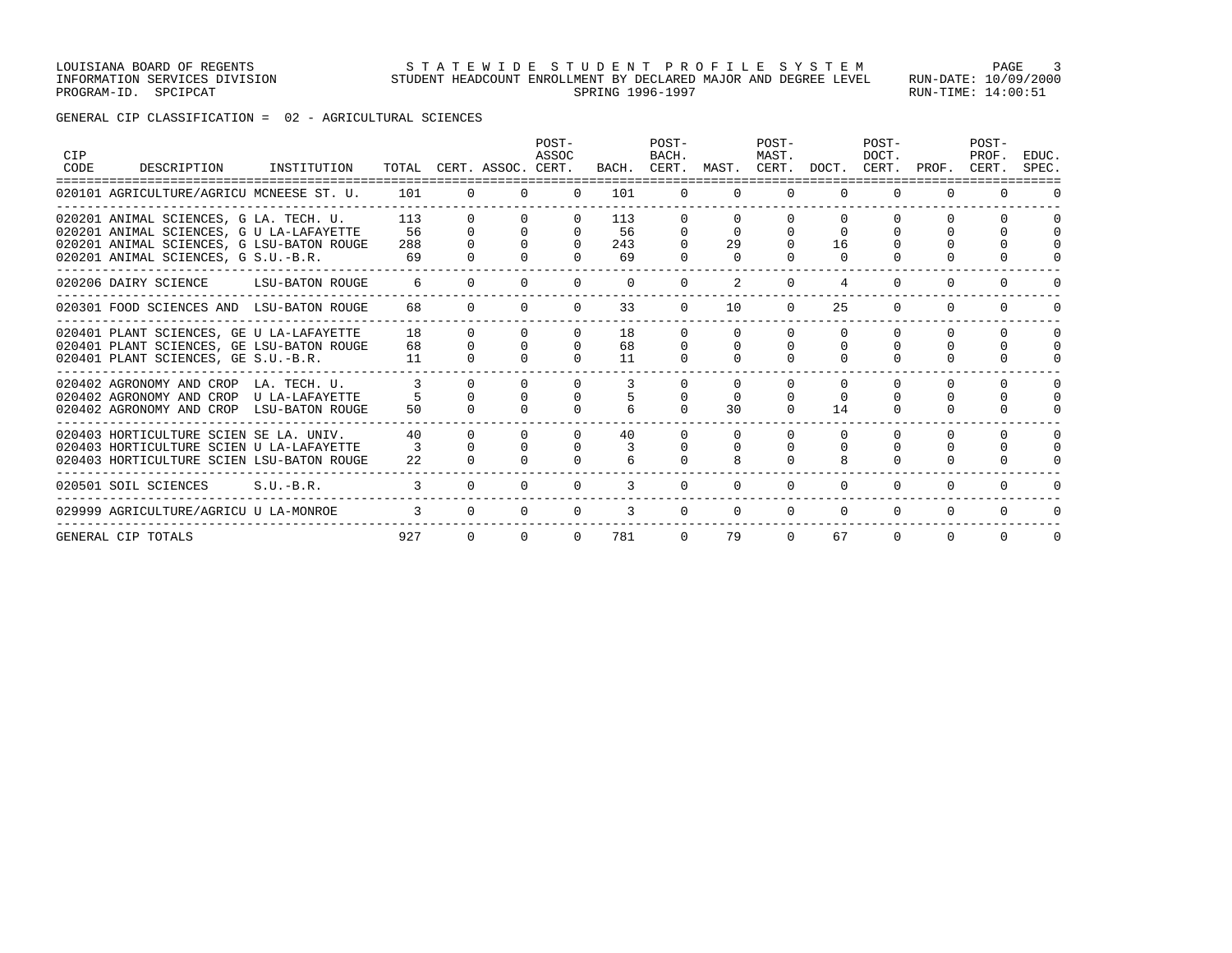## GENERAL CIP CLASSIFICATION = 02 - AGRICULTURAL SCIENCES

| CIP<br>CODE | DESCRIPTION                                                                                                                                                            | INSTITUTION     |                        |          | TOTAL CERT. ASSOC. CERT. | POST-<br>ASSOC             |                        | POST-<br>BACH.<br>BACH. CERT. | MAST.    | POST-<br>MAST.       | CERT. DOCT.    | POST-<br>DOCT.<br>CERT.          | PROF.                              | POST-<br>PROF.<br>CERT.              | EDUC.<br>SPEC. |
|-------------|------------------------------------------------------------------------------------------------------------------------------------------------------------------------|-----------------|------------------------|----------|--------------------------|----------------------------|------------------------|-------------------------------|----------|----------------------|----------------|----------------------------------|------------------------------------|--------------------------------------|----------------|
|             | 020101 AGRICULTURE/AGRICU MCNEESE ST. U.                                                                                                                               |                 | 101                    | $\Omega$ | $\Omega$                 | $\Omega$                   | 101                    | $\Omega$                      | $\Omega$ | $\Omega$             | $\Omega$       | $\Omega$                         | $\Omega$                           | $\Omega$                             |                |
|             | 020201 ANIMAL SCIENCES, G LA. TECH. U.<br>020201 ANIMAL SCIENCES, G U LA-LAFAYETTE<br>020201 ANIMAL SCIENCES, G LSU-BATON ROUGE<br>020201 ANIMAL SCIENCES, G S.U.-B.R. |                 | 113<br>56<br>288<br>69 | $\Omega$ | $\Omega$                 | n.<br>$\Omega$<br>$\Omega$ | 113<br>56<br>243<br>69 | 0<br>$\Omega$<br><sup>0</sup> | 29       |                      | $\Omega$<br>16 | $\Omega$                         | <sup>0</sup>                       | $\Omega$<br>$\Omega$                 |                |
|             | 020206 DAIRY SCIENCE                                                                                                                                                   | LSU-BATON ROUGE | 6                      | $\Omega$ | $\Omega$                 | $\Omega$                   | $\Omega$               | $\Omega$                      |          | $\Omega$             |                | $\Omega$                         |                                    |                                      |                |
|             | 020301 FOOD SCIENCES AND LSU-BATON ROUGE                                                                                                                               |                 | 68                     | $\Omega$ | $\Omega$                 | $\Omega$                   | 33                     | $\Omega$                      | 10       | $\Omega$             | 25             | $\Omega$                         | <sup>0</sup>                       | $\Omega$                             |                |
|             | 020401 PLANT SCIENCES, GE U LA-LAFAYETTE<br>020401 PLANT SCIENCES, GE LSU-BATON ROUGE<br>020401 PLANT SCIENCES, GE S.U.-B.R.                                           |                 | 18<br>68<br>11         | $\Omega$ | $\Omega$                 | $\Omega$<br>$\Omega$       | 18<br>68<br>11         | 0<br>$\Omega$                 | 0        | $\Omega$<br>$\Omega$ |                | $\Omega$<br>$\Omega$<br>$\Omega$ | <sup>0</sup><br>$\Omega$<br>$\cap$ | $\Omega$<br>$\Omega$<br>$\Omega$     |                |
|             | 020402 AGRONOMY AND CROP LA. TECH. U.<br>020402 AGRONOMY AND CROP U LA-LAFAYETTE<br>020402 AGRONOMY AND CROP LSU-BATON ROUGE                                           |                 | 50                     |          |                          | <sup>0</sup>               |                        | O<br>$\cap$                   | 30       | $\Omega$             | 14             | $\Omega$<br>$\Omega$<br>0        |                                    | $\Omega$<br>$\Omega$<br><sup>n</sup> |                |
|             | 020403 HORTICULTURE SCIEN SE LA. UNIV.<br>020403 HORTICULTURE SCIEN U LA-LAFAYETTE<br>020403 HORTICULTURE SCIEN LSU-BATON ROUGE                                        |                 | 40<br>22               |          | $\Omega$<br>$\cap$       | $\Omega$<br>$\Omega$       | 40                     | $\cap$                        |          | <sup>0</sup>         |                | 0                                | <sup>n</sup>                       | $\Omega$<br>$\Omega$                 |                |
|             | 020501 SOIL SCIENCES                                                                                                                                                   | $S.U.-B.R.$     | 3                      |          | $\Omega$                 | $\Omega$                   | 3                      | $\Omega$                      | $\Omega$ | $\Omega$             | $\Omega$       | 0                                | <sup>0</sup>                       | $\Omega$                             |                |
|             | 029999 AGRICULTURE/AGRICU U LA-MONROE                                                                                                                                  |                 |                        |          | $\Omega$                 | $\Omega$                   | 3                      | $\Omega$                      | $\Omega$ | $\Omega$             | $\Omega$       | $\Omega$                         | $\Omega$                           |                                      |                |
|             | GENERAL CIP TOTALS                                                                                                                                                     |                 | 927                    | $\Omega$ | $\Omega$                 | $\Omega$                   | 781                    | $\Omega$                      | 79       | $\Omega$             | 67             | $\Omega$                         | $\Omega$                           | $\Omega$                             | $\Omega$       |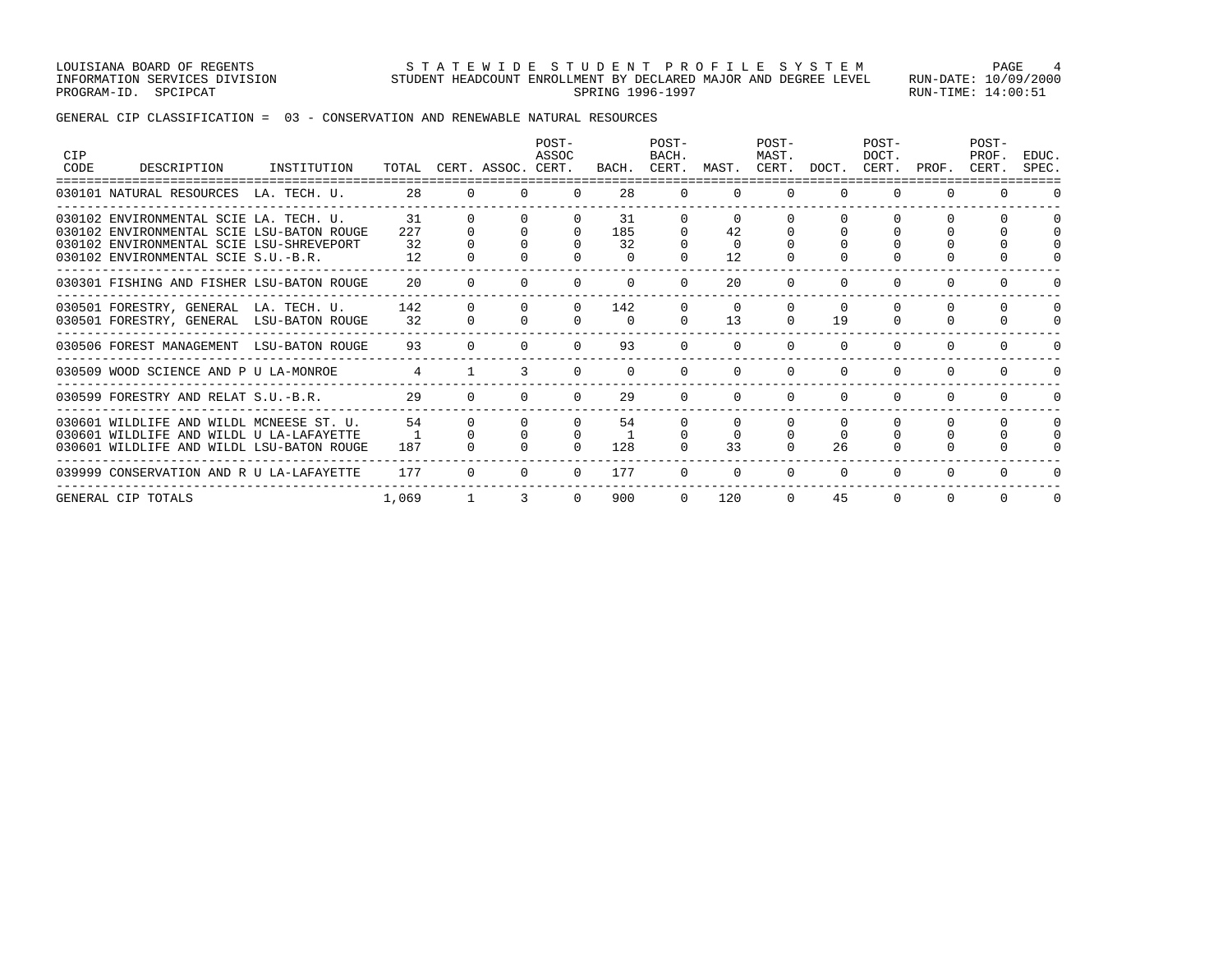LOUISIANA BOARD OF REGENTS STA TEWIDE STUDENT PROFILE SYSTEM PAGE 4 INFORMATION SERVICES DIVISION STUDENT HEADCOUNT ENROLLMENT BY DECLARED MAJOR AND DEGREE LEVEL RUN-DATE: 10/09/2000 PROGRAM-ID. SPCIPCAT SERING RUN-TIME: 14:00:51

GENERAL CIP CLASSIFICATION = 03 - CONSERVATION AND RENEWABLE NATURAL RESOURCES

| CIP<br>CODE | DESCRIPTION                                                                                                                                                            | INSTITUTION |                       |          | TOTAL CERT. ASSOC. CERT. | POST-<br>ASSOC |                             | POST-<br>BACH.<br>BACH. CERT. | MAST.                      | POST-<br>MAST.<br>CERT.          | DOCT.                      | POST-<br>DOCT.       | CERT. PROF.              | POST-<br>PROF.<br>CERT. | EDUC.<br>SPEC.           |
|-------------|------------------------------------------------------------------------------------------------------------------------------------------------------------------------|-------------|-----------------------|----------|--------------------------|----------------|-----------------------------|-------------------------------|----------------------------|----------------------------------|----------------------------|----------------------|--------------------------|-------------------------|--------------------------|
|             | 030101 NATURAL RESOURCES LA. TECH. U.                                                                                                                                  |             | 28                    | $\Omega$ | $\cap$                   | $\Omega$       | 28                          | $\Omega$                      | $\Omega$                   | $\Omega$                         | $\Omega$                   | $\Omega$             | $\Omega$                 | $\Omega$                |                          |
|             | 030102 ENVIRONMENTAL SCIE LA. TECH. U.<br>030102 ENVIRONMENTAL SCIE LSU-BATON ROUGE<br>030102 ENVIRONMENTAL SCIE LSU-SHREVEPORT<br>030102 ENVIRONMENTAL SCIE S.U.-B.R. |             | 31<br>227<br>32<br>12 |          |                          | $\Omega$       | 31<br>185<br>32<br>$\Omega$ |                               | 42<br>$\Omega$<br>12       |                                  |                            |                      |                          | $\Omega$                |                          |
|             | 030301 FISHING AND FISHER LSU-BATON ROUGE                                                                                                                              |             | $20^{\circ}$          |          |                          |                |                             |                               | 20                         |                                  |                            |                      |                          |                         |                          |
|             | 030501 FORESTRY, GENERAL LA. TECH. U.<br>030501 FORESTRY, GENERAL LSU-BATON ROUGE                                                                                      |             | 142<br>32             |          |                          |                | 142<br>$\Omega$             |                               | $\Omega$<br>13             | $\Omega$                         | 19                         |                      |                          | $\Omega$                |                          |
|             | 030506 FOREST MANAGEMENT LSU-BATON ROUGE                                                                                                                               |             | 93                    | $\Omega$ |                          | $\Omega$       | 93                          | $\Omega$                      | $\Omega$                   | $\Omega$                         | $\Omega$                   | $\Omega$             | $\Omega$                 | $\Omega$                |                          |
|             | 030509 WOOD SCIENCE AND P U LA-MONROE                                                                                                                                  |             | $\overline{4}$        |          | 3                        |                | $\Omega$                    |                               | $\Omega$                   | $\Omega$                         | $\Omega$                   | $\Omega$             | 0                        | $\Omega$                |                          |
|             | 030599 FORESTRY AND RELAT S.U.-B.R.                                                                                                                                    |             | 29                    | $\cap$   |                          | $\cap$         | 29                          | $\cap$                        | $\Omega$                   | $\Omega$                         |                            |                      | 0                        |                         |                          |
|             | 030601 WILDLIFE AND WILDL MCNEESE ST. U.<br>030601 WILDLIFE AND WILDL U LA-LAFAYETTE<br>030601 WILDLIFE AND WILDL LSU-BATON ROUGE                                      |             | 54<br>187             | $\Omega$ |                          | $\Omega$       | 54<br>128                   | 0<br>$\Omega$                 | $\Omega$<br>$\Omega$<br>33 | $\Omega$<br>$\Omega$<br>$\Omega$ | $\Omega$<br>$\Omega$<br>26 | $\Omega$<br>$\Omega$ | <sup>0</sup><br>$\Omega$ | $\Omega$<br>0           | $\Omega$<br><sup>0</sup> |
|             | 039999 CONSERVATION AND R U LA-LAFAYETTE                                                                                                                               |             | 177                   | $\Omega$ |                          | $\Omega$       | 177                         | $\Omega$                      | $\Omega$                   | <sup>0</sup>                     | $\Omega$                   | $\Omega$             | 0                        | $\Omega$                |                          |
|             | GENERAL CIP TOTALS                                                                                                                                                     |             | 1,069                 |          |                          |                | 900                         |                               | 120                        | $\Omega$                         | 45                         |                      |                          | $\Omega$                |                          |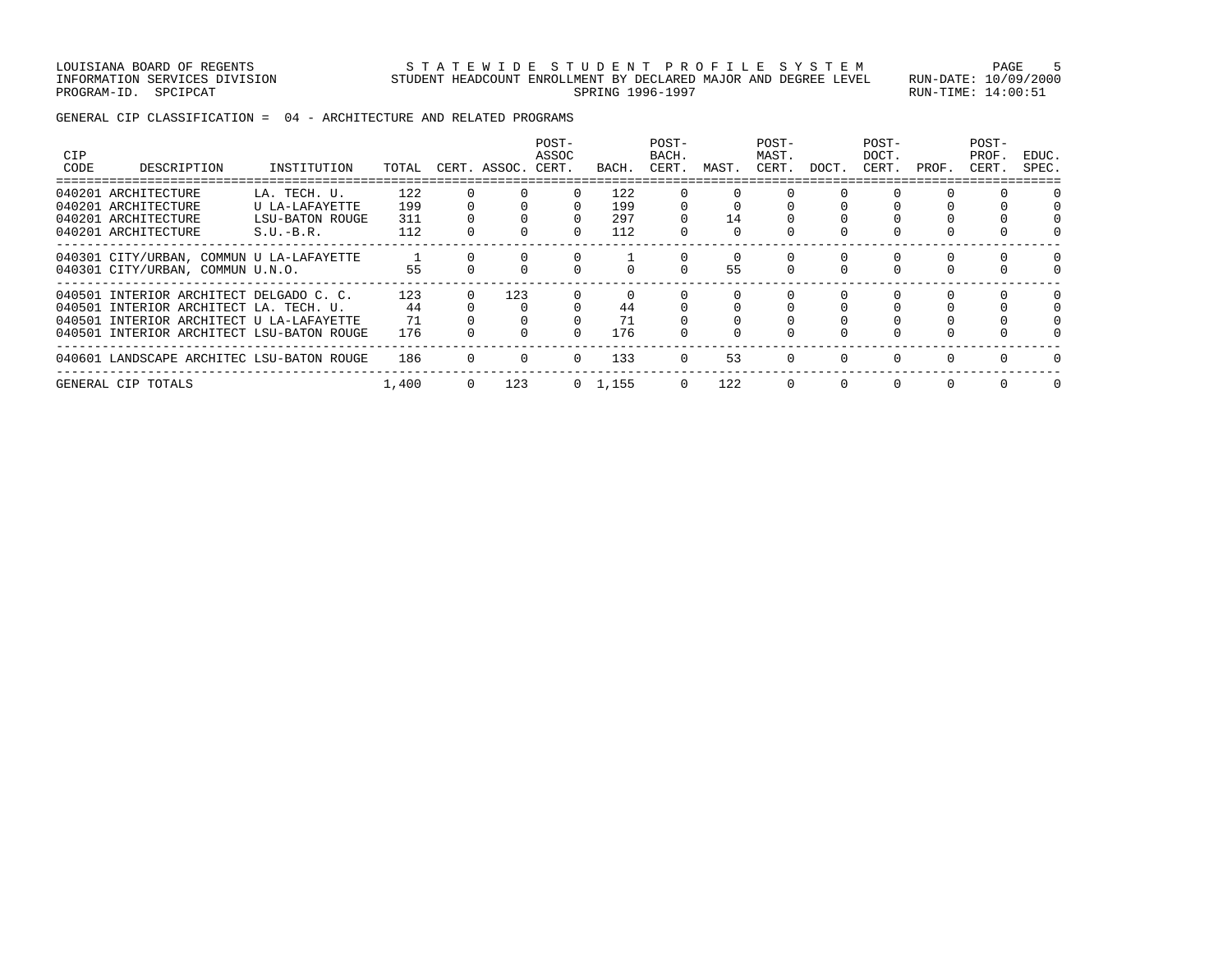LOUISIANA BOARD OF REGENTS STATEWIDE STUDENT PROFILE SYSTEM PAGE 5 INFORMATION SERVICES DIVISION STUDENT HEADCOUNT ENROLLMENT BY DECLARED MAJOR AND DEGREE LEVEL RUN-DATE: 10/09/2000 PROGRAM-ID. SPCIPCAT SERING RUN-TIME: 14:00:51

GENERAL CIP CLASSIFICATION = 04 - ARCHITECTURE AND RELATED PROGRAMS

| CIP<br>CODE | DESCRIPTION                                                                                                                                                                | INSTITUTION                                                             | TOTAL                    | CERT. ASSOC. CERT. | POST-<br>ASSOC | BACH.                    | POST-<br>BACH.<br>CERT. | MAST. | POST-<br>MAST.<br>CERT. | DOCT.    | POST-<br>DOCT.<br>CERT. | PROF. | POST-<br>PROF.<br>CERT. | EDUC.<br>SPEC. |
|-------------|----------------------------------------------------------------------------------------------------------------------------------------------------------------------------|-------------------------------------------------------------------------|--------------------------|--------------------|----------------|--------------------------|-------------------------|-------|-------------------------|----------|-------------------------|-------|-------------------------|----------------|
|             | 040201 ARCHITECTURE<br>040201 ARCHITECTURE<br>040201 ARCHITECTURE<br>040201 ARCHITECTURE                                                                                   | LA. TECH. U.<br>U LA-LAFAYETTE<br><b>LSU-BATON ROUGE</b><br>$S.U.-B.R.$ | 122<br>199<br>311<br>112 |                    | $\Omega$       | 122<br>199<br>297<br>112 | 0                       | 14    |                         |          |                         |       |                         |                |
|             | 040301 CITY/URBAN, COMMUN U LA-LAFAYETTE<br>040301 CITY/URBAN, COMMUN U.N.O.                                                                                               |                                                                         | 55                       |                    |                |                          | $\Omega$                | 55    | $\Omega$                | 0        |                         |       |                         |                |
|             | 040501 INTERIOR ARCHITECT DELGADO C. C.<br>040501 INTERIOR ARCHITECT LA. TECH. U.<br>040501 INTERIOR ARCHITECT U LA-LAFAYETTE<br>040501 INTERIOR ARCHITECT LSU-BATON ROUGE |                                                                         | 123<br>44<br>71<br>176   | 123                | $\Omega$       | 44<br>71<br>176          |                         |       |                         |          |                         |       |                         |                |
|             | 040601 LANDSCAPE ARCHITEC LSU-BATON ROUGE                                                                                                                                  |                                                                         | 186                      |                    | $\Omega$       | 133                      | $\Omega$                | 53    |                         |          |                         |       |                         |                |
|             | GENERAL CIP TOTALS                                                                                                                                                         |                                                                         | 1,400                    | 123                |                | $0 \quad 1,155$          | $\Omega$                | 122   | $\Omega$                | $\Omega$ |                         |       |                         | $\Omega$       |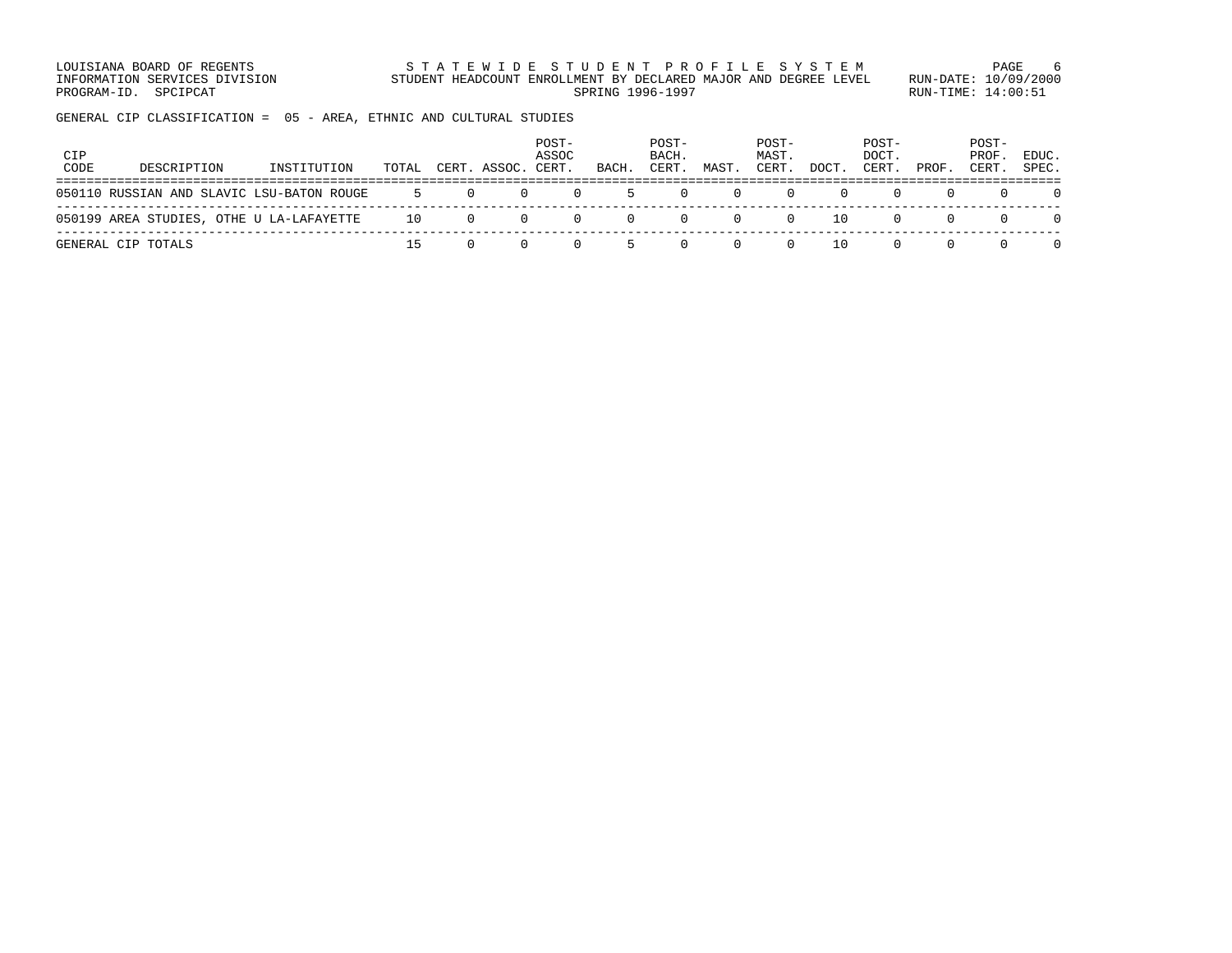LOUISIANA BOARD OF REGENTS STATEWIDE STUDENT PROFILE SYSTEM PAGE 6 INFORMATION SERVICES DIVISION STUDENT HEADCOUNT ENROLLMENT BY DECLARED MAJOR AND DEGREE LEVEL RUN-DATE: 10/09/2000 PROGRAM-ID. SPCIPCAT SERING RUN-TIME: 14:00:51

GENERAL CIP CLASSIFICATION = 05 - AREA, ETHNIC AND CULTURAL STUDIES

| <b>CIP</b><br>CODE | DESCRIPTION                               | INSTITUTION | TOTAL       |                  | CERT. ASSOC. CERT. | POST-<br>ASSOC | BACH. | POST-<br>BACH.<br>CERT. | MAST. | POST-<br>MAST.<br>CERT. | DOCT. | POST-<br>DOCT.<br>CERT. | PROF. | POST-<br>PROF.<br>CERT. | EDUC.<br>SPEC. |
|--------------------|-------------------------------------------|-------------|-------------|------------------|--------------------|----------------|-------|-------------------------|-------|-------------------------|-------|-------------------------|-------|-------------------------|----------------|
|                    | 050110 RUSSIAN AND SLAVIC LSU-BATON ROUGE |             | $5^{\circ}$ | $\left( \right)$ | $\cup$             | $\Omega$       |       |                         |       |                         |       |                         |       |                         |                |
|                    | 050199 AREA STUDIES, OTHE U LA-LAFAYETTE  |             | 10          | $\Omega$         | $\Omega$           | $\Omega$       |       |                         |       | $\left( \right)$        | 10    |                         |       |                         |                |
|                    | GENERAL CIP TOTALS                        |             |             |                  |                    |                |       |                         |       |                         | 10    |                         |       |                         |                |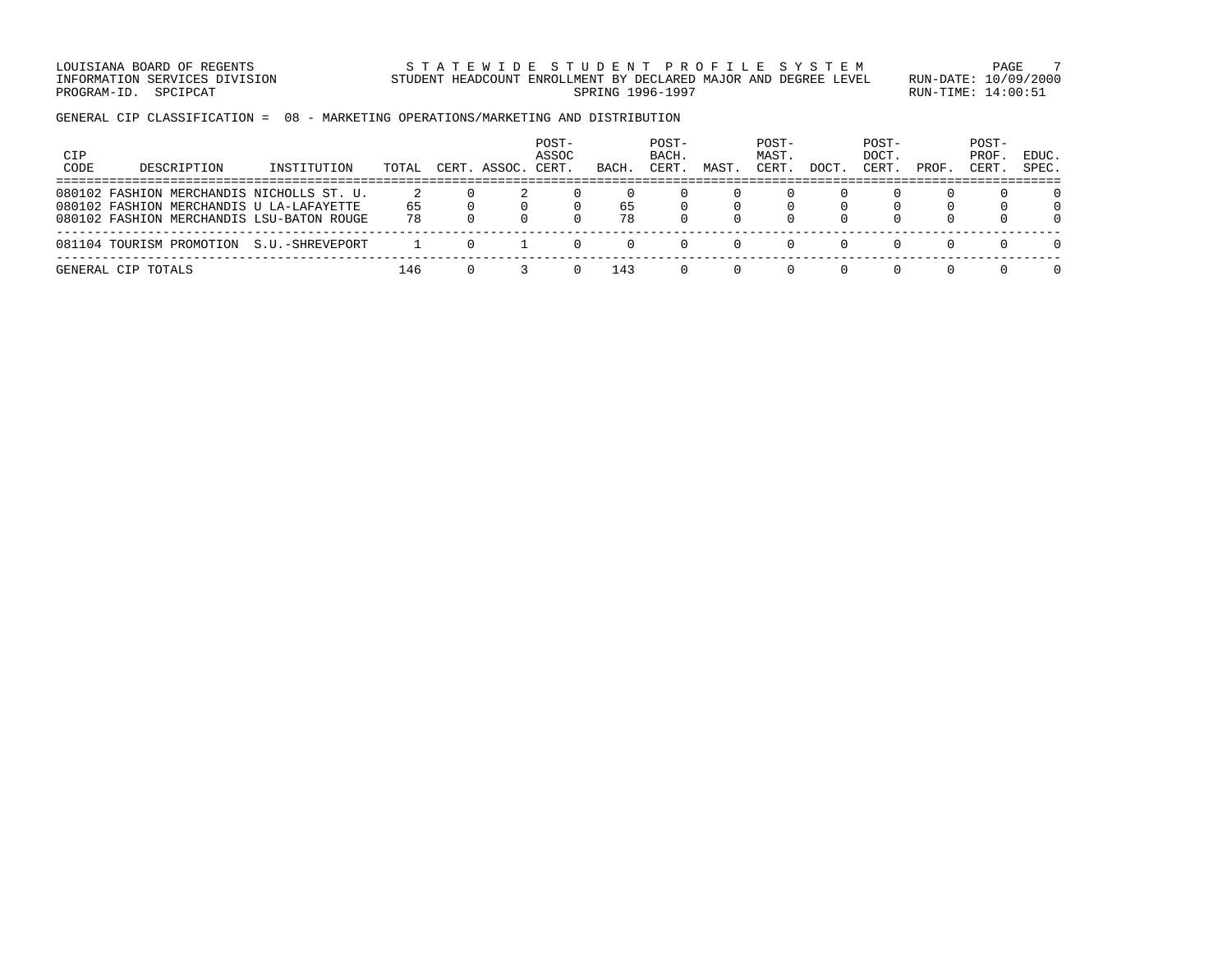LOUISIANA BOARD OF REGENTS STA TEWIDE STUDENT PROFILE SYSTEM PAGE 7 INFORMATION SERVICES DIVISION STUDENT HEADCOUNT ENROLLMENT BY DECLARED MAJOR AND DEGREE LEVEL RUN-DATE: 10/09/2000 PROGRAM-ID. SPCIPCAT SERING RUN-TIME: 14:00:51

GENERAL CIP CLASSIFICATION = 08 - MARKETING OPERATIONS/MARKETING AND DISTRIBUTION

| CIP<br>CODE | DESCRIPTION                                                                                                                        | INSTITUTION     | TOTAL    | CERT. ASSOC. | POST-<br>ASSOC<br>CERT. | BACH.    | POST-<br>BACH.<br>CERT. | MAST | POST-<br>MAST.<br>CERT | DOCT             | POST-<br>DOCT.<br>CERT | PROF | POST-<br>PROF<br>CERT. | EDUC.<br>SPEC. |
|-------------|------------------------------------------------------------------------------------------------------------------------------------|-----------------|----------|--------------|-------------------------|----------|-------------------------|------|------------------------|------------------|------------------------|------|------------------------|----------------|
|             | 080102 FASHION MERCHANDIS NICHOLLS ST. U.<br>080102 FASHION MERCHANDIS U LA-LAFAYETTE<br>080102 FASHION MERCHANDIS LSU-BATON ROUGE |                 | 65<br>78 |              |                         | 65<br>78 |                         |      |                        | <sup>n</sup>     |                        |      | n.                     |                |
|             | 081104 TOURISM PROMOTION                                                                                                           | S.U.-SHREVEPORT |          |              |                         |          |                         |      |                        |                  |                        |      | $\Omega$               | $\Box$         |
|             | GENERAL CIP TOTALS                                                                                                                 |                 | 146      |              |                         | 143      |                         |      |                        | $\left( \right)$ | $\cup$                 |      |                        |                |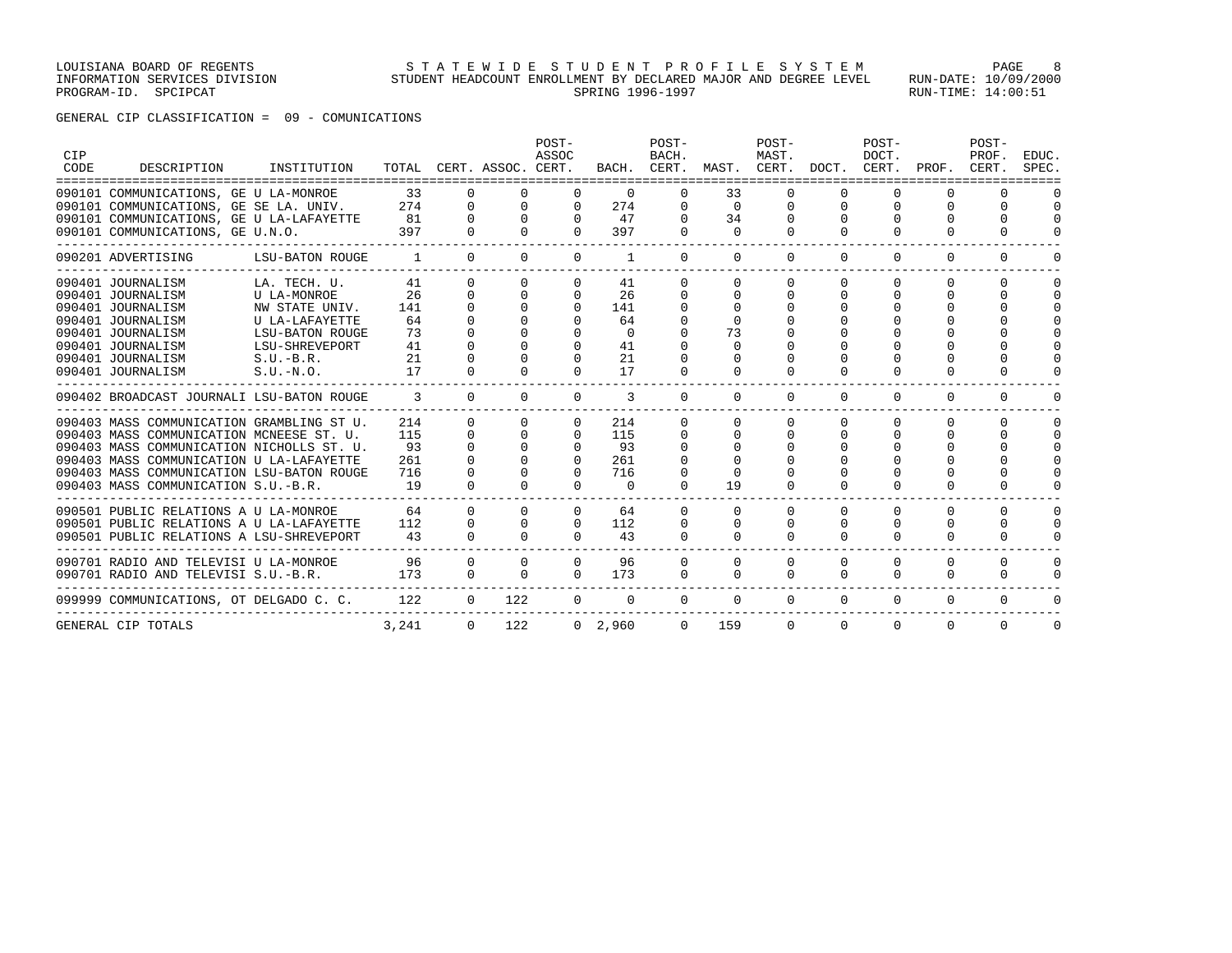# GENERAL CIP CLASSIFICATION = 09 - COMUNICATIONS

| CIP<br>CODE | DESCRIPTION                                                                  | INSTITUTION                       |                          |                      | TOTAL CERT. ASSOC. CERT. | POST-<br>ASSOC       |                | POST-<br>BACH.       | BACH. CERT. MAST. CERT. DOCT. CERT. | POST-<br>MAST.       |               | POST-<br>DOCT. | PROF.                        | POST-<br>PROF.<br>CERT. | EDUC.<br>SPEC.           |
|-------------|------------------------------------------------------------------------------|-----------------------------------|--------------------------|----------------------|--------------------------|----------------------|----------------|----------------------|-------------------------------------|----------------------|---------------|----------------|------------------------------|-------------------------|--------------------------|
|             | 090101 COMMUNICATIONS, GE U LA-MONROE                                        |                                   | 33                       |                      |                          | $\Omega$             | $\Omega$       | 0                    | 33                                  |                      |               |                |                              |                         |                          |
|             | 090101 COMMUNICATIONS, GE SE LA. UNIV.                                       |                                   | 274                      | $\mathbf{0}$         | $\mathbf{0}$             | $\mathbf{0}$         | 274            | $\mathbf{0}$         | $\mathbf 0$                         | 0                    | 0             | 0              | $\Omega$                     | $\Omega$                | $\Omega$                 |
|             | 090101 COMMUNICATIONS, GE U LA-LAFAYETTE<br>090101 COMMUNICATIONS, GE U.N.O. |                                   | 81<br>397                | $\Omega$<br>$\Omega$ | $\Omega$                 | $\Omega$<br>$\Omega$ | 47<br>397      | $\Omega$<br>$\Omega$ | 34<br>$\Omega$                      | $\Omega$<br>$\Omega$ | $\Omega$<br>0 | $\Omega$       | <sup>0</sup><br><sup>0</sup> | $\Omega$<br>U           | $\Omega$<br><sup>0</sup> |
|             | -----------------------------<br>090201 ADVERTISING                          | LSU-BATON ROUGE                   | $\overline{\phantom{a}}$ | $\Omega$             | $\Omega$                 | $\Omega$             | 1              | $\Omega$             | $\Omega$                            | $\Omega$             | $\Omega$      | $\Omega$       | $\Omega$                     | $\Omega$                | O                        |
|             | 090401 JOURNALISM                                                            | LA. TECH. U.                      | 41                       | $\Omega$             | $\Omega$                 | 0                    | 41             | $\Omega$             | $\Omega$                            | $\Omega$             | 0             | $\Omega$       | 0                            | $\Omega$                | n                        |
|             | 090401 JOURNALISM                                                            | U LA-MONROE                       | 26                       | $\Omega$             | $\Omega$                 | $\Omega$             | 26             | $\Omega$             | $\Omega$                            | 0                    | 0             |                | <sup>0</sup>                 | <sup>0</sup>            | ∩                        |
|             | 090401 JOURNALISM                                                            | NW STATE UNIV.                    | 141                      | $\Omega$             | $\Omega$                 | $\Omega$             | 141            | 0                    | $\Omega$                            |                      |               |                |                              |                         |                          |
|             | 090401 JOURNALISM                                                            | U LA-LAFAYETTE                    | 64                       |                      |                          |                      | 64             |                      |                                     |                      |               |                |                              |                         |                          |
|             | 090401 JOURNALISM<br>090401 JOURNALISM                                       | LSU-BATON ROUGE<br>LSU-SHREVEPORT | 73<br>41                 | $\Omega$<br>$\Omega$ | $\Omega$                 | $\Omega$             | $\Omega$<br>41 | $\Omega$             | 73                                  |                      |               |                |                              |                         |                          |
|             | 090401 JOURNALISM                                                            | $S.U.-B.R.$                       | 21                       | $\Omega$             |                          | $\Omega$             | 21             | 0                    | 0<br><sup>0</sup>                   |                      |               |                |                              |                         |                          |
|             | 090401 JOURNALISM                                                            | $S.U.-N.O.$                       | 17                       | $\Omega$             |                          | $\Omega$             | 17             | $\Omega$             | $\Omega$                            | $\Omega$             | 0             |                | 0                            | $\Omega$                |                          |
|             | 090402 BROADCAST JOURNALI LSU-BATON ROUGE                                    |                                   | $\overline{3}$           | $\Omega$             | $\Omega$                 | $\Omega$             | 3              | $\Omega$             | $\Omega$                            | $\Omega$             | $\Omega$      | $\Omega$       | $\Omega$                     | 0                       |                          |
|             | 090403 MASS COMMUNICATION GRAMBLING ST U.                                    |                                   | 214                      | $\Omega$             | $\Omega$                 | $\Omega$             | 214            | $\Omega$             | <sup>0</sup>                        | $\Omega$             | 0             | $\Omega$       | 0                            | $\Omega$                | ∩                        |
|             | 090403 MASS COMMUNICATION MCNEESE ST. U.                                     |                                   | 115                      | $\Omega$             | $\Omega$                 | $\Omega$             | 115            | 0                    | $\Omega$                            | 0                    | 0             |                | 0                            | <sup>0</sup>            | $\Omega$                 |
|             | 090403 MASS COMMUNICATION NICHOLLS ST. U.                                    |                                   | 93                       | $\Omega$             |                          | $\Omega$             | 93             | 0                    | $\Omega$                            | O                    | 0             |                | 0                            | $\Omega$                | $\Omega$                 |
|             | 090403 MASS COMMUNICATION U LA-LAFAYETTE                                     |                                   | 261                      | $\Omega$             |                          | $\Omega$             | 261            |                      |                                     |                      |               |                |                              | $\Omega$                | $\cap$                   |
|             | 090403 MASS COMMUNICATION LSU-BATON ROUGE                                    |                                   | 716                      | $\Omega$             |                          | $\Omega$             | 716            | 0                    |                                     |                      |               |                |                              | U                       | $\cap$                   |
|             | 090403 MASS COMMUNICATION S.U.-B.R.                                          |                                   | 19                       | $\cap$               | $\cap$                   | $\Omega$             | $\Omega$       | $\Omega$             | 19                                  | $\Omega$             | $\Omega$      | $\Omega$       | <sup>0</sup>                 | U                       |                          |
|             | 090501 PUBLIC RELATIONS A U LA-MONROE                                        |                                   | 64                       | $\Omega$             |                          | $\Omega$             | 64             | $\Omega$             | <sup>0</sup>                        | $\Omega$             | $\Omega$      | $\Omega$       | 0                            | $\Omega$                | $\Omega$                 |
|             | 090501 PUBLIC RELATIONS A U LA-LAFAYETTE                                     |                                   | 112                      | $\Omega$             |                          | $\Omega$             | 112            | 0                    |                                     | 0                    | 0             |                | 0                            | $\Omega$                | $\Omega$                 |
|             | 090501 PUBLIC RELATIONS A LSU-SHREVEPORT                                     |                                   | 43                       | $\Omega$             |                          | $\cap$               | 43             | $\Omega$             | <sup>0</sup>                        | $\Omega$             | $\Omega$      | $\Omega$       | $\Omega$                     | $\Omega$                |                          |
|             | 090701 RADIO AND TELEVISI U LA-MONROE                                        |                                   | 96                       | $\Omega$             | $\Omega$                 | $\Omega$             | 96             | $\Omega$             | $\Omega$                            | $\Omega$             | $\Omega$      | $\Omega$       | $\Omega$                     | $\Omega$                | $\Omega$                 |
|             | 090701 RADIO AND TELEVISI S.U.-B.R.                                          |                                   | 173                      | $\Omega$             | $\Omega$                 | $\Omega$             | 173            | $\Omega$             | $\Omega$                            | $\Omega$             | $\Omega$      | $\Omega$       | $\Omega$                     | $\Omega$                | O                        |
|             | 099999 COMMUNICATIONS, OT DELGADO C. C.                                      |                                   | 122                      | $\overline{0}$       | 122                      | $\mathbf{0}$         | $\mathbf{0}$   | $\mathbf{0}$         | 0                                   | $\mathbf{0}$         | $\mathbf{0}$  | $\mathbf{0}$   | $\mathbf{0}$                 | 0                       | 0                        |
|             | GENERAL CIP TOTALS                                                           |                                   | 3,241                    | $\Omega$             | 122                      |                      | $0\quad 2,960$ | $\Omega$             | 159                                 | $\Omega$             | $\Omega$      | $\Omega$       | $\Omega$                     | $\Omega$                | $\Omega$                 |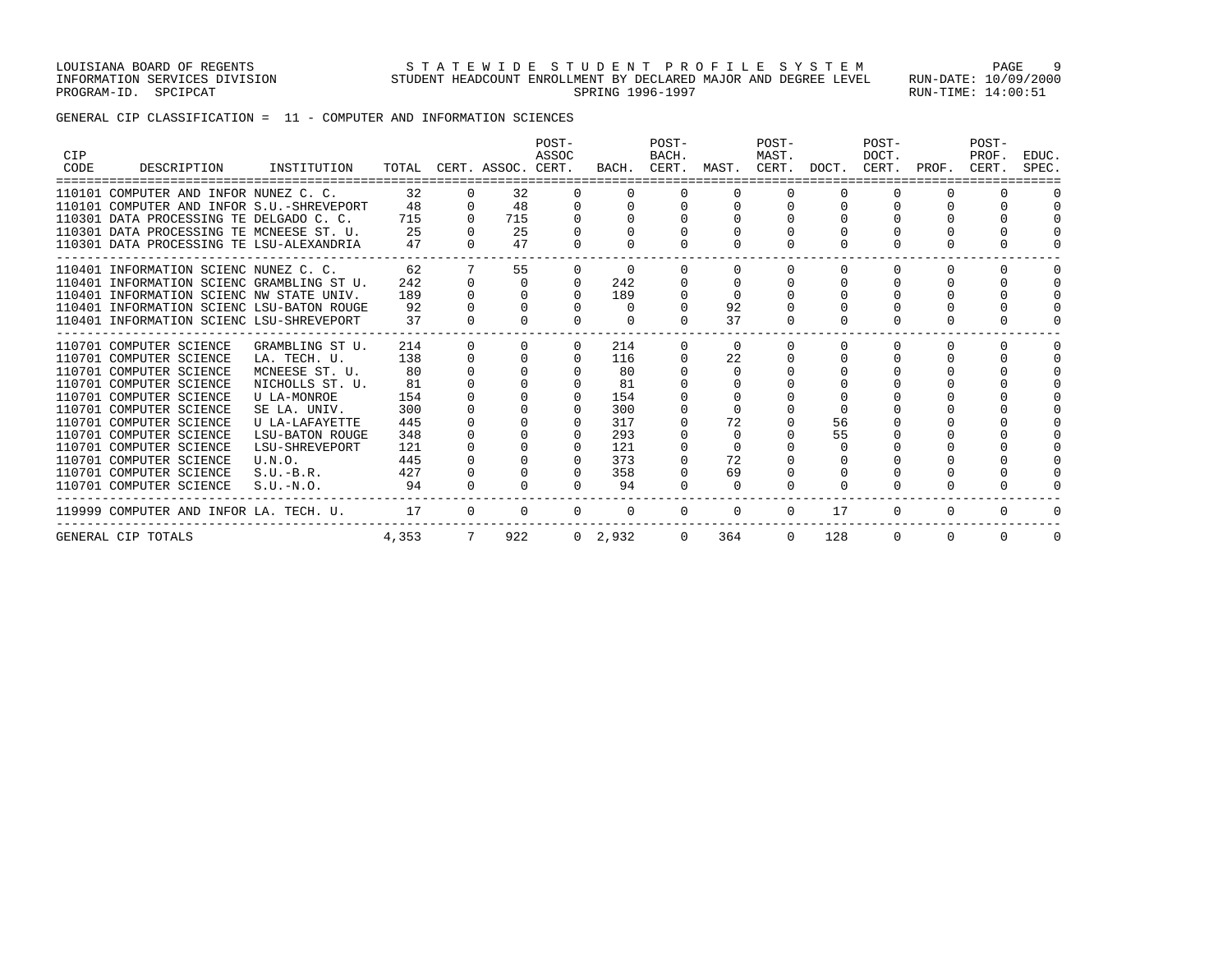GENERAL CIP CLASSIFICATION = 11 - COMPUTER AND INFORMATION SCIENCES

| CIP<br>CODE | DESCRIPTION                               | INSTITUTION     | TOTAL |          | CERT. ASSOC. CERT. | POST-<br>ASSOC | BACH.     | POST-<br>BACH.<br>CERT. | MAST.    | POST-<br>MAST.<br>CERT. | DOCT.        | POST-<br>DOCT.<br>CERT. | PROF.    | POST-<br>PROF.<br>CERT. | EDUC.<br>SPEC. |
|-------------|-------------------------------------------|-----------------|-------|----------|--------------------|----------------|-----------|-------------------------|----------|-------------------------|--------------|-------------------------|----------|-------------------------|----------------|
|             | 110101 COMPUTER AND INFOR NUNEZ C. C.     |                 | 32    |          | 32                 | $\Omega$       |           | O                       |          |                         | $\Omega$     | $\Omega$                |          |                         |                |
|             | 110101 COMPUTER AND INFOR S.U.-SHREVEPORT |                 | 48    | $\Omega$ | 48                 | $\Omega$       |           |                         |          |                         |              |                         |          | U                       |                |
|             | 110301 DATA PROCESSING TE DELGADO C. C.   |                 | 715   |          | 715                |                |           |                         |          |                         |              |                         |          |                         |                |
|             | 110301 DATA PROCESSING TE MCNEESE ST. U.  |                 | 25    |          | 25                 |                |           |                         |          |                         |              |                         |          |                         |                |
|             | 110301 DATA PROCESSING TE LSU-ALEXANDRIA  |                 | 47    |          | 47                 |                |           |                         |          |                         |              |                         |          |                         |                |
|             | 110401 INFORMATION SCIENC NUNEZ C. C.     |                 | 62    |          | 55                 | $\Omega$       | $\Omega$  |                         |          |                         | $\Omega$     | $\Omega$                | O        | O                       |                |
|             | 110401 INFORMATION SCIENC GRAMBLING ST U. |                 | 242   |          | $\Omega$           | $\Omega$       | 242       |                         |          |                         |              | $\Omega$                |          | U                       |                |
|             | 110401 INFORMATION SCIENC NW STATE UNIV.  |                 | 189   |          |                    | $\Omega$       | 189       |                         |          |                         |              | $\Omega$                |          | $\cap$                  |                |
|             | 110401 INFORMATION SCIENC LSU-BATON ROUGE |                 | 92    |          |                    |                | $\Omega$  |                         | 92       |                         |              |                         |          |                         |                |
|             | 110401 INFORMATION SCIENC LSU-SHREVEPORT  |                 | 37    |          |                    |                | $\Omega$  |                         | 37       |                         |              |                         |          |                         |                |
|             | 110701 COMPUTER SCIENCE                   | GRAMBLING ST U. | 214   |          |                    | $\Omega$       | 214       | 0                       | $\Omega$ |                         | <sup>0</sup> | $\Omega$                | n        | U                       |                |
|             | 110701 COMPUTER SCIENCE                   | LA. TECH. U.    | 138   |          |                    | $\Omega$       | 116       |                         | 22       |                         |              | $\Omega$                |          | $\Omega$                |                |
|             | 110701 COMPUTER SCIENCE                   | MCNEESE ST. U.  | 80    |          |                    |                | 80        |                         | $\cap$   |                         |              | $\cap$                  |          | $\cap$                  |                |
|             | 110701 COMPUTER SCIENCE                   | NICHOLLS ST. U. | 81    |          |                    | $\Omega$       | 81        |                         |          |                         |              |                         |          |                         |                |
|             | 110701 COMPUTER SCIENCE                   | U LA-MONROE     | 154   |          |                    | $\Omega$       | 154       |                         |          |                         |              |                         |          |                         |                |
|             | 110701 COMPUTER SCIENCE                   | SE LA. UNIV.    | 300   |          |                    |                | 300       |                         |          |                         |              |                         |          |                         |                |
|             | 110701 COMPUTER SCIENCE                   | U LA-LAFAYETTE  | 445   |          |                    |                | 317       |                         | 72       |                         | 56           |                         |          |                         |                |
|             | 110701 COMPUTER SCIENCE                   | LSU-BATON ROUGE | 348   |          |                    |                | 293       |                         | 0        |                         | 55           |                         |          |                         |                |
|             | 110701 COMPUTER SCIENCE                   | LSU-SHREVEPORT  | 121   |          |                    | $\Omega$       | 121       |                         | $\Omega$ |                         | $\Omega$     |                         |          |                         |                |
|             | 110701 COMPUTER SCIENCE                   | U.N.O.          | 445   |          |                    |                | 373       |                         | 72       |                         |              |                         |          |                         |                |
|             | 110701 COMPUTER SCIENCE                   | $S.U.-B.R.$     | 427   |          |                    | $\Omega$       | 358       |                         | 69       |                         |              |                         |          |                         |                |
|             | 110701 COMPUTER SCIENCE                   | $S.U.-N.O.$     | 94    |          |                    |                | 94        |                         | $\Omega$ |                         |              |                         |          |                         |                |
|             | 119999 COMPUTER AND INFOR LA. TECH. U.    |                 | 17    | $\Omega$ | $\Omega$           | $\Omega$       | $\Omega$  | $\Omega$                | $\Omega$ | $\Omega$                | 17           | $\Omega$                | $\Omega$ | 0                       |                |
|             | GENERAL CIP TOTALS                        |                 | 4,353 | 7        | 922                |                | 0, 2, 932 | $\Omega$                | 364      | $\Omega$                | 128          | $\Omega$                | $\Omega$ | 0                       | 0              |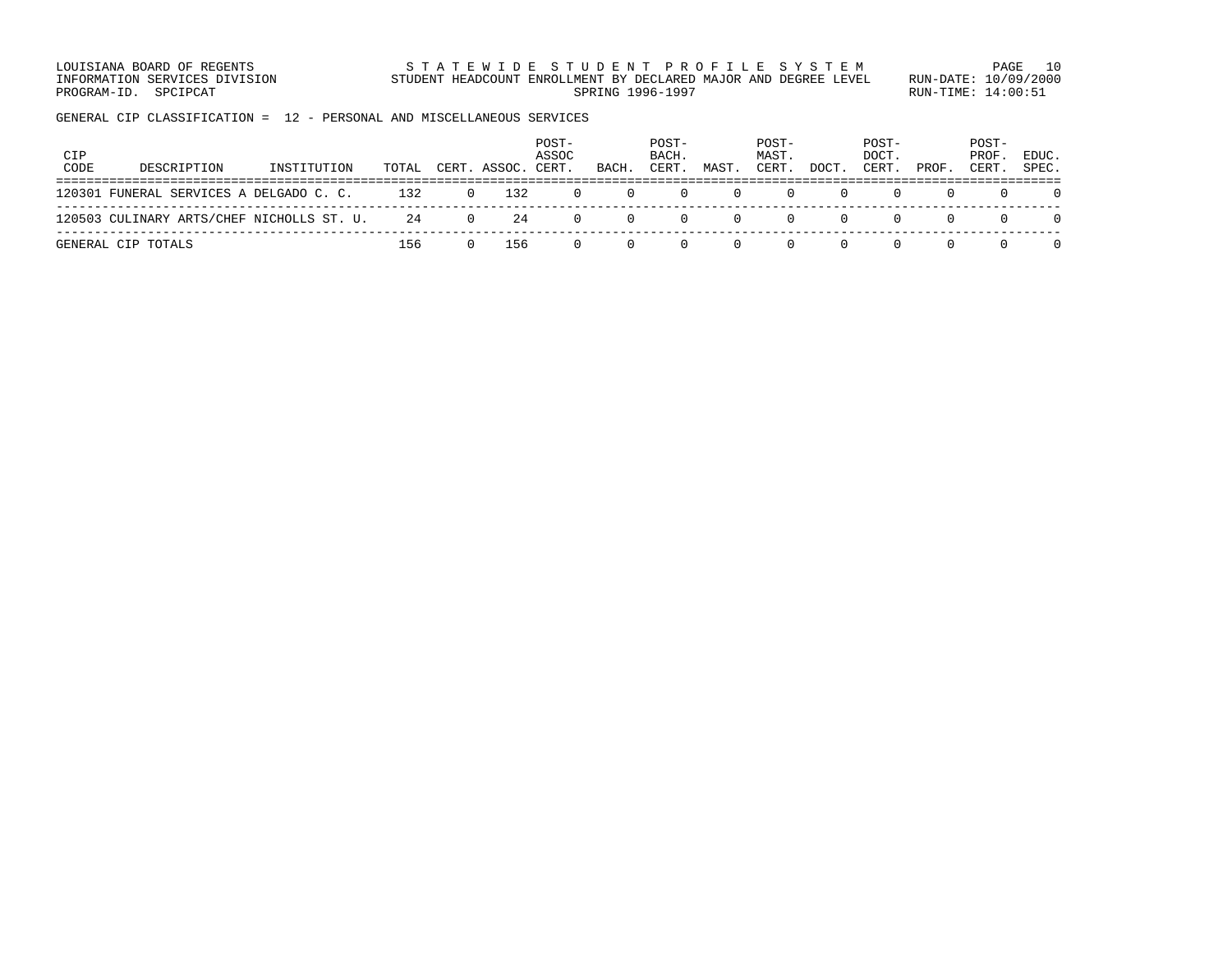LOUISIANA BOARD OF REGENTS STATEWIDE STUDENT PROFILE SYSTEM PAGE 10 INFORMATION SERVICES DIVISION STUDENT HEADCOUNT ENROLLMENT BY DECLARED MAJOR AND DEGREE LEVEL RUN-DATE: 10/09/2000 PROGRAM-ID. SPCIPCAT SERING RUN-TIME: 14:00:51

GENERAL CIP CLASSIFICATION = 12 - PERSONAL AND MISCELLANEOUS SERVICES

| CIP<br>CODE | DESCRIPTION                               | INSTITUTION | TOTAL |          | CERT. ASSOC. | POST-<br>ASSOC<br>CERT. | BACH.    | POST-<br>BACH.<br>CERT. | MAST. | POST-<br>MAST.<br>CERT. | DOCT.    | POST-<br>DOCT.<br>CERT. | PROF. | POST-<br>PROF.<br>CERT. | EDUC.<br>SPEC. |
|-------------|-------------------------------------------|-------------|-------|----------|--------------|-------------------------|----------|-------------------------|-------|-------------------------|----------|-------------------------|-------|-------------------------|----------------|
|             | 120301 FUNERAL SERVICES A DELGADO C. C.   |             | 132   | $\Omega$ | 132          | $\Omega$                | $\Omega$ |                         |       |                         |          |                         |       |                         |                |
|             | 120503 CULINARY ARTS/CHEF NICHOLLS ST. U. |             | 24    | $\Omega$ | 24           | $\Omega$                | $\Omega$ |                         |       |                         | <b>U</b> |                         |       |                         |                |
|             | GENERAL CIP TOTALS                        |             | 156   |          | 156          |                         |          |                         |       |                         |          |                         |       |                         |                |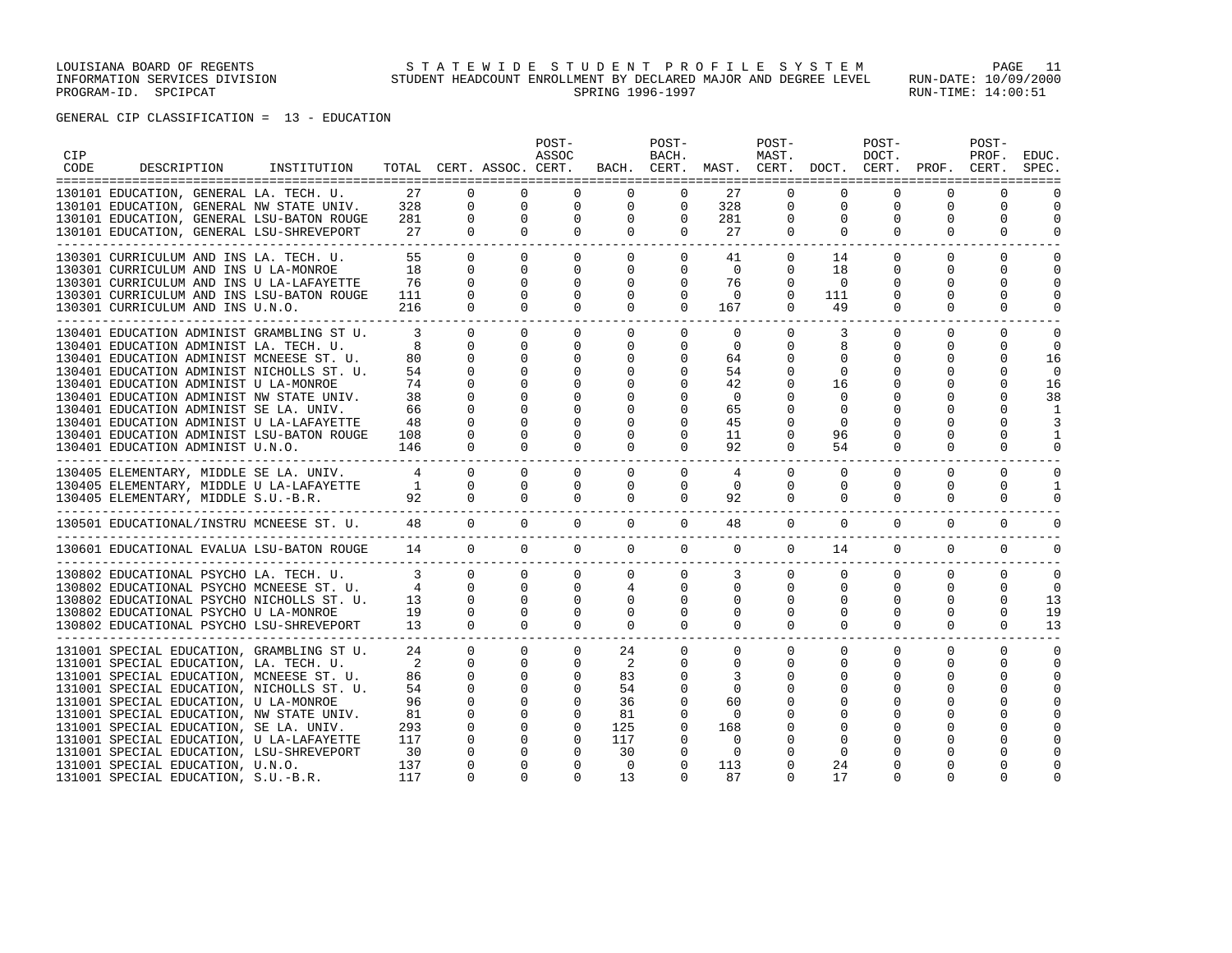| <b>CIP</b><br>CODE | DESCRIPTION                                                                           | INSTITUTION |                         |                              | TOTAL CERT. ASSOC. CERT.    | POST-<br>ASSOC             |                              | POST-<br>BACH.           |                | POST-<br>MAST.              | BACH. CERT. MAST. CERT. DOCT. | POST-<br>DOCT.<br>CERT. | PROF.                   | POST-<br>PROF.<br>CERT. | EDUC.<br>SPEC.           |
|--------------------|---------------------------------------------------------------------------------------|-------------|-------------------------|------------------------------|-----------------------------|----------------------------|------------------------------|--------------------------|----------------|-----------------------------|-------------------------------|-------------------------|-------------------------|-------------------------|--------------------------|
|                    | 130101 EDUCATION, GENERAL LA. TECH. U.                                                |             | 27                      | $\Omega$                     | $\Omega$                    | $\Omega$                   | $\Omega$                     | $\Omega$                 | 27             | $\Omega$                    | $\Omega$                      | $\Omega$                | $\Omega$                | $\Omega$                |                          |
|                    | 130101 EDUCATION, GENERAL NW STATE UNIV.                                              |             | 328<br>281              | $\mathbf{0}$<br>$\mathbf{0}$ | $\mathbf{0}$<br>$\mathbf 0$ | $\mathbf 0$<br>$\mathbf 0$ | $\mathbf 0$<br>$\mathbf 0$   | $\mathbf 0$<br>$\Omega$  | 328<br>281     | $\mathbf{0}$<br>$\mathbf 0$ | $\mathbf 0$<br>$\Omega$       | 0<br>$\Omega$           | $\mathbf 0$<br>$\Omega$ | 0<br>$\Omega$           | $\mathbf 0$<br>$\Omega$  |
|                    | 130101 EDUCATION, GENERAL LSU-BATON ROUGE<br>130101 EDUCATION, GENERAL LSU-SHREVEPORT |             | 27                      | $\Omega$                     | $\Omega$                    | $\Omega$                   | $\Omega$                     | $\Omega$                 | 27             | $\Omega$                    | $\Omega$                      | $\Omega$                | $\Omega$                | $\Omega$                | $\Omega$                 |
|                    |                                                                                       |             |                         |                              |                             |                            |                              |                          |                |                             |                               |                         |                         |                         |                          |
|                    | 130301 CURRICULUM AND INS LA. TECH. U.                                                |             | 55                      | $\Omega$                     | $\Omega$                    | $\Omega$                   | $\overline{0}$               | $\mathbf{0}$             | 41             | $\mathbf{0}$                | 14                            | $\Omega$                | $\Omega$                | $\Omega$                | $\Omega$                 |
|                    | 130301 CURRICULUM AND INS U LA-MONROE                                                 |             | 18                      | $\Omega$                     | $\Omega$                    | $\Omega$                   | $\Omega$                     | $\Omega$                 | $\bigcap$      | $\Omega$                    | 18                            | $\Omega$                | $\Omega$                | $\Omega$                | $\Omega$                 |
|                    | 130301 CURRICULUM AND INS U LA-LAFAYETTE<br>130301 CURRICULUM AND INS LSU-BATON ROUGE |             | 76<br>111               | $\Omega$<br>$\Omega$         | $\Omega$<br>$\Omega$        | 0<br>$\Omega$              | $\mathbf{0}$<br>$\mathbf{0}$ | $\mathbf{0}$<br>$\Omega$ | 76<br>$\Omega$ | $\mathbf 0$<br>$\Omega$     | $\Omega$<br>111               | $\Omega$<br>$\Omega$    | $\Omega$<br>$\Omega$    | $\Omega$<br>$\Omega$    | $\mathbf{0}$<br>$\Omega$ |
|                    | 130301 CURRICULUM AND INS U.N.O.                                                      |             | 216                     | $\Omega$                     | $\Omega$                    | $\Omega$                   | $\Omega$                     | $\Omega$                 | 167            | $\Omega$                    | 49                            | $\Omega$                | $\Omega$                | $\Omega$                | $\Omega$                 |
|                    |                                                                                       |             |                         |                              |                             |                            |                              |                          |                |                             |                               |                         |                         |                         |                          |
|                    | 130401 EDUCATION ADMINIST GRAMBLING ST U.                                             |             | 3                       | $\Omega$                     | $\Omega$                    | $\Omega$                   | $\mathbf{0}$                 | $\Omega$                 | $\Omega$       | $\Omega$                    | 3                             | $\Omega$                | $\Omega$                | $\Omega$                | $\Omega$                 |
|                    | 130401 EDUCATION ADMINIST LA. TECH. U.                                                |             | 8                       | $\Omega$                     | $\Omega$                    | $\Omega$                   | $\mathbf{0}$                 | 0                        | 0              | $\Omega$                    | 8                             | $\Omega$                | 0                       | $\Omega$                | $\mathbf 0$              |
|                    | 130401 EDUCATION ADMINIST MCNEESE ST. U.<br>130401 EDUCATION ADMINIST NICHOLLS ST. U. |             | 80<br>54                | $\Omega$<br>$\Omega$         | $\Omega$<br>$\Omega$        | $\Omega$<br>$\Omega$       | 0<br>$\Omega$                | $\Omega$<br>$\Omega$     | 64<br>54       | $\Omega$<br>$\Omega$        | $\Omega$<br>$\Omega$          | $\Omega$<br>$\Omega$    | $\Omega$<br>$\Omega$    | $\Omega$<br>$\Omega$    | 16<br>$\Omega$           |
|                    | 130401 EDUCATION ADMINIST U LA-MONROE                                                 |             | 74                      | $\Omega$                     | $\Omega$                    | $\Omega$                   | 0                            | $\Omega$                 | 42             | $\Omega$                    | 16                            |                         | $\Omega$                | $\Omega$                | 16                       |
|                    | 130401 EDUCATION ADMINIST NW STATE UNIV.                                              |             | 38                      | $\Omega$                     | $\Omega$                    | $\Omega$                   | $\Omega$                     | 0                        | $\mathbf 0$    | $\Omega$                    | 0                             |                         | $\Omega$                | $\Omega$                | 38                       |
|                    | 130401 EDUCATION ADMINIST SE LA. UNIV.                                                |             | 66                      | $\Omega$                     | $\Omega$                    | $\Omega$                   | $\Omega$                     | $\Omega$                 | 65             | $\Omega$                    | $\Omega$                      |                         | $\Omega$                |                         | -1                       |
|                    | 130401 EDUCATION ADMINIST U LA-LAFAYETTE                                              |             | 48                      | $\Omega$                     | $\Omega$                    | $\Omega$                   | 0                            | $\Omega$                 | 45             | 0                           | $\Omega$                      |                         | $\Omega$                | $\Omega$                | 3                        |
|                    | 130401 EDUCATION ADMINIST LSU-BATON ROUGE                                             |             | 108                     | $\Omega$                     | $\Omega$                    | $\Omega$                   | $\Omega$                     | $\Omega$                 | 11             | $\Omega$                    | 96                            | $\Omega$                | $\Omega$                | $\Omega$                | $\mathbf{1}$             |
|                    | 130401 EDUCATION ADMINIST U.N.O.                                                      |             | 146                     | $\Omega$                     | $\Omega$                    | $\Omega$                   | $\Omega$                     | $\Omega$                 | 92             | $\Omega$                    | 54                            | $\Omega$                | $\Omega$                | $\Omega$                | $\Omega$                 |
|                    | 130405 ELEMENTARY, MIDDLE SE LA. UNIV.                                                |             | $\overline{4}$          | $\Omega$                     | $\Omega$                    | $\Omega$                   | $\Omega$                     | $\Omega$                 | $\overline{4}$ | $\Omega$                    | $\Omega$                      | $\Omega$                | $\Omega$                | $\Omega$                | $\Omega$                 |
|                    | 130405 ELEMENTARY, MIDDLE U LA-LAFAYETTE                                              |             | $\overline{1}$          | $\Omega$                     | 0                           | 0                          | $\mathbf{0}$                 | 0                        | 0              | $\mathbf 0$                 | 0                             | 0                       | 0                       | 0                       | 1                        |
|                    | 130405 ELEMENTARY, MIDDLE S.U.-B.R.                                                   |             | 92                      | $\Omega$                     | $\mathbf{0}$                | $\mathbf 0$                | $\mathbf{0}$                 | $\mathbf 0$              | 92             | $\mathbf 0$                 | 0                             | 0                       | 0                       | 0                       | $\mathbf 0$              |
|                    | 130501 EDUCATIONAL/INSTRU MCNEESE ST. U. 48                                           |             |                         | $\overline{0}$               | $\circ$                     | $\overline{0}$             | $\overline{0}$               | $\circ$                  | 48             | $\mathbf 0$                 | $\mathbf 0$                   | $\mathbf 0$             | $\mathsf{O}$            | 0                       | $\mathbf 0$              |
|                    |                                                                                       |             |                         |                              |                             |                            |                              |                          |                |                             |                               |                         |                         |                         |                          |
|                    | 130601 EDUCATIONAL EVALUA LSU-BATON ROUGE                                             |             | 14                      | $\Omega$                     | $\Omega$                    | $\Omega$                   | $\Omega$                     | $\circ$                  | $\circ$        | $\mathbf{0}$                | 14                            | $\overline{0}$          | $\mathbf 0$             | $\mathbf 0$             | $\Omega$                 |
|                    | 130802 EDUCATIONAL PSYCHO LA. TECH. U.                                                |             | $\overline{\mathbf{3}}$ | $\Omega$                     | $\Omega$                    | $\Omega$                   | $\mathbf{0}$                 | $\Omega$                 | 3              | $\mathbf{0}$                | $\mathbf 0$                   | $\mathbf{0}$            | $\mathbf 0$             | $\mathbf 0$             | $\mathbf 0$              |
|                    | 130802 EDUCATIONAL PSYCHO MCNEESE ST. U.                                              |             | $4\overline{4}$         | $\mathbf{0}$                 | $\Omega$                    |                            | $0 \qquad \qquad$<br>4       | $\mathbf 0$              | $\mathbf 0$    | $\mathbf 0$                 | $\Omega$                      | 0                       | $\mathbf 0$             | $\Omega$                | $\Omega$                 |
|                    | 130802 EDUCATIONAL PSYCHO NICHOLLS ST. U.                                             |             | 13                      | $\mathbf{0}$                 | $\mathbf{0}$                | $\mathbf 0$                | $\mathbf 0$                  | $\mathbf 0$              | 0              | $\mathbf 0$                 | $\Omega$                      | 0                       | 0                       | $\Omega$                | 13                       |
|                    | 130802 EDUCATIONAL PSYCHO U LA-MONROE                                                 |             | 19                      | $\Omega$                     | $\Omega$                    | $\Omega$                   | $\mathbf{0}$                 | $\mathbf 0$              | 0              | $\mathbf 0$                 | $\Omega$                      | $\Omega$                | $\Omega$                | $\Omega$                | 19                       |
|                    | 130802 EDUCATIONAL PSYCHO LSU-SHREVEPORT                                              |             | 13                      | $\Omega$                     | $\Omega$                    | $\Omega$                   | $\Omega$                     | $\mathbf{0}$             | 0              | $\Omega$                    | $\Omega$                      | $\Omega$                | $\Omega$                | $\Omega$                | 13                       |
|                    | 131001 SPECIAL EDUCATION, GRAMBLING ST U.                                             |             | 24                      | $\Omega$                     | $\Omega$                    | $\Omega$                   | 24                           | $\Omega$                 | $\Omega$       | $\Omega$                    | $\Omega$                      | $\Omega$                | $\Omega$                | $\Omega$                | $\Omega$                 |
|                    | 131001 SPECIAL EDUCATION, LA. TECH. U.                                                |             | 2                       | 0                            | $\Omega$                    | $\mathbf{0}$               | 2                            | $\Omega$                 | 0              | 0                           | $\Omega$                      | $\Omega$                | $\Omega$                | $\Omega$                | $\Omega$                 |
|                    | 131001 SPECIAL EDUCATION, MCNEESE ST. U.                                              |             | 86                      | $\Omega$                     | $\Omega$                    | $\Omega$                   | 83                           | $\Omega$                 | 3              | $\Omega$                    | 0                             | $\Omega$                | $\Omega$                | $\Omega$                | $\Omega$                 |
|                    | 131001 SPECIAL EDUCATION, NICHOLLS ST. U.                                             |             | 54                      | $\Omega$                     | $\Omega$                    | $\Omega$                   | 54                           | $\Omega$                 | $\Omega$       | U                           |                               | $\cap$                  | $\Omega$                | $\Omega$                | $\Omega$                 |
|                    | 131001 SPECIAL EDUCATION, U LA-MONROE                                                 |             | 96                      | $\Omega$                     | $\Omega$                    | $\Omega$                   | 36                           | $\mathbf 0$              | 60             | O                           |                               | O                       | $\Omega$                | $\Omega$                | $\Omega$                 |
|                    | 131001 SPECIAL EDUCATION, NW STATE UNIV.                                              |             | 81                      | $\Omega$                     | $\Omega$                    | $\Omega$                   | 81                           | $\Omega$                 | $\Omega$       | O                           |                               | O                       | $\Omega$                | $\Omega$                | $\Omega$                 |
|                    | 131001 SPECIAL EDUCATION, SE LA. UNIV.                                                |             | 293                     | $\Omega$<br>$\mathbf 0$      | $\Omega$<br>$\mathbf 0$     | $\Omega$<br>$\Omega$       | 125                          | $\Omega$<br>$\Omega$     | 168            | 0<br>O                      |                               | $\Omega$                | $\Omega$<br>$\Omega$    | $\Omega$<br>$\Omega$    | $\Omega$<br>$\Omega$     |
|                    | 131001 SPECIAL EDUCATION, U LA-LAFAYETTE<br>131001 SPECIAL EDUCATION, LSU-SHREVEPORT  |             | 117<br>30               | $\mathbf 0$                  | 0                           | $\Omega$                   | 117<br>30                    | 0                        | 0<br>$\Omega$  | 0                           | $\Omega$                      |                         | $\Omega$                | $\Omega$                | $\Omega$                 |
|                    | 131001 SPECIAL EDUCATION, U.N.O.                                                      |             | 137                     | $\Omega$                     | $\Omega$                    | $\Omega$                   | 0                            | $\Omega$                 | 113            | O                           | 24                            |                         |                         | $\Omega$                | $\Omega$                 |
|                    | 131001 SPECIAL EDUCATION, S.U.-B.R.                                                   |             | 117                     | $\cap$                       | $\Omega$                    | $\Omega$                   | 13                           | $\Omega$                 | 87             | $\Omega$                    | 17                            | $\Omega$                | $\Omega$                | $\Omega$                | $\cap$                   |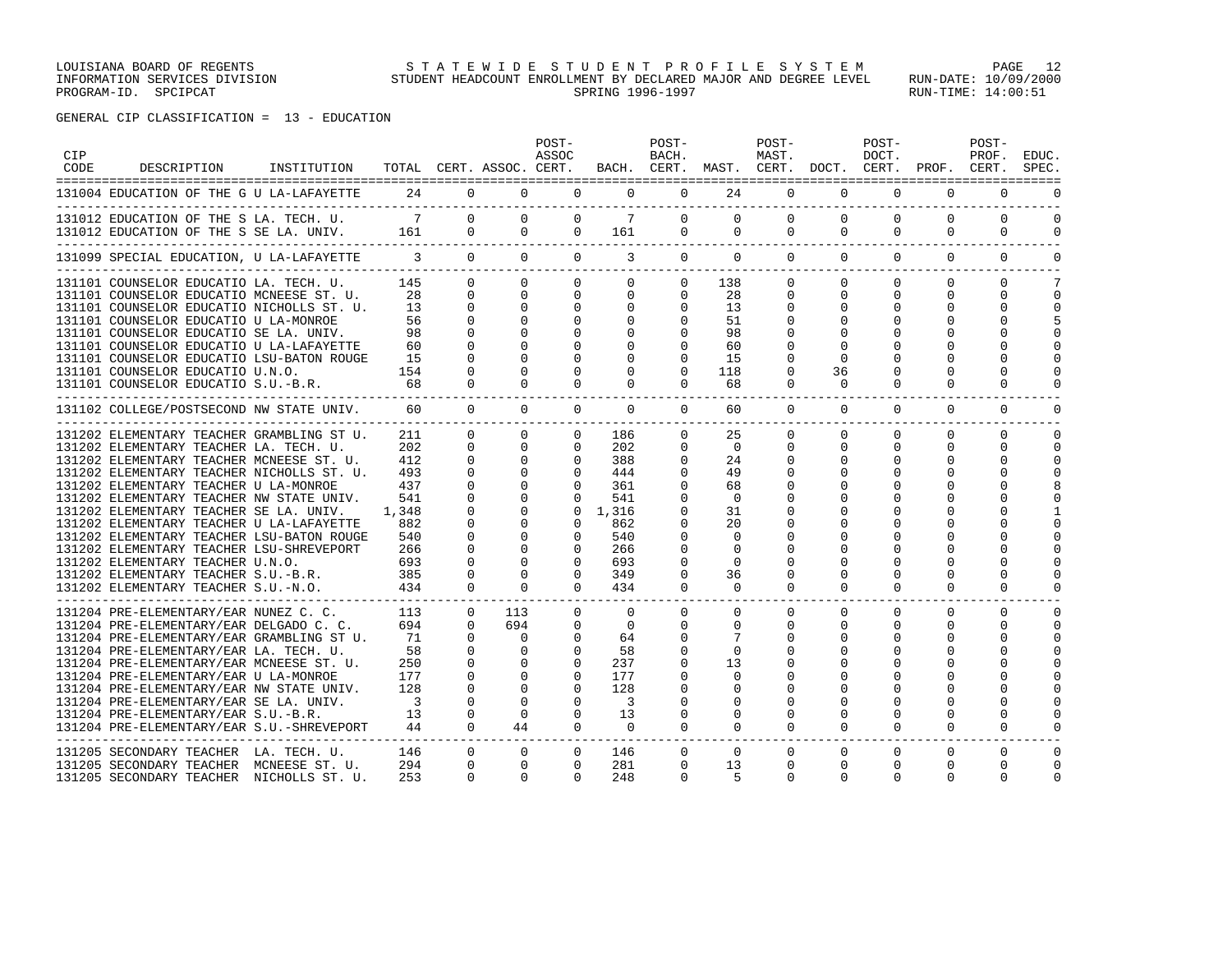LOUISIANA BOARD OF REGENTS STATEWIDE STUDENT PROFILE SYSTEM PAGE 12 INFORMATION SERVICES DIVISION STUDENT HEADCOUNT ENROLLMENT BY DECLARED MAJOR AND DEGREE LEVEL RUN-DATE: 10/09/2000 PROGRAM-ID. SPCIPCAT SERING RUN-TIME: 14:00:51

| <b>CIP</b><br>CODE | DESCRIPTION                                                                                                                     | INSTITUTION |                       |                                              | TOTAL CERT. ASSOC. CERT.             | POST-<br>ASSOC                       |                                            | POST-<br>BACH.                      | BACH. CERT. MAST. CERT. DOCT. CERT. PROF. CERT. | POST-<br>MAST.                |                                          | POST-<br>DOCT.                   |                                  | POST-<br>PROF.                       | EDUC.<br>SPEC.                      |
|--------------------|---------------------------------------------------------------------------------------------------------------------------------|-------------|-----------------------|----------------------------------------------|--------------------------------------|--------------------------------------|--------------------------------------------|-------------------------------------|-------------------------------------------------|-------------------------------|------------------------------------------|----------------------------------|----------------------------------|--------------------------------------|-------------------------------------|
|                    | 131004 EDUCATION OF THE G U LA-LAFAYETTE                                                                                        |             |                       |                                              | 24 0 0                               |                                      | $0 \qquad \qquad$<br>$\Omega$              | $\Omega$                            | 24                                              | $\Omega$                      | $\Omega$                                 | $\Omega$                         | $\Omega$                         | $\Omega$                             |                                     |
|                    | 131012 EDUCATION OF THE S LA. TECH. U.<br>131012 EDUCATION OF THE S SE LA. UNIV. 161 0                                          |             | $\overline{7}$        | $\Omega$                                     | $\Omega$                             | $\Omega$<br>$0\qquad 0$              | $7\overline{ }$<br>161                     | $\Omega$<br>$\Omega$                | $\Omega$<br>$\mathbf{0}$                        | $\Omega$<br>$\mathbf{0}$      | $\Omega$<br>$\mathbf{0}$                 | $\Omega$<br>$\mathbf{0}$         | $\Omega$<br>$\circ$              | $\Omega$<br>0                        | $\Omega$<br>0                       |
|                    | 131099 SPECIAL EDUCATION, U LA-LAFAYETTE                                                                                        |             |                       |                                              |                                      | $3 \t 0 \t 0 \t 0$                   | $\overline{3}$                             |                                     | $0 \qquad \qquad 0$                             | $\Omega$                      | $\Omega$                                 | $\Omega$                         | $\Omega$                         | $\Omega$                             | $\Omega$                            |
|                    | 131101 COUNSELOR EDUCATIO LA. TECH. U.<br>131101 COUNSELOR EDUCATIO MCNEESE ST. U.<br>131101 COUNSELOR EDUCATIO NICHOLLS ST. U. |             | 145<br>28<br>13       | $\Omega$<br>$\Omega$<br>$\Omega$             | $\Omega$<br>$\Omega$<br>$\Omega$     | $\Omega$<br>$\Omega$<br>$\mathbf{0}$ | $\Omega$<br>$\mathbf{0}$<br>$\overline{0}$ | $\Omega$<br>$\Omega$<br>0           | 138<br>28<br>13                                 | $\Omega$<br>0<br>0            | $\Omega$<br>$\mathbf{0}$<br>$\mathbf{0}$ | $\Omega$<br>0<br>$\Omega$        | $\Omega$<br>$\Omega$<br>$\Omega$ | $\Omega$<br>0<br>$\Omega$            | 7<br>0<br>$\Omega$                  |
|                    | 131101 COUNSELOR EDUCATIO U LA-MONROE<br>131101 COUNSELOR EDUCATIO SE LA. UNIV.<br>131101 COUNSELOR EDUCATIO U LA-LAFAYETTE     |             | 56<br>98<br>60        | $\Omega$<br>$\Omega$<br>$\Omega$             | $\Omega$<br>$\Omega$<br>$\Omega$     | $\Omega$<br>0<br>$\Omega$            | $\Omega$<br>0<br>$\Omega$                  | $\Omega$                            | 51<br>98<br>60                                  | $\Omega$<br>0                 | $\Omega$<br>0<br>$\Omega$                | $\Omega$                         | $\Omega$                         | $\Omega$<br>$\Omega$<br><sup>0</sup> | $\Omega$<br>$\Omega$                |
|                    | 131101 COUNSELOR EDUCATIO LSU-BATON ROUGE<br>131101 COUNSELOR EDUCATIO U.N.O.<br>131101 COUNSELOR EDUCATIO S.U.-B.R.            |             | 15<br>154<br>68       | $\Omega$<br>$\Omega$<br>$\Omega$             | $\Omega$<br>$\Omega$<br>$\Omega$     | $\Omega$<br>$\Omega$<br>$\Omega$     | $\Omega$<br>$\Omega$<br>$\Omega$           | $\Omega$                            | 15<br>118<br>68                                 | $\Omega$<br>$\Omega$          | $\Omega$<br>36<br>$\Omega$               |                                  | $\Omega$                         | $\Omega$                             |                                     |
|                    | 131102 COLLEGE/POSTSECOND NW STATE UNIV.                                                                                        |             | 60                    | $\overline{0}$                               | $\circ$                              | $\Omega$                             | $\overline{0}$                             | $\circ$                             | 60                                              | $\circ$                       | $\mathbf{0}$                             | $\overline{0}$                   | $\mathbf 0$                      | $\mathbf 0$                          | $\mathbf 0$                         |
|                    | 131202 ELEMENTARY TEACHER GRAMBLING ST U.<br>131202 ELEMENTARY TEACHER LA. TECH. U.                                             |             | 211<br>202            | $\Omega$<br>$\Omega$                         | $\Omega$<br>$\Omega$                 | $\Omega$<br>$\Omega$                 | 186<br>202                                 | $\Omega$<br>$\Omega$                | 25<br>$\Omega$                                  | $\Omega$<br>$\Omega$          | $\Omega$<br>$\Omega$                     | $\Omega$<br>$\Omega$             | $\Omega$<br>$\Omega$             | $\Omega$<br>$\Omega$                 | $\mathbf 0$<br>$\Omega$             |
|                    | 131202 ELEMENTARY TEACHER MCNEESE ST. U.<br>131202 ELEMENTARY TEACHER NICHOLLS ST. U.<br>131202 ELEMENTARY TEACHER U LA-MONROE  |             | 412<br>493<br>437     | $\Omega$<br>$\Omega$<br>$\Omega$             | $\Omega$<br>$\Omega$<br>$\Omega$     | $\Omega$<br>$\Omega$<br>$\Omega$     | 388<br>444<br>361                          | 0<br>$\Omega$<br>$\Omega$           | 24<br>49<br>68                                  | $\Omega$<br>$\Omega$<br>O.    | $\Omega$<br>$\Omega$<br>$\Omega$         | $\Omega$<br>$\Omega$             | $\Omega$<br>$\Omega$             | $\Omega$<br>$\Omega$<br>$\Omega$     | $\Omega$<br>$\cap$<br>8             |
|                    | 131202 ELEMENTARY TEACHER NW STATE UNIV.<br>131202 ELEMENTARY TEACHER SE LA. UNIV.<br>131202 ELEMENTARY TEACHER U LA-LAFAYETTE  |             | 541<br>1,348<br>882   | $\Omega$<br>$\Omega$<br>$\Omega$<br>$\Omega$ | $\Omega$<br>$\Omega$<br>$\Omega$     | $\Omega$<br>$\Omega$                 | 541<br>$0 \quad 1.316$<br>862              |                                     | $\Omega$<br>31<br>20                            |                               |                                          |                                  |                                  | U                                    |                                     |
|                    | 131202 ELEMENTARY TEACHER LSU-BATON ROUGE<br>131202 ELEMENTARY TEACHER LSU-SHREVEPORT<br>131202 ELEMENTARY TEACHER U.N.O.       |             | 540<br>266<br>693     | $\mathbf 0$<br>$\Omega$                      | $\Omega$<br>0<br>$\Omega$            | $\Omega$<br>$\Omega$<br>$\Omega$     | 540<br>266<br>693                          | $\Omega$<br>$\Omega$<br>$\Omega$    | $\Omega$<br>0<br>$\Omega$                       | 0                             | $\Omega$<br>$\Omega$                     |                                  | U                                | n<br>O<br>$\Omega$                   | $\Omega$<br>n<br>$\Omega$           |
|                    | 131202 ELEMENTARY TEACHER S.U.-B.R.<br>131202 ELEMENTARY TEACHER S.U.-N.O.                                                      |             | 385<br>434            | $\Omega$<br>$\Omega$                         | $\Omega$<br>$\Omega$                 | $\Omega$<br>$\Omega$                 | 349<br>434                                 | $\Omega$<br>$\Omega$                | 36<br>$\Omega$                                  | $\Omega$<br>$\Omega$          | $\Omega$<br>$\Omega$                     | $\Omega$                         | O<br>$\Omega$                    | $\Omega$<br>$\Omega$                 | $\Omega$<br>$\Omega$                |
|                    | 131204 PRE-ELEMENTARY/EAR NUNEZ C. C.<br>131204 PRE-ELEMENTARY/EAR DELGADO C. C.<br>131204 PRE-ELEMENTARY/EAR GRAMBLING ST U.   |             | 113<br>694<br>71      | $\Omega$<br>$\Omega$<br>$\Omega$             | 113<br>694<br>$\Omega$               | $\Omega$<br>$\Omega$<br>$\Omega$     | $\Omega$<br>$\Omega$<br>64                 | $\mathbf 0$<br>$\Omega$<br>$\Omega$ | $\mathbf{0}$<br>$\Omega$<br>7                   | 0<br>$\Omega$<br>$\Omega$     | $\Omega$<br>$\Omega$<br>$\Omega$         | $\Omega$<br>$\Omega$<br>$\Omega$ | $\Omega$<br>$\Omega$<br>$\Omega$ | $\Omega$<br>$\Omega$<br>$\Omega$     | $\Omega$<br>$\Omega$<br>$\Omega$    |
|                    | 131204 PRE-ELEMENTARY/EAR LA. TECH. U.<br>131204 PRE-ELEMENTARY/EAR MCNEESE ST. U.<br>131204 PRE-ELEMENTARY/EAR U LA-MONROE     |             | 58<br>250<br>177      | $\Omega$<br>$\Omega$<br>$\Omega$             | $\Omega$<br>$\Omega$<br>$\Omega$     | $\Omega$<br>0<br>$\Omega$            | 58<br>237<br>177                           | $\Omega$<br>$\Omega$<br>$\Omega$    | $\Omega$<br>13<br>$\Omega$                      | 0                             | $\Omega$<br>$\Omega$                     |                                  | O                                | $\Omega$<br>$\Omega$<br>O            | $\Omega$<br>n                       |
|                    | 131204 PRE-ELEMENTARY/EAR NW STATE UNIV.<br>131204 PRE-ELEMENTARY/EAR SE LA. UNIV.<br>131204 PRE-ELEMENTARY/EAR S.U.-B.R.       |             | 128<br>$\sim$ 3<br>13 | $\Omega$<br>$\Omega$<br>$\Omega$             | $\Omega$<br>$\Omega$<br>$\circ$      | $\Omega$<br>$\Omega$<br>$\Omega$     | 128<br>$\overline{\mathbf{3}}$<br>13       | $\Omega$                            | $\Omega$<br>$\Omega$<br>0                       | $\Omega$<br>$\Omega$          | $\Omega$<br>$\Omega$                     | $\Omega$                         | $\Omega$                         | $\Omega$<br>$\Omega$                 | $\cap$<br>$\Omega$                  |
|                    | 131204 PRE-ELEMENTARY/EAR S.U.-SHREVEPORT                                                                                       |             | 44                    | $\Omega$                                     | 44                                   | $\Omega$                             | $\overline{0}$                             | $\Omega$                            | $\Omega$                                        | $\Omega$                      | $\Omega$                                 | $\Omega$                         | $\Omega$                         | $\Omega$                             | $\cap$                              |
|                    | 131205 SECONDARY TEACHER LA. TECH. U.<br>131205 SECONDARY TEACHER MCNEESE ST. U.<br>131205 SECONDARY TEACHER NICHOLLS ST. U.    |             | 146<br>294<br>253     | $\mathbf{0}$<br>$\mathbf 0$<br>$\Omega$      | $\mathbf{0}$<br>$\Omega$<br>$\Omega$ | $\mathbf{0}$<br>$\Omega$<br>$\Omega$ | 146<br>281<br>248                          | $\mathbf 0$<br>0<br>$\Omega$        | $\Omega$<br>13<br>5                             | $\mathbf{0}$<br>0<br>$\Omega$ | $\mathbf{0}$<br>$\Omega$<br>$\Omega$     | $\Omega$<br>0<br>$\Omega$        | $\Omega$<br>$\Omega$<br>$\Omega$ | $\mathbf 0$<br>0<br>$\Omega$         | $\Omega$<br>$\mathbf 0$<br>$\Omega$ |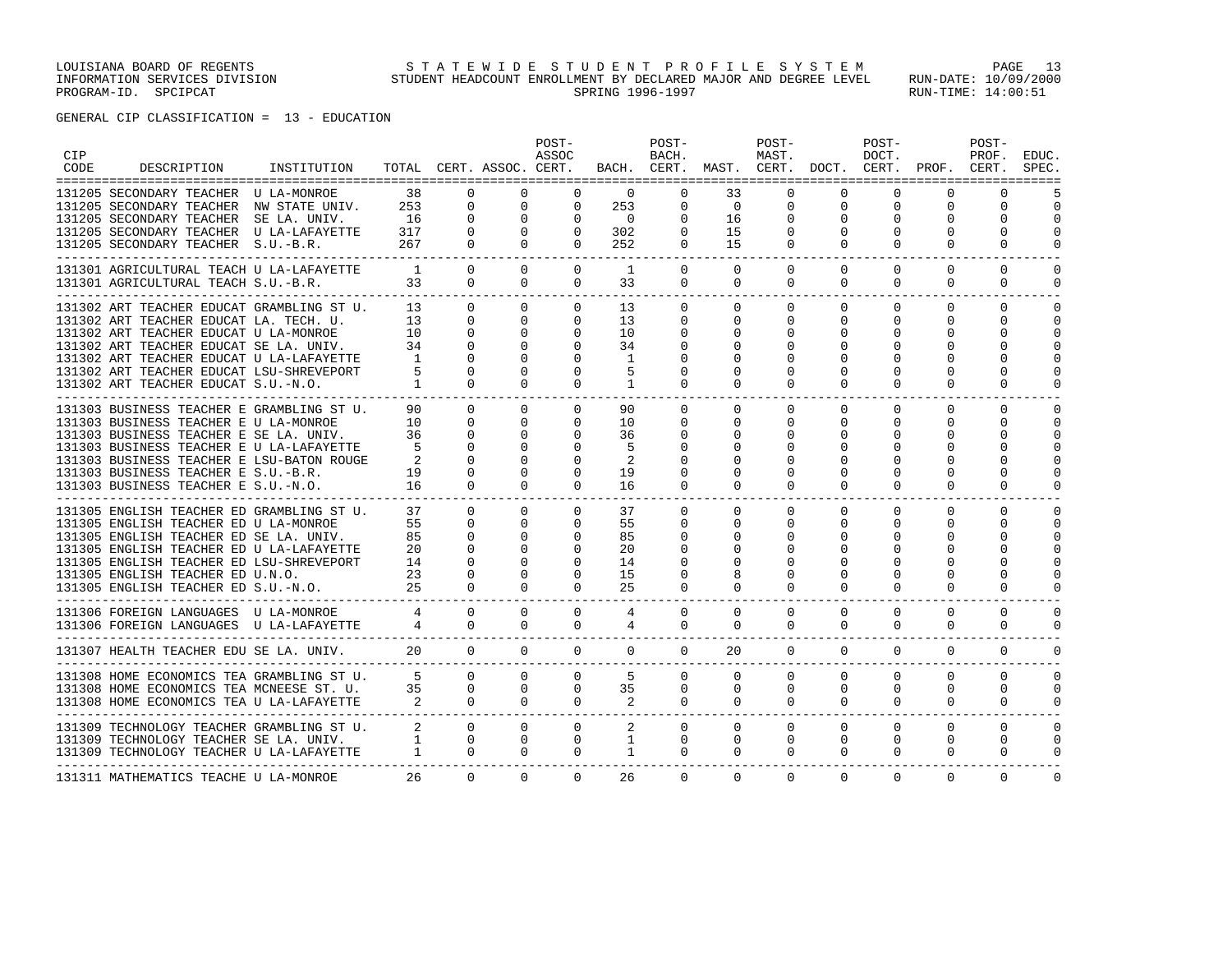| <b>CIP</b><br><b>CODE</b> | DESCRIPTION                                                                         | INSTITUTION |                     |                | TOTAL CERT. ASSOC. CERT. | POST-<br>ASSOC                    |                            | POST-<br>BACH.                               |                | POST-<br>MAST. | BACH. CERT. MAST. CERT. DOCT. CERT. PROF. CERT. | POST-<br>DOCT. |              | POST-<br>PROF. | EDUC.<br>SPEC. |
|---------------------------|-------------------------------------------------------------------------------------|-------------|---------------------|----------------|--------------------------|-----------------------------------|----------------------------|----------------------------------------------|----------------|----------------|-------------------------------------------------|----------------|--------------|----------------|----------------|
|                           | 131205 SECONDARY TEACHER U LA-MONROE                                                |             | 38                  | $\Omega$       | $\Omega$                 | $\Omega$                          | $\Omega$                   | $\Omega$                                     | 33             | $\Omega$       | $\Omega$                                        | $\Omega$       | $\Omega$     | $\Omega$       |                |
|                           | 131205 SECONDARY TEACHER NW STATE UNIV.                                             |             | 253                 | $\mathbf{0}$   |                          | $0 \qquad \qquad$<br>$\mathbf{0}$ | 253                        | $\mathbf{0}$                                 | $\overline{0}$ | $\mathbf{0}$   | 0                                               | 0              | 0            | 0              | $\Omega$       |
|                           | 131205 SECONDARY TEACHER SE LA. UNIV.                                               |             | 16                  | $\mathbf{0}$   | $\mathbf 0$              | $\mathbf 0$                       | $\overline{0}$             | $\mathbf 0$                                  | 16             | $\mathbf 0$    |                                                 | 0              | $\Omega$     | 0              | $\Omega$       |
|                           | 131205 SECONDARY TEACHER U LA-LAFAYETTE                                             |             | 317                 | $\mathbf{0}$   | $\Omega$                 | $\overline{0}$                    | 302                        | $\mathbf{0}$                                 | 15             | $\mathbf 0$    |                                                 |                |              | $\Omega$       | $\Omega$       |
|                           | 131205 SECONDARY TEACHER S.U.-B.R.                                                  |             | 267                 | $\overline{0}$ | $\Omega$                 | $\Omega$                          | 252                        | $\overline{0}$                               | 15             | $\mathbf 0$    | $\Omega$                                        | 0              | $\Omega$     | $\Omega$       | $\Omega$       |
|                           | 131301 AGRICULTURAL TEACH U LA-LAFAYETTE                                            |             | $\overline{1}$      | $\Omega$       | $\Omega$                 | $\Omega$                          | 1                          | $\Omega$                                     | $\Omega$       | $\mathbf 0$    | $\Omega$                                        | $\Omega$       | $\Omega$     | $\Omega$       | $\Omega$       |
|                           | 131301 AGRICULTURAL TEACH S.U.-B.R.                                                 |             | 33                  | $\Omega$       | $\Omega$                 | $\mathbf{0}$                      | 33                         | $\mathbf{0}$                                 | $\mathbf{0}$   | $\overline{0}$ | $\Omega$                                        | $\Omega$       | $\Omega$     | $\mathbf{0}$   | $\Omega$       |
|                           | 131302 ART TEACHER EDUCAT GRAMBLING ST U.                                           |             | 13                  | $\Omega$       | $\Omega$                 | $\Omega$                          | 13                         | $\Omega$                                     | $\Omega$       | $\Omega$       | $\Omega$                                        | $\Omega$       | $\Omega$     | $\Omega$       | $\cap$         |
|                           | 131302 ART TEACHER EDUCAT LA. TECH. U.                                              |             | 13                  | $\Omega$       | $\Omega$                 | $\mathbf{0}$                      | 13                         | 0                                            | $\Omega$       | 0              | $\Omega$                                        | 0              | 0            | 0              | $\Omega$       |
|                           | 131302 ART TEACHER EDUCAT U LA-MONROE                                               |             | 10                  | $\Omega$       | $\Omega$                 | 0                                 | 10                         | 0                                            | U              | 0              |                                                 | O              | 0            | 0              | $\cap$         |
|                           | 131302 ART TEACHER EDUCAT SE LA. UNIV.                                              |             | 34                  | $\Omega$       | $\Omega$                 | $\Omega$                          | 34                         | 0                                            | $\Omega$       | 0              | <sup>0</sup>                                    | U              | $\Omega$     | $\Omega$       | $\cap$         |
|                           | 131302 ART TEACHER EDUCAT U LA-LAFAYETTE                                            |             | $\overline{1}$      |                | $\Omega$                 |                                   | 1                          |                                              |                |                |                                                 |                |              | ∩              |                |
|                           | 131302 ART TEACHER EDUCAT LSU-SHREVEPORT                                            |             | -5                  | $\Omega$       | $\Omega$                 | $\Omega$                          |                            | O                                            |                | O              |                                                 |                |              | ∩              |                |
|                           | 131302 ART TEACHER EDUCAT S.U.-N.O.                                                 |             | $\overline{1}$      | $\Omega$       | $\Omega$                 | $\Omega$                          | 1                          | $\Omega$                                     | $\Omega$       | $\Omega$       | $\Omega$                                        | $\Omega$       | $\Omega$     | $\Omega$       | ∩              |
|                           | 131303 BUSINESS TEACHER E GRAMBLING ST U.                                           |             | 90                  | $\Omega$       | $\Omega$                 | $\mathbf{0}$                      | 90                         | $\mathbf 0$                                  | 0              | $\Omega$       | $\Omega$                                        | $\Omega$       | $\Omega$     | $\Omega$       | $\Omega$       |
|                           | 131303 BUSINESS TEACHER E U LA-MONROE                                               |             | 10                  | $\Omega$       | $\Omega$                 | $\Omega$                          | 10                         | $\Omega$                                     | $\Omega$       | $\Omega$       | <sup>n</sup>                                    | 0              | $\Omega$     | $\Omega$       | $\cap$         |
|                           | 131303 BUSINESS TEACHER E SE LA. UNIV.                                              |             | 36                  | $\Omega$       | $\Omega$                 | 0                                 | 36                         | 0                                            | U              | 0              |                                                 | O              | 0            | 0              | $\Omega$       |
|                           | 131303 BUSINESS TEACHER E U LA-LAFAYETTE                                            |             |                     | $\Omega$       | $\Omega$                 | $\Omega$                          | 5                          | 0                                            | U              | 0              |                                                 | O              | 0            | $\Omega$       | ∩              |
|                           | 131303 BUSINESS TEACHER E LSU-BATON ROUGE                                           |             |                     | $\Omega$       | $\Omega$                 | $\Omega$                          | 2                          | <sup>0</sup>                                 |                | O              |                                                 |                |              | $\Omega$       |                |
|                           | 131303 BUSINESS TEACHER E S.U.-B.R.                                                 |             | 19                  | $\Omega$       | 0                        | 0                                 | 19                         | 0                                            |                | 0              |                                                 |                | O.           | 0              |                |
|                           | 131303 BUSINESS TEACHER E S.U.-N.O.                                                 |             | 16                  | $\Omega$       | $\Omega$                 | $\Omega$                          | 16                         | $\Omega$                                     | $\Omega$       | $\Omega$       | $\Omega$                                        | $\Omega$       | $\Omega$     | $\Omega$       | $\Omega$       |
|                           |                                                                                     |             |                     |                |                          |                                   |                            |                                              |                |                |                                                 |                |              |                |                |
|                           | 131305 ENGLISH TEACHER ED GRAMBLING ST U.                                           |             | 37                  | $\Omega$       | $\Omega$                 | $\Omega$                          | 37                         | $\Omega$                                     | $\Omega$       | $\Omega$       | $\Omega$                                        | $\Omega$       | $\Omega$     | $\Omega$       | $\Omega$       |
|                           | 131305 ENGLISH TEACHER ED U LA-MONROE                                               |             | 55                  | $\Omega$       | $\Omega$                 | $\Omega$                          | 55                         | $\Omega$                                     | $\Omega$       | $\Omega$       | $\Omega$                                        | $\Omega$       | $\Omega$     | $\Omega$       | $\Omega$       |
|                           | 131305 ENGLISH TEACHER ED SE LA. UNIV.                                              |             | 85                  | $\Omega$       | $\Omega$                 | $\Omega$                          | 85                         | <sup>0</sup>                                 | U              | 0              | <sup>0</sup>                                    | O              | $\Omega$     | $\Omega$       | $\Omega$       |
|                           | 131305 ENGLISH TEACHER ED U LA-LAFAYETTE                                            |             | 20                  | $\Omega$       | $\Omega$                 | $\Omega$                          | 20                         | 0                                            | U              | 0              |                                                 |                | O            | $\Omega$       | ∩              |
|                           | 131305 ENGLISH TEACHER ED LSU-SHREVEPORT                                            |             | 14                  | $\Omega$       | $\Omega$                 | $\Omega$                          | 14                         | 0                                            | U              | O              |                                                 |                | <sup>0</sup> | $\Omega$       |                |
|                           |                                                                                     |             |                     | $\Omega$       | $\Omega$                 | $\Omega$                          | 15                         | $\Omega$                                     | 8              | O              |                                                 |                | 0            | $\Omega$       | $\Omega$       |
|                           | 131305 ENGLISH TEACHER ED U.N.O. 23<br>131305 ENGLISH TEACHER ED S.U.-N.O. 25       |             |                     | $\Omega$       | $\Omega$                 | $\Omega$                          | 25                         | 0                                            | $\Omega$       | $\Omega$       | $\Omega$                                        | 0              | $\Omega$     | $\Omega$       |                |
|                           |                                                                                     |             |                     | $\Omega$       | $\Omega$                 | $\Omega$                          | 4                          | $\Omega$                                     | $\Omega$       | $\Omega$       | $\Omega$                                        | $\Omega$       | $\Omega$     | $\Omega$       | $\Omega$       |
|                           | 131306 FOREIGN LANGUAGES U LA-MONROE 4<br>131306 FOREIGN LANGUAGES U LA-LAFAYETTE 4 |             |                     | $\Omega$       | $\Omega$                 | $\mathbf{0}$                      | $\overline{4}$             | $\mathbf 0$                                  | $\mathbf 0$    | $\mathbf{0}$   | $\mathbf{0}$                                    | $\Omega$       | 0            | $\mathbf 0$    | $\mathbf 0$    |
|                           | 131307 HEALTH TEACHER EDU SE LA. UNIV.                                              |             | 20                  | $\overline{0}$ | $\Omega$                 | $\Omega$                          | $\Omega$                   | $\Omega$                                     | 20             | $\Omega$       | $\Omega$                                        | $\Omega$       | $\Omega$     | $\Omega$       | $\Omega$       |
|                           |                                                                                     |             |                     |                |                          |                                   |                            |                                              |                |                |                                                 |                |              |                |                |
|                           | 131308 HOME ECONOMICS TEA GRAMBLING ST U. 5                                         |             |                     | $\Omega$       | $\Omega$                 | $\Omega$                          | $5^{\circ}$                | $\Omega$                                     | $\Omega$       | $\Omega$       | $\Omega$                                        | $\Omega$       | $\Omega$     | $\Omega$       | $\Omega$       |
|                           | 131308 HOME ECONOMICS TEA MCNEESE ST. U. 35                                         |             |                     | $\Omega$       | $\Omega$                 | $\Omega$                          | 35                         | $\mathbf{0}$                                 | $\Omega$       | $\Omega$       | $\Omega$                                        | $\Omega$       | $\Omega$     | $\Omega$       | $\Omega$       |
|                           | 131308 HOME ECONOMICS TEA U LA-LAFAYETTE                                            |             | $2 \t 0$            |                | $\Omega$                 | $\Omega$                          | $\overline{\phantom{a}}$ 2 | $\Omega$                                     | $\Omega$       | $\Omega$       | $\Omega$                                        | $\Omega$       | $\Omega$     | $\Omega$       | $\Omega$       |
|                           | 131309 TECHNOLOGY TEACHER GRAMBLING ST U. 2 0                                       |             |                     |                | $\overline{0}$           |                                   | $0 \qquad \qquad$          | $\overline{2}$ and $\overline{2}$<br>$\circ$ | $\circ$        | $\circ$        | $\mathbf{0}$                                    | $\mathbf{0}$   | $\Omega$     | $\Omega$       | $\Omega$       |
|                           | 131309 TECHNOLOGY TEACHER SE LA. UNIV. 1 0                                          |             |                     |                | $\mathbf{0}$             | $\overline{0}$                    | $\mathbf{1}$               | $\mathbf 0$                                  | 0              | $\mathbf{0}$   | $\mathbf{0}$                                    | $\mathbf{0}$   | 0            | $\mathbf 0$    | $\mathbf 0$    |
|                           | 131309 TECHNOLOGY TEACHER U LA-LAFAYETTE                                            |             | $1 \qquad \qquad 0$ |                | $\Omega$                 | $\Omega$                          | 1                          | $\Omega$                                     | $\mathbf 0$    | $\Omega$       | $\Omega$                                        | $\Omega$       | $\Omega$     | $\mathbf 0$    | $\Omega$       |
|                           | 131311 MATHEMATICS TEACHE U LA-MONROE                                               |             | 26                  | $\Omega$       | $\Omega$                 | $\Omega$                          | 26                         | $\Omega$                                     | $\Omega$       | $\Omega$       | $\Omega$                                        | $\Omega$       | $\Omega$     | $\Omega$       | $\Omega$       |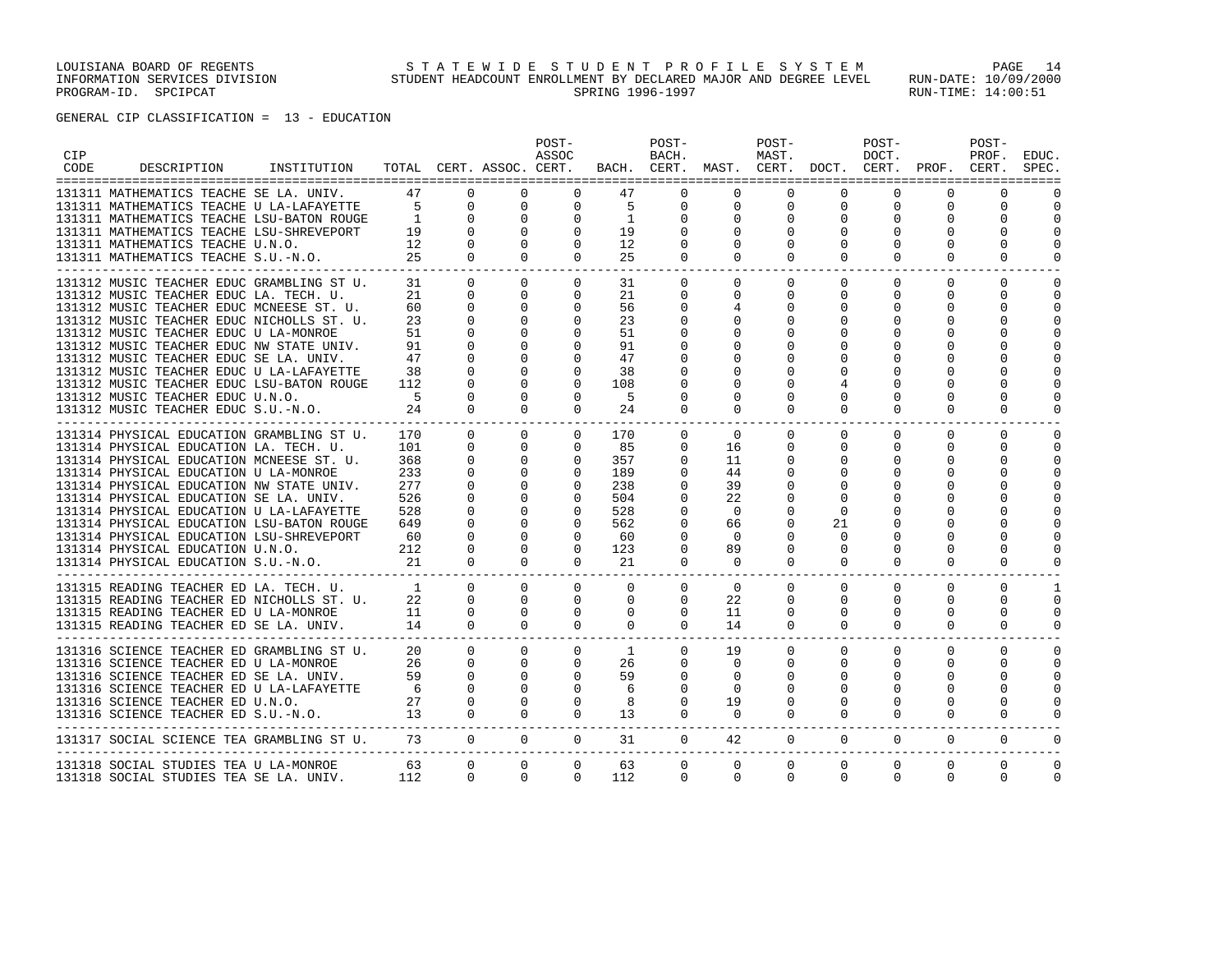| <b>CIP</b><br>CODE | DESCRIPTION                                                                        | INSTITUTION |                 |                          | TOTAL CERT. ASSOC. CERT. | POST-<br>ASSOC           |              | POST-<br>BACH.          | BACH. CERT. MAST. CERT. DOCT. CERT. PROF. CERT. | POST-<br>MAST. |                      | POST-<br>DOCT. |                         | POST-<br>PROF.       | EDUC.<br>SPEC.       |
|--------------------|------------------------------------------------------------------------------------|-------------|-----------------|--------------------------|--------------------------|--------------------------|--------------|-------------------------|-------------------------------------------------|----------------|----------------------|----------------|-------------------------|----------------------|----------------------|
|                    | 131311 MATHEMATICS TEACHE SE LA. UNIV.                                             |             | 47              | $\Omega$                 | $\Omega$                 | $\Omega$                 | 47           | $\Omega$                | $\Omega$                                        | $\Omega$       | $\Omega$             | $\Omega$       | $\Omega$                | $\Omega$             |                      |
|                    | 131311 MATHEMATICS TEACHE U LA-LAFAYETTE                                           |             | $\overline{5}$  | $\mathbf{0}$             | $\mathbf 0$              | $\mathbf 0$              | 5            | $\mathbf 0$             | $\mathbf 0$                                     | 0              | 0                    | 0              | $\mathbf 0$             | 0                    | $\Omega$             |
|                    | 131311 MATHEMATICS TEACHE LSU-BATON ROUGE                                          |             | $\overline{1}$  | $\Omega$                 | $\mathbf 0$              | $\mathbf 0$              | <sup>1</sup> | $\Omega$                | $\Omega$                                        | $\Omega$       | $\Omega$             | $\Omega$       | $\Omega$                | $\Omega$             | $\Omega$             |
|                    | 131311 MATHEMATICS TEACHE LSU-SHREVEPORT                                           |             | $1\overline{9}$ | $\Omega$                 | $\Omega$                 | $\mathbf{0}$             | 19           | $\Omega$                | $\Omega$                                        | $\Omega$       | $\Omega$             | $\Omega$       | $\Omega$                | $\Omega$             | $\Omega$             |
|                    | 131311 MATHEMATICS TEACHE U.N.O.                                                   |             | 12              | $\mathbf 0$              | $\Omega$                 | $\mathbf 0$              | 12           | 0                       | 0                                               |                | $\Omega$             | $\Omega$       | $\Omega$                | 0                    | 0                    |
|                    | 131311 MATHEMATICS TEACHE S.U.-N.O.                                                |             | 25              | $\Omega$                 | $\Omega$                 | $\Omega$                 | 25           | $\Omega$                | $\mathbf 0$                                     | $\Omega$       | $\Omega$             | $\Omega$       | $\Omega$                | $\Omega$             | $\Omega$             |
|                    | 131312 MUSIC TEACHER EDUC GRAMBLING ST U.                                          |             | 31              | $\Omega$                 | $\Omega$                 | $\mathbf{0}$             | 31           | $\mathbf{0}$            | 0                                               | $\Omega$       | $\Omega$             | $\Omega$       | $\Omega$                | $\Omega$             | $\Omega$             |
|                    | 131312 MUSIC TEACHER EDUC LA. TECH. U.                                             |             | 21              | $\Omega$                 | $\Omega$                 | $\mathbf{0}$             | 21           | $\Omega$                | $\Omega$                                        | $\Omega$       | $\Omega$             | $\Omega$       | $\Omega$                | $\Omega$             | $\Omega$             |
|                    | 131312 MUSIC TEACHER EDUC MCNEESE ST. U.                                           |             | 60              | $\Omega$                 | $\Omega$                 | $\mathbf{0}$             | 56           | 0                       |                                                 |                | $\Omega$             | $\Omega$       | $\Omega$                | $\Omega$             | $\Omega$             |
|                    | 131312 MUSIC TEACHER EDUC NICHOLLS ST. U.                                          |             | 23              | $\Omega$                 | 0                        | 0                        | 23           | O                       | 0                                               |                | O                    | $\Omega$       | $\Omega$                | 0                    | $\Omega$             |
|                    | 131312 MUSIC TEACHER EDUC U LA-MONROE                                              |             | 51              | $\Omega$                 | 0                        | $\mathbf 0$              | 51           |                         | <sup>0</sup>                                    |                |                      | $\Omega$       | $\Omega$                | $\Omega$             | U                    |
|                    | 131312 MUSIC TEACHER EDUC NW STATE UNIV.                                           |             | 91              | $\Omega$                 | $\Omega$                 | $\Omega$                 | 91           | O                       | $\Omega$                                        |                |                      | $\Omega$       | $\Omega$                | $\Omega$             | O                    |
|                    | 131312 MUSIC TEACHER EDUC SE LA. UNIV.<br>131312 MUSIC TEACHER EDUC U LA-LAFAYETTE |             | 47<br>38        | $\Omega$<br>$\Omega$     | $\Omega$<br>$\Omega$     | $\Omega$<br>$\Omega$     | 47<br>38     | U                       | <sup>0</sup>                                    |                |                      |                | $\Omega$<br>$\Omega$    | $\Omega$<br>$\Omega$ | $\cap$               |
|                    | 131312 MUSIC TEACHER EDUC LSU-BATON ROUGE                                          |             | 112             | $\Omega$                 | $\Omega$                 | $\Omega$                 | 108          | O                       |                                                 |                |                      |                | $\Omega$                | $\Omega$             | O                    |
|                    | 131312 MUSIC TEACHER EDUC U.N.O.                                                   |             | $5^{\circ}$     | $\Omega$                 | $\Omega$                 | $\Omega$                 | -5           | $\Omega$                | 0                                               | O              | $\Omega$             | $\Omega$       | $\Omega$                | $\Omega$             | $\Omega$             |
|                    | 131312 MUSIC TEACHER EDUC S.U.-N.O.                                                |             | 24              | $\Omega$                 | $\Omega$                 | $\Omega$                 | 24           | $\Omega$                | $\Omega$                                        | $\Omega$       | $\Omega$             | $\Omega$       | $\Omega$                | $\Omega$             | $\Omega$             |
|                    |                                                                                    |             |                 |                          |                          |                          |              |                         |                                                 |                |                      |                |                         |                      |                      |
|                    | 131314 PHYSICAL EDUCATION GRAMBLING ST U.                                          |             | 170             | $\Omega$                 | $\Omega$                 | $\Omega$                 | 170          | $\Omega$                | $\Omega$                                        | $\Omega$       | $\Omega$             | $\Omega$       | $\Omega$                | $\Omega$             | $\Omega$             |
|                    | 131314 PHYSICAL EDUCATION LA. TECH. U.                                             |             | 101<br>368      | $\Omega$<br>$\mathbf{0}$ | $\Omega$<br>$\circ$      | $\Omega$<br>$\mathbf{0}$ | 85<br>357    | $\mathbf 0$<br>$\Omega$ | 16<br>11                                        | $\Omega$       | $\Omega$<br>$\Omega$ | $\Omega$<br>0  | $\Omega$<br>$\mathbf 0$ | $\Omega$<br>$\Omega$ | $\Omega$<br>$\Omega$ |
|                    | 131314 PHYSICAL EDUCATION MCNEESE ST. U.<br>131314 PHYSICAL EDUCATION U LA-MONROE  |             | 233             | $\Omega$                 | $\Omega$                 | $\Omega$                 | 189          | $\Omega$                | 44                                              |                | $\Omega$             | $\Omega$       | $\Omega$                | $\Omega$             | $\Omega$             |
|                    | 131314 PHYSICAL EDUCATION NW STATE UNIV.                                           |             | 277             | $\mathbf{0}$             | 0                        | $\mathbf 0$              | 238          | $\Omega$                | 39                                              |                | $\Omega$             | $\Omega$       | $\Omega$                | $\Omega$             | $\Omega$             |
|                    | 131314 PHYSICAL EDUCATION SE LA. UNIV.                                             |             | 526             | $\mathbf 0$              | 0                        | $\mathbf{0}$             | 504          | $\Omega$                | 22                                              |                | $\Omega$             | $\Omega$       | $\Omega$                | $\Omega$             | ∩                    |
|                    | 131314 PHYSICAL EDUCATION U LA-LAFAYETTE                                           |             | 528             | $\Omega$                 | $\Omega$                 | $\Omega$                 | 528          | $\Omega$                | $\Omega$                                        |                | $\Omega$             | $\Omega$       | $\Omega$                | $\Omega$             |                      |
|                    | 131314 PHYSICAL EDUCATION LSU-BATON ROUGE                                          |             | 649             | $\Omega$                 | $\Omega$                 | $\Omega$                 | 562          | $\Omega$                | 66                                              |                | 21                   | $\Omega$       | $\Omega$                | $\Omega$             | ∩                    |
|                    | 131314 PHYSICAL EDUCATION LSU-SHREVEPORT                                           |             | 60              | $\Omega$                 | $\Omega$                 | $\Omega$                 | -60          | $\Omega$                | $\Omega$                                        |                | $\Omega$             |                | $\Omega$                | $\Omega$             | $\Omega$             |
|                    | 131314 PHYSICAL EDUCATION U.N.O.                                                   |             | 212             | $\Omega$                 | $\Omega$                 | $\Omega$                 | 123          | $\Omega$                | 89                                              |                | $\Omega$             | $\Omega$       | $\Omega$                | $\Omega$             | $\Omega$             |
|                    | 131314 PHYSICAL EDUCATION S.U.-N.O.                                                |             | 21              | $\Omega$                 | $\Omega$                 | $\Omega$                 | 21           | 0                       | $\mathbf 0$<br>-------                          | $\Omega$       | $\Omega$             | $\Omega$       | $\Omega$                | $\Omega$             | $\Omega$             |
|                    | 131315 READING TEACHER ED LA. TECH. U.                                             |             | $\frac{1}{2}$   | $\Omega$                 | $\Omega$                 | $\Omega$                 | $\Omega$     | $\Omega$                | $\Omega$                                        | $\Omega$       | $\Omega$             | $\Omega$       | $\Omega$                | $\Omega$             | -1                   |
|                    | 131315 READING TEACHER ED NICHOLLS ST. U.                                          |             | 22              | $\Omega$                 | $\Omega$                 | $\mathbf 0$              | 0            | $\mathbf{0}$            | 22                                              | $\Omega$       | 0                    | 0              | $\Omega$                | 0                    | 0                    |
|                    | 131315 READING TEACHER ED U LA-MONROE                                              |             | 11              | $\Omega$                 | $\Omega$                 | $\mathbf{0}$             | 0            | 0                       | 11                                              | $\Omega$       | $\Omega$             | $\Omega$       | $\Omega$                | $\Omega$             | $\Omega$             |
|                    | 131315 READING TEACHER ED SE LA. UNIV.                                             |             | 14              | $\Omega$                 | $\Omega$                 | $\Omega$                 | $\mathbf{0}$ | $\Omega$                | 14                                              | $\Omega$       | $\Omega$             | $\Omega$       | $\Omega$                | $\Omega$             | $\Omega$             |
|                    | 131316 SCIENCE TEACHER ED GRAMBLING ST U.                                          |             | 20              | $\Omega$                 | $\Omega$                 | $\mathbf{0}$             | 1            | $\Omega$                | 19                                              | $\Omega$       | $\Omega$             | $\Omega$       | $\Omega$                | $\Omega$             | $\Omega$             |
|                    | 131316 SCIENCE TEACHER ED U LA-MONROE                                              |             | 26              | $\Omega$                 | $\Omega$                 | $\mathbf{0}$             | 26           | 0                       | 0                                               | $\Omega$       | $\Omega$             | 0              | $\Omega$                | $\Omega$             | 0                    |
|                    | 131316 SCIENCE TEACHER ED SE LA. UNIV.                                             |             | 59              | $\Omega$                 | $\Omega$                 | $\mathbf 0$              | 59           | $\Omega$                | $\Omega$                                        | <sup>0</sup>   | $\Omega$             | $\Omega$       | $\Omega$                | $\Omega$             | $\cap$               |
|                    | 131316 SCIENCE TEACHER ED U LA-LAFAYETTE                                           |             | 6               | $\Omega$                 | $\Omega$                 | $\Omega$                 | 6            | $\Omega$                | $\Omega$                                        |                | U                    | $\Omega$       | $\Omega$                | $\Omega$             | $\cap$               |
|                    | 131316 SCIENCE TEACHER ED U.N.O.                                                   |             | 27              | $\Omega$                 | $\Omega$                 | $\mathbf 0$              | 8            | $\Omega$                | 19                                              | $\Omega$       | $\Omega$             | $\Omega$       | $\Omega$                | $\Omega$             | O                    |
|                    | 131316 SCIENCE TEACHER ED S.U.-N.O.                                                |             | 13              | $\Omega$                 | $\Omega$                 | $\Omega$                 | 13           | $\Omega$                | $\mathbf 0$                                     | $\Omega$       | $\Omega$             | $\Omega$       | $\Omega$                | $\Omega$             | $\Omega$             |
|                    | 131317 SOCIAL SCIENCE TEA GRAMBLING ST U.                                          |             | 73              | $\mathbf{0}$             | $\circ$                  | $\circ$                  | 31           | $\overline{0}$          | 42                                              | $\circ$        | $\mathbf 0$          | $\overline{0}$ | 0                       | 0                    | 0                    |
|                    | 131318 SOCIAL STUDIES TEA U LA-MONROE                                              |             | 63              | $\mathbf 0$              | 0                        | $\mathbf{0}$             | 63           | 0                       | 0                                               | $\mathbf 0$    | $\mathbf 0$          | $\mathbf 0$    | $\mathbf 0$             | $\mathbf 0$          | 0                    |
|                    | 131318 SOCIAL STUDIES TEA SE LA. UNIV.                                             |             | 112             | $\Omega$                 | $\Omega$                 | $\Omega$                 | 112          | $\Omega$                | $\Omega$                                        | $\Omega$       | $\Omega$             | $\Omega$       | $\Omega$                | $\Omega$             | $\Omega$             |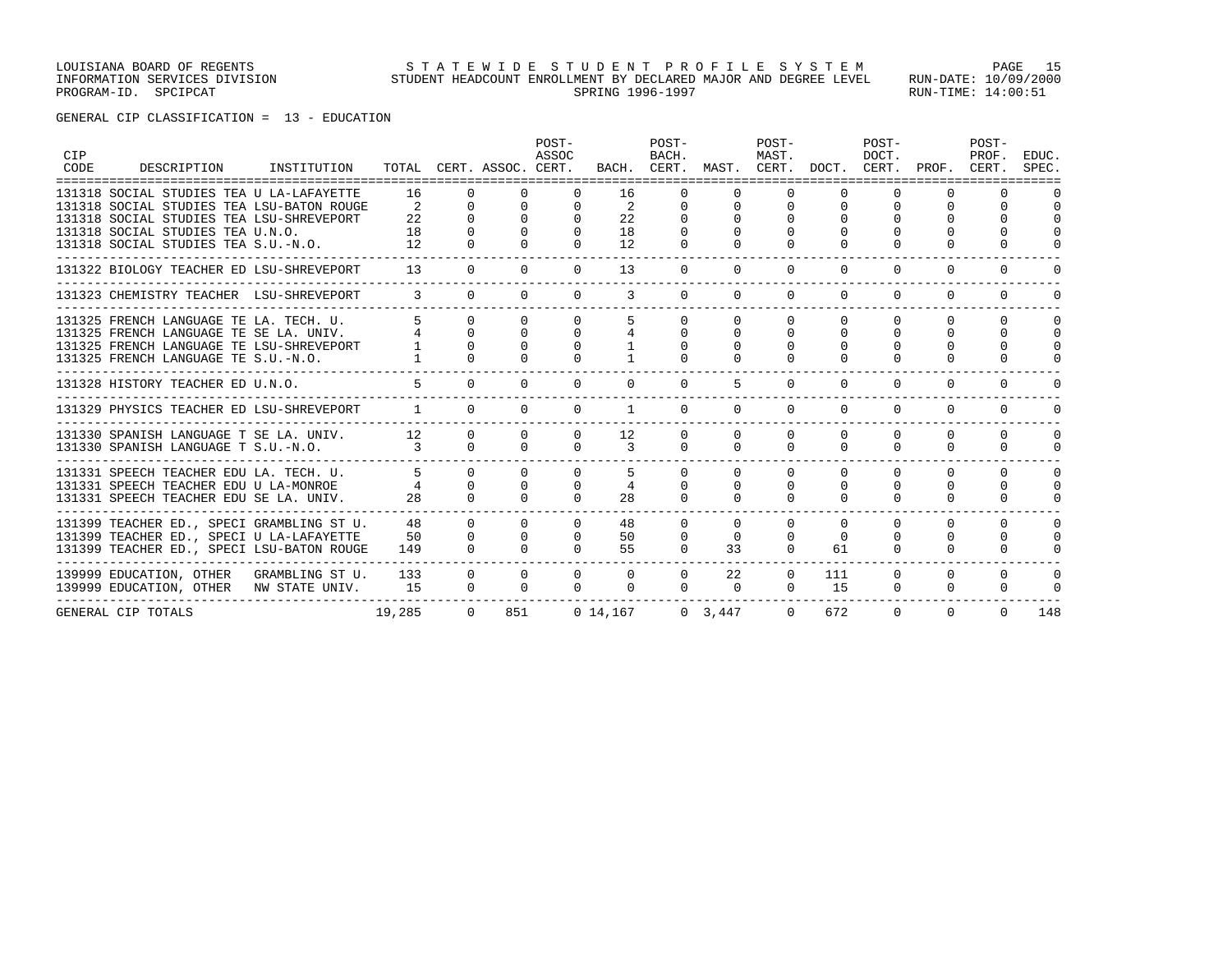| CIP<br>CODE | =====================================                                                                                                                               | DESCRIPTION INSTITUTION TOTAL CERT. ASSOC. CERT. |                      |                                  |                                        | POST-<br>ASSOC                   |                                              | POST-<br>BACH.                   | BACH. CERT. MAST. CERT. DOCT. CERT. PROF. | POST-<br>MAST.                   |                                  | POST-<br>DOCT.               |                                  | POST-<br>PROF.<br>CERT.              | EDUC.<br>SPEC.                                   |
|-------------|---------------------------------------------------------------------------------------------------------------------------------------------------------------------|--------------------------------------------------|----------------------|----------------------------------|----------------------------------------|----------------------------------|----------------------------------------------|----------------------------------|-------------------------------------------|----------------------------------|----------------------------------|------------------------------|----------------------------------|--------------------------------------|--------------------------------------------------|
|             | 131318 SOCIAL STUDIES TEA U LA-LAFAYETTE<br>131318 SOCIAL STUDIES TEA LSU-BATON ROUGE                                                                               |                                                  | 16<br>2              | $\Omega$                         | $\Omega$                               | $\Omega$                         | 16<br>2                                      |                                  | $\Omega$                                  |                                  | $\Omega$                         |                              |                                  | <sup>n</sup>                         | $\cap$                                           |
|             | 131318 SOCIAL STUDIES TEA LSU-SHREVEPORT<br>131318 SOCIAL STUDIES TEA U.N.O.<br>131318 SOCIAL STUDIES TEA S.U.-N.O.                                                 |                                                  | 2.2<br>18<br>12      | $\Omega$                         | $\Omega$<br>$\Omega$                   | $\Omega$<br>$\Omega$<br>$\Omega$ | 22<br>18<br>12                               | $\Omega$                         | 0<br>$\Omega$                             |                                  |                                  |                              | $\Omega$                         | <sup>0</sup>                         | $\Omega$                                         |
|             | 131322 BIOLOGY TEACHER ED LSU-SHREVEPORT                                                                                                                            |                                                  |                      | $\Omega$<br>13                   | $\Omega$                               | $\Omega$                         | 13                                           | $\Omega$                         | $\Omega$                                  | $\Omega$                         | $\Omega$                         | $\Omega$                     | $\Omega$                         | $\Omega$                             | $\cap$                                           |
|             | 131323 CHEMISTRY TEACHER LSU-SHREVEPORT                                                                                                                             |                                                  | $\mathbf{3}$         | $\Omega$                         | $\Omega$                               | $\Omega$                         | 3                                            | $\Omega$                         | $\Omega$                                  | $\Omega$                         | $\Omega$                         | $\Omega$                     | $\Omega$                         | $\Omega$                             |                                                  |
|             | 131325 FRENCH LANGUAGE TE LA. TECH. U.<br>131325 FRENCH LANGUAGE TE SE LA. UNIV.<br>131325 FRENCH LANGUAGE TE LSU-SHREVEPORT<br>131325 FRENCH LANGUAGE TE S.U.-N.O. |                                                  | $\overline{4}$       | $\Omega$                         | $\cap$<br>$\Omega$                     | $\Omega$                         |                                              | $\cap$<br>$\Omega$               | $\Omega$<br>$\Omega$                      | $\Omega$<br>$\Omega$             | $\Omega$<br>$\Omega$             | $\cap$                       | $\cap$<br>$\Omega$               | $\cap$<br>$\Omega$                   | $\Omega$<br>$\Omega$<br>$\Omega$<br><sup>0</sup> |
|             | 131328 HISTORY TEACHER ED U.N.O.                                                                                                                                    |                                                  |                      |                                  | $\Omega$                               | $\Omega$                         | $\Omega$                                     | $\Omega$                         | 5                                         | $\Omega$                         | $\Omega$                         | $\Omega$                     | $\Omega$                         | $\Omega$                             | O                                                |
|             | 131329 PHYSICS TEACHER ED LSU-SHREVEPORT                                                                                                                            |                                                  |                      | $\Omega$                         | $\Omega$                               | $\Omega$                         | 1                                            | $\Omega$                         | $\Omega$                                  | $\Omega$                         | $\Omega$                         | $\Omega$                     | $\Omega$                         | <sup>n</sup>                         |                                                  |
|             | 131330 SPANISH LANGUAGE T SE LA. UNIV.<br>131330 SPANISH LANGUAGE T S.U.-N.O.                                                                                       |                                                  | 12<br>$\overline{3}$ | $\Omega$                         | $\Omega$<br>$\cap$                     | $\Omega$<br>$\Omega$             | 12<br>$\mathcal{L}$                          | $\Omega$<br>$\Omega$             | $\Omega$<br>$\Omega$                      | $\Omega$<br>$\Omega$             | $\Omega$<br>$\Omega$             | $\Omega$<br>$\Omega$         | $\Omega$<br>$\Omega$             | $\Omega$<br>$\Omega$                 | $\Omega$<br>$\Omega$                             |
|             | 131331 SPEECH TEACHER EDU LA. TECH. U.<br>131331 SPEECH TEACHER EDU U LA-MONROE<br>131331 SPEECH TEACHER EDU SE LA. UNIV.                                           |                                                  |                      | $\Omega$<br>$\Omega$<br>$\Omega$ | $\Omega$<br>$\Omega$<br>$\Omega$       | $\Omega$<br>$\Omega$             | 28                                           | $\Omega$                         | $\Omega$<br>$\Omega$                      | $\Omega$<br>$\Omega$             | $\Omega$<br>$\Omega$<br>$\Omega$ | $\Omega$<br>$\Omega$         | $\Omega$<br>$\Omega$<br>$\Omega$ | $\Omega$<br>$\Omega$<br>$\Omega$     | $\Omega$<br>$\Omega$<br>O                        |
|             | 131399 TEACHER ED., SPECI GRAMBLING ST U.<br>131399 TEACHER ED., SPECI U LA-LAFAYETTE<br>131399 TEACHER ED., SPECI LSU-BATON ROUGE                                  |                                                  | 48<br>50<br>149      | $\Omega$<br>$\Omega$<br>$\Omega$ | $\Omega$<br>$\Omega$<br>$\Omega$       | $\Omega$<br>$\Omega$<br>$\Omega$ | 48<br>50<br>55                               | $\Omega$<br>$\Omega$<br>$\Omega$ | $\Omega$<br>$\Omega$<br>33                | $\Omega$<br>$\Omega$<br>$\Omega$ | $\Omega$<br>$\Omega$<br>61       | $\cap$<br>$\cap$<br>$\Omega$ | $\Omega$<br>0<br>0               | $\Omega$<br>$\Omega$<br><sup>n</sup> | $\Omega$<br>$\Omega$<br>0                        |
|             | 139999 EDUCATION, OTHER GRAMBLING ST U.<br>139999 EDUCATION, OTHER NW STATE UNIV.                                                                                   |                                                  | 133<br>15            |                                  | $\overline{0}$<br>$\Omega$<br>$\Omega$ |                                  | $\Omega$<br>$\Omega$<br>$\Omega$<br>$\Omega$ | $\Omega$<br>$\Omega$             | 22<br>$\mathbf{0}$                        | $\Omega$                         | 111<br>15<br>$\Omega$            | $\Omega$<br>$\Omega$         | $\Omega$<br>$\mathbf 0$          | $\Omega$<br>0                        | $\Omega$                                         |
|             | GENERAL CIP TOTALS                                                                                                                                                  |                                                  | 19,285               |                                  | 851<br>$\overline{0}$                  |                                  | $0\;14,167$                                  |                                  | $0 \quad 3,447$                           |                                  | 672<br>$\Omega$                  | $\Omega$                     | $\Omega$                         | $\Omega$                             | 148                                              |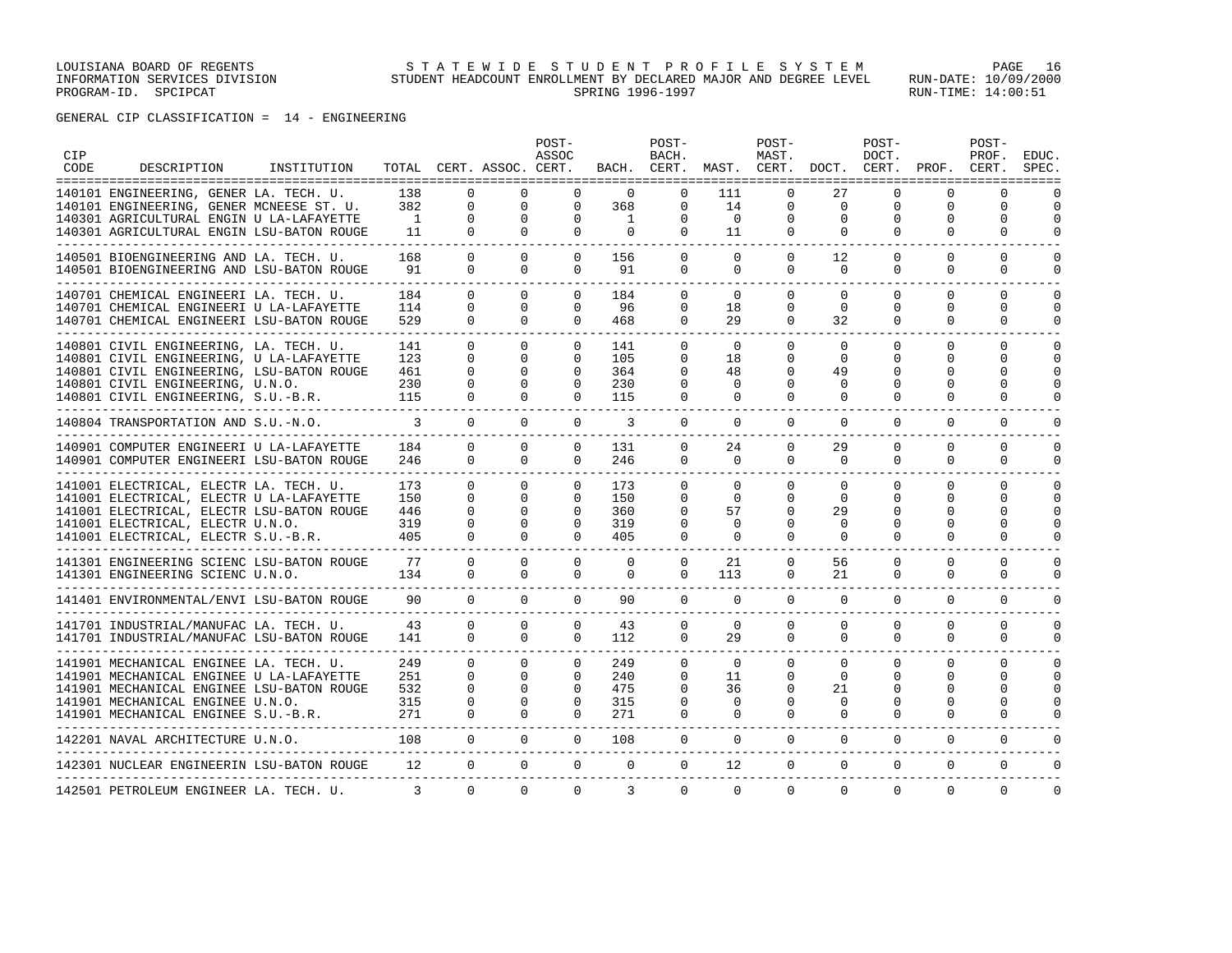GENERAL CIP CLASSIFICATION = 14 - ENGINEERING

| <b>CIP</b><br>CODE | DESCRIPTION                                                                           | INSTITUTION |                       |                          | TOTAL CERT. ASSOC. CERT. | POST-<br>ASSOC       |                     | POST-<br>BACH.       |                      | $POST-$<br>MAST.         | BACH. CERT. MAST. CERT. DOCT. CERT. | POST-<br>DOCT.       | PROF.                | POST-<br>PROF.<br>CERT. | EDUC.<br>SPEC.       |
|--------------------|---------------------------------------------------------------------------------------|-------------|-----------------------|--------------------------|--------------------------|----------------------|---------------------|----------------------|----------------------|--------------------------|-------------------------------------|----------------------|----------------------|-------------------------|----------------------|
|                    | 140101 ENGINEERING, GENER LA. TECH. U.                                                |             | 138                   | $\Omega$                 | $\Omega$                 | $\Omega$             | $\Omega$            | $\Omega$             | 111                  | $\Omega$                 | 27                                  | $\Omega$             | $\Omega$             | $\Omega$                |                      |
|                    | 140101 ENGINEERING, GENER MCNEESE ST. U.                                              |             | 382<br>$\overline{1}$ | $\mathbf{0}$<br>$\Omega$ | $\mathbf 0$<br>$\Omega$  | $\Omega$<br>$\Omega$ | 368<br>$\mathbf{1}$ | $\Omega$<br>$\Omega$ | 14<br>$\overline{0}$ | $\mathbf{0}$<br>$\Omega$ | $\mathbf 0$<br>$\Omega$             | 0<br>$\Omega$        | $\Omega$<br>$\Omega$ | 0<br>$\Omega$           | $\Omega$<br>$\Omega$ |
|                    | 140301 AGRICULTURAL ENGIN U LA-LAFAYETTE<br>140301 AGRICULTURAL ENGIN LSU-BATON ROUGE |             | 11                    | $\Omega$                 | $\Omega$                 | $\Omega$             | $\Omega$            | $\Omega$             | 11                   | $\Omega$                 | $\Omega$                            | $\Omega$             | $\Omega$             | $\Omega$                | $\Omega$             |
|                    |                                                                                       |             | ------                |                          |                          |                      |                     |                      |                      |                          |                                     |                      |                      |                         |                      |
|                    | 140501 BIOENGINEERING AND LA. TECH. U.                                                |             | 168<br>91             | $\Omega$<br>$\Omega$     | $\Omega$<br>$\Omega$     | $\Omega$<br>$\Omega$ | 156<br>91           | $\Omega$<br>$\Omega$ | $\Omega$<br>$\Omega$ | $\Omega$<br>$\Omega$     | 12<br>$\Omega$                      | $\Omega$<br>$\Omega$ | $\Omega$<br>$\Omega$ | $\Omega$<br>$\Omega$    | $\cap$<br>$\Omega$   |
|                    | 140501 BIOENGINEERING AND LSU-BATON ROUGE                                             |             |                       |                          |                          |                      |                     |                      |                      |                          |                                     |                      |                      |                         |                      |
|                    | 140701 CHEMICAL ENGINEERI LA. TECH. U.                                                |             | 184                   | $\Omega$                 | $\Omega$                 | $\Omega$             | 184                 | $\Omega$             | $\Omega$             | $\Omega$                 | $\Omega$                            | $\Omega$             | $\Omega$             | $\Omega$                | $\Omega$             |
|                    | 140701 CHEMICAL ENGINEERI U LA-LAFAYETTE                                              |             | 114<br>529            | $\Omega$                 | $\Omega$<br>$\Omega$     | $\Omega$<br>$\Omega$ | 96<br>468           | $\Omega$             | 18                   | $\Omega$                 | $\Omega$                            | $\Omega$             | $\Omega$<br>$\Omega$ | $\Omega$                | $\Omega$<br>$\Omega$ |
|                    | 140701 CHEMICAL ENGINEERI LSU-BATON ROUGE                                             |             |                       | $\Omega$                 |                          |                      |                     | $\Omega$             | 29                   | $\Omega$                 | 32                                  | $\Omega$             |                      | $\Omega$                |                      |
|                    | 140801 CIVIL ENGINEERING, LA. TECH. U.                                                |             | 141                   | $\Omega$                 | $\Omega$                 | 0                    | 141                 | $\Omega$             | $\Omega$             | $\Omega$                 | $\Omega$                            | $\Omega$             | $\Omega$             | $\Omega$                | $\Omega$             |
|                    | 140801 CIVIL ENGINEERING, U LA-LAFAYETTE                                              |             | 123<br>461            | $\Omega$<br>$\Omega$     | $\Omega$<br>$\Omega$     | $\Omega$<br>$\Omega$ | 105<br>364          | $\Omega$<br>$\Omega$ | 18<br>48             | $\Omega$<br>0            | $\Omega$<br>49                      | $\Omega$<br>$\Omega$ | $\Omega$<br>$\Omega$ | $\Omega$<br>$\Omega$    | $\Omega$<br>$\Omega$ |
|                    | 140801 CIVIL ENGINEERING, LSU-BATON ROUGE<br>140801 CIVIL ENGINEERING, U.N.O.         |             | 230                   | $\Omega$                 | $\Omega$                 | $\Omega$             | 230                 | $\Omega$             | $\Omega$             | 0                        | $\Omega$                            | $\Omega$             | $\Omega$             | $\Omega$                | $\cap$               |
|                    | 140801 CIVIL ENGINEERING, S.U.-B.R.                                                   |             | 115                   | $\Omega$                 | $\Omega$                 | $\Omega$             | 115                 | $\Omega$             | $\Omega$             | 0                        | $\Omega$                            | $\Omega$             | 0                    | $\Omega$                | ∩                    |
|                    | 140804 TRANSPORTATION AND S.U.-N.O.                                                   |             | 3                     | $\Omega$                 | $\Omega$                 | $\Omega$             | 3                   | $\mathbf 0$          | $\mathbf 0$          | $\mathbf 0$              | $\mathbf 0$                         | $\mathbf 0$          | $\mathbf 0$          | $\mathbf 0$             | $\Omega$             |
|                    |                                                                                       |             |                       |                          |                          |                      |                     |                      |                      |                          |                                     |                      |                      |                         |                      |
|                    | 140901 COMPUTER ENGINEERI U LA-LAFAYETTE                                              |             | 184                   | $\Omega$<br>$\Omega$     | $\Omega$<br>$\Omega$     | $\Omega$<br>$\Omega$ | 131                 | $\Omega$<br>$\Omega$ | 24<br>$\Omega$       | 0<br>$\Omega$            | 29<br>$\Omega$                      | $\Omega$<br>$\Omega$ | $\Omega$<br>$\Omega$ | $\Omega$<br>$\Omega$    | $\cap$<br>$\Omega$   |
|                    | 140901 COMPUTER ENGINEERI LSU-BATON ROUGE                                             |             | 246                   |                          |                          |                      | 246                 |                      |                      |                          |                                     |                      |                      |                         |                      |
|                    | 141001 ELECTRICAL, ELECTR LA. TECH. U.                                                |             | 173                   | $\mathbf 0$              | $\mathbf 0$              | $\mathbf 0$          | 173                 | $\Omega$             | $\mathbf 0$          | $\Omega$                 | 0                                   | $\Omega$             | $\mathbf 0$          | $\mathbf 0$             | $\Omega$             |
|                    | 141001 ELECTRICAL, ELECTR U LA-LAFAYETTE                                              |             | 150                   | $\mathbf{0}$             | $\Omega$                 | $\mathbf{0}$         | 150                 | $\Omega$             | $\Omega$             | 0                        | $\Omega$                            | $\Omega$             | 0                    | 0                       | $\Omega$             |
|                    | 141001 ELECTRICAL, ELECTR LSU-BATON ROUGE                                             |             | 446<br>319            | $\Omega$<br>$\Omega$     | $\Omega$<br>$\Omega$     | $\Omega$<br>$\Omega$ | 360<br>319          | $\Omega$<br>$\Omega$ | 57<br>0              | 0<br>0                   | 29<br>$\Omega$                      | $\Omega$<br>$\Omega$ | $\Omega$<br>$\Omega$ | $\Omega$<br>$\Omega$    | $\Omega$<br>$\Omega$ |
|                    | 141001 ELECTRICAL, ELECTR U.N.O.<br>141001 ELECTRICAL, ELECTR S.U.-B.R.               |             | 405                   | $\Omega$                 | $\Omega$                 | $\Omega$             | 405                 | $\Omega$             | $\Omega$             | $\Omega$                 | $\Omega$                            | $\Omega$             | $\Omega$             | $\Omega$                | ∩                    |
|                    | _________________________________                                                     |             |                       |                          |                          |                      |                     |                      |                      |                          |                                     |                      |                      |                         |                      |
|                    | 141301 ENGINEERING SCIENC LSU-BATON ROUGE                                             |             | 77                    | $\Omega$                 | $\Omega$                 | $\Omega$             | $\Omega$            | $\Omega$             | 21                   | $\Omega$                 | 56                                  | $\Omega$             | $\Omega$             | $\Omega$                | $\Omega$             |
|                    | 141301 ENGINEERING SCIENC U.N.O.                                                      |             | 134                   | $\mathbf{0}$             | $\mathbf 0$              | $\mathbf 0$          | $\mathbf 0$         | $\Omega$             | 113                  | $\mathbf 0$              | 21                                  | $\mathbf 0$          | $\mathbf 0$          | $\mathbf 0$             | $\mathbf{0}$         |
|                    | 141401 ENVIRONMENTAL/ENVI LSU-BATON ROUGE                                             |             | 90                    | $\Omega$                 | $\Omega$                 | $\Omega$             | 90                  | $\Omega$             | $\Omega$             | $\Omega$                 | $\Omega$                            | $\Omega$             | $\Omega$             | $\mathbf 0$             | $\Omega$             |
|                    | 141701 INDUSTRIAL/MANUFAC LA. TECH. U.                                                |             | 43                    | $\Omega$                 | $\Omega$                 | $\Omega$             | 43                  | $\Omega$             | 0                    | $\Omega$                 | 0                                   | $\Omega$             | $\Omega$             | $\Omega$                | $\Omega$             |
|                    | 141701 INDUSTRIAL/MANUFAC LSU-BATON ROUGE                                             |             | 141                   | $\Omega$                 | $\Omega$                 | $\Omega$             | 112                 | $\Omega$             | 29                   | $\Omega$                 | $\Omega$                            | $\Omega$             | $\Omega$             | $\Omega$                | $\Omega$             |
|                    | 141901 MECHANICAL ENGINEE LA. TECH. U.                                                |             | 249                   | $\Omega$                 | $\Omega$                 | $\Omega$             | 249                 | $\Omega$             | $\Omega$             | $\Omega$                 | $\Omega$                            | $\Omega$             | $\Omega$             | $\Omega$                | $\Omega$             |
|                    | 141901 MECHANICAL ENGINEE U LA-LAFAYETTE                                              |             | 251                   | $\mathbf{0}$             | $\Omega$                 | $\Omega$             | 240                 | $\Omega$             | 11                   | $\Omega$                 | $\Omega$                            | $\Omega$             | 0                    | $\Omega$                | $\Omega$             |
|                    | 141901 MECHANICAL ENGINEE LSU-BATON ROUGE                                             |             | 532                   | $\Omega$                 | $\Omega$                 | $\Omega$             | 475                 | $\Omega$             | 36                   | $\Omega$                 | 21                                  | $\Omega$             | <sup>0</sup>         | $\Omega$                | $\Omega$             |
|                    | 141901 MECHANICAL ENGINEE U.N.O.                                                      |             | 315                   | $\Omega$                 | $\Omega$                 | $\Omega$             | 315                 | $\Omega$             | 0                    | $\Omega$                 | $\Omega$                            | $\Omega$             | $\Omega$             | $\Omega$                | $\Omega$             |
|                    | 141901 MECHANICAL ENGINEE S.U.-B.R.                                                   |             | 271                   | $\Omega$                 | $\Omega$                 | $\Omega$             | 271                 | 0                    | 0                    | $\Omega$                 | $\Omega$                            | $\Omega$             | $\Omega$             | $\Omega$                | $\cap$               |
|                    | 142201 NAVAL ARCHITECTURE U.N.O.                                                      |             | 108                   | $\Omega$                 | $\Omega$                 | $\Omega$             | 108                 | $\Omega$             | $\Omega$             | $\Omega$                 | $\Omega$                            | $\Omega$             | $\Omega$             | $\Omega$                | $\Omega$             |
|                    | 142301 NUCLEAR ENGINEERIN LSU-BATON ROUGE                                             |             | 12                    | $\Omega$                 | $\Omega$                 | $\Omega$             | $\Omega$            | $\Omega$             | 12                   | $\mathbf 0$              | 0                                   | $\Omega$             | $\mathbf 0$          | $\mathbf 0$             | $\Omega$             |
|                    | 142501 PETROLEUM ENGINEER LA. TECH. U.                                                |             | 3                     | $\Omega$                 | $\Omega$                 | $\Omega$             | 3                   | $\Omega$             | $\Omega$             | $\Omega$                 | $\Omega$                            | $\Omega$             | $\Omega$             | $\Omega$                | $\Omega$             |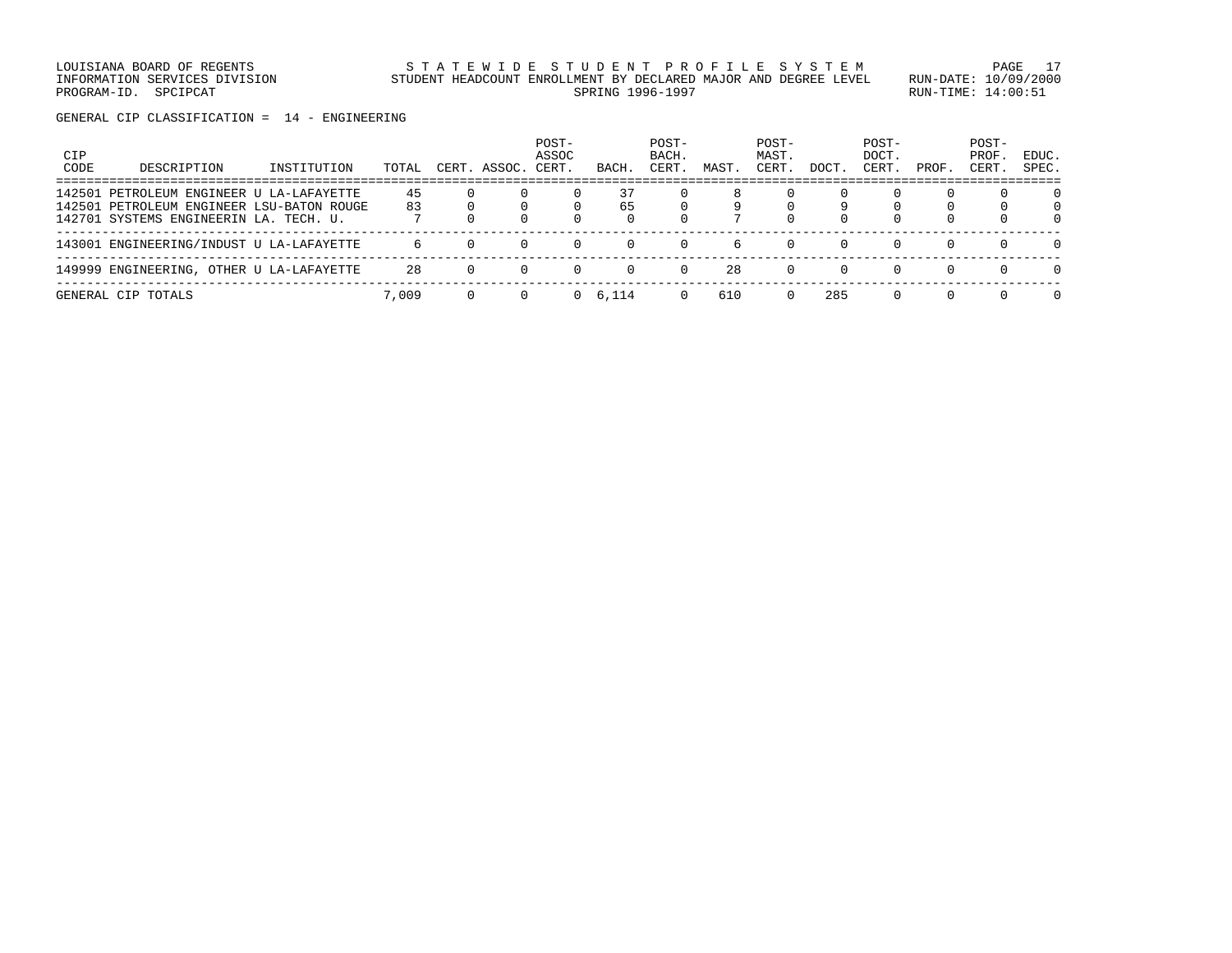LOUISIANA BOARD OF REGENTS STATEWIDE STUDENT PROFILE SYSTEM PAGE 17 INFORMATION SERVICES DIVISION STUDENT HEADCOUNT ENROLLMENT BY DECLARED MAJOR AND DEGREE LEVEL RUN-DATE: 10/09/2000 PROGRAM-ID. SPCIPCAT SERING RUN-TIME: 14:00:51

GENERAL CIP CLASSIFICATION = 14 - ENGINEERING

| CIP<br>CODE | DESCRIPTION                               | INSTITUTION | TOTAL | CERT     | ASSOC. | POST-<br>ASSOC<br>CERT. | BACH            | POST-<br>BACH.<br>CERT | MAST. | POST-<br>MAST.<br>CERT | DOCT.    | POST-<br>DOCT.<br>CERT. | PROF.    | POST-<br>PROF<br>CERT | EDUC.<br>SPEC. |
|-------------|-------------------------------------------|-------------|-------|----------|--------|-------------------------|-----------------|------------------------|-------|------------------------|----------|-------------------------|----------|-----------------------|----------------|
|             | 142501 PETROLEUM ENGINEER U LA-LAFAYETTE  |             | 45    |          |        |                         | 37              |                        |       |                        |          |                         |          |                       | 0              |
|             | 142501 PETROLEUM ENGINEER LSU-BATON ROUGE |             | 83    |          |        |                         | 65              |                        |       |                        | 9        |                         |          |                       | 0              |
|             | 142701 SYSTEMS ENGINEERIN LA. TECH. U.    |             |       |          |        |                         |                 |                        |       | $\Omega$               | $\Omega$ | $\Omega$                |          | $\Omega$              | 0              |
|             | 143001 ENGINEERING/INDUST U LA-LAFAYETTE  |             | 6     | $\Omega$ | 0      | $\Omega$                | $\Omega$        | $\Omega$               | h     | $\Omega$               | $\Omega$ | $\Omega$                | $\Omega$ | $\Omega$              | $\Omega$       |
|             | 149999 ENGINEERING, OTHER U LA-LAFAYETTE  |             | 28    | 0        | 0      |                         |                 | $\Omega$               | 28    | $\Omega$               | $\Omega$ | $\Omega$                | $\Omega$ | $\Omega$              | $\Omega$       |
|             | GENERAL CIP TOTALS                        |             | 7,009 |          |        |                         | $0 \quad 6.114$ | $\Omega$               | 610   | $\Omega$               | 285      | $\Omega$                | $\Omega$ | $\Omega$              | $\Omega$       |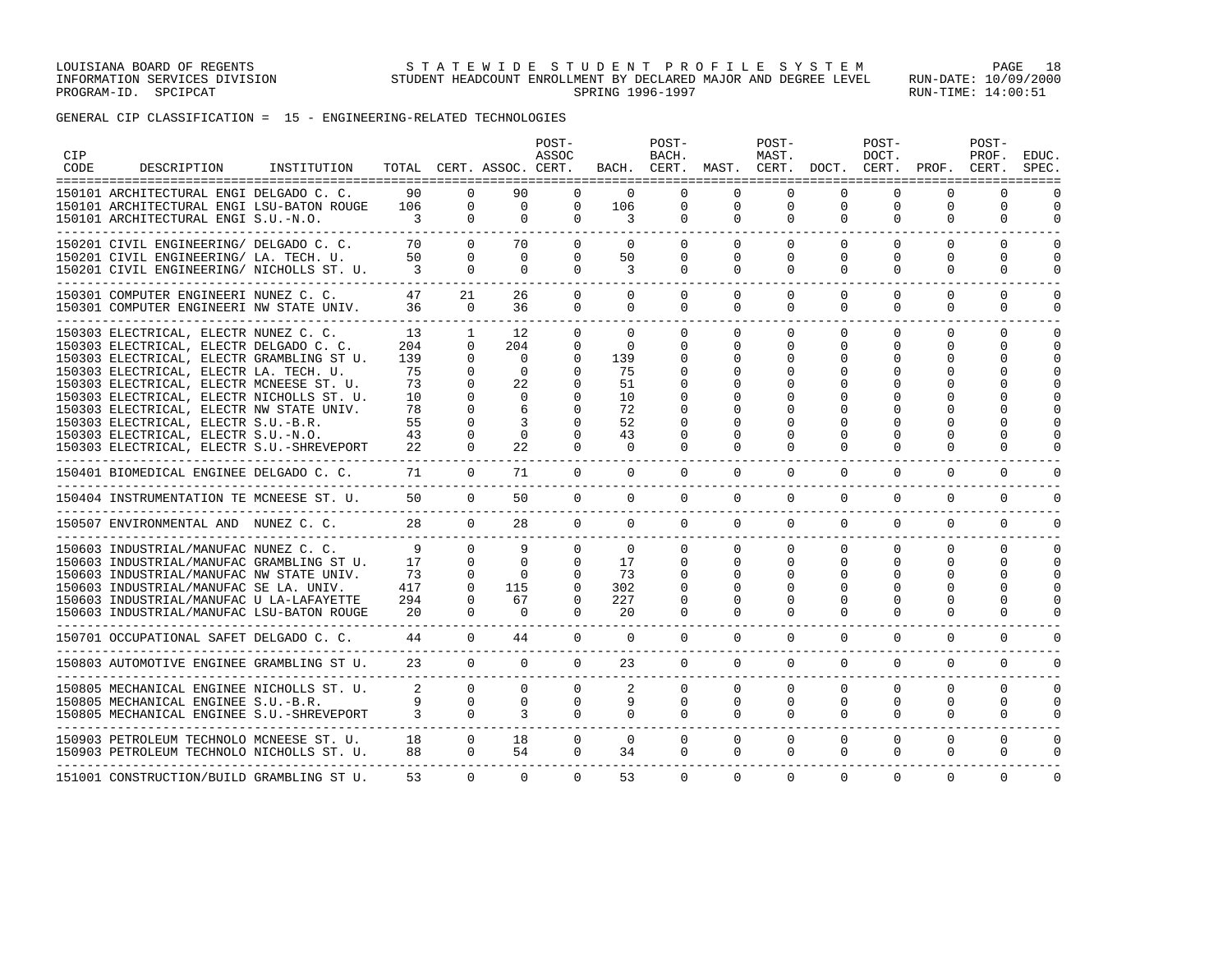GENERAL CIP CLASSIFICATION = 15 - ENGINEERING-RELATED TECHNOLOGIES

| <b>CIP</b><br>CODE | DESCRIPTION                                                                                                                                                                                                                                                                                                                                                                                                                             | INSTITUTION |                                                            |                                                                         | TOTAL CERT. ASSOC. CERT.                                                          | POST-<br>ASSOC                                                                           |                                                                             | POST-<br>BACH.<br>BACH. CERT.                                        | MAST.                                                         | POST-<br>MAST.<br>CERT.                         | DOCT.                                             | POST-<br>DOCT.<br>CERT.          | PROF.                                        | POST-<br>PROF.<br>CERT.                                                               | EDUC.<br>SPEC.                   |
|--------------------|-----------------------------------------------------------------------------------------------------------------------------------------------------------------------------------------------------------------------------------------------------------------------------------------------------------------------------------------------------------------------------------------------------------------------------------------|-------------|------------------------------------------------------------|-------------------------------------------------------------------------|-----------------------------------------------------------------------------------|------------------------------------------------------------------------------------------|-----------------------------------------------------------------------------|----------------------------------------------------------------------|---------------------------------------------------------------|-------------------------------------------------|---------------------------------------------------|----------------------------------|----------------------------------------------|---------------------------------------------------------------------------------------|----------------------------------|
|                    | 150101 ARCHITECTURAL ENGI DELGADO C. C.<br>150101 ARCHITECTURAL ENGI LSU-BATON ROUGE<br>150101 ARCHITECTURAL ENGI S.U.-N.O.                                                                                                                                                                                                                                                                                                             |             | 90<br>106<br>3                                             | $\Omega$<br>$\Omega$<br>$\Omega$                                        | 90<br>$\Omega$<br>$\Omega$                                                        | 0<br>$\Omega$<br>$\Omega$                                                                | $\Omega$<br>106<br>3                                                        | $\Omega$<br>0<br>$\Omega$                                            | $\Omega$<br>$\mathbf 0$<br>$\Omega$                           | $\Omega$<br>0<br>$\Omega$                       | $\Omega$<br>0<br>$\Omega$                         | $\Omega$<br>0<br>$\Omega$        | $\Omega$<br>$\Omega$<br>$\Omega$             | $\Omega$<br>0<br>$\Omega$                                                             | $\Omega$<br>$\cap$               |
|                    | 150201 CIVIL ENGINEERING/ DELGADO C. C.<br>150201 CIVIL ENGINEERING/ LA. TECH. U.<br>150201 CIVIL ENGINEERING/ NICHOLLS ST. U.                                                                                                                                                                                                                                                                                                          |             | 70<br>50<br>3                                              | $\Omega$<br>$\Omega$<br>$\Omega$                                        | 70<br>$\Omega$<br>$\Omega$                                                        | $\Omega$<br>$\Omega$<br>$\Omega$                                                         | $\Omega$<br>50<br>3                                                         | $\Omega$<br>$\Omega$<br>$\Omega$                                     | $\Omega$<br>$\Omega$<br>$\Omega$                              | $\Omega$<br>$\Omega$<br>$\Omega$                | $\Omega$<br>$\Omega$<br>$\Omega$                  | $\Omega$<br>$\Omega$<br>$\Omega$ | $\Omega$<br>$\Omega$<br>$\Omega$             | $\Omega$<br>$\Omega$<br>0                                                             | $\cap$<br>$\cap$                 |
|                    | 150301 COMPUTER ENGINEERI NUNEZ C. C.<br>150301 COMPUTER ENGINEERI NW STATE UNIV.                                                                                                                                                                                                                                                                                                                                                       |             | 47<br>36                                                   | 21<br>$\Omega$                                                          | 26<br>36                                                                          | 0<br>$\Omega$                                                                            | $\Omega$<br>$\Omega$                                                        | $\Omega$<br>$\Omega$                                                 | $\Omega$<br>0                                                 | $\Omega$<br>$\Omega$                            | $\Omega$<br>$\Omega$                              | $\Omega$<br>$\Omega$             | $\Omega$<br>$\Omega$                         | $\Omega$<br>$\Omega$                                                                  | $\Omega$                         |
|                    | 150303 ELECTRICAL, ELECTR NUNEZ C. C.<br>150303 ELECTRICAL, ELECTR DELGADO C. C.<br>150303 ELECTRICAL, ELECTR GRAMBLING ST U.<br>150303 ELECTRICAL, ELECTR LA. TECH. U.<br>150303 ELECTRICAL, ELECTR MCNEESE ST. U.<br>150303 ELECTRICAL, ELECTR NICHOLLS ST. U.<br>150303 ELECTRICAL, ELECTR NW STATE UNIV.<br>150303 ELECTRICAL, ELECTR S.U.-B.R.<br>150303 ELECTRICAL, ELECTR S.U.-N.O.<br>150303 ELECTRICAL, ELECTR S.U.-SHREVEPORT |             | 13<br>204<br>139<br>75<br>73<br>10<br>78<br>55<br>43<br>22 | 1<br>$\cap$<br>$\Omega$<br>$\Omega$<br>$\Omega$<br>$\Omega$<br>$\Omega$ | 12<br>204<br>$\Omega$<br>$\Omega$<br>22.2<br>$\Omega$<br>6<br>3<br>$\Omega$<br>22 | $\Omega$<br>$\Omega$<br>$\Omega$<br>$\Omega$<br>$\Omega$<br>0<br>U<br>0<br>0<br>$\Omega$ | $\Omega$<br>$\Omega$<br>139<br>75<br>51<br>10<br>72<br>52<br>43<br>$\Omega$ | $\Omega$<br>$\Omega$<br>n<br>∩<br>$\Omega$<br>$\Omega$<br>$\Omega$   | $\Omega$<br><sup>0</sup><br>O<br>$\cap$<br>$\Omega$           | $\Omega$<br>$\Omega$<br>O<br>U<br>U<br>$\Omega$ | $\Omega$<br><sup>0</sup><br>$\Omega$              | $\Omega$<br>0<br>$\Omega$        | $\Omega$<br>$\Omega$<br>U<br>$\Omega$        | $\Omega$<br>$\Omega$<br>$\Omega$<br>$\Omega$<br>$\Omega$<br>n<br>$\Omega$<br>$\Omega$ | $\cap$                           |
|                    | ----------------------<br>150401 BIOMEDICAL ENGINEE DELGADO C. C.                                                                                                                                                                                                                                                                                                                                                                       |             | 71                                                         | $\Omega$                                                                | 71                                                                                | $\Omega$                                                                                 | $\Omega$                                                                    | $\Omega$                                                             | $\Omega$                                                      | $\Omega$                                        | $\Omega$                                          | $\Omega$                         | $\Omega$                                     | $\Omega$                                                                              |                                  |
|                    | 150404 INSTRUMENTATION TE MCNEESE ST. U.<br>----------------------                                                                                                                                                                                                                                                                                                                                                                      |             | 50                                                         | $\Omega$                                                                | 50                                                                                | $\Omega$                                                                                 | $\Omega$                                                                    | 0                                                                    | $\mathbf 0$                                                   | $\Omega$                                        | $\mathbf 0$                                       | 0                                | 0                                            | $\mathbf 0$                                                                           | $\Omega$                         |
|                    | 150507 ENVIRONMENTAL AND NUNEZ C. C.<br>------------------------------                                                                                                                                                                                                                                                                                                                                                                  |             | 28                                                         | $\Omega$                                                                | 28                                                                                | $\Omega$                                                                                 | $\overline{0}$                                                              | $\Omega$                                                             | $\Omega$                                                      | $\Omega$                                        | $\Omega$                                          | 0                                | 0                                            | 0                                                                                     | $\Omega$                         |
|                    | 150603 INDUSTRIAL/MANUFAC NUNEZ C. C.<br>150603 INDUSTRIAL/MANUFAC GRAMBLING ST U.<br>150603 INDUSTRIAL/MANUFAC NW STATE UNIV.<br>150603 INDUSTRIAL/MANUFAC SE LA. UNIV.<br>150603 INDUSTRIAL/MANUFAC U LA-LAFAYETTE<br>150603 INDUSTRIAL/MANUFAC LSU-BATON ROUGE                                                                                                                                                                       |             | 9<br>17<br>73<br>417<br>294<br>20                          | $\Omega$<br>$\Omega$<br>$\Omega$<br>$\Omega$<br>$\Omega$<br>$\Omega$    | 9<br>$\Omega$<br>$\Omega$<br>115<br>67<br>$\Omega$                                | 0<br>$\mathbf{0}$<br>$\Omega$<br>0<br>$\Omega$<br>$\Omega$                               | $\mathbf{0}$<br>17<br>73<br>302<br>227<br>20                                | $\Omega$<br>$\Omega$<br>$\Omega$<br>$\Omega$<br>$\Omega$<br>$\Omega$ | 0<br>$\Omega$<br>$\Omega$<br>$\Omega$<br>$\Omega$<br>$\Omega$ | 0<br>$\Omega$<br>0<br>O<br>$\Omega$<br>$\Omega$ | 0<br>$\Omega$<br>$\Omega$<br>$\Omega$<br>$\Omega$ | 0<br>0<br>O<br>0                 | 0<br>0<br>0<br><sup>0</sup><br>$\Omega$<br>0 | 0<br>$\Omega$<br>$\Omega$<br>$\Omega$<br>$\Omega$<br>$\Omega$                         | ∩<br>$\cap$<br>$\cap$            |
|                    | 150701 OCCUPATIONAL SAFET DELGADO C. C.<br>__________________________________                                                                                                                                                                                                                                                                                                                                                           |             | 44<br>--------------                                       | $\Omega$                                                                | 44                                                                                | $\Omega$                                                                                 | $\Omega$                                                                    | $\Omega$                                                             | $\Omega$                                                      | $\Omega$                                        | $\Omega$                                          | $\Omega$                         | $\Omega$                                     | $\Omega$                                                                              | $\Omega$                         |
|                    | 150803 AUTOMOTIVE ENGINEE GRAMBLING ST U.                                                                                                                                                                                                                                                                                                                                                                                               |             | 23                                                         | $\Omega$                                                                | $\Omega$                                                                          | $\Omega$                                                                                 | 23                                                                          | $\Omega$                                                             | $\Omega$                                                      | $\Omega$                                        | $\Omega$                                          | $\Omega$                         | $\Omega$                                     | $\mathbf 0$                                                                           | $\cap$                           |
|                    | 150805 MECHANICAL ENGINEE NICHOLLS ST. U.<br>150805 MECHANICAL ENGINEE S.U.-B.R.<br>150805 MECHANICAL ENGINEE S.U.-SHREVEPORT                                                                                                                                                                                                                                                                                                           |             | $\overline{2}$<br>9<br>$\mathbf{3}$                        | $\Omega$<br>$\Omega$<br>$\Omega$                                        | $\Omega$<br>$\Omega$<br>3                                                         | $\Omega$<br>$\Omega$<br>$\Omega$                                                         | 2<br>9<br>$\Omega$                                                          | $\Omega$<br>$\Omega$<br>$\Omega$                                     | $\Omega$<br>$\Omega$<br>$\Omega$                              | $\Omega$<br>$\Omega$<br>$\Omega$                | $\Omega$<br>$\Omega$<br>$\Omega$                  | $\Omega$<br>$\Omega$<br>$\Omega$ | $\Omega$<br>$\Omega$<br>$\Omega$             | $\Omega$<br>$\Omega$<br>$\Omega$                                                      | $\Omega$<br>$\Omega$<br>$\Omega$ |
|                    | 150903 PETROLEUM TECHNOLO MCNEESE ST. U.<br>150903 PETROLEUM TECHNOLO NICHOLLS ST. U.                                                                                                                                                                                                                                                                                                                                                   |             | 18<br>88                                                   | $\Omega$<br>$\Omega$                                                    | 18<br>54                                                                          | 0<br>$\Omega$                                                                            | $\mathbf{0}$<br>34                                                          | $\Omega$<br>$\Omega$                                                 | 0<br>0                                                        | $\mathbf 0$<br>$\mathbf 0$                      | 0<br>0                                            | 0<br>0                           | 0<br>0                                       | $\mathbf 0$<br>$\mathbf 0$                                                            | $\Omega$<br>$\cap$               |
|                    | 151001 CONSTRUCTION/BUILD GRAMBLING ST U.                                                                                                                                                                                                                                                                                                                                                                                               |             | 53                                                         | $\Omega$                                                                | $\Omega$                                                                          | $\Omega$                                                                                 | 53                                                                          | $\Omega$                                                             | $\Omega$                                                      | $\Omega$                                        | $\Omega$                                          | $\Omega$                         | $\Omega$                                     | $\Omega$                                                                              | $\Omega$                         |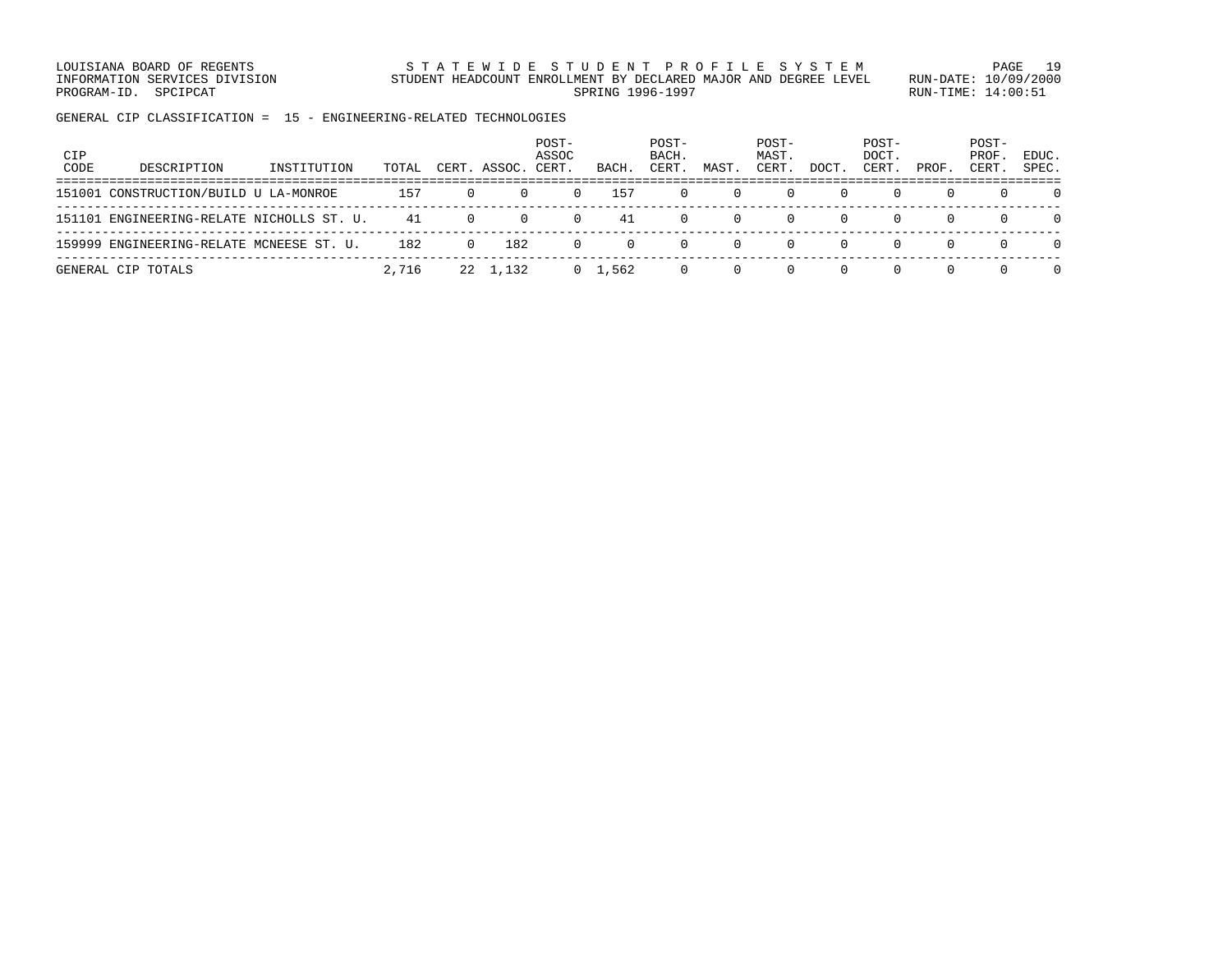LOUISIANA BOARD OF REGENTS S T A T E W I D E S T U D E N T P R O F I L E S Y S T E M PAGE 19 INFORMATION SERVICES DIVISION STUDENT HEADCOUNT ENROLLMENT BY DECLARED MAJOR AND DEGREE LEVEL RUN-DATE: 10/09/2000 PROGRAM-ID. SPCIPCAT SERING RUN-TIME: 14:00:51

GENERAL CIP CLASSIFICATION = 15 - ENGINEERING-RELATED TECHNOLOGIES

| <b>CIP</b><br>CODE | DESCRIPTION                               | INSTITUTION | TOTAL |          | CERT. ASSOC. | POST-<br>ASSOC<br>CERT | BACH.           | POST-<br>BACH.<br>CERT. | MAST.        | POST-<br>MAST.<br>CERT. | DOCT         | POST-<br>DOCT.<br>CERT. | PROF     | POST-<br>PROF.<br>CERT. | EDUC.<br>SPEC. |
|--------------------|-------------------------------------------|-------------|-------|----------|--------------|------------------------|-----------------|-------------------------|--------------|-------------------------|--------------|-------------------------|----------|-------------------------|----------------|
|                    | 151001 CONSTRUCTION/BUILD U LA-MONROE     |             | 157   |          | $\Omega$     | $\Omega$               | 157             | $\left( \right)$        | $\Omega$     | $\left( \right)$        |              | $\Omega$                |          | $\Omega$                |                |
|                    | 151101 ENGINEERING-RELATE NICHOLLS ST. U. |             | 41    | $\Omega$ | $\Omega$     | 0                      | 41              | U                       | $\Omega$     | 0                       |              | $\left( \right)$        | $\Omega$ | $\Omega$                |                |
|                    | 159999 ENGINEERING-RELATE MCNEESE ST. U.  |             | 182   | $\Omega$ | 182          | n.                     | $\Omega$        |                         | $\Omega$     | $\Omega$                | <sup>0</sup> | $\Omega$                | $\Omega$ | $\Omega$                | $\Omega$       |
|                    | GENERAL CIP TOTALS                        |             | 2,716 |          | 22 1,132     |                        | $0 \quad 1.562$ |                         | <sup>n</sup> | $\left( \right)$        |              | $\Omega$                | $\Omega$ | $\Omega$                |                |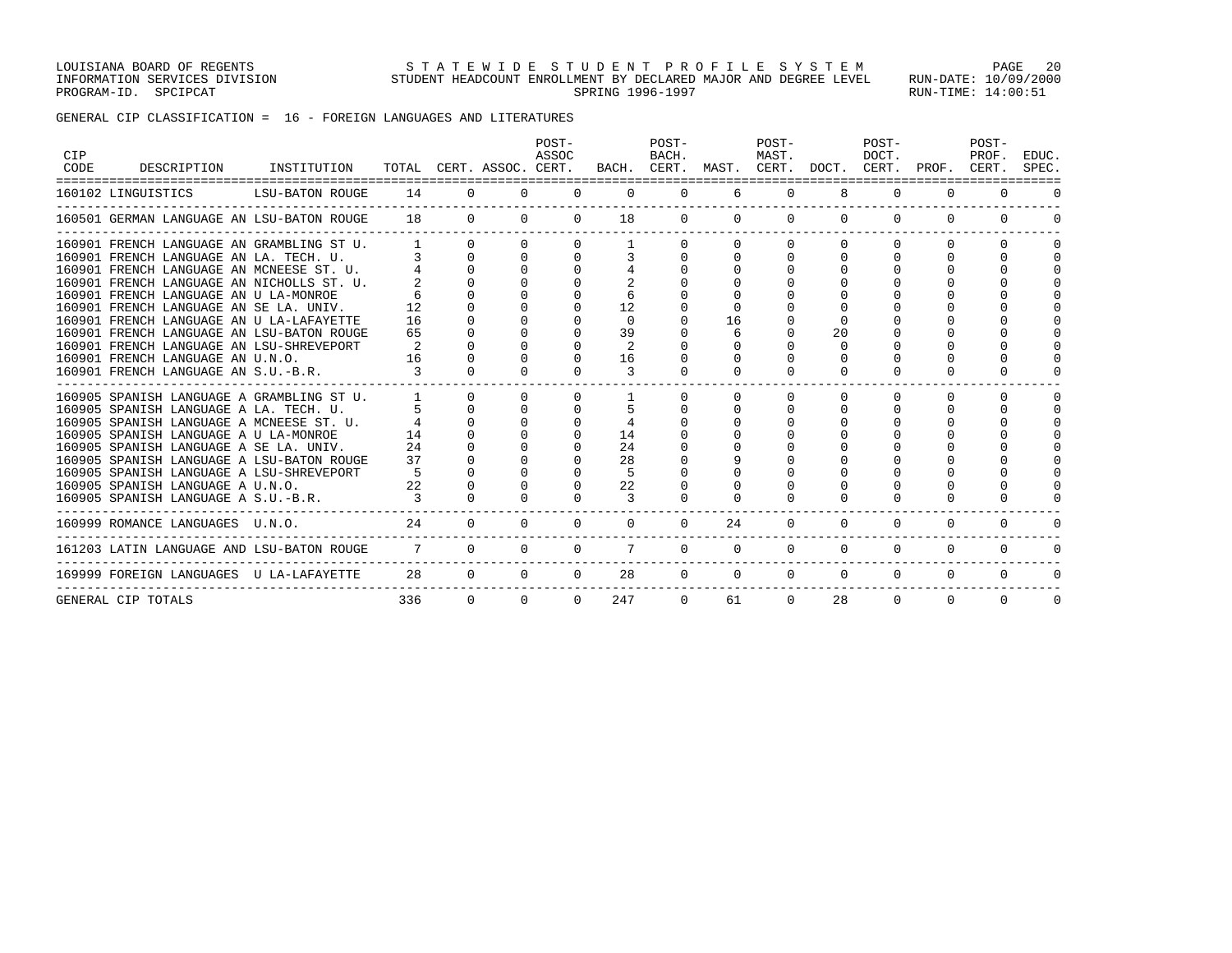GENERAL CIP CLASSIFICATION = 16 - FOREIGN LANGUAGES AND LITERATURES

| CIP<br><b>CODE</b> | DESCRIPTION<br>================================                                                                                                                                                                                                                                                                                                                                                      | INSTITUTION     | TOTAL CERT. ASSOC. CERT.      |                      |                      | POST-<br>ASSOC                               |                                              | POST-<br>BACH.       | BACH. CERT. MAST. CERT. DOCT. CERT. PROF. | POST-<br>MAST. |                | POST-<br>DOCT.       |                              | POST-<br>PROF.<br>CERT.                      | EDUC.<br>SPEC. |
|--------------------|------------------------------------------------------------------------------------------------------------------------------------------------------------------------------------------------------------------------------------------------------------------------------------------------------------------------------------------------------------------------------------------------------|-----------------|-------------------------------|----------------------|----------------------|----------------------------------------------|----------------------------------------------|----------------------|-------------------------------------------|----------------|----------------|----------------------|------------------------------|----------------------------------------------|----------------|
|                    | 160102 LINGUISTICS                                                                                                                                                                                                                                                                                                                                                                                   | LSU-BATON ROUGE | 14                            | $\Omega$             | $\Omega$             | $\Omega$                                     | $\Omega$                                     | $\mathbf{0}$         | 6                                         | $\mathbf 0$    | 8              | $\mathbf{0}$         | $\mathbf{0}$                 | $\Omega$                                     |                |
|                    | 160501 GERMAN LANGUAGE AN LSU-BATON ROUGE                                                                                                                                                                                                                                                                                                                                                            |                 | 18                            |                      | $\Omega$             | $\Omega$<br>$\Omega$                         | 18                                           |                      | $0 \qquad \qquad$                         | $\Omega$       | $\Omega$       | $\Omega$             | $\Omega$<br>$\Omega$         |                                              |                |
|                    | 160901 FRENCH LANGUAGE AN GRAMBLING ST U.<br>160901 FRENCH LANGUAGE AN LA. TECH. U.<br>160901 FRENCH LANGUAGE AN MCNEESE ST. U.<br>160901 FRENCH LANGUAGE AN NICHOLLS ST. U.<br>160901 FRENCH LANGUAGE AN U LA-MONROE<br>160901 FRENCH LANGUAGE AN SE LA. UNIV.<br>160901 FRENCH LANGUAGE AN U LA-LAFAYETTE<br>160901 FRENCH LANGUAGE AN LSU-BATON ROUGE<br>160901 FRENCH LANGUAGE AN LSU-SHREVEPORT |                 | 12<br>16<br>65<br>2           | $\Omega$             |                      |                                              | 12<br>$\Omega$<br>39<br>2                    |                      | 16<br>6                                   |                | 20<br>$\Omega$ |                      | <sup>0</sup>                 | <sup>0</sup>                                 |                |
|                    | 160901 FRENCH LANGUAGE AN U.N.O.<br>160901 FRENCH LANGUAGE AN S.U.-B.R.                                                                                                                                                                                                                                                                                                                              |                 | 16<br>$\overline{\mathbf{3}}$ |                      |                      |                                              | 16<br>3                                      |                      |                                           |                | $\Omega$       |                      |                              |                                              |                |
|                    | 160905 SPANISH LANGUAGE A GRAMBLING ST U.<br>160905 SPANISH LANGUAGE A LA. TECH. U.<br>160905 SPANISH LANGUAGE A MCNEESE ST. U.<br>160905 SPANISH LANGUAGE A U LA-MONROE<br>160905 SPANISH LANGUAGE A SE LA. UNIV.<br>160905 SPANISH LANGUAGE A LSU-BATON ROUGE<br>160905 SPANISH LANGUAGE A LSU-SHREVEPORT<br>160905 SPANISH LANGUAGE A U.N.O.<br>160905 SPANISH LANGUAGE A S.U.-B.R.               |                 | 14<br>24<br>37<br>22<br>3     | $\Omega$<br>$\Omega$ | $\Omega$<br>$\Omega$ | $\Omega$<br>$\Omega$<br>$\Omega$<br>$\Omega$ | 14<br>24<br>28<br>.5<br>22<br>$\overline{3}$ | $\Omega$<br>$\Omega$ | $\Omega$<br>$\Omega$                      | $\Omega$       | $\Omega$       | $\Omega$<br>$\Omega$ | 0<br><sup>n</sup>            | $\Omega$<br>$\Omega$<br>$\Omega$<br>$\Omega$ |                |
|                    | 160999 ROMANCE LANGUAGES U.N.O.                                                                                                                                                                                                                                                                                                                                                                      |                 | 24                            | $\Omega$             | $\Omega$             | $\Omega$                                     | $\Omega$                                     | $\Omega$             | 24                                        | $\mathbf 0$    | $\Omega$       | $\mathbf{0}$         | 0                            | $\mathbf{0}$                                 |                |
|                    | 161203 LATIN LANGUAGE AND LSU-BATON ROUGE                                                                                                                                                                                                                                                                                                                                                            |                 | $\overline{7}$                | $\Omega$             | $\Omega$             | $\Omega$                                     | $7\overline{ }$                              | $\Omega$             | $\mathbf{0}$                              | $\mathbf{0}$   | $\Omega$       | $\mathbf{0}$         | $\mathbf{0}$                 | 0                                            |                |
|                    | 169999 FOREIGN LANGUAGES U LA-LAFAYETTE                                                                                                                                                                                                                                                                                                                                                              |                 | 28                            | $\Omega$             | $\Omega$             | $\Omega$                                     | 28                                           | $\overline{0}$       | $\mathbf{0}$                              | $\mathbf{0}$   | $\mathbf{0}$   |                      | $0 \qquad \qquad$<br>$\circ$ | $\mathbf{0}$                                 |                |
|                    | GENERAL CIP TOTALS                                                                                                                                                                                                                                                                                                                                                                                   |                 | 336                           | $\Omega$             | $\Omega$             |                                              | $\Omega$<br>247                              | $\Omega$             | 61                                        | $\Omega$       | 28             | $\mathbf{0}$         | $\Omega$                     | $\Omega$                                     | $\Omega$       |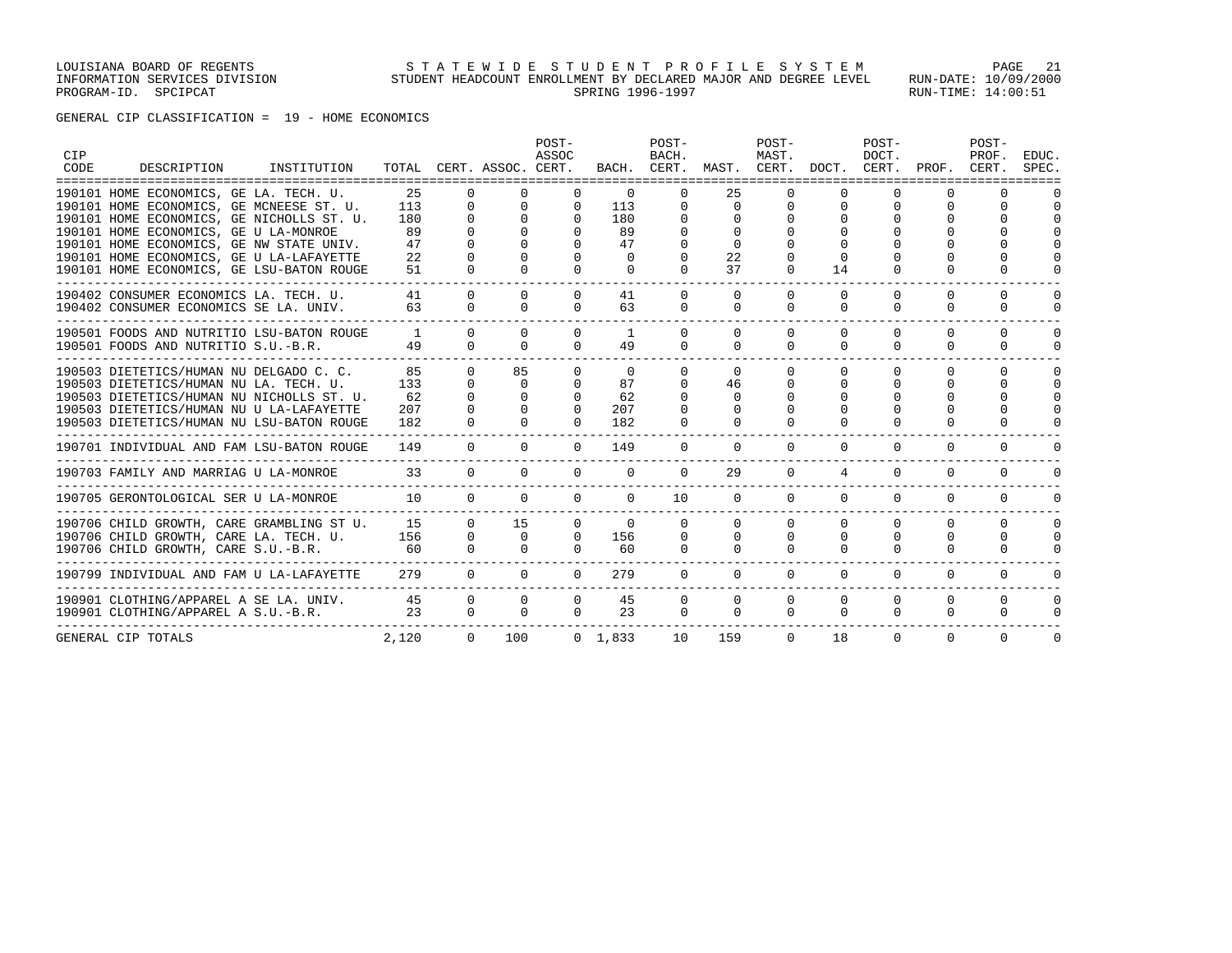GENERAL CIP CLASSIFICATION = 19 - HOME ECONOMICS

| CIP<br>CODE | DESCRIPTION                               | INSTITUTION<br>================= |              |                | TOTAL CERT. ASSOC. CERT. | POST-<br>ASSOC |                 | POST-<br>BACH. | BACH. CERT. MAST. CERT. DOCT. CERT. PROF. | POST-<br>MAST. |          | POST-<br>DOCT. |          | POST-<br>PROF.<br>CERT. | EDUC.<br>SPEC. |
|-------------|-------------------------------------------|----------------------------------|--------------|----------------|--------------------------|----------------|-----------------|----------------|-------------------------------------------|----------------|----------|----------------|----------|-------------------------|----------------|
|             | 190101 HOME ECONOMICS, GE LA. TECH. U.    |                                  | 25           | $\Omega$       | $\Omega$                 | $\Omega$       | $\Omega$        | 0              | 25                                        |                | $\Omega$ | $\Omega$       |          |                         |                |
|             | 190101 HOME ECONOMICS, GE MCNEESE ST. U.  |                                  | 113          | $\Omega$       | $\Omega$                 | $\Omega$       | 113             |                | $\Omega$                                  |                | $\Omega$ | $\Omega$       |          | $\Omega$                |                |
|             | 190101 HOME ECONOMICS, GE NICHOLLS ST. U. |                                  | 180          | $\Omega$       | $\Omega$                 | $\Omega$       | 180             |                | $\Omega$                                  |                |          | $\Omega$       |          | $\Omega$                |                |
|             | 190101 HOME ECONOMICS, GE U LA-MONROE     |                                  | 89           | $\Omega$       | $\Omega$                 | $\Omega$       | 89              |                | $\Omega$                                  |                |          | $\Omega$       |          | $\Omega$                |                |
|             | 190101 HOME ECONOMICS, GE NW STATE UNIV.  |                                  | 47           | $\Omega$       |                          | $\Omega$       | 47              |                | $\Omega$                                  |                |          | $\Omega$       |          | $\Omega$                |                |
|             | 190101 HOME ECONOMICS, GE U LA-LAFAYETTE  |                                  | 22           |                |                          |                | $\Omega$        |                | 22                                        |                |          |                |          | $\Omega$                |                |
|             | 190101 HOME ECONOMICS, GE LSU-BATON ROUGE |                                  | 51           | $\Omega$       | $\Omega$                 | $\Omega$       | $\Omega$        | $\Omega$       | 37                                        |                | 14       | $\Omega$       |          | $\cap$                  |                |
|             | 190402 CONSUMER ECONOMICS LA. TECH. U.    |                                  | 41           | $\Omega$       | $\Omega$                 | $\Omega$       | 41              | $\Omega$       | $\Omega$                                  |                | $\Omega$ | $\Omega$       | $\Omega$ | 0                       |                |
|             | 190402 CONSUMER ECONOMICS SE LA. UNIV.    |                                  | 63           | $\Omega$       | $\Omega$                 | $\Omega$       | 63              | $\Omega$       | $\Omega$                                  | $\Omega$       | $\Omega$ | $\Omega$       | $\Omega$ | $\Omega$                | $\Omega$       |
|             | 190501 FOODS AND NUTRITIO LSU-BATON ROUGE |                                  | $\mathbf{1}$ | $\Omega$       | $\Omega$                 | $\Omega$       | 1               | $\Omega$       | $\Omega$                                  | $\Omega$       | $\Omega$ | $\Omega$       | $\Omega$ | $\Omega$                | $\Omega$       |
|             | 190501 FOODS AND NUTRITIO S.U.-B.R.       |                                  | 49           | $\Omega$       | $\Omega$                 | $\Omega$       | 49              | $\Omega$       | $\Omega$                                  | $\Omega$       | $\Omega$ | $\Omega$       | $\Omega$ | $\Omega$                | $\cap$         |
|             | 190503 DIETETICS/HUMAN NU DELGADO C. C.   |                                  | 85           | $\Omega$       | 85                       | $\Omega$       | $\Omega$        | $\Omega$       | $\Omega$                                  | $\Omega$       | $\Omega$ | $\Omega$       | $\cap$   | 0                       |                |
|             | 190503 DIETETICS/HUMAN NU LA. TECH. U.    |                                  | 133          | $\Omega$       | $\Omega$                 | $\Omega$       | 87              | <sup>n</sup>   | 46                                        | $\Omega$       | $\Omega$ | $\Omega$       | $\Omega$ | $\Omega$                | <sup>0</sup>   |
|             | 190503 DIETETICS/HUMAN NU NICHOLLS ST. U. |                                  | 62           | $\Omega$       | $\Omega$                 | $\Omega$       | 62              |                | $\Omega$                                  |                | $\Omega$ | $\Omega$       | $\cap$   | $\Omega$                |                |
|             | 190503 DIETETICS/HUMAN NU U LA-LAFAYETTE  |                                  | 207          | $\cap$         |                          | $\Omega$       | 207             |                | <sup>n</sup>                              |                |          | $\Omega$       | $\cap$   | $\Omega$                |                |
|             | 190503 DIETETICS/HUMAN NU LSU-BATON ROUGE |                                  | 182          | $\Omega$       | $\Omega$                 | $\Omega$       | 182             | $\Omega$       | $\Omega$                                  |                | $\Omega$ | $\Omega$       | $\cap$   | $\cap$                  |                |
|             | 190701 INDIVIDUAL AND FAM LSU-BATON ROUGE |                                  | 149          | $\overline{0}$ | $\circ$                  | $\mathbf 0$    | 149             | $\mathbf 0$    | $\Omega$                                  | $\mathbf 0$    | 0        | $\mathbf 0$    | $\Omega$ | $\Omega$                |                |
|             | 190703 FAMILY AND MARRIAG U LA-MONROE     |                                  | 33           | $\Omega$       | $\Omega$                 | $\Omega$       | $\Omega$        | $\Omega$       | 29                                        | $\Omega$       | 4        | $\Omega$       | $\Omega$ | $\Omega$                |                |
|             | 190705 GERONTOLOGICAL SER U LA-MONROE     |                                  | 10           | $\Omega$       | $\Omega$                 | $\Omega$       | $\Omega$        | 10             | $\Omega$                                  | $\Omega$       | $\Omega$ | $\Omega$       | $\Omega$ | $\Omega$                |                |
|             | 190706 CHILD GROWTH, CARE GRAMBLING ST U. |                                  | 1.5          | $\Omega$       | 15                       | $\Omega$       | $\Omega$        | $\Omega$       | $\Omega$                                  | $\Omega$       | $\Omega$ | $\Omega$       | $\Omega$ | $\Omega$                | 0              |
|             | 190706 CHILD GROWTH, CARE LA. TECH. U.    |                                  | 156          | $\overline{0}$ | $\overline{0}$           | $\mathbf{0}$   | 156             | 0              | 0                                         | $\Omega$       | $\Omega$ | $\Omega$       | $\Omega$ | 0                       | $\Omega$       |
|             | 190706 CHILD GROWTH, CARE S.U.-B.R.       |                                  | 60           | $\Omega$       | $\Omega$                 | $\Omega$       | 60              | $\Omega$       | $\Omega$                                  | $\Omega$       | $\Omega$ | $\Omega$       | $\cap$   | $\Omega$                | $\Omega$       |
|             | 190799 INDIVIDUAL AND FAM U LA-LAFAYETTE  |                                  | 279          | $\Omega$       | $\Omega$                 | $\Omega$       | 279             | $\Omega$       | $\Omega$                                  | $\Omega$       | $\Omega$ | $\Omega$       | $\Omega$ | $\Omega$                |                |
|             | 190901 CLOTHING/APPAREL A SE LA. UNIV.    |                                  | 45           | $\Omega$       | $\Omega$                 | $\Omega$       | 45              | $\Omega$       | $\Omega$                                  | $\Omega$       | 0        | 0              | 0        | $\Omega$                | 0              |
|             | 190901 CLOTHING/APPAREL A S.U.-B.R.       |                                  | 23           | $\Omega$       | $\Omega$                 | $\Omega$       | 23              | $\Omega$       | $\Omega$                                  | $\Omega$       | $\Omega$ | $\Omega$       | $\Omega$ | $\Omega$                | $\Omega$       |
|             | GENERAL CIP TOTALS                        |                                  | 2,120        | $\Omega$       | 100                      |                | $0 \quad 1.833$ | 10             | 159                                       | $\Omega$       | 18       | $\Omega$       | $\Omega$ | $\Omega$                | $\Omega$       |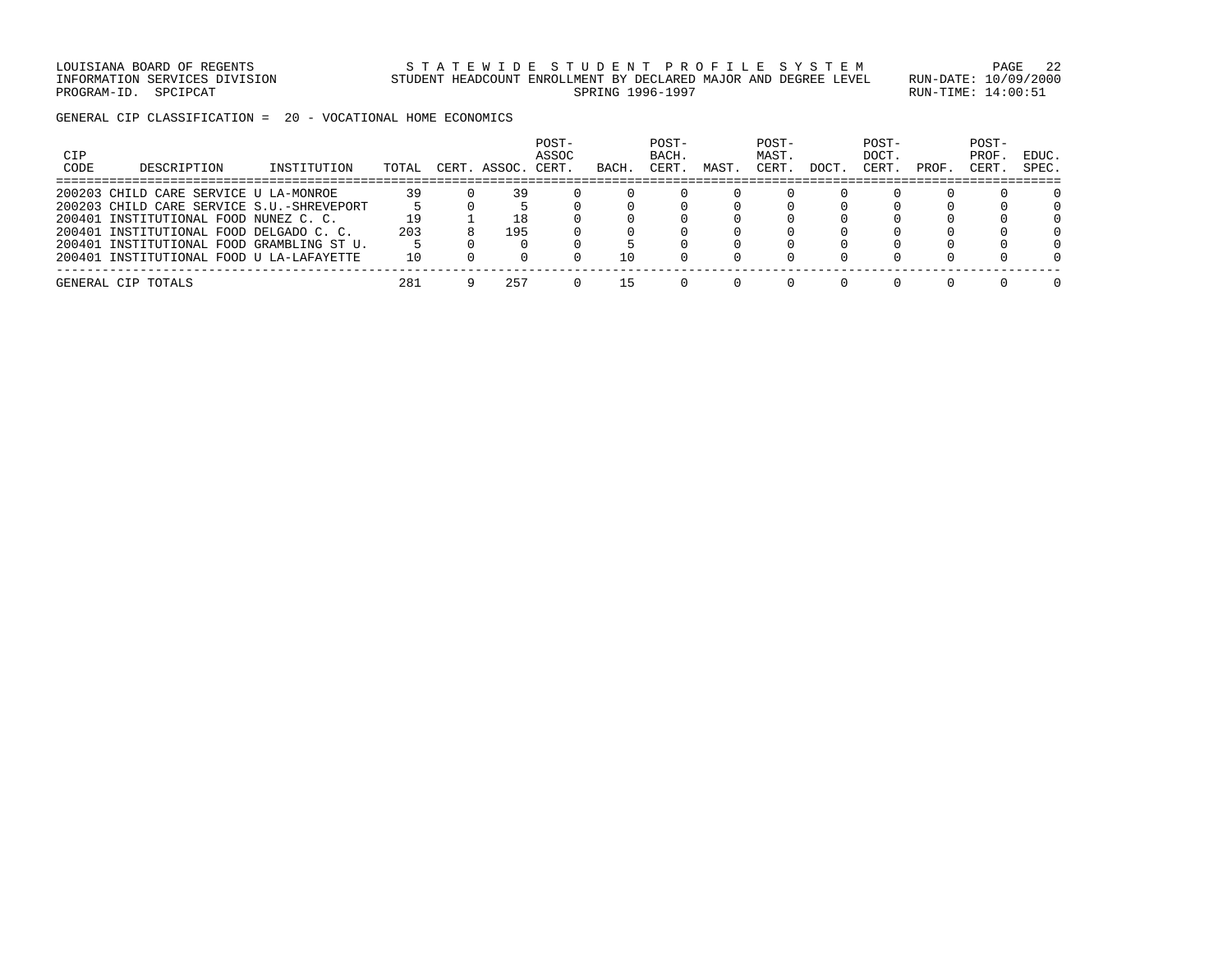LOUISIANA BOARD OF REGENTS STATEWIDE STUDENT PROFILE SYSTEM PAGE 22 INFORMATION SERVICES DIVISION STUDENT HEADCOUNT ENROLLMENT BY DECLARED MAJOR AND DEGREE LEVEL RUN-DATE: 10/09/2000 PROGRAM-ID. SPCIPCAT SERING RUN-TIME: 14:00:51

GENERAL CIP CLASSIFICATION = 20 - VOCATIONAL HOME ECONOMICS

| CIP<br>CODE | DESCRIPTION                               | INSTITUTION | TOTAL | CERT. | ASSOC. | POST-<br>ASSOC<br>CERT. | BACH. | POST-<br>BACH.<br>CERT | MAST | POST-<br>MAST.<br>CERT | DOCT | POST-<br>DOCT.<br>CERT | PROF | POST-<br>PROF<br>CERT | EDUC.<br>SPEC. |
|-------------|-------------------------------------------|-------------|-------|-------|--------|-------------------------|-------|------------------------|------|------------------------|------|------------------------|------|-----------------------|----------------|
|             | 200203 CHILD CARE SERVICE U LA-MONROE     |             | 39    |       | 39     |                         |       |                        |      |                        |      |                        |      |                       |                |
|             | 200203 CHILD CARE SERVICE S.U.-SHREVEPORT |             |       |       |        |                         |       |                        |      |                        |      |                        |      |                       |                |
|             | 200401 INSTITUTIONAL FOOD NUNEZ C. C.     |             | 19    |       | 18     |                         |       |                        |      |                        |      |                        |      |                       |                |
|             | 200401 INSTITUTIONAL FOOD DELGADO C. C.   |             | 203   |       | 195    |                         |       |                        |      |                        |      |                        |      |                       |                |
|             | 200401 INSTITUTIONAL FOOD GRAMBLING ST U. |             |       |       |        |                         |       |                        |      |                        |      |                        |      |                       |                |
|             | 200401 INSTITUTIONAL FOOD U LA-LAFAYETTE  |             | 10    |       |        |                         | 10    |                        |      |                        |      |                        |      |                       |                |
|             | GENERAL CIP TOTALS                        |             | 281   |       | 257    |                         | L 5   |                        |      |                        |      |                        |      |                       |                |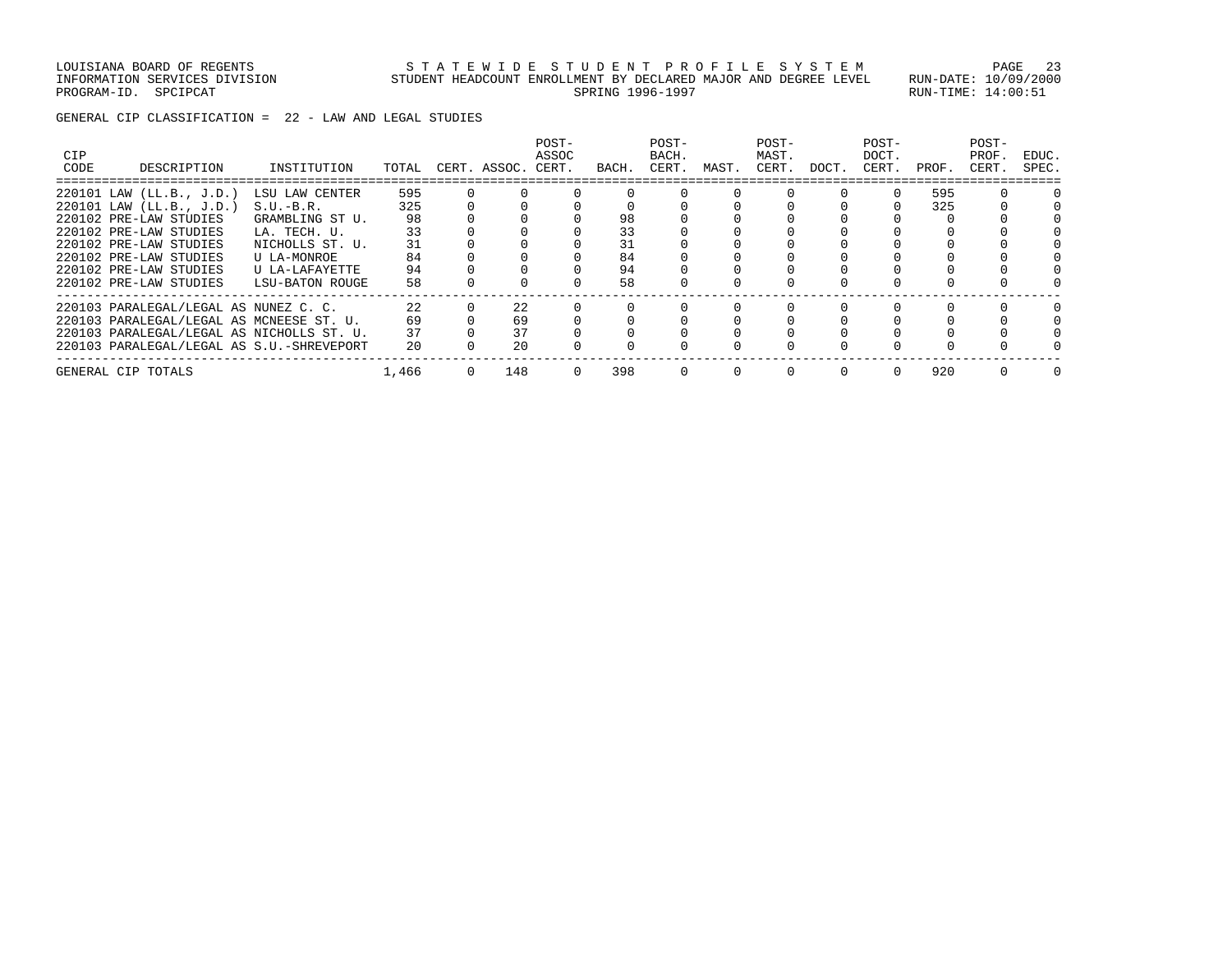GENERAL CIP CLASSIFICATION = 22 - LAW AND LEGAL STUDIES

| <b>CIP</b><br>CODE | DESCRIPTION                               | INSTITUTION     | TOTAL | CERT. ASSOC. | POST-<br>ASSOC<br>CERT. | BACH. | POST-<br>BACH.<br>CERT. | MAST. | POST-<br>MAST.<br>CERT. | DOCT. | POST-<br>DOCT.<br>CERT. | PROF. | POST-<br>PROF.<br>CERT. | EDUC.<br>SPEC. |
|--------------------|-------------------------------------------|-----------------|-------|--------------|-------------------------|-------|-------------------------|-------|-------------------------|-------|-------------------------|-------|-------------------------|----------------|
|                    | 220101 LAW (LL.B., J.D.)                  | LSU LAW CENTER  | 595   |              |                         |       |                         |       |                         |       |                         | 595   |                         |                |
|                    | 220101 LAW (LL.B., J.D.)                  | $S.U.-B.R.$     | 325   |              |                         |       |                         |       |                         |       |                         | 325   |                         |                |
|                    | 220102 PRE-LAW STUDIES                    | GRAMBLING ST U. | 98    |              |                         | 98    |                         |       |                         |       |                         |       |                         |                |
|                    | 220102 PRE-LAW STUDIES                    | LA. TECH. U.    | 33    |              |                         | 33    |                         |       |                         |       |                         |       |                         |                |
|                    | 220102 PRE-LAW STUDIES                    | NICHOLLS ST. U. | 31    |              |                         | 31    |                         |       |                         |       |                         |       |                         |                |
|                    | 220102 PRE-LAW STUDIES                    | U LA-MONROE     | 84    |              |                         | 84    |                         |       |                         |       |                         |       |                         |                |
|                    | 220102 PRE-LAW STUDIES                    | U LA-LAFAYETTE  | 94    |              |                         | 94    |                         |       |                         |       |                         |       |                         |                |
|                    | 220102 PRE-LAW STUDIES                    | LSU-BATON ROUGE | 58    |              |                         | 58    |                         |       |                         |       |                         |       |                         |                |
|                    | 220103 PARALEGAL/LEGAL AS NUNEZ C. C.     |                 | 22    | 22           |                         |       |                         |       |                         |       |                         |       |                         |                |
|                    | 220103 PARALEGAL/LEGAL AS MCNEESE ST. U.  |                 | 69    | 69           |                         |       |                         |       |                         |       |                         |       |                         |                |
|                    | 220103 PARALEGAL/LEGAL AS NICHOLLS ST. U. |                 | 37    | 37           |                         |       |                         |       |                         |       |                         |       |                         |                |
|                    | 220103 PARALEGAL/LEGAL AS S.U.-SHREVEPORT |                 | 20    | 20           |                         |       |                         |       |                         |       |                         |       |                         |                |
|                    | GENERAL CIP TOTALS                        |                 | 1,466 | 148          |                         | 398   |                         |       | $\Omega$                |       |                         | 920   |                         |                |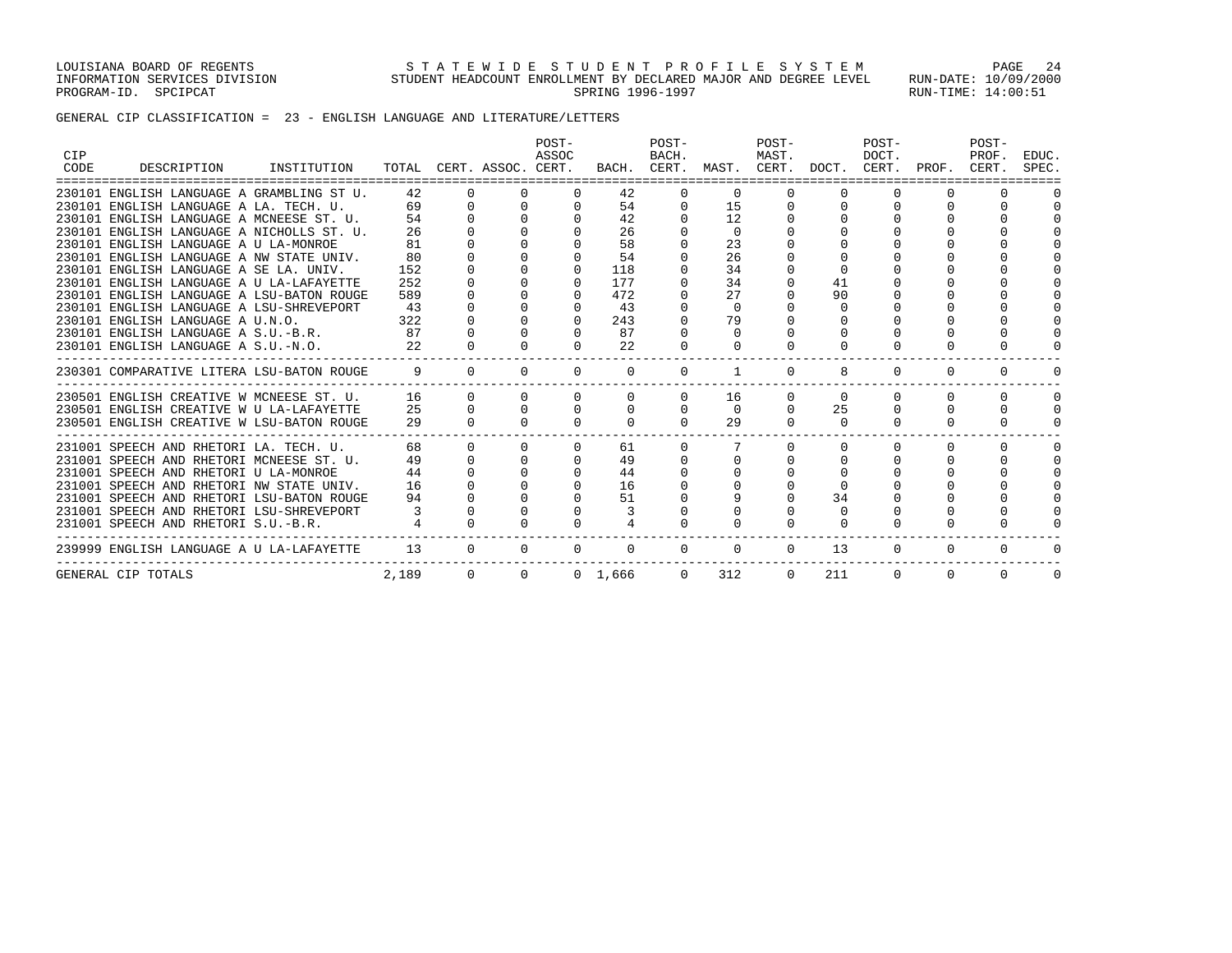LOUISIANA BOARD OF REGENTS STATEWIDE STUDENT PROFILE SYSTEM PAGE 24 INFORMATION SERVICES DIVISION STUDENT HEADCOUNT ENROLLMENT BY DECLARED MAJOR AND DEGREE LEVEL RUN-DATE: 10/09/2000 PROGRAM-ID. SPCIPCAT SERING RUN-TIME: 14:00:51

# GENERAL CIP CLASSIFICATION = 23 - ENGLISH LANGUAGE AND LITERATURE/LETTERS

| <b>CIP</b><br>CODE | INSTITUTION<br>DESCRIPTION                                                     |       |                      |                | POST-<br>ASSOC<br>TOTAL CERT. ASSOC. CERT. |                            | POST-<br>BACH. | BACH. CERT. MAST. CERT. DOCT. CERT. PROF. | POST-<br>MAST. |          | POST-<br>DOCT. |          | POST-<br>PROF.<br>CERT. | EDUC.<br>SPEC. |
|--------------------|--------------------------------------------------------------------------------|-------|----------------------|----------------|--------------------------------------------|----------------------------|----------------|-------------------------------------------|----------------|----------|----------------|----------|-------------------------|----------------|
|                    | =================================<br>230101 ENGLISH LANGUAGE A GRAMBLING ST U. | 42    | $\Omega$             | $\Omega$       | $\Omega$                                   | 42                         |                |                                           |                |          |                |          |                         |                |
|                    | 230101 ENGLISH LANGUAGE A LA. TECH. U.                                         |       | 69 —                 | $\overline{0}$ | $\mathbf{0}$                               | 54                         | $\mathbf{0}$   | 15                                        |                |          |                |          |                         |                |
|                    | 230101 ENGLISH LANGUAGE A MCNEESE ST. U.                                       | 54    |                      |                |                                            | 42                         |                | 12                                        |                |          |                |          |                         |                |
|                    | 230101 ENGLISH LANGUAGE A NICHOLLS ST. U.                                      | 26    |                      |                |                                            | 26                         |                | $\Omega$                                  |                |          |                |          |                         |                |
|                    | 230101 ENGLISH LANGUAGE A U LA-MONROE                                          | 81    |                      |                |                                            | 58                         |                | 23                                        |                |          |                |          |                         |                |
|                    | 230101 ENGLISH LANGUAGE A NW STATE UNIV.                                       | 80    |                      |                |                                            | 54                         |                | 26                                        |                |          |                |          |                         |                |
|                    | 230101 ENGLISH LANGUAGE A SE LA. UNIV.                                         | 152   |                      |                |                                            | 118                        |                | 34                                        |                |          |                |          |                         |                |
|                    | 230101 ENGLISH LANGUAGE A U LA-LAFAYETTE                                       | 252   |                      |                | $\Omega$                                   | 177                        |                | 34                                        |                | 41       |                |          |                         |                |
|                    | 230101 ENGLISH LANGUAGE A LSU-BATON ROUGE                                      | 589   |                      |                | $\Omega$                                   | 472                        |                | 27                                        |                | 90       |                |          |                         |                |
|                    | 230101 ENGLISH LANGUAGE A LSU-SHREVEPORT                                       | 43    |                      |                |                                            | 43                         |                | $\Omega$                                  |                | $\Omega$ |                |          |                         |                |
|                    | 230101 ENGLISH LANGUAGE A U.N.O.                                               | 322   |                      |                |                                            | $\Omega$<br>243            |                | 79                                        |                |          |                |          |                         |                |
|                    | 230101 ENGLISH LANGUAGE A S.U.-B.R.                                            | 87    |                      |                | $\Omega$<br>$\cap$                         | 87                         |                | $\Omega$                                  |                |          |                |          |                         |                |
|                    | 230101 ENGLISH LANGUAGE A S.U.-N.O.                                            | 2.2   |                      |                |                                            | 2.2                        |                | $\Omega$                                  |                |          |                |          |                         |                |
|                    | 230301 COMPARATIVE LITERA LSU-BATON ROUGE                                      | 9     | $\bigcap$            | $\Omega$       | $\Omega$                                   | $\Omega$                   | $\Omega$       | 1                                         | $\Omega$       | 8        | $\Omega$       | $\Omega$ | $\Omega$                | 0              |
|                    | 230501 ENGLISH CREATIVE W MCNEESE ST. U.                                       |       | $\Omega$<br>16       | $\Omega$       | $\Omega$                                   | $\Omega$                   | $\mathbf{0}$   | 16                                        | $\circ$        | $\Omega$ | $\Omega$       | $\Omega$ | $\Omega$                | $\Omega$       |
|                    | 230501 ENGLISH CREATIVE W U LA-LAFAYETTE                                       |       | $25 \qquad \qquad 0$ |                | $\Omega$                                   | $\Omega$<br>$\overline{0}$ | $\mathbf{0}$   | $\overline{0}$                            | $\mathbf{0}$   | 25       |                | $\Omega$ | $\Omega$                | $\Omega$       |
|                    | 230501 ENGLISH CREATIVE W LSU-BATON ROUGE                                      | 29    |                      |                |                                            | $\Omega$                   | $\Omega$       | 29                                        | $\Omega$       | $\Omega$ |                |          |                         |                |
|                    | 231001 SPEECH AND RHETORI LA. TECH. U.                                         | 68    | $\Omega$             | $\Omega$       | $\Omega$                                   | 61                         | $\Omega$       |                                           | $\Omega$       |          |                | $\Omega$ | $\Omega$                | $\Omega$       |
|                    | 231001 SPEECH AND RHETORI MCNEESE ST. U.                                       | 49    |                      |                |                                            | 49                         |                |                                           |                |          |                |          |                         |                |
|                    | 231001 SPEECH AND RHETORI U LA-MONROE                                          | 44    |                      |                |                                            | 44                         |                |                                           |                |          |                |          |                         |                |
|                    | 231001 SPEECH AND RHETORI NW STATE UNIV.                                       | 16    |                      |                | $\Omega$                                   | 16                         |                |                                           |                |          |                |          |                         |                |
|                    | 231001 SPEECH AND RHETORI LSU-BATON ROUGE                                      | 94    |                      |                | $\Omega$                                   | 51                         |                |                                           |                | 34       |                |          |                         |                |
|                    | 231001 SPEECH AND RHETORI LSU-SHREVEPORT                                       |       |                      |                |                                            |                            |                |                                           |                | $\Omega$ |                |          |                         |                |
|                    | 231001 SPEECH AND RHETORI S.U.-B.R.                                            |       |                      |                |                                            |                            |                |                                           |                |          |                |          |                         |                |
|                    | 239999 ENGLISH LANGUAGE A U LA-LAFAYETTE                                       | 13    | $\Omega$             | $\Omega$       | $\Omega$                                   | $\Omega$                   | $\Omega$       | $\Omega$                                  | $\Omega$       | 13       | $\Omega$       | $\circ$  | 0                       |                |
|                    | GENERAL CIP TOTALS                                                             | 2,189 |                      | $\overline{0}$ | $\Omega$                                   | 0 1,666                    |                | 312<br>$\Omega$                           | $\Omega$       | 211      | $\Omega$       | $\Omega$ | $\Omega$                | $\Omega$       |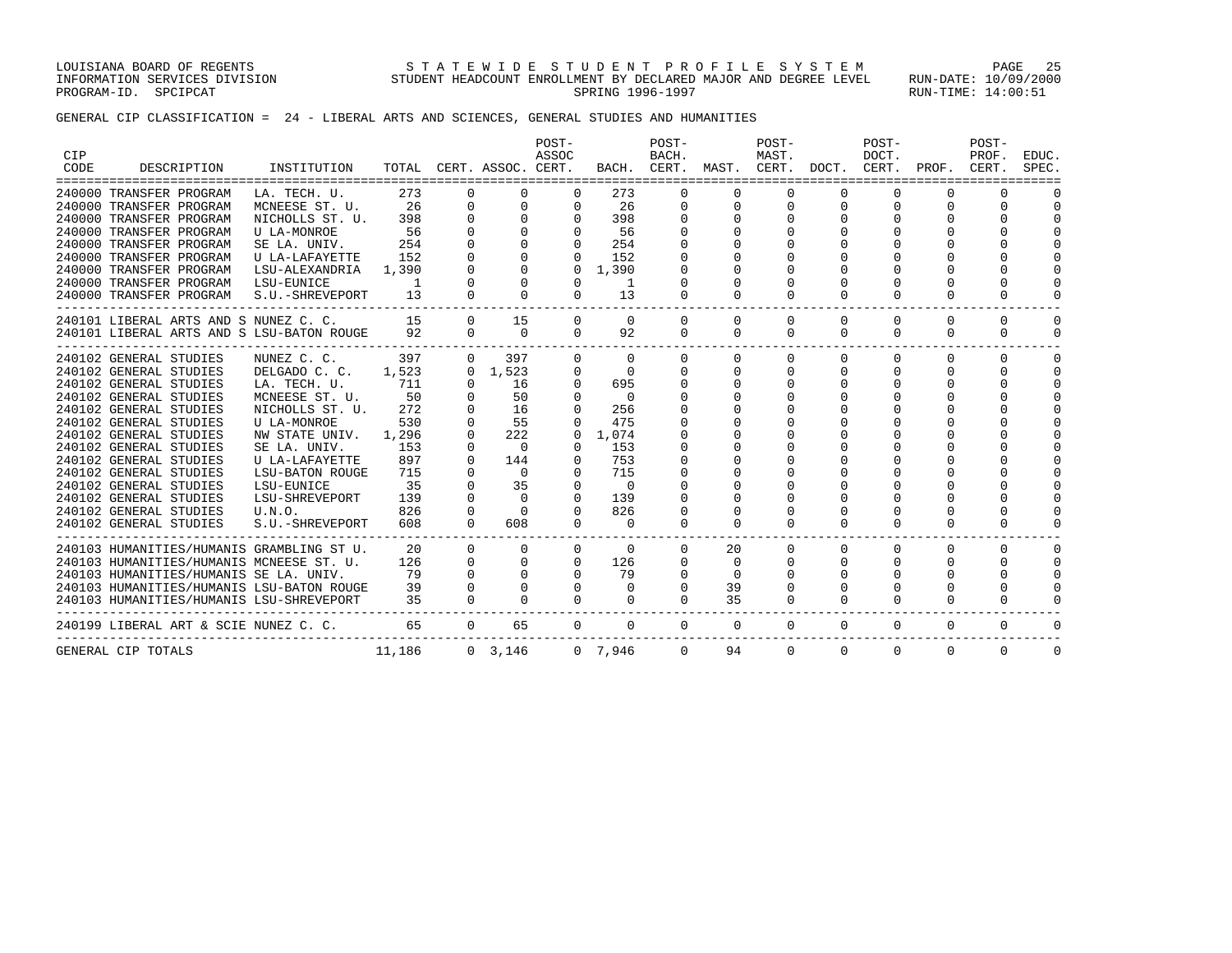LOUISIANA BOARD OF REGENTS S T A T E W I D E S T U D E N T P R O F I L E S Y S T E M PAGE 25 INFORMATION SERVICES DIVISION STUDENT HEADCOUNT ENROLLMENT BY DECLARED MAJOR AND DEGREE LEVEL RUN-DATE: 10/09/2000 PROGRAM-ID. SPCIPCAT SERING RUN-TIME: 14:00:51

GENERAL CIP CLASSIFICATION = 24 - LIBERAL ARTS AND SCIENCES, GENERAL STUDIES AND HUMANITIES

| <b>CIP</b> |                                           |                    |        |             |                    | POST-<br>ASSOC |                | POST-<br>BACH. |          | POST-<br>MAST. |          | POST-<br>DOCT. |                               | POST-<br>PROF. | EDUC.       |
|------------|-------------------------------------------|--------------------|--------|-------------|--------------------|----------------|----------------|----------------|----------|----------------|----------|----------------|-------------------------------|----------------|-------------|
| CODE       | DESCRIPTION<br>=================          | INSTITUTION        | TOTAL  |             | CERT. ASSOC. CERT. |                |                | BACH. CERT.    |          |                |          |                | MAST. CERT. DOCT. CERT. PROF. | CERT.          | SPEC.       |
|            | 240000 TRANSFER PROGRAM                   | LA. TECH. U.       | 273    | 0           | $\Omega$           | $\Omega$       | 273            | $\Omega$       | $\Omega$ | $\Omega$       | $\Omega$ | $\Omega$       | $\Omega$                      |                |             |
|            | 240000 TRANSFER PROGRAM                   | MCNEESE ST. U.     | 26     | $\mathbf 0$ | $\mathbf 0$        | $\Omega$       | 26             | 0              | $\Omega$ | $\Omega$       | $\Omega$ |                |                               | $\Omega$       | $\Omega$    |
|            | 240000 TRANSFER PROGRAM                   | NICHOLLS ST. U.    | 398    |             | $\Omega$           | $\Omega$       | 398            | $\Omega$       |          |                |          |                |                               | $\Omega$       | $\Omega$    |
|            | 240000 TRANSFER PROGRAM                   | U LA-MONROE        | 56     |             | $\Omega$           | $\Omega$       | 56             |                |          |                |          |                |                               | <sup>0</sup>   | $\Omega$    |
|            | 240000 TRANSFER PROGRAM                   | SE LA. UNIV.       | 254    |             | $\Omega$           | $\Omega$       | 254            |                |          |                |          |                |                               |                | $\Omega$    |
|            | 240000 TRANSFER PROGRAM                   | U LA-LAFAYETTE     | 152    |             |                    |                | 152            |                |          |                |          |                |                               |                | $\Omega$    |
|            | 240000 TRANSFER PROGRAM                   | LSU-ALEXANDRIA     | 1,390  |             |                    |                | 1,390          |                |          |                |          |                |                               | $\Omega$       | $\Omega$    |
|            | 240000 TRANSFER PROGRAM                   | LSU-EUNICE         | -1     |             | $\Omega$           | $\Omega$       | 1              |                |          |                | $\Omega$ |                | $\Omega$                      | $\Omega$       | $\Omega$    |
|            | 240000 TRANSFER PROGRAM                   | S.U.-SHREVEPORT    | 13     |             | $\Omega$           | $\Omega$       | 13             | $\Omega$       | $\Omega$ | 0              | $\Omega$ | $\Omega$       | $\Omega$                      | $\Omega$       | $\Omega$    |
|            | 240101 LIBERAL ARTS AND S NUNEZ C. C.     |                    | 15     | $\Omega$    | 15                 | $\Omega$       | $\Omega$       | $\Omega$       | $\Omega$ | $\Omega$       | $\Omega$ | $\Omega$       | $\Omega$                      | $\Omega$       | $\Omega$    |
|            | 240101 LIBERAL ARTS AND S LSU-BATON ROUGE |                    | 92     | $\Omega$    | $\Omega$           | $\Omega$       | 92             | $\Omega$       | $\Omega$ | $\Omega$       | $\Omega$ | $\Omega$       | $\Omega$                      | $\Omega$       | $\mathbf 0$ |
|            | 240102 GENERAL STUDIES                    | NUNEZ C. C.        | 397    | $\Omega$    | 397                | $\Omega$       | $\mathbf{0}$   | $\Omega$       | 0        | $\Omega$       | 0        | $\Omega$       | $\Omega$                      | $\Omega$       | $\Omega$    |
|            | 240102 GENERAL STUDIES                    | DELGADO C. C.      | 1,523  |             | $0 \quad 1,523$    | 0              | $\overline{0}$ | $\Omega$       | 0        | 0              | $\Omega$ | $\Omega$       | $\Omega$                      | $\Omega$       | $\Omega$    |
|            | 240102 GENERAL STUDIES                    | LA. TECH. U.       | 711    | $\Omega$    | 16                 | $\Omega$       | 695            | 0              | 0        | 0              | $\Omega$ | $\Omega$       | $\Omega$                      | 0              | $\Omega$    |
|            | 240102 GENERAL STUDIES                    | MCNEESE ST. U.     | 50     |             | 50                 | $\Omega$       | $\overline{0}$ |                |          |                |          |                |                               |                | $\Omega$    |
|            | 240102 GENERAL STUDIES                    | NICHOLLS ST. U.    | 272    |             | 16                 | $\Omega$       | 256            |                |          |                |          |                |                               | $\Omega$       | $\Omega$    |
|            | 240102 GENERAL STUDIES                    | <b>U LA-MONROE</b> | 530    | 0           | 55                 | $\Omega$       | 475            |                |          |                |          |                |                               | <sup>0</sup>   | $\Omega$    |
|            | 240102 GENERAL STUDIES                    | NW STATE UNIV.     | 1,296  |             | 222                | 0              | 1,074          |                |          |                |          |                |                               | $\Omega$       | $\Omega$    |
|            | 240102 GENERAL STUDIES                    | SE LA. UNIV.       | 153    | $\Omega$    | $\Omega$           | $\Omega$       | 153            |                |          |                |          |                |                               | $\Omega$       | $\Omega$    |
|            | 240102 GENERAL STUDIES                    | U LA-LAFAYETTE     | 897    | $\Omega$    | 144                | $\Omega$       | 753            |                |          |                |          |                |                               | $\Omega$       | $\Omega$    |
|            | 240102 GENERAL STUDIES                    | LSU-BATON ROUGE    | 715    |             | $\Omega$           |                | 715            |                |          |                |          |                |                               |                | $\Omega$    |
|            | 240102 GENERAL STUDIES                    | LSU-EUNICE         | 35     |             | 35                 |                | $\Omega$       |                |          |                |          |                |                               | $\Omega$       | $\Omega$    |
|            | 240102 GENERAL STUDIES                    | LSU-SHREVEPORT     | 139    |             | $\Omega$           | $\Omega$       | 139            |                |          |                |          |                |                               | $\Omega$       | $\Omega$    |
|            | 240102 GENERAL STUDIES                    | U.N.O.             | 826    | $\Omega$    | $\Omega$           |                | 826            |                |          |                |          |                |                               | $\Omega$       | $\Omega$    |
|            | 240102 GENERAL STUDIES                    | S.U.-SHREVEPORT    | 608    | $\Omega$    | 608                | $\Omega$       | $\Omega$       | $\Omega$       | $\Omega$ | $\Omega$       | $\Omega$ | $\Omega$       | $\Omega$                      | $\Omega$       | $\Omega$    |
|            | 240103 HUMANITIES/HUMANIS GRAMBLING ST U. |                    | 20     | $\Omega$    | $\Omega$           | $\Omega$       | $\Omega$       | $\Omega$       | 20       | $\Omega$       | $\Omega$ | $\Omega$       | $\Omega$                      | $\Omega$       | $\Omega$    |
|            | 240103 HUMANITIES/HUMANIS MCNEESE ST. U.  |                    | 126    | $\Omega$    | 0                  | $\mathbf{0}$   | 126            | $\Omega$       | 0        | 0              | $\Omega$ | $\Omega$       | $\Omega$                      | 0              | 0           |
|            | 240103 HUMANITIES/HUMANIS SE LA. UNIV.    |                    | 79     |             | $\Omega$           | $\Omega$       | 79             |                | $\Omega$ | 0              | $\Omega$ | $\Omega$       | $\Omega$                      | 0              | $\Omega$    |
|            | 240103 HUMANITIES/HUMANIS LSU-BATON ROUGE |                    | 39     | $\Omega$    | $\Omega$           | $\Omega$       | $\Omega$       | $\Omega$       | 39       |                | $\Omega$ |                |                               | $\Omega$       | $\Omega$    |
|            | 240103 HUMANITIES/HUMANIS LSU-SHREVEPORT  |                    | 35     | $\Omega$    | $\Omega$           | $\Omega$       | $\Omega$       | $\Omega$       | 35       | 0              | $\Omega$ | $\Omega$       | $\Omega$                      | $\Omega$       | $\Omega$    |
|            | 240199 LIBERAL ART & SCIE NUNEZ C. C.     |                    | 65     | $\Omega$    | 65                 | $\Omega$       | $\Omega$       | $\Omega$       | $\Omega$ | $\Omega$       | $\Omega$ | $\Omega$       | $\Omega$                      | $\Omega$       | $\Omega$    |
|            | GENERAL CIP TOTALS                        |                    | 11,186 |             | 0, 3, 146          |                | 0, 7, 946      | $\Omega$       | 94       | $\Omega$       | $\Omega$ | $\Omega$       | $\Omega$                      | $\Omega$       | $\Omega$    |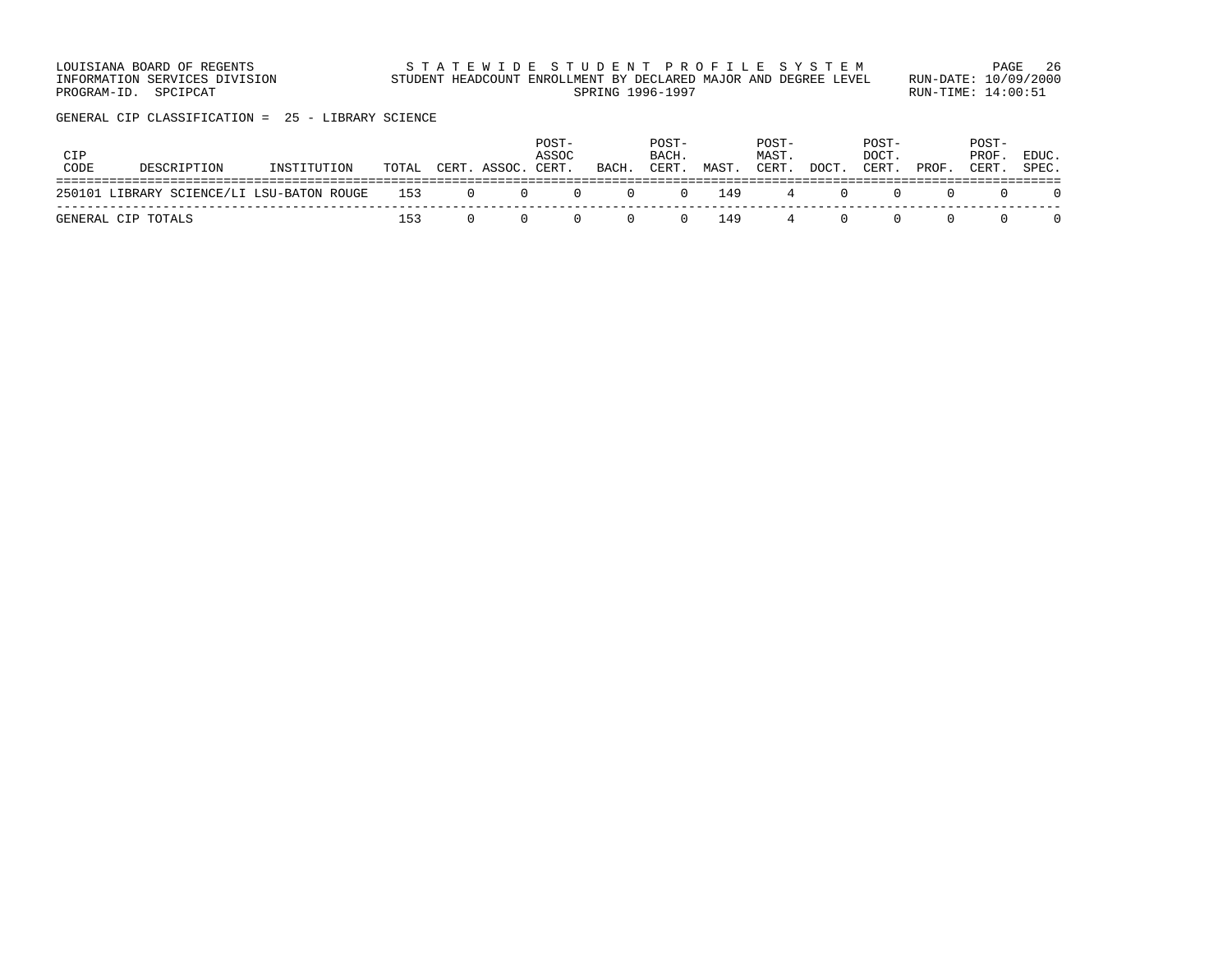LOUISIANA BOARD OF REGENTS STATEWIDE STUDENT PROFILE SYSTEM PAGE 26 INFORMATION SERVICES DIVISION STUDENT HEADCOUNT ENROLLMENT BY DECLARED MAJOR AND DEGREE LEVEL RUN-DATE: 10/09/2000 PROGRAM-ID. SPCIPCAT SERING RUN-TIME: 14:00:51

GENERAL CIP CLASSIFICATION = 25 - LIBRARY SCIENCE

| CIP<br>CODE | DESCRIPTION                                   | INSTITUTION |     |                   | POST-<br>ASSOC<br>TOTAL CERT. ASSOC. CERT. | BACH.                            | POST-<br>BACH.<br>CERT. | MAST. | POST-<br>MAST.<br>CERT. | DOCT. | POST-<br>DOCT.<br>CERT. | PROF. | POST-<br>PROF.<br>CERT. | EDUC.<br>SPEC. |
|-------------|-----------------------------------------------|-------------|-----|-------------------|--------------------------------------------|----------------------------------|-------------------------|-------|-------------------------|-------|-------------------------|-------|-------------------------|----------------|
|             | 250101 LIBRARY SCIENCE/LI LSU-BATON ROUGE 153 |             |     | $\cdot$ 0 $\cdot$ | $\Omega$                                   | $0 \qquad 0 \qquad 0 \qquad 149$ |                         |       |                         | 4 ()  |                         |       |                         |                |
|             | GENERAL CIP TOTALS                            |             | 153 |                   |                                            |                                  | $\Omega$                | 149   | $\overline{4}$          |       |                         |       |                         |                |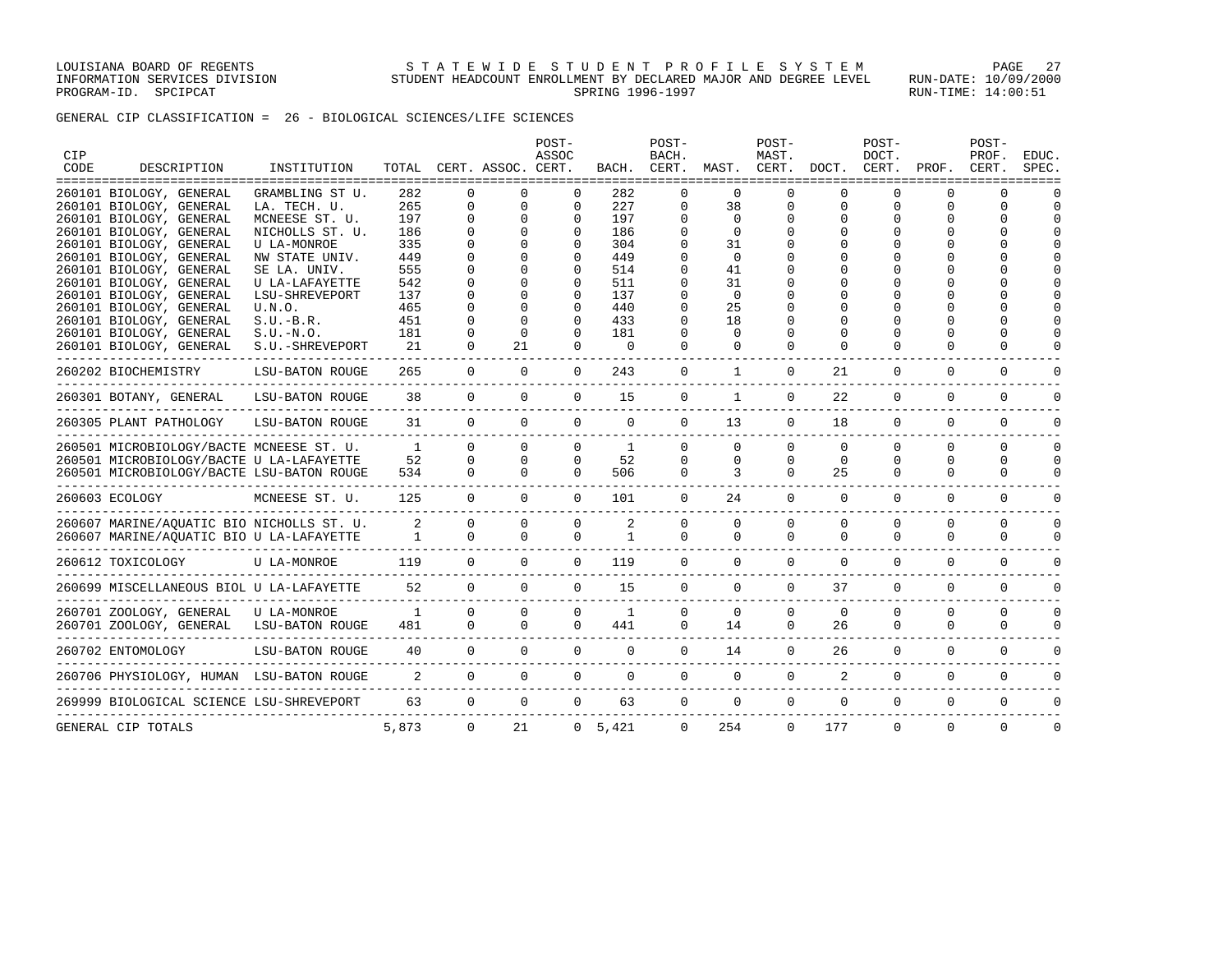GENERAL CIP CLASSIFICATION = 26 - BIOLOGICAL SCIENCES/LIFE SCIENCES

| <b>CIP</b> |                                                                      |                        |                |                |                    | POST-<br>ASSOC |                 | POST-<br>BACH. |              | POST-<br>MAST. |                | POST-<br>DOCT. |              | POST-<br>PROF. | EDUC.    |
|------------|----------------------------------------------------------------------|------------------------|----------------|----------------|--------------------|----------------|-----------------|----------------|--------------|----------------|----------------|----------------|--------------|----------------|----------|
| CODE       | DESCRIPTION                                                          | INSTITUTION            | TOTAL          |                | CERT. ASSOC. CERT. |                | BACH.           | CERT.          | MAST.        | CERT.          | DOCT.          | CERT.          | PROF.        | CERT.          | SPEC.    |
|            | 260101 BIOLOGY, GENERAL                                              | GRAMBLING ST U.        | 282            | $\Omega$       | $\Omega$           | $\Omega$       | 282             | $\Omega$       | $\Omega$     | $\Omega$       |                | $\Omega$       | O            | $\Omega$       |          |
|            | 260101 BIOLOGY, GENERAL                                              | LA. TECH. U.           | 265            | $\mathbf{0}$   | $\mathbf 0$        | 0              | 227             | 0              | 38           | 0              | 0              | 0              | $\Omega$     | $\mathbf 0$    | $\cap$   |
|            | 260101 BIOLOGY, GENERAL                                              | MCNEESE ST. U.         | 197            | $\Omega$       | $\Omega$           | $\Omega$       | 197             | $\Omega$       | $\Omega$     | $\Omega$       |                | $\Omega$       | $\Omega$     | $\Omega$       | $\cap$   |
|            | 260101 BIOLOGY, GENERAL                                              | NICHOLLS ST. U.        | 186            | 0              | $\Omega$           | 0              | 186             | 0              | 0            |                |                |                |              | $\Omega$       |          |
|            | 260101 BIOLOGY, GENERAL                                              | <b>U LA-MONROE</b>     | 335            | $\Omega$       | $\Omega$           | $\Omega$       | 304             | $\Omega$       | 31           |                |                |                |              |                |          |
|            | 260101 BIOLOGY, GENERAL                                              | NW STATE UNIV.         | 449            | $\Omega$       | $\Omega$           | $\Omega$       | 449             | O              | $\Omega$     |                |                |                |              |                |          |
|            | 260101 BIOLOGY, GENERAL                                              | SE LA. UNIV.           | 555            | $\Omega$       | O                  | 0              | 514             |                | 41           |                |                |                |              |                |          |
|            | 260101 BIOLOGY, GENERAL                                              | U LA-LAFAYETTE         | 542            | $\Omega$       | U                  | $\Omega$       | 511             | 0              | 31           |                |                |                |              | $\cap$         |          |
|            | 260101 BIOLOGY, GENERAL                                              | LSU-SHREVEPORT         | 137            | $\Omega$       | $\Omega$           | 0              | 137             | 0              | $\Omega$     |                |                |                |              | $\cap$         |          |
|            | 260101 BIOLOGY, GENERAL                                              | U.N.O.                 | 465            | $\Omega$       | $\Omega$           | $\Omega$       | 440             | $\Omega$       | 25           |                |                |                |              | $\Omega$       |          |
|            | 260101 BIOLOGY, GENERAL                                              | $S.U.-B.R.$            | 451            | $\Omega$       | $\Omega$           | $\Omega$       | 433             | 0              | 18           |                |                |                |              | $\Omega$       |          |
|            | 260101 BIOLOGY, GENERAL                                              | $S.U.-N.O.$            | 181            | $\Omega$       | $\Omega$           | $\Omega$       | 181             | $\Omega$       | $\Omega$     |                |                |                |              | $\Omega$       |          |
|            | 260101 BIOLOGY, GENERAL                                              | S.U.-SHREVEPORT        | 21             | $\Omega$       | 21                 | $\Omega$       | $\Omega$        | $\Omega$       | $\Omega$     | $\Omega$       |                | $\Omega$       | 0            | $\Omega$       |          |
|            | 260202 BIOCHEMISTRY                                                  | <b>LSU-BATON ROUGE</b> | 265            | $\overline{0}$ | $\mathbf{0}$       | $\Omega$       | 243             | $\mathbf 0$    | $\mathbf{1}$ | $\mathbf 0$    | 21             | $\mathbf 0$    | $\mathbf 0$  | $\mathbf 0$    |          |
|            | 260301 BOTANY, GENERAL                                               | LSU-BATON ROUGE        | 38             | $\mathbf{0}$   | $\Omega$           | $\Omega$       | 15              | $\mathbf 0$    | $\mathbf{1}$ | $\Omega$       | 22             | $\mathbf 0$    | $\mathbf 0$  | $\mathbf 0$    |          |
|            | 260305 PLANT PATHOLOGY                                               | LSU-BATON ROUGE        | 31             | $\overline{0}$ | $\Omega$           | $\mathbf 0$    | $\mathbf 0$     | $\mathbf 0$    | 13           | $\mathbf 0$    | 18             | $\mathbf 0$    | 0            | $\mathbf{0}$   | ∩        |
|            | 260501 MICROBIOLOGY/BACTE MCNEESE ST. U.                             |                        | $\sim$ 1       | $\Omega$       | $\Omega$           | $\mathbf{0}$   | 1               | $\Omega$       | $\Omega$     | $\Omega$       | $\Omega$       | $\Omega$       | $\Omega$     | $\Omega$       | $\Omega$ |
|            | 260501 MICROBIOLOGY/BACTE U LA-LAFAYETTE                             |                        | 52             | $\Omega$       | $\Omega$           | $\Omega$       | 52              | $\Omega$       | $\Omega$     | $\Omega$       | $\Omega$       | $\Omega$       | $\Omega$     | $\Omega$       | $\Omega$ |
|            | 260501 MICROBIOLOGY/BACTE LSU-BATON ROUGE<br>_______________________ |                        | 534            | $\Omega$       | $\Omega$           | $\Omega$       | 506             | $\Omega$       | 3            | $\Omega$       | 25             | $\Omega$       | $\Omega$     | $\Omega$       | $\Omega$ |
|            | 260603 ECOLOGY                                                       | MCNEESE ST. U.         | 125            | $\Omega$       | $\Omega$           | $\Omega$       | 101             | $\Omega$       | 24           | $\Omega$       | $\Omega$       | $\Omega$       | $\Omega$     | $\Omega$       | $\Omega$ |
|            | 260607 MARINE/AQUATIC BIO NICHOLLS ST. U.                            |                        | $\overline{a}$ | $\Omega$       | $\Omega$           | $\Omega$       | $\overline{2}$  | $\Omega$       | $\Omega$     | $\Omega$       | $\Omega$       | $\Omega$       | $\Omega$     | $\Omega$       | $\Omega$ |
|            | 260607 MARINE/AQUATIC BIO U LA-LAFAYETTE                             |                        | $\overline{1}$ | $\Omega$       | $\Omega$           | $\Omega$       | $\mathbf{1}$    | $\Omega$       | $\Omega$     | $\Omega$       | $\Omega$       | $\Omega$       | $\Omega$     | $\Omega$       | $\Omega$ |
|            | 260612 TOXICOLOGY                                                    | U LA-MONROE            | 119            | $\Omega$       | $\Omega$           | $\Omega$       | 119             | $\Omega$       | $\Omega$     | $\Omega$       | $\Omega$       | $\Omega$       | $\Omega$     | $\Omega$       | $\cap$   |
|            | 260699 MISCELLANEOUS BIOL U LA-LAFAYETTE                             |                        | 52             | $\Omega$       | $\Omega$           | $\Omega$       | 15              | $\Omega$       | $\Omega$     | $\Omega$       | 37             | $\Omega$       | $\Omega$     | $\Omega$       | $\cap$   |
|            | 260701 ZOOLOGY, GENERAL                                              | U LA-MONROE            | $\mathbf{1}$   | $\Omega$       | $\Omega$           | $\Omega$       | 1               | $\Omega$       | $\mathbf 0$  | $\Omega$       | $\Omega$       | $\Omega$       | $\Omega$     | $\mathbf 0$    | $\Omega$ |
|            | 260701 ZOOLOGY, GENERAL                                              | LSU-BATON ROUGE        | 481            | $\Omega$       | $\Omega$           |                | $\Omega$<br>441 | $\Omega$       | 14           | $\Omega$       | 26             | $\Omega$       | $\Omega$     | $\Omega$       | $\cap$   |
|            | 260702 ENTOMOLOGY                                                    | LSU-BATON ROUGE        | 40             | $\overline{0}$ | $\overline{0}$     | $\Omega$       | $\Omega$        | $\Omega$       | 14           | $\Omega$       | 26             | $\Omega$       | $\Omega$     | $\mathbf 0$    |          |
|            | 260706 PHYSIOLOGY, HUMAN LSU-BATON ROUGE                             |                        | $\overline{2}$ | $\overline{0}$ | $\overline{0}$     | $\overline{0}$ | $\mathbf 0$     | $\mathbf 0$    | $\mathbf 0$  | $\mathbf 0$    | $\overline{a}$ | $\mathbf 0$    | $\mathbf 0$  | $\mathbf 0$    |          |
|            | 269999 BIOLOGICAL SCIENCE LSU-SHREVEPORT                             |                        | 63             | $\overline{0}$ | $\mathbf{0}$       | $\mathbf{0}$   | 63              | $\mathbf{0}$   | $\mathbf 0$  | $\mathbf 0$    | $\mathbf 0$    | $\mathbf{0}$   | $\mathbf{0}$ | 0              | 0        |
|            | GENERAL CIP TOTALS                                                   |                        | 5,873          | $\Omega$       | 21                 |                | 0, 5, 421       | $\Omega$       | 254          | $\Omega$       | 177            | $\Omega$       | $\Omega$     | $\Omega$       | $\Omega$ |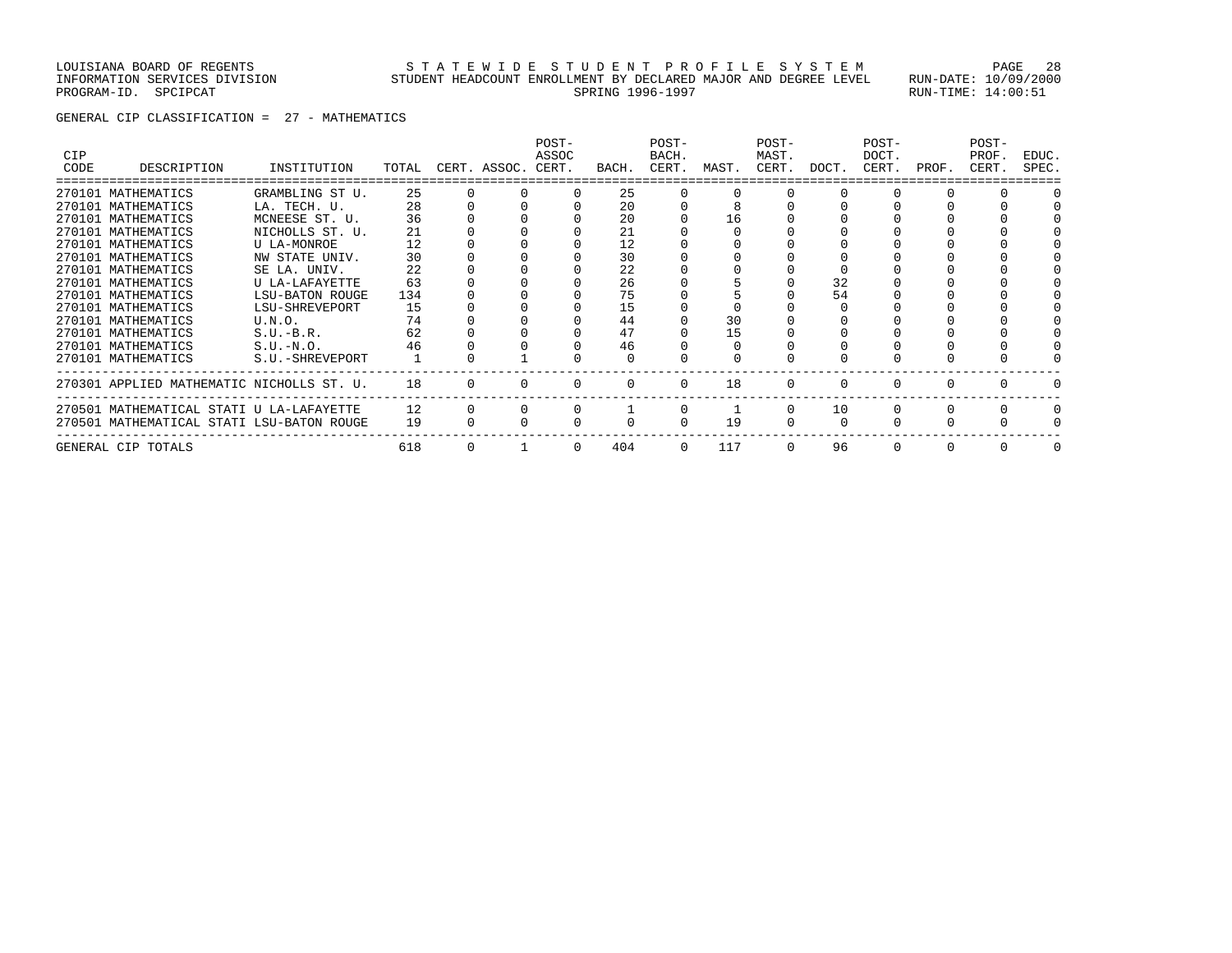### LOUISIANA BOARD OF REGENTS STATEWIDE STUDENT PROFILE SYSTEM PAGE 28 INFORMATION SERVICES DIVISION STUDENT HEADCOUNT ENROLLMENT BY DECLARED MAJOR AND DEGREE LEVEL RUN-DATE: 10/09/2000 PROGRAM-ID. SPCIPCAT SERING RUN-TIME: 14:00:51

GENERAL CIP CLASSIFICATION = 27 - MATHEMATICS

| CIP<br>CODE | DESCRIPTION                               | INSTITUTION     | TOTAL | CERT. ASSOC. CERT. | POST-<br>ASSOC | BACH. | POST-<br>BACH.<br>CERT. | MAST. | POST-<br>MAST.<br>CERT. | DOCT.        | POST-<br>DOCT.<br>CERT. | PROF. | POST-<br>PROF.<br>CERT. | EDUC.<br>SPEC. |
|-------------|-------------------------------------------|-----------------|-------|--------------------|----------------|-------|-------------------------|-------|-------------------------|--------------|-------------------------|-------|-------------------------|----------------|
|             |                                           |                 |       |                    |                |       |                         |       |                         |              |                         |       |                         |                |
|             | 270101 MATHEMATICS                        | GRAMBLING ST U. | 25    |                    | $\Omega$       | 25    |                         |       |                         |              |                         |       |                         |                |
|             | 270101 MATHEMATICS                        | LA. TECH. U.    | 28    |                    |                | 20    |                         |       |                         |              |                         |       |                         |                |
|             | 270101 MATHEMATICS                        | MCNEESE ST. U.  | 36    |                    |                | 20    |                         | 16    |                         |              |                         |       |                         |                |
|             | 270101 MATHEMATICS                        | NICHOLLS ST. U. | 21    |                    |                | 21    |                         |       |                         |              |                         |       |                         |                |
|             | 270101 MATHEMATICS                        | U LA-MONROE     | 12    |                    |                | 12    |                         |       |                         |              |                         |       |                         |                |
|             | 270101 MATHEMATICS                        | NW STATE UNIV.  | 30    |                    |                | 30    |                         |       |                         |              |                         |       |                         |                |
|             | 270101 MATHEMATICS                        | SE LA. UNIV.    | 22.2  |                    |                | 22    |                         |       |                         |              |                         |       |                         |                |
|             | 270101 MATHEMATICS                        | U LA-LAFAYETTE  | 63    |                    |                | 26    |                         |       |                         | 32           |                         |       |                         |                |
|             | 270101 MATHEMATICS                        | LSU-BATON ROUGE | 134   |                    |                | 75    |                         |       |                         | 54           |                         |       |                         |                |
|             | 270101 MATHEMATICS                        | LSU-SHREVEPORT  | 15    |                    |                | 15    |                         |       |                         |              |                         |       |                         |                |
|             | 270101 MATHEMATICS                        | U.N.O.          | 74    |                    |                | 44    |                         | 30    |                         |              |                         |       |                         |                |
|             | 270101 MATHEMATICS                        | $S.U.-B.R.$     | 62    |                    |                | 47    |                         | 15    |                         |              |                         |       |                         |                |
|             | 270101 MATHEMATICS                        | $S.U.-N.O.$     | 46    |                    |                | 46    |                         |       |                         |              |                         |       |                         |                |
|             | 270101 MATHEMATICS                        | S.U.-SHREVEPORT |       |                    |                |       |                         |       |                         |              |                         |       |                         |                |
|             | 270301 APPLIED MATHEMATIC NICHOLLS ST. U. |                 | 18    |                    |                |       |                         | 18    | 0                       | <sup>0</sup> |                         |       |                         |                |
|             | 270501 MATHEMATICAL STATI U LA-LAFAYETTE  |                 | 12    |                    |                |       |                         |       | 0                       | 10           |                         | 0     | $\Omega$                |                |
|             | 270501 MATHEMATICAL STATI LSU-BATON ROUGE |                 | 19    |                    |                |       |                         | 19    | <sup>0</sup>            | $\Omega$     |                         |       |                         |                |
|             | GENERAL CIP TOTALS                        |                 | 618   |                    | $\Omega$       | 404   | $\Omega$                | 117   | $\Omega$                | 96           |                         |       |                         |                |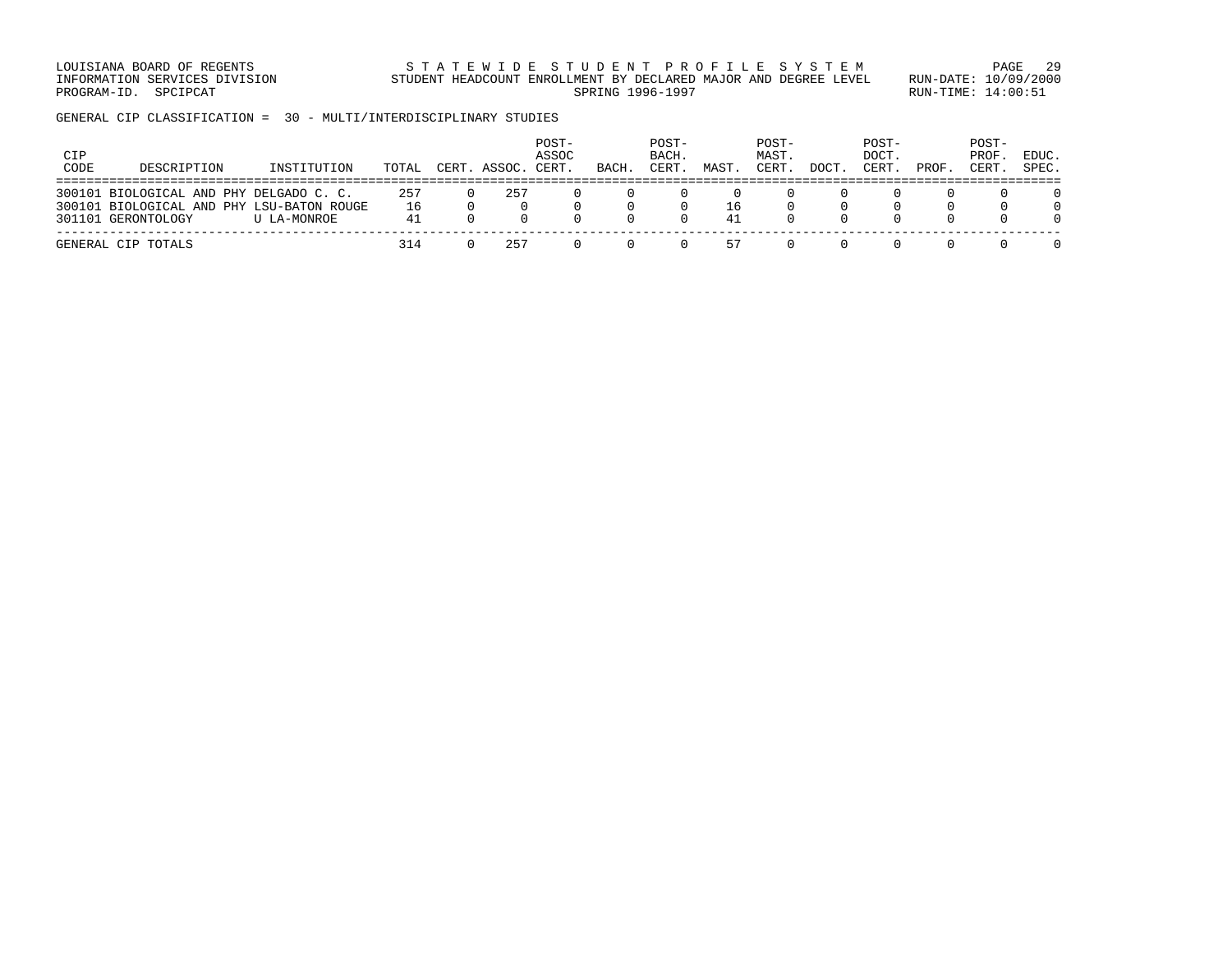LOUISIANA BOARD OF REGENTS STA TEWIDE STUDENT PROFILE SYSTEM PAGE 29 INFORMATION SERVICES DIVISION STUDENT HEADCOUNT ENROLLMENT BY DECLARED MAJOR AND DEGREE LEVEL RUN-DATE: 10/09/2000 PROGRAM-ID. SPCIPCAT SERING RUN-TIME: 14:00:51

GENERAL CIP CLASSIFICATION = 30 - MULTI/INTERDISCIPLINARY STUDIES

| CIP<br>CODE | DESCRIPTION                                                                                                | INSTITUTION | TOTAL           | CERT. ASSOC. | POST-<br>ASSOC<br>CERT. | BACH. | POST-<br>BACH.<br>CERT. | MAST     | POST-<br>MAST.<br>CERT | DOCT. | POST-<br>DOCT.<br>CERT | PROF | POST-<br>PROF<br>CERT. | EDUC.<br>SPEC. |
|-------------|------------------------------------------------------------------------------------------------------------|-------------|-----------------|--------------|-------------------------|-------|-------------------------|----------|------------------------|-------|------------------------|------|------------------------|----------------|
|             | 300101 BIOLOGICAL AND PHY DELGADO C. C.<br>300101 BIOLOGICAL AND PHY LSU-BATON ROUGE<br>301101 GERONTOLOGY | U LA-MONROE | 257<br>16<br>41 | 257          |                         |       |                         | 16<br>41 |                        |       |                        |      |                        |                |
|             | GENERAL CIP TOTALS                                                                                         |             | 314             | 257          |                         |       |                         | 57       |                        |       |                        |      |                        |                |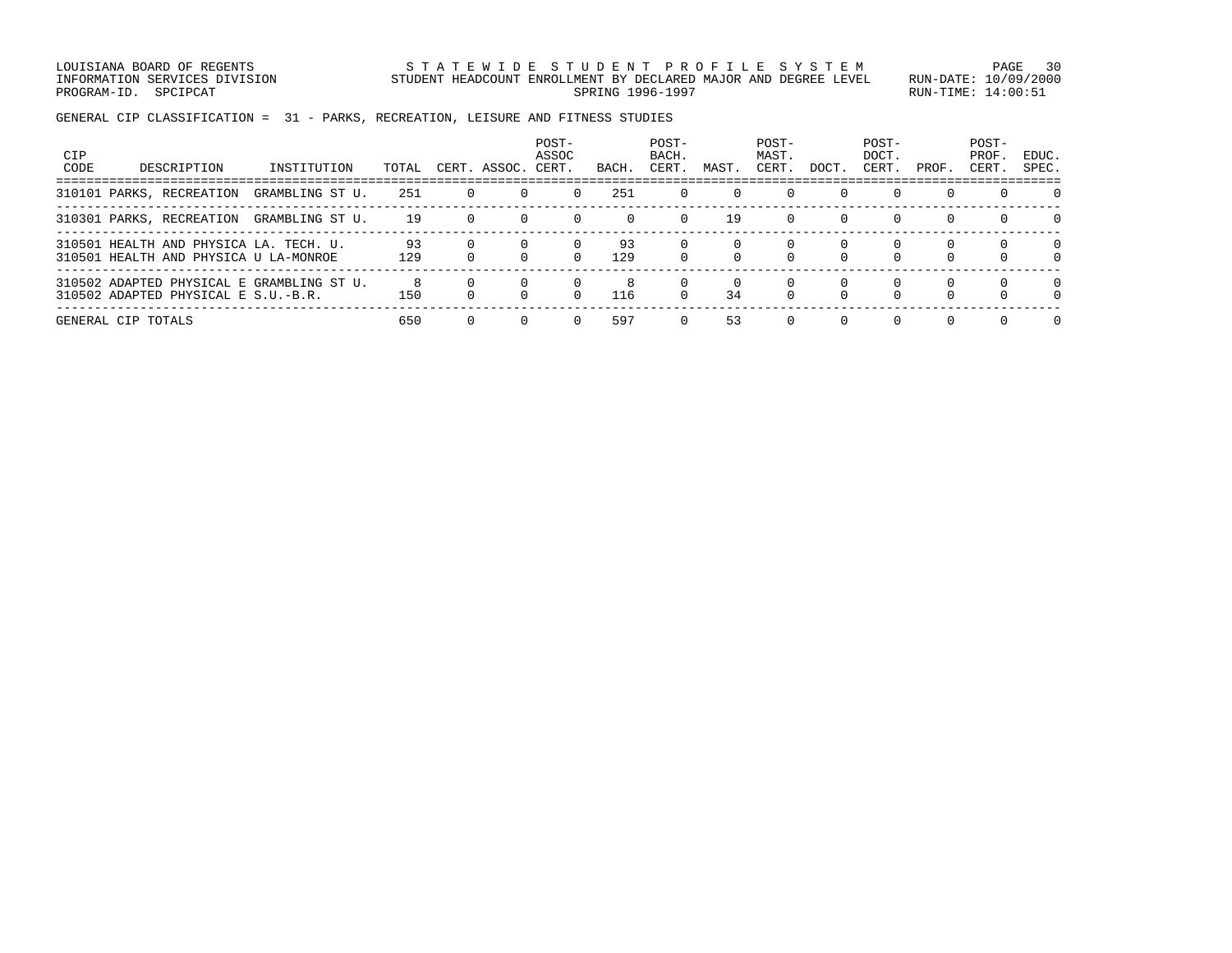LOUISIANA BOARD OF REGENTS STATEWIDE STUDENT PROFILE SYSTEM PAGE 30 INFORMATION SERVICES DIVISION STUDENT HEADCOUNT ENROLLMENT BY DECLARED MAJOR AND DEGREE LEVEL RUN-DATE: 10/09/2000 PROGRAM-ID. SPCIPCAT SERING RUN-TIME: 14:00:51

GENERAL CIP CLASSIFICATION = 31 - PARKS, RECREATION, LEISURE AND FITNESS STUDIES

| CIP<br>CODE | DESCRIPTION                                                                      | INSTITUTION     | TOTAL     |              | CERT. ASSOC. | POST-<br>ASSOC<br>CERT. | BACH.     | POST-<br>BACH.<br>CERT. | MAST.    | POST-<br>MAST.<br>CERT. | DOCT.              | POST-<br>DOCT.<br>CERT. | PROF.    | POST-<br>PROF.<br>CERT. | EDUC.<br>SPEC. |
|-------------|----------------------------------------------------------------------------------|-----------------|-----------|--------------|--------------|-------------------------|-----------|-------------------------|----------|-------------------------|--------------------|-------------------------|----------|-------------------------|----------------|
|             | 310101 PARKS, RECREATION                                                         | GRAMBLING ST U. | 251       | $\mathbf{0}$ |              | $\Omega$                | 251       | $\Omega$                | $\Omega$ | $\Omega$                | $\Omega$           | $\Omega$                | $\Omega$ | $\Omega$                | $\Omega$       |
|             | 310301 PARKS, RECREATION                                                         | GRAMBLING ST U. | 19        | $\Omega$     | $\Omega$     | $\Omega$                | $\Omega$  | $\Omega$                | 19       | $\Omega$                | $\Omega$           | $\Omega$                | $\Omega$ | $\Omega$                | $\Omega$       |
|             | 310501 HEALTH AND PHYSICA LA. TECH. U.<br>310501 HEALTH AND PHYSICA U LA-MONROE  |                 | 93<br>129 |              |              | $\Omega$                | 93<br>129 |                         | 0        | $\Omega$<br>$\Omega$    | $\Omega$           |                         |          |                         | $\Omega$<br>0  |
|             | 310502 ADAPTED PHYSICAL E GRAMBLING ST U.<br>310502 ADAPTED PHYSICAL E S.U.-B.R. |                 | 150       |              |              | $\Omega$                | 8<br>116  | $\Omega$                | 0<br>34  | $\Omega$<br>$\Omega$    | $\Omega$<br>$\cap$ | $\Omega$                | $\Omega$ | $\Omega$                | $\Omega$       |
|             | GENERAL CIP TOTALS                                                               |                 | 650       |              |              | $\Omega$                | 597       |                         | 53       | $\Omega$                | $\Omega$           | $\Omega$                | $\Omega$ |                         | $\Omega$       |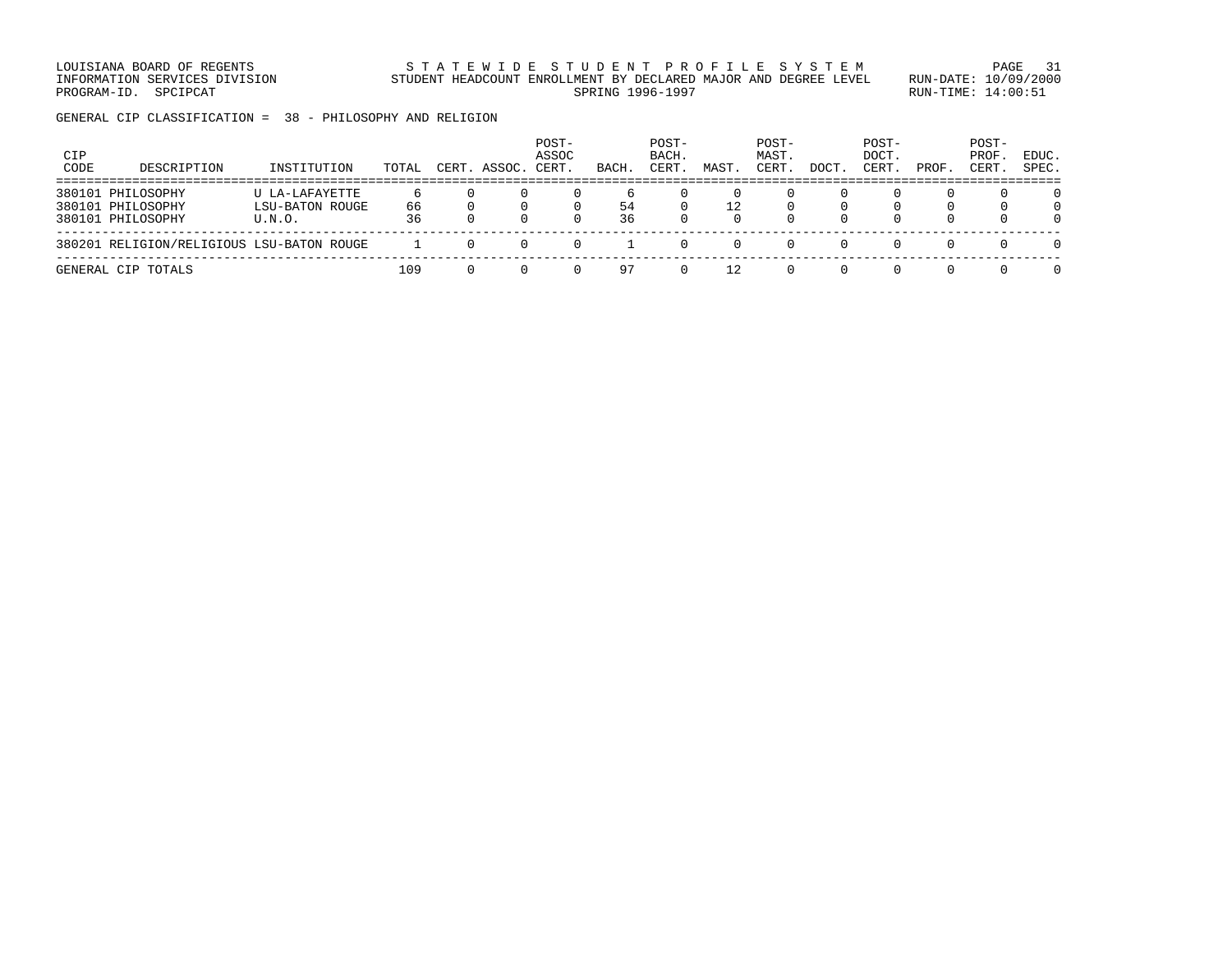LOUISIANA BOARD OF REGENTS STATEWIDE STUDENT PROFILE SYSTEM PAGE 31 INFORMATION SERVICES DIVISION STUDENT HEADCOUNT ENROLLMENT BY DECLARED MAJOR AND DEGREE LEVEL RUN-DATE: 10/09/2000 PROGRAM-ID. SPCIPCAT SERING RUN-TIME: 14:00:51

GENERAL CIP CLASSIFICATION = 38 - PHILOSOPHY AND RELIGION

| CIP<br>CODE | DESCRIPTION                                                 | INSTITUTION                                        | TOTAL    | CERT. ASSOC. | POST-<br>ASSOC<br>CERT. | BACH.    | POST-<br>BACH.<br>CERT. | MAST | POST-<br>MAST.<br>CERT. | DOCT         | POST-<br>DOCT.<br>CERT. | PROF          | POST-<br>PROF.<br>CERT. | EDUC.<br>SPEC.                   |
|-------------|-------------------------------------------------------------|----------------------------------------------------|----------|--------------|-------------------------|----------|-------------------------|------|-------------------------|--------------|-------------------------|---------------|-------------------------|----------------------------------|
|             | 380101 PHILOSOPHY<br>380101 PHILOSOPHY<br>380101 PHILOSOPHY | U LA-LAFAYETTE<br><b>LSU-BATON ROUGE</b><br>U.N.O. | 66<br>36 |              | 0                       | 54<br>36 |                         | 12   |                         | <sup>0</sup> |                         | 0<br>$\Omega$ | n.<br>$\Omega$          | $\Omega$<br>$\Omega$<br>$\Omega$ |
|             | 380201 RELIGION/RELIGIOUS LSU-BATON ROUGE                   |                                                    |          |              |                         |          |                         |      |                         |              |                         |               |                         | $\Omega$                         |
|             | GENERAL CIP TOTALS                                          |                                                    | 109      |              |                         | 97       |                         |      |                         |              |                         |               |                         | $\Omega$                         |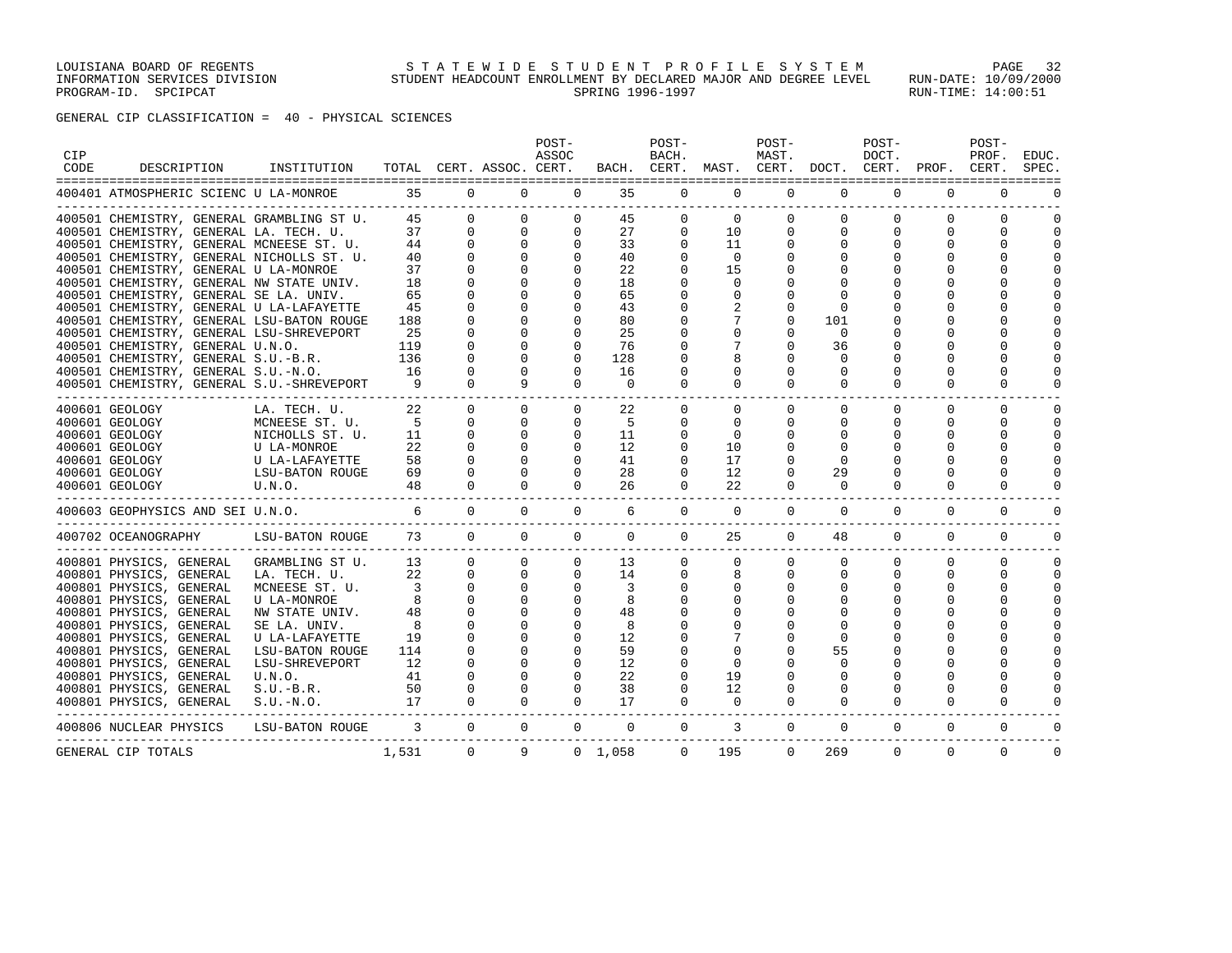LOUISIANA BOARD OF REGENTS STATEWIDE STUDENT PROFILE SYSTEM PAGE 32 INFORMATION SERVICES DIVISION STUDENT HEADCOUNT ENROLLMENT BY DECLARED MAJOR AND DEGREE LEVEL RUN-DATE: 10/09/2000 PROGRAM-ID. SPCIPCAT SERING RUN-TIME: 14:00:51

# GENERAL CIP CLASSIFICATION = 40 - PHYSICAL SCIENCES

| <b>CIP</b><br>CODE | DESCRIPTION                                                                | INSTITUTION       |                          |              | TOTAL CERT. ASSOC. CERT. | POST-<br>ASSOC |                 | POST-<br>BACH. | BACH. CERT. MAST. CERT. DOCT. | POST-<br>MAST. |              | POST-<br>DOCT.<br>CERT. | PROF.        | POST-<br>PROF.<br>CERT. | EDUC.<br>SPEC. |
|--------------------|----------------------------------------------------------------------------|-------------------|--------------------------|--------------|--------------------------|----------------|-----------------|----------------|-------------------------------|----------------|--------------|-------------------------|--------------|-------------------------|----------------|
|                    | 400401 ATMOSPHERIC SCIENC U LA-MONROE                                      |                   | 35                       |              | $\Omega$<br>$\Omega$     | $\Omega$       | 35              | $\Omega$       | $\Omega$                      | $\Omega$       | $\Omega$     | $\Omega$                | $\Omega$     | $\Omega$                |                |
|                    | 400501 CHEMISTRY, GENERAL GRAMBLING ST U.                                  |                   | 45                       | $\Omega$     | $\Omega$                 | $\Omega$       | 45              | $\Omega$       | $\Omega$                      | $\Omega$       | $\Omega$     | $\Omega$                | $\Omega$     | $\Omega$                | $\Omega$       |
|                    | 400501 CHEMISTRY, GENERAL LA. TECH. U.                                     |                   | 37                       | $\Omega$     | $\circ$                  | $\mathbf 0$    | 27              | $\Omega$       | 10                            | $\mathbf 0$    | $\Omega$     | $\Omega$                | $\Omega$     | 0                       | $\Omega$       |
|                    | 400501 CHEMISTRY, GENERAL MCNEESE ST. U.                                   |                   | 44                       | $\Omega$     | $\mathbf{0}$             | $\Omega$       | 33              | $\Omega$       | 11                            | 0              | $\Omega$     | 0                       | 0            | $\Omega$                | $\cap$         |
|                    | 400501 CHEMISTRY, GENERAL NICHOLLS ST. U.                                  |                   | 40                       | $\Omega$     | $\mathbf 0$              | $\Omega$       | 40              | $\Omega$       | $\mathbf 0$                   | 0              |              |                         |              | $\Omega$                |                |
|                    | 400501 CHEMISTRY, GENERAL U LA-MONROE                                      |                   | 37                       |              | $\Omega$                 | $\Omega$       | 22              | 0              | 15                            | O              |              |                         |              | ∩                       |                |
|                    | 400501 CHEMISTRY, GENERAL NW STATE UNIV.                                   |                   | 18                       |              | $\Omega$                 | $\Omega$       | 18              | $\Omega$       | $\Omega$                      |                |              |                         |              |                         |                |
|                    | 400501 CHEMISTRY, GENERAL SE LA. UNIV.                                     |                   | 65                       |              | $\Omega$                 | $\Omega$       | 65              | O              | $\Omega$                      | O              |              |                         |              | $\Omega$                |                |
|                    | 400501 CHEMISTRY, GENERAL U LA-LAFAYETTE                                   |                   | 45                       |              | $\Omega$                 | $\Omega$       | 43              | O              |                               | O              | <sup>0</sup> |                         |              |                         |                |
|                    | 400501 CHEMISTRY, GENERAL LSU-BATON ROUGE                                  |                   | 188                      |              | $\Omega$                 | $\Omega$       | 80              | O              |                               | O              | 101          |                         |              | $\Omega$                |                |
|                    | 400501 CHEMISTRY, GENERAL LSU-SHREVEPORT                                   |                   | 25                       |              | $\Omega$                 | $\Omega$       | 25              |                | U                             | O              | $\Omega$     |                         |              |                         |                |
|                    | 400501 CHEMISTRY, GENERAL U.N.O.                                           |                   | 119                      | $\Omega$     | $\Omega$                 | $\Omega$       | 76              | O              | 7                             | $\Omega$       | 36           |                         |              | $\Omega$                |                |
|                    | 400501 CHEMISTRY, GENERAL S.U.-B.R.                                        |                   | 136                      |              | $\Omega$                 | $\Omega$       | 128             |                | 8                             |                | $\Omega$     |                         |              |                         |                |
|                    | 400501 CHEMISTRY, GENERAL S.U.-N.O.                                        |                   | 16                       |              | $\Omega$                 | $\Omega$       | 16              | O              | U                             | O              | <sup>0</sup> |                         |              | $\Omega$                |                |
|                    | 400501 CHEMISTRY, GENERAL S.U.-SHREVEPORT<br>----------------------------- |                   | 9                        | $\Omega$     | 9                        | $\mathbf 0$    | $\mathbf 0$     | 0              | $\mathbf 0$                   | 0              | 0            | 0                       | 0            | 0                       |                |
|                    | 400601 GEOLOGY                                                             | LA. TECH. U.      | 22                       | $\Omega$     | $\Omega$                 | $\mathbf{0}$   | 22              | 0              | 0                             | 0              | 0            | $\mathbf 0$             | 0            | $\mathbf 0$             |                |
|                    | 400601 GEOLOGY                                                             | MCNEESE ST. U.    | $-5$                     | $\Omega$     | $\Omega$                 | $\Omega$       | 5               | 0              | $\Omega$                      | 0              | $\Omega$     | 0                       | 0            | $\Omega$                | ∩              |
|                    | 400601 GEOLOGY                                                             | NICHOLLS ST. U.   | 11                       | $\Omega$     | $\Omega$                 | $\Omega$       | 11              | $\Omega$       | $\Omega$                      | $\Omega$       | $\Omega$     | 0                       | $\Omega$     | $\Omega$                | $\cap$         |
|                    | 400601 GEOLOGY                                                             | U LA-MONROE       | 22                       | $\Omega$     | $\Omega$                 | $\Omega$       | 12              | $\Omega$       | 10                            | 0              | <sup>0</sup> | 0                       | <sup>0</sup> | $\Omega$                |                |
|                    | 400601 GEOLOGY                                                             | U LA-LAFAYETTE    | 58                       | $\Omega$     | $\Omega$                 | $\Omega$       | 41              | $\Omega$       | 17                            | 0              | $\Omega$     |                         |              | $\Omega$                |                |
|                    | 400601 GEOLOGY                                                             | LSU-BATON ROUGE   | 69                       | $\Omega$     | $\Omega$                 | $\Omega$       | 28              | $\Omega$       | 12                            | 0              | 29           |                         |              | $\Omega$                |                |
|                    | 400601 GEOLOGY                                                             | U.N.O.            | 48                       | $\Omega$     | $\Omega$                 | $\Omega$       | 26              | $\Omega$       | 22                            | $\Omega$       | $\Omega$     | $\Omega$                | $\Omega$     | $\Omega$                |                |
|                    | 400603 GEOPHYSICS AND SEI U.N.O.                                           |                   | 6                        | $\Omega$     | $\Omega$                 | $\Omega$       | 6               | $\mathbf{0}$   | $\mathbf 0$                   | $\mathbf 0$    | 0            | $\mathbf 0$             | 0            | $\mathbf 0$             |                |
|                    | 400702 OCEANOGRAPHY                                                        | LSU-BATON ROUGE   | 73                       | $\Omega$     | $\Omega$                 | $\Omega$       | $\Omega$        | $\Omega$       | 25                            | $\mathbf{0}$   | 48           | $\mathbf{0}$            | 0            | $\mathbf{0}$            | $\Omega$       |
|                    | 400801 PHYSICS, GENERAL                                                    | GRAMBLING ST U.   | 13                       | $\mathbf{0}$ | $\circ$                  | $\mathbf{0}$   | 13              | 0              | 0                             | $\mathbf 0$    | 0            | 0                       | 0            | $\mathbf 0$             | $\Omega$       |
|                    | 400801 PHYSICS, GENERAL                                                    | LA. TECH. U.      | 22                       | $\Omega$     | $\Omega$                 | $\Omega$       | 14              | $\Omega$       | 8                             | 0              | $\Omega$     | $\Omega$                | $\Omega$     | $\Omega$                | $\Omega$       |
|                    | 400801 PHYSICS, GENERAL                                                    | MCNEESE ST. U.    | $\overline{\phantom{a}}$ | $\Omega$     | $\mathbf{0}$             | $\Omega$       | 3               | 0              | 0                             | 0              |              | $\Omega$                | $\Omega$     | $\mathbf 0$             | $\cap$         |
|                    | 400801 PHYSICS, GENERAL                                                    | U LA-MONROE       | 8                        | $\Omega$     | $\Omega$                 | $\Omega$       | 8               |                |                               | O              |              |                         |              | $\Omega$                |                |
|                    | 400801 PHYSICS, GENERAL                                                    | NW STATE UNIV.    | 48                       | $\Omega$     | $\Omega$                 | $\Omega$       | 48              |                |                               | O              |              |                         |              | $\Omega$                |                |
|                    | 400801 PHYSICS, GENERAL                                                    | SE LA. UNIV.      | 8                        |              | $\Omega$                 |                | 8               |                |                               |                |              |                         |              |                         |                |
|                    | 400801 PHYSICS, GENERAL                                                    | U LA-LAFAYETTE    | 19                       |              | $\Omega$                 | $\Omega$       | 12              |                |                               | O              | $\Omega$     |                         |              |                         |                |
|                    | 400801 PHYSICS, GENERAL                                                    | LSU-BATON ROUGE   | 114                      |              | $\mathbf 0$              | 0              | 59              |                | $\Omega$                      | O              | 55           |                         |              |                         |                |
|                    | 400801 PHYSICS, GENERAL                                                    | LSU-SHREVEPORT    | 12                       |              | $\Omega$                 | $\Omega$       | 12              | O              | $\Omega$                      |                |              |                         |              | ∩                       |                |
|                    | 400801 PHYSICS, GENERAL                                                    | U.N.O.            | 41                       |              | $\Omega$                 | 0              | 22              | 0              | 19                            | O              |              |                         |              | $\Omega$                |                |
|                    | 400801 PHYSICS, GENERAL                                                    | $S.U.-B.R.$       | 50                       | $\Omega$     | $\Omega$                 | $\Omega$       | 38              | 0              | 12                            | O              |              |                         |              | $\Omega$                |                |
|                    | 400801 PHYSICS, GENERAL                                                    | $S.U.-N.O.$       | 17                       | $\Omega$     | $\Omega$                 | $\Omega$       | 17              | $\Omega$       | $\Omega$                      | $\Omega$       | $\Omega$     | $\Omega$                | $\Omega$     | $\Omega$                |                |
|                    | -------------------------------<br>400806 NUCLEAR PHYSICS                  | LSU-BATON ROUGE 3 |                          | $\Omega$     | $\Omega$                 | $\mathbf{0}$   | $\mathbf{0}$    | $\overline{0}$ | 3                             | $\mathbf{0}$   | $\mathbf 0$  | 0                       | 0            | $\mathbf{0}$            |                |
|                    | GENERAL CIP TOTALS                                                         |                   | 1,531                    | $\Omega$     | 9                        |                | $0 \quad 1.058$ | $\Omega$       | 195                           | $\Omega$       | 269          | $\Omega$                | $\Omega$     | $\Omega$                | $\Omega$       |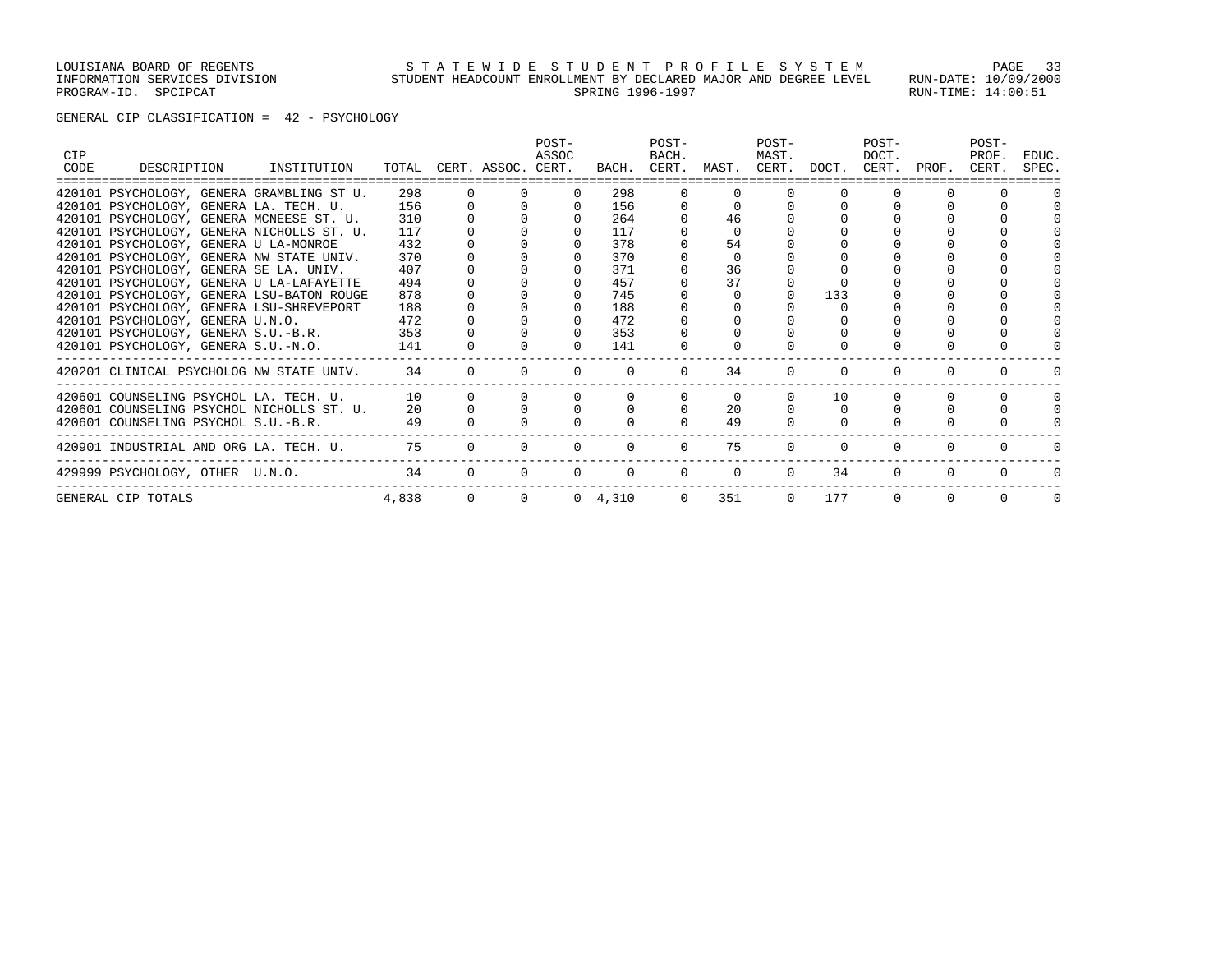### LOUISIANA BOARD OF REGENTS STATEWIDE STUDENT PROFILE SYSTEM PAGE 33 INFORMATION SERVICES DIVISION STUDENT HEADCOUNT ENROLLMENT BY DECLARED MAJOR AND DEGREE LEVEL RUN-DATE: 10/09/2000 PROGRAM-ID. SPCIPCAT SERING RUN-TIME: 14:00:51

### GENERAL CIP CLASSIFICATION = 42 - PSYCHOLOGY

| <b>CIP</b><br>CODE |                                       | DESCRIPTION INSTITUTION                      |              |          | TOTAL CERT. ASSOC. CERT. | POST-<br>ASSOC |              | POST-<br>BACH. | BACH. CERT. MAST. | POST-<br>MAST. | CERT. DOCT. | POST-<br>DOCT.<br>CERT. | PROF.    | POST-<br>PROF.<br>CERT. | EDUC.<br>SPEC. |
|--------------------|---------------------------------------|----------------------------------------------|--------------|----------|--------------------------|----------------|--------------|----------------|-------------------|----------------|-------------|-------------------------|----------|-------------------------|----------------|
|                    |                                       | 420101 PSYCHOLOGY, GENERA GRAMBLING ST U.    | 298 —        |          |                          |                | 298          |                |                   |                |             |                         |          |                         |                |
|                    |                                       | 420101 PSYCHOLOGY, GENERA LA. TECH. U.       | 156          |          |                          |                | 156          |                |                   |                |             |                         |          |                         |                |
|                    |                                       | 420101 PSYCHOLOGY, GENERA MCNEESE ST. U. 310 |              |          |                          |                | 264          |                | 46                |                |             |                         |          |                         |                |
|                    |                                       | 420101 PSYCHOLOGY, GENERA NICHOLLS ST. U.    | 117          |          |                          |                | 117          |                |                   |                |             |                         |          |                         |                |
|                    | 420101 PSYCHOLOGY, GENERA U LA-MONROE |                                              | 432          |          |                          |                | 378          |                | 54                |                |             |                         |          |                         |                |
|                    |                                       | 420101 PSYCHOLOGY, GENERA NW STATE UNIV.     | 370          |          |                          |                | 370          |                |                   |                |             |                         |          |                         |                |
|                    |                                       | 420101 PSYCHOLOGY, GENERA SE LA. UNIV.       | 407          |          |                          |                | 371          |                | 36                |                |             |                         |          |                         |                |
|                    |                                       | 420101 PSYCHOLOGY, GENERA U LA-LAFAYETTE     | 494          |          |                          |                | 457          |                | 37                |                |             |                         |          |                         |                |
|                    |                                       | 420101 PSYCHOLOGY, GENERA LSU-BATON ROUGE    | 878          |          |                          |                | 745          |                |                   |                | 133         |                         |          |                         |                |
|                    |                                       | 420101 PSYCHOLOGY, GENERA LSU-SHREVEPORT     | 188          |          |                          |                | 188          |                |                   |                |             |                         |          |                         |                |
|                    | 420101 PSYCHOLOGY, GENERA U.N.O.      |                                              | 472          |          |                          |                | 472          |                |                   |                |             |                         |          |                         |                |
|                    | 420101 PSYCHOLOGY, GENERA S.U.-B.R.   |                                              | 353          |          |                          |                | 353          |                |                   |                |             |                         |          |                         |                |
|                    | 420101 PSYCHOLOGY, GENERA S.U.-N.O.   |                                              | 141          |          |                          |                | 141          |                |                   |                |             |                         |          |                         |                |
|                    |                                       | 420201 CLINICAL PSYCHOLOG NW STATE UNIV. 34  |              | $\Omega$ | $\Omega$                 |                | $\Omega$     | $\Omega$       | 34                | $\Omega$       | $\Omega$    |                         |          |                         |                |
|                    |                                       | 420601 COUNSELING PSYCHOL LA. TECH. U.       | 10           |          |                          |                |              |                | $\Omega$          |                | 10          |                         | $\Omega$ | <sup>0</sup>            |                |
|                    |                                       | 420601 COUNSELING PSYCHOL NICHOLLS ST. U.    | $20^{\circ}$ | $\Omega$ | $\cap$                   |                | $\Omega$     |                | $20^{\circ}$      |                | $\Omega$    |                         |          |                         |                |
|                    | 420601 COUNSELING PSYCHOL S.U.-B.R.   |                                              | 49           |          |                          |                |              |                | 49                |                |             |                         |          |                         |                |
|                    |                                       | 420901 INDUSTRIAL AND ORG LA. TECH. U.       | 75           |          | $\Omega$                 |                | $\Omega$     |                | 75                | $\Omega$       | $\Omega$    | $\Omega$                | $\Omega$ |                         |                |
|                    | 429999 PSYCHOLOGY, OTHER U.N.O.       |                                              | 34           |          |                          |                |              |                | $\Omega$          | $\Omega$       | 34          |                         |          |                         |                |
|                    | GENERAL CIP TOTALS                    |                                              | 4,838        |          | $\Omega$                 | $\Omega$       | $0 \t 4,310$ |                | 351<br>$\Omega$   | $\Omega$       | 177         | $\Omega$                | $\Omega$ |                         |                |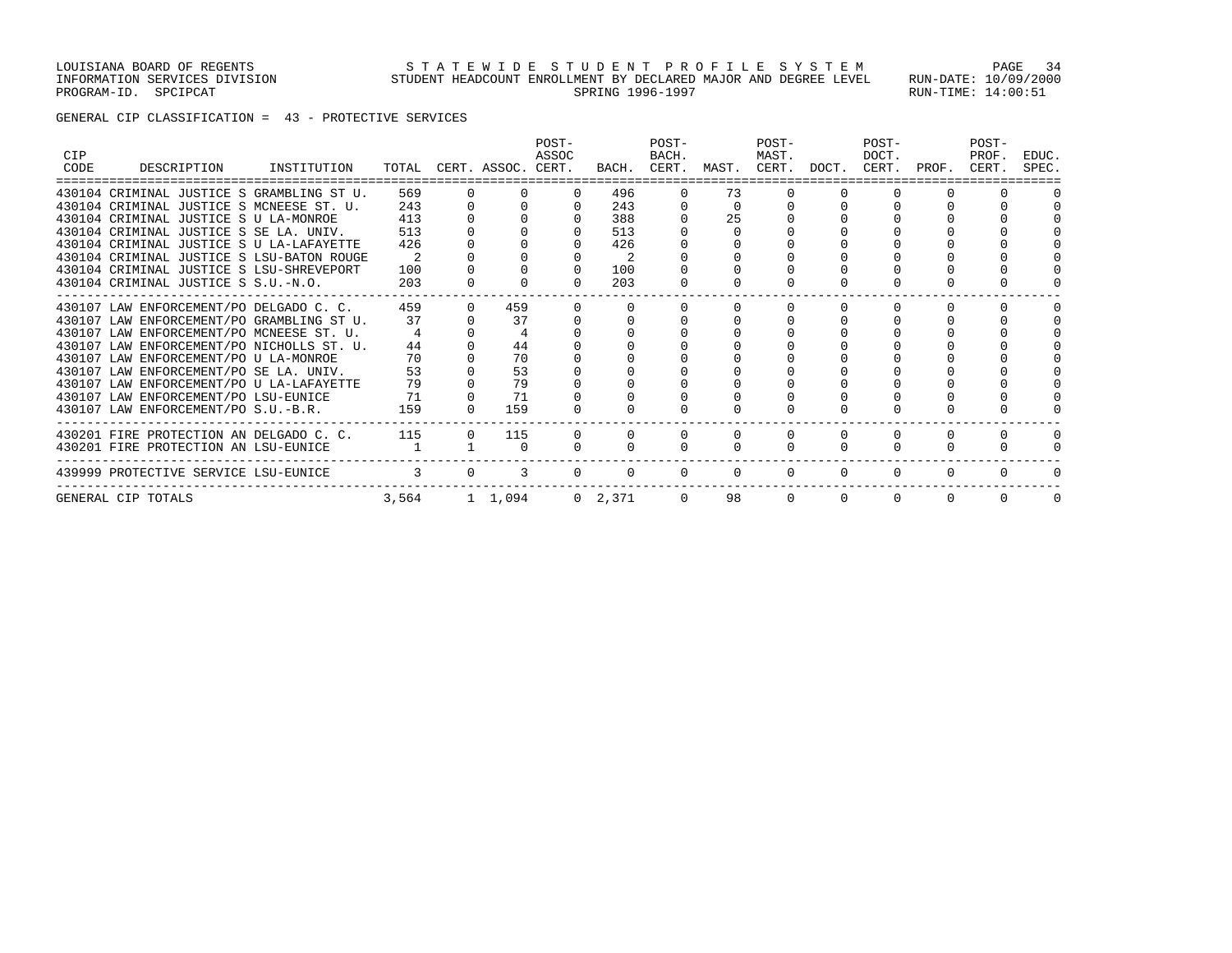GENERAL CIP CLASSIFICATION = 43 - PROTECTIVE SERVICES

| <b>CIP</b><br>CODE | DESCRIPTION                               | INSTITUTION |               | TOTAL CERT. ASSOC. CERT. | POST-<br>ASSOC |                 | POST-<br>BACH.<br>BACH. CERT. | MAST.        | POST-<br>MAST.<br>CERT. | DOCT.        | POST-<br>DOCT.<br>CERT. | PROF.    | POST-<br>PROF.<br>CERT. | EDUC.<br>SPEC. |
|--------------------|-------------------------------------------|-------------|---------------|--------------------------|----------------|-----------------|-------------------------------|--------------|-------------------------|--------------|-------------------------|----------|-------------------------|----------------|
|                    | 430104 CRIMINAL JUSTICE S GRAMBLING ST U. |             | 569           |                          |                | 496             |                               | 73           |                         |              |                         |          |                         |                |
|                    | 430104 CRIMINAL JUSTICE S MCNEESE ST. U.  |             | 243           |                          |                | 243             |                               |              |                         |              |                         |          |                         |                |
|                    | 430104 CRIMINAL JUSTICE S U LA-MONROE     |             | 413           |                          |                | 388             |                               | 25           |                         |              |                         |          |                         |                |
|                    | 430104 CRIMINAL JUSTICE S SE LA. UNIV.    |             | 513           |                          |                | 513             |                               |              |                         |              |                         |          |                         |                |
|                    | 430104 CRIMINAL JUSTICE S U LA-LAFAYETTE  |             | 426           |                          |                | 426             |                               |              |                         |              |                         |          |                         |                |
|                    | 430104 CRIMINAL JUSTICE S LSU-BATON ROUGE |             |               |                          |                |                 |                               |              |                         |              |                         |          |                         |                |
|                    | 430104 CRIMINAL JUSTICE S LSU-SHREVEPORT  |             | 100           |                          | $\Omega$       | 100             |                               |              |                         |              |                         |          |                         |                |
|                    | 430104 CRIMINAL JUSTICE S S.U.-N.O.       |             | 203           |                          |                | 203             |                               |              |                         |              |                         |          |                         |                |
|                    | 430107 LAW ENFORCEMENT/PO DELGADO C. C.   |             | 459           | 459                      |                |                 |                               |              |                         |              |                         |          |                         |                |
|                    | 430107 LAW ENFORCEMENT/PO GRAMBLING ST U. |             | 37            | 37                       |                |                 |                               |              |                         |              |                         |          |                         |                |
|                    | 430107 LAW ENFORCEMENT/PO MCNEESE ST. U.  |             |               |                          |                |                 |                               |              |                         |              |                         |          |                         |                |
|                    | 430107 LAW ENFORCEMENT/PO NICHOLLS ST. U. |             | 44            | 44                       |                |                 |                               |              |                         |              |                         |          |                         |                |
|                    | 430107 LAW ENFORCEMENT/PO U LA-MONROE     |             | 70            | 70                       |                |                 |                               |              |                         |              |                         |          |                         |                |
|                    | 430107 LAW ENFORCEMENT/PO SE LA. UNIV.    |             | 53            | 53                       |                |                 |                               |              |                         |              |                         |          |                         |                |
|                    | 430107 LAW ENFORCEMENT/PO U LA-LAFAYETTE  |             | 79            | 79                       |                |                 |                               |              |                         |              |                         |          |                         |                |
|                    | 430107 LAW ENFORCEMENT/PO LSU-EUNICE      |             | 71            | 71                       |                |                 |                               |              |                         |              |                         |          |                         |                |
|                    | 430107 LAW ENFORCEMENT/PO S.U.-B.R.       |             | 159           | 159                      |                |                 |                               |              |                         |              |                         |          |                         |                |
|                    | 430201 FIRE PROTECTION AN DELGADO C. C.   |             | 115           | 115                      |                |                 |                               |              |                         |              |                         |          |                         |                |
|                    | 430201 FIRE PROTECTION AN LSU-EUNICE      |             |               |                          |                |                 |                               |              |                         |              |                         |          |                         |                |
|                    | 439999 PROTECTIVE SERVICE LSU-EUNICE      |             | $\mathcal{L}$ |                          |                |                 |                               | <sup>0</sup> | $\Omega$                | <sup>n</sup> |                         |          |                         |                |
|                    | GENERAL CIP TOTALS                        |             | 3,564         | 1 1,094                  |                | $0 \quad 2,371$ | $\Omega$                      | 98           | $\Omega$                | $\Omega$     | $\Omega$                | $\Omega$ |                         |                |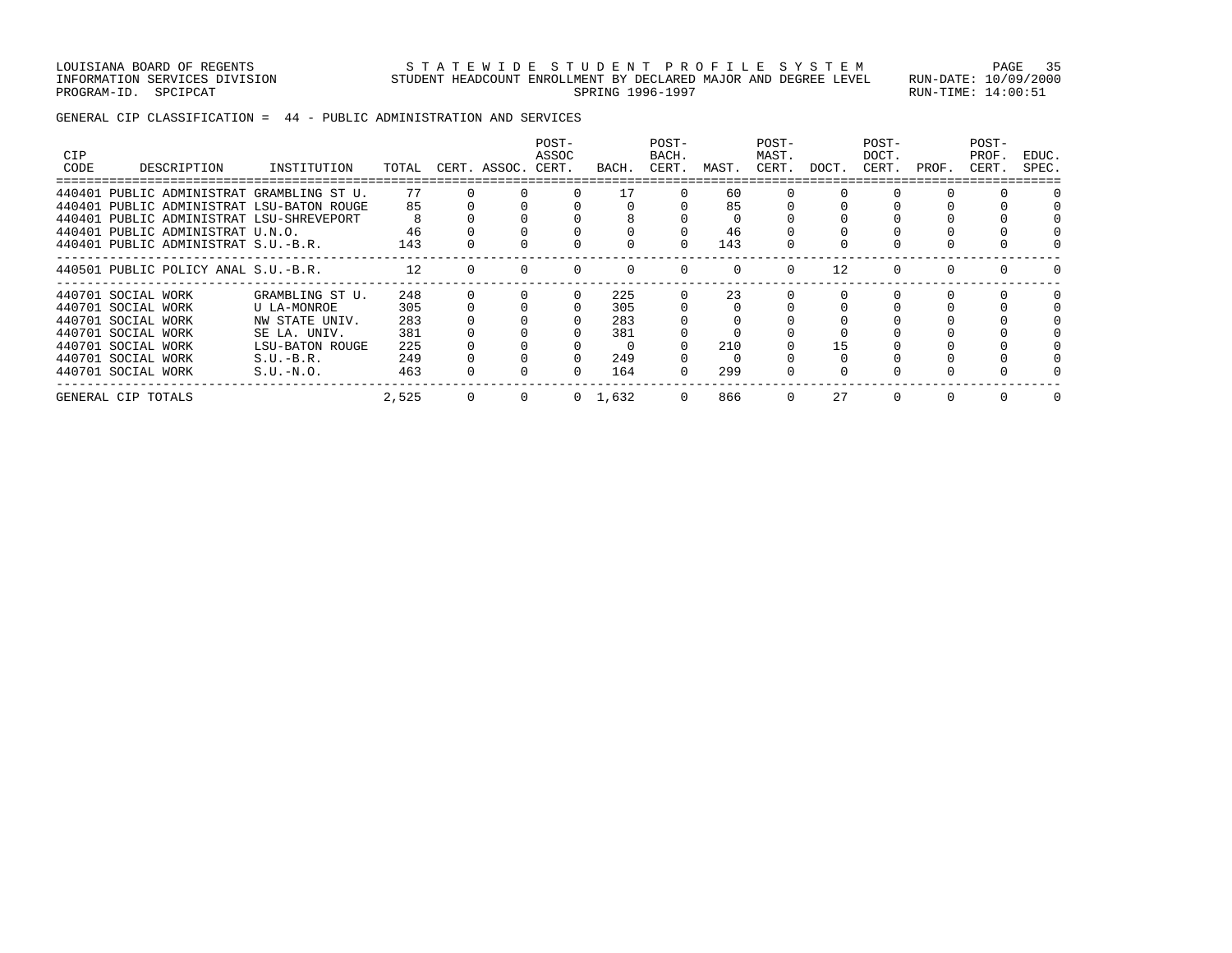LOUISIANA BOARD OF REGENTS SAN STATEWIDE STUDENT PROFILE SYSTEM PAGE 35 INFORMATION SERVICES DIVISION STUDENT HEADCOUNT ENROLLMENT BY DECLARED MAJOR AND DEGREE LEVEL RUN-DATE: 10/09/2000 PROGRAM-ID. SPCIPCAT SERING RUN-TIME: 14:00:51

GENERAL CIP CLASSIFICATION = 44 - PUBLIC ADMINISTRATION AND SERVICES

| <b>CIP</b><br>CODE | DESCRIPTION                               | INSTITUTION     | TOTAL | CERT. ASSOC. CERT. | POST-<br>ASSOC | BACH.           | POST-<br>BACH.<br>CERT. | MAST. | POST-<br>MAST.<br>CERT. | DOCT. | POST-<br>DOCT.<br>CERT. | PROF. | POST-<br>PROF.<br>CERT. | EDUC.<br>SPEC. |
|--------------------|-------------------------------------------|-----------------|-------|--------------------|----------------|-----------------|-------------------------|-------|-------------------------|-------|-------------------------|-------|-------------------------|----------------|
|                    | 440401 PUBLIC ADMINISTRAT GRAMBLING ST U. |                 | 77    |                    |                | 17              |                         | 60    |                         |       |                         |       |                         |                |
|                    | 440401 PUBLIC ADMINISTRAT LSU-BATON ROUGE |                 | 85    |                    |                |                 |                         | 85    |                         |       |                         |       |                         |                |
|                    | 440401 PUBLIC ADMINISTRAT LSU-SHREVEPORT  |                 |       |                    |                |                 |                         |       |                         |       |                         |       |                         |                |
|                    | 440401 PUBLIC ADMINISTRAT U.N.O.          |                 | 46    |                    |                |                 |                         | 46    |                         |       |                         |       |                         |                |
|                    | 440401 PUBLIC ADMINISTRAT S.U.-B.R.       |                 | 143   |                    |                |                 |                         | 143   |                         |       |                         |       |                         |                |
|                    | 440501 PUBLIC POLICY ANAL S.U.-B.R.       |                 | 12.   |                    |                |                 |                         |       | $\Omega$                | 12    |                         |       |                         |                |
|                    | 440701 SOCIAL WORK                        | GRAMBLING ST U. | 248   |                    | $\Omega$       | 225             |                         | 23    |                         | 0     |                         |       |                         |                |
|                    | 440701 SOCIAL WORK                        | U LA-MONROE     | 305   |                    |                | 305             |                         |       |                         |       |                         |       |                         |                |
|                    | 440701 SOCIAL WORK                        | NW STATE UNIV.  | 283   |                    |                | 283             |                         |       |                         |       |                         |       |                         |                |
|                    | 440701 SOCIAL WORK                        | SE LA. UNIV.    | 381   |                    |                | 381             |                         |       |                         |       |                         |       |                         |                |
|                    | 440701 SOCIAL WORK                        | LSU-BATON ROUGE | 225   |                    |                | $\Omega$        |                         | 210   |                         | 15    |                         |       |                         |                |
|                    | 440701 SOCIAL WORK                        | $S.U.-B.R.$     | 249   |                    |                | 249             |                         |       |                         |       |                         |       |                         |                |
|                    | 440701 SOCIAL WORK                        | $S.U.-N.O.$     | 463   |                    |                | 164             |                         | 299   |                         |       |                         |       |                         |                |
|                    | GENERAL CIP TOTALS                        |                 | 2,525 |                    |                | $0 \quad 1,632$ | 0                       | 866   | 0                       | 27    |                         |       |                         |                |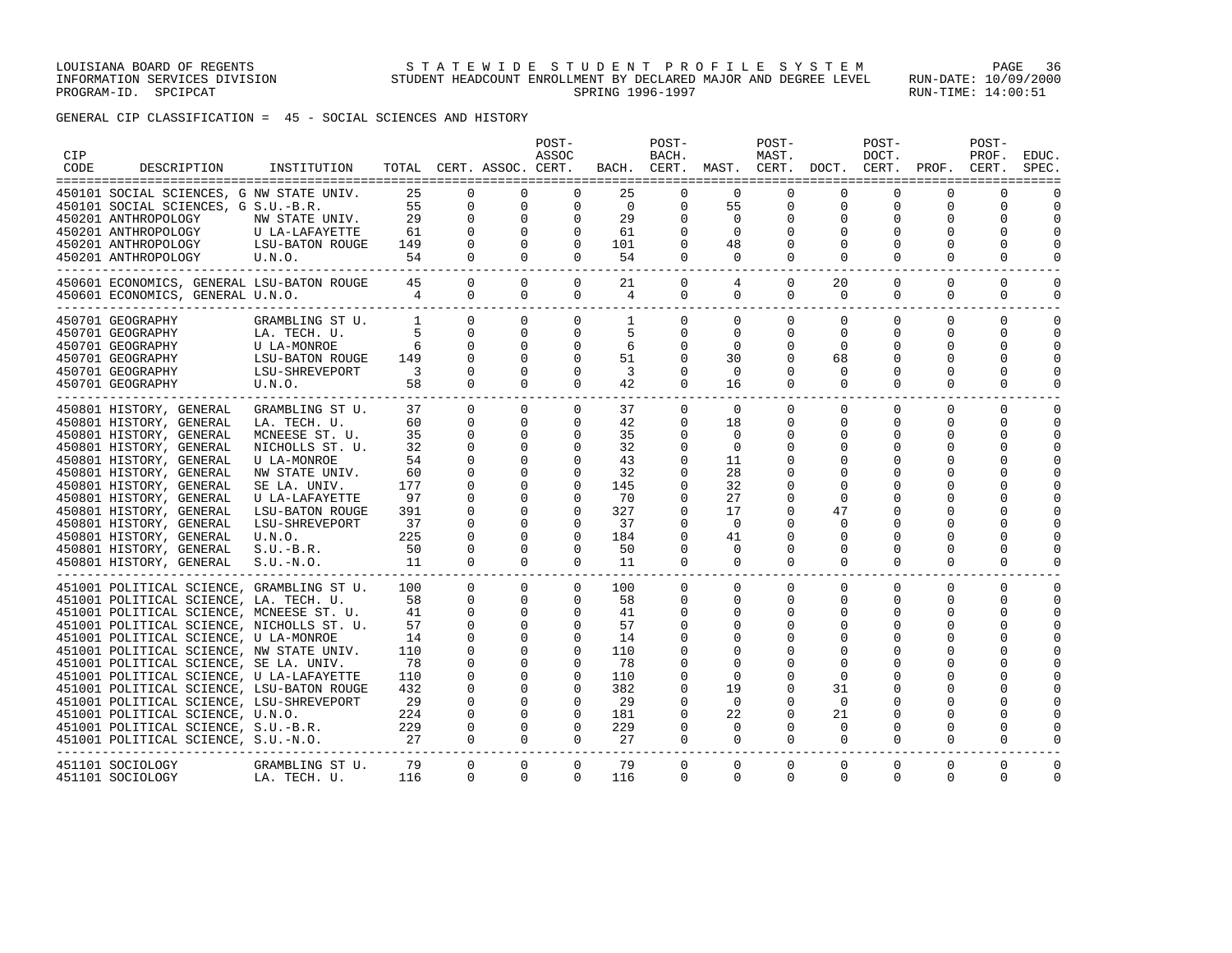GENERAL CIP CLASSIFICATION = 45 - SOCIAL SCIENCES AND HISTORY

| CIP<br>CODE | DESCRIPTION                                                                        | INSTITUTION                       |                         |                              | TOTAL CERT. ASSOC. CERT.                       | POST-<br>ASSOC             |                | POST-<br>BACH.       |                   | POST-<br>MAST.       | BACH. CERT. MAST. CERT. DOCT. CERT. PROF. CERT. | POST-<br>DOCT. |               | POST-<br>PROF.               | EDUC.<br>SPEC.             |
|-------------|------------------------------------------------------------------------------------|-----------------------------------|-------------------------|------------------------------|------------------------------------------------|----------------------------|----------------|----------------------|-------------------|----------------------|-------------------------------------------------|----------------|---------------|------------------------------|----------------------------|
|             | 450101 SOCIAL SCIENCES, G NW STATE UNIV.                                           |                                   | 25                      | $\Omega$                     | $\mathbf 0$                                    | 0                          | 25             | $\Omega$             | 0                 | $\Omega$             | 0                                               | 0              | 0             | 0                            |                            |
|             | 450101 SOCIAL SCIENCES, G S.U.-B.R.                                                |                                   |                         | 55<br>$\mathbf{0}$           | $\mathbf 0$                                    | $\mathbf 0$                | $\overline{0}$ | 0                    | 55                | $\mathsf{O}$         | $\mathbf 0$                                     | $\mathbf 0$    | 0             | 0                            | $\mathbf 0$                |
|             | 450201 ANTHROPOLOGY                                                                | NW STATE UNIV.                    | 29                      | $\Omega$                     | $\begin{matrix} 0 \\ 0 \\ 0 \\ 0 \end{matrix}$ | $\mathbf 0$                | 29             | $\Omega$             | $\Omega$          | $\Omega$             | $\Omega$                                        | $\Omega$       | $\Omega$      | $\Omega$                     | $\Omega$                   |
|             | 450201 ANTHROPOLOGY<br>450201 ANTHROPOLOGY                                         | U LA-LAFAYETTE<br>LSU-BATON ROUGE | 61<br>149               | $\mathbf{0}$<br>$\mathbf{0}$ |                                                | $\mathbf 0$<br>$\mathbf 0$ | 61<br>101      | 0<br>$\mathbf 0$     | $\mathbf 0$<br>48 | 0<br>$\mathbf 0$     | 0<br>$\mathbf 0$                                | 0<br>$\Omega$  | 0<br>$\Omega$ | 0<br>0                       | $\mathbf 0$<br>$\mathbf 0$ |
|             | 450201 ANTHROPOLOGY                                                                | U.N.O.                            | 54                      | $\mathbf{0}$                 | $\overline{0}$                                 | $\mathbf 0$                | 54             | $\mathbf 0$          | 0                 | $\mathbf 0$          | $\mathbf 0$                                     |                | 0             | 0                            | 0                          |
|             |                                                                                    |                                   |                         |                              |                                                |                            |                |                      |                   |                      |                                                 |                |               |                              |                            |
|             | 450601 ECONOMICS, GENERAL LSU-BATON ROUGE                                          |                                   | 45                      | $\overline{0}$               | $\circ$                                        | $\overline{0}$             | 21             | 0                    | 4                 | $\mathbf{0}$         | 20                                              | $\mathbf{0}$   | $\Omega$      | $\mathbf 0$                  | $\mathbf 0$                |
|             | 450601 ECONOMICS, GENERAL U.N.O.                                                   | $\overline{4}$                    |                         | $\overline{0}$               | $\circ$                                        | $\circ$                    | 4              | $\mathbf 0$          | 0                 | $\mathbf 0$          | 0                                               | $\mathbf{0}$   | 0             | 0                            | 0                          |
|             | ______________________________                                                     |                                   |                         |                              |                                                |                            |                |                      |                   |                      |                                                 |                |               |                              |                            |
|             | 450701 GEOGRAPHY                                                                   | GRAMBLING ST U.                   | $\overline{1}$          | $\mathbf{0}$                 | $\mathbf{0}$                                   | $\mathbf{0}$               | 1              | $\mathbf 0$          | 0                 | 0                    | 0                                               | $\Omega$       | $\mathbf 0$   | $\mathbf 0$                  | $\mathbf 0$                |
|             | 450701 GEOGRAPHY                                                                   | LA. TECH. U.                      |                         | $\Omega$<br>$\overline{0}$   | $\mathbf{0}$<br>$\overline{0}$                 | $\mathbf 0$                | 5              | $\Omega$             | $\Omega$<br>0     | 0                    | $\Omega$<br>0                                   | $\Omega$       | $\Omega$      | $\Omega$                     | $\Omega$<br>0              |
|             | 450701 GEOGRAPHY<br>450701 GEOGRAPHY                                               | U LA-MONROE<br>LSU-BATON ROUGE    | 6<br>149                | $\Omega$                     | $\overline{0}$                                 | $\mathbf{0}$<br>$\Omega$   | 6<br>51        | 0<br>$\Omega$        | 30                | 0<br>$\Omega$        | 68                                              | 0<br>$\Omega$  | 0<br>$\Omega$ | 0<br>$\Omega$                | $\Omega$                   |
|             | 450701 GEOGRAPHY                                                                   | LSU-BATON ROUGE<br>LSU-SHREVEPORT | $\overline{\mathbf{3}}$ | $\mathbf{0}$                 | $\circ$                                        | $\mathbf{0}$               | $\overline{3}$ | $\mathbf 0$          | $\mathbf 0$       | 0                    | 0                                               | 0              | 0             | 0                            | $\mathbf 0$                |
|             | 450701 GEOGRAPHY<br>U.N.O.                                                         |                                   | 58                      | $\mathbf{0}$                 | $\circ$                                        | $\Omega$                   | 42             | $\Omega$             | 16                | $\Omega$             | $\Omega$                                        | $\Omega$       | $\Omega$      | $\Omega$                     | $\mathbf 0$                |
|             |                                                                                    |                                   |                         |                              |                                                |                            |                |                      |                   |                      |                                                 |                |               |                              |                            |
|             | 450801 HISTORY, GENERAL                                                            | GRAMBLING ST U.                   | 37                      | $\overline{0}$               | $\circ$                                        | $\mathbf 0$                | 37             | $\mathbf 0$          | $\mathbf 0$       | $\mathbf 0$          | $\mathbf 0$                                     | $\mathbf 0$    | $\mathbf 0$   | $\mathbf 0$                  | $\mathbf 0$                |
|             | 450801 HISTORY, GENERAL                                                            | LA. TECH. U.                      | 60                      | 0                            | $\overline{0}$                                 | 0                          | 42             | 0                    | 18                | 0                    | 0                                               | 0              | 0             | 0                            | 0                          |
|             | 450801 HISTORY, GENERAL                                                            | MCNEESE ST. U.                    | 35                      | $\mathbf{0}$                 | $\mathbf{0}$                                   | $\mathbf 0$                | 35             | 0                    | $\mathbf 0$       | 0                    | 0                                               | 0              | $\Omega$      | 0                            | 0                          |
|             | 450801 HISTORY, GENERAL                                                            | NICHOLLS ST. U.                   | 32                      | $\mathbf{0}$                 | 0                                              | $\mathbf{0}$               | 32             | $\mathbf 0$          | $\mathbf 0$       | 0                    | 0                                               | 0              | 0             | 0                            | 0                          |
|             | 450801 HISTORY, GENERAL                                                            | U LA-MONROE                       | 54                      | 0                            | 0                                              | $\mathbf 0$                | 43             | $\mathbf 0$          | 11                | 0                    | 0                                               | $\Omega$       |               | 0                            | $\mathbf 0$                |
|             | 450801 HISTORY, GENERAL                                                            | NW STATE UNIV.                    | 60                      | 0                            | $\mathbf 0$                                    | $\mathbf{0}$               | 32             | $\Omega$             | 28                | 0                    | 0                                               | $\Omega$       |               | $\Omega$                     | $\Omega$                   |
|             | 450801 HISTORY, GENERAL                                                            | SE LA. UNIV.                      | 177<br>97               | 0<br>$\mathbf 0$             | $\circ$<br>$\mathbf 0$                         | $\mathbf 0$<br>$\Omega$    | 145<br>70      | $\Omega$<br>$\Omega$ | 32<br>27          | $\Omega$<br>$\Omega$ | $\Omega$<br>$\Omega$                            | $\Omega$       | 0<br>$\Omega$ | <sup>0</sup><br><sup>0</sup> | $\mathbf 0$<br>$\Omega$    |
|             | 450801 HISTORY, GENERAL                                                            | U LA-LAFAYETTE<br>LSU-BATON ROUGE | 391                     | $\mathbf{0}$                 | $\mathbf{0}$                                   | $\mathbf{0}$               | 327            | 0                    | 17                | 0                    | 47                                              | $\Omega$       | 0             | $\Omega$                     | $\mathbf 0$                |
|             | 450801 HISTORY, GENERAL<br>450801 HISTORY, GENERAL                                 | LSU-SHREVEPORT                    | 37                      | $\mathbf 0$                  | $\mathbf 0$                                    | $\Omega$                   | 37             | $\Omega$             | $\Omega$          | $\Omega$             | $\Omega$                                        | $\Omega$       | $\Omega$      | $\Omega$                     | $\Omega$                   |
|             | 450801 HISTORY, GENERAL                                                            | U.N.O.                            | 225                     | 0                            | $\mathbf{0}$                                   | $\mathbf{0}$               | 184            | 0                    | 41                | 0                    | 0                                               | $\Omega$       | 0             | 0                            | $\mathbf 0$                |
|             | 450801 HISTORY, GENERAL                                                            | $S.U.-B.R.$                       | 50                      | $\mathbf 0$                  | $\mathbf 0$                                    | $\mathbf 0$                | 50             | $\mathbf 0$          | 0                 | 0                    | $\Omega$                                        | $\Omega$       | 0             | 0                            | $\mathbf 0$                |
|             | 450801 HISTORY, GENERAL                                                            | $S.U.-N.O.$                       | 11                      | $\mathbf{0}$                 | $\circ$                                        | $\mathbf{0}$               | 11             | 0                    | $\mathbf 0$       | 0                    | 0                                               | 0              | 0             | 0                            | $\mathbf 0$                |
|             | ------------------                                                                 |                                   |                         |                              |                                                |                            |                |                      |                   |                      |                                                 |                |               |                              |                            |
|             | 451001 POLITICAL SCIENCE, GRAMBLING ST U.                                          |                                   | 100                     | $\Omega$                     | $\overline{0}$                                 | $\Omega$                   | 100            | $\mathbf{0}$         | $\Omega$          | $\Omega$             | $\Omega$                                        | $\Omega$       | $\Omega$      | $\Omega$                     | $\Omega$                   |
|             | 451001 POLITICAL SCIENCE, LA. TECH. U.                                             |                                   | 58                      | $\mathbf{0}$                 | $\overline{0}$                                 | $\mathbf{0}$               | 58             | 0                    | 0                 | $\mathbf{0}$         | 0                                               | $\Omega$       | 0             | 0                            | 0                          |
|             | 451001 POLITICAL SCIENCE, MCNEESE ST. U.                                           |                                   | 41                      | $\mathbf{0}$                 | $\overline{0}$                                 | $\mathbf{0}$               | 41             | 0                    | 0                 | 0                    | 0                                               | $\Omega$       | 0             | 0                            | 0                          |
|             | 451001 POLITICAL SCIENCE, NICHOLLS ST. U.                                          |                                   | 57                      | 0                            | $\overline{0}$                                 | $\mathbf 0$                | 57             | 0                    | 0                 | 0                    | 0                                               | 0              | 0             | 0                            | $\mathbf 0$                |
|             | 451001 POLITICAL SCIENCE, U LA-MONROE                                              |                                   | 14                      | $\mathbf 0$                  | $\mathbf 0$                                    | $\mathbf 0$                | 14             | 0                    | $\mathbf 0$       | 0                    |                                                 | $\Omega$       | $\Omega$      | $\Omega$                     | $\Omega$                   |
|             | 451001 POLITICAL SCIENCE, NW STATE UNIV.<br>451001 POLITICAL SCIENCE, SE LA. UNIV. |                                   | 110<br>78               | $\mathbf{0}$<br>$\mathbf 0$  | $\overline{0}$<br>$\circ$                      | $\mathbf 0$<br>$\mathbf 0$ | 110<br>78      | 0<br>0               | 0<br>$\Omega$     | 0<br>$\Omega$        | $\Omega$                                        |                | 0             | $\Omega$<br><sup>0</sup>     | $\mathbf 0$<br>$\Omega$    |
|             | 451001 POLITICAL SCIENCE, U LA-LAFAYETTE                                           |                                   | 110                     | 0                            | $\overline{0}$                                 | $\mathbf 0$                | 110            | $\mathbf 0$          | 0                 | 0                    | 0                                               | 0              | 0             | 0                            | $\mathbf 0$                |
|             | 451001 POLITICAL SCIENCE, LSU-BATON ROUGE                                          |                                   | 432                     | $\mathbf 0$                  | $\mathbf 0$                                    | $\mathbf 0$                | 382            | $\mathbf 0$          | 19                | 0                    | 31                                              |                |               | $\Omega$                     | $\mathbf 0$                |
|             | 451001 POLITICAL SCIENCE, LSU-SHREVEPORT                                           |                                   | 29                      | $\mathbf 0$                  | $\mathbf{0}$                                   | $\mathbf 0$                | 29             | $\mathbf 0$          | $\mathbf 0$       | $\Omega$             | $\Omega$                                        | $\Omega$       | $\Omega$      | $\Omega$                     | $\Omega$                   |
|             | 451001 POLITICAL SCIENCE, U.N.O.                                                   |                                   | 224                     | $\mathbf 0$                  | $\mathbf{0}$                                   | $\mathbf{0}$               | 181            | $\mathbf 0$          | 22                | 0                    | 21                                              | 0              | $\Omega$      | 0                            | $\mathbf 0$                |
|             | 451001 POLITICAL SCIENCE, S.U.-B.R.                                                |                                   |                         | $\mathbf{0}$                 | $\circ$                                        | $\mathbf 0$                | 229            | $\mathbf 0$          | $\mathbf 0$       | $\mathbf{0}$         | $\Omega$                                        | 0              | $\Omega$      | 0                            | $\mathbf 0$                |
|             | 451001 POLITICAL SCIENCE, S.U.-N.O.                                                |                                   | $\frac{229}{27}$        | $\mathbf{0}$                 | $\circ$                                        | $\mathbf{0}$               | 27             | $\mathbf 0$          | $\mathbf{0}$      | $\mathbf{0}$         | 0                                               | 0              | 0             | 0                            | 0                          |
|             |                                                                                    |                                   |                         |                              |                                                |                            |                |                      |                   |                      |                                                 |                |               |                              |                            |
|             | 451101 SOCIOLOGY<br>451101 SOCIOLOGY                                               | GRAMBLING ST U.<br>LA. TECH. U.   | 79<br>116               | $\mathbf{0}$<br>$\Omega$     | $\mathbf 0$<br>0                               | $\mathbf{0}$<br>0          | 79<br>116      | 0<br>$\mathbf 0$     | 0<br>0            | 0<br>0               | 0<br>0                                          | 0<br>0         | 0<br>0        | 0<br>0                       | 0<br>0                     |
|             |                                                                                    |                                   |                         |                              |                                                |                            |                |                      |                   |                      |                                                 |                |               |                              |                            |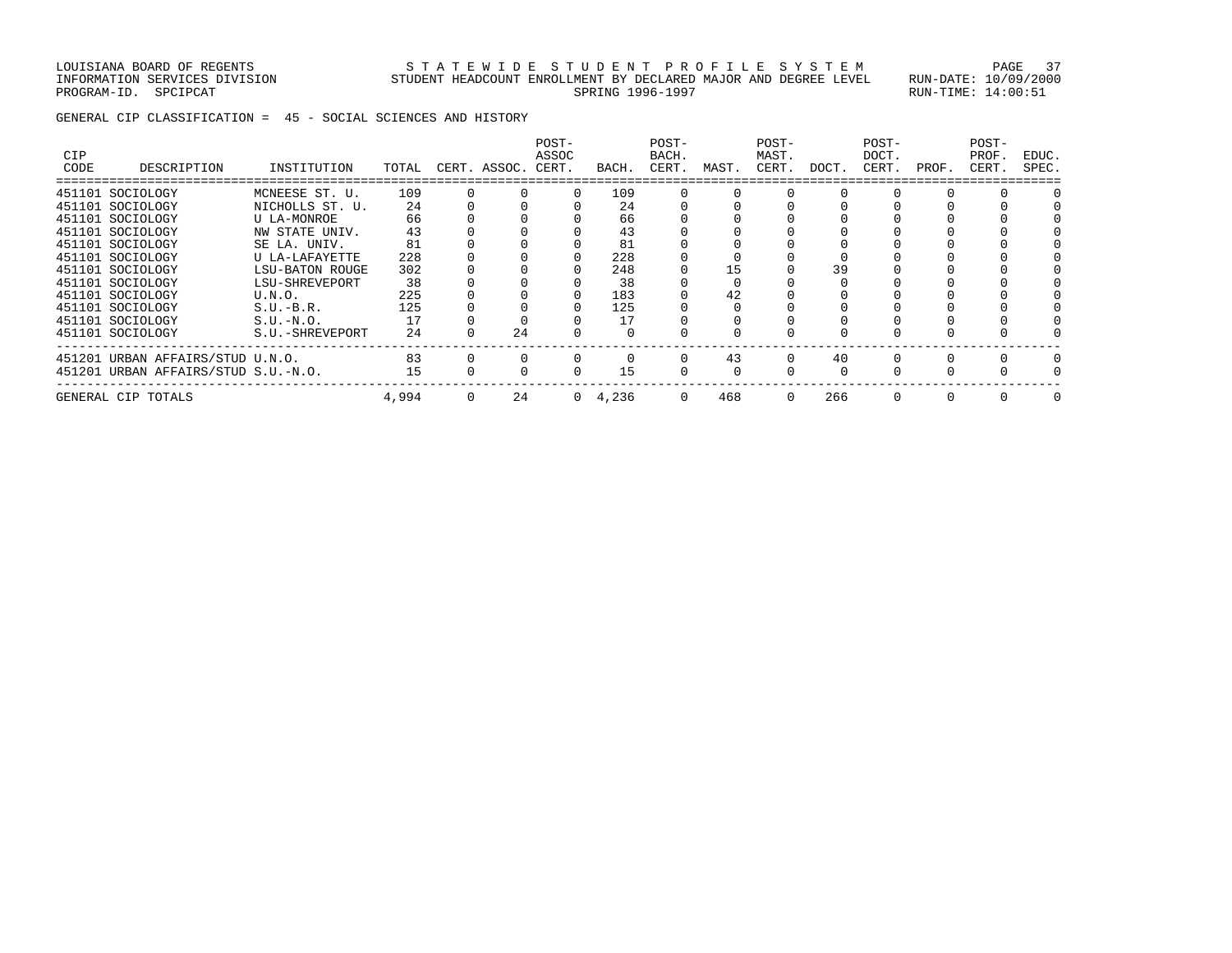LOUISIANA BOARD OF REGENTS STATEWIDE STUDENT PROFILE SYSTEM PAGE 37 INFORMATION SERVICES DIVISION STUDENT HEADCOUNT ENROLLMENT BY DECLARED MAJOR AND DEGREE LEVEL RUN-DATE: 10/09/2000 PROGRAM-ID. SPCIPCAT SERING RUN-TIME: 14:00:51

GENERAL CIP CLASSIFICATION = 45 - SOCIAL SCIENCES AND HISTORY

| <b>CIP</b><br>CODE | DESCRIPTION                         | INSTITUTION     | TOTAL | CERT. ASSOC. CERT. | POST-<br>ASSOC | BACH.           | POST-<br>BACH.<br>CERT. | MAST. | POST-<br>MAST.<br>CERT. | DOCT. | POST-<br>DOCT.<br>CERT. | PROF. | POST-<br>PROF.<br>CERT. | EDUC.<br>SPEC. |
|--------------------|-------------------------------------|-----------------|-------|--------------------|----------------|-----------------|-------------------------|-------|-------------------------|-------|-------------------------|-------|-------------------------|----------------|
|                    | 451101 SOCIOLOGY                    | MCNEESE ST. U.  | 109   |                    | $\Omega$       | 109             |                         |       |                         |       |                         |       |                         |                |
|                    | 451101 SOCIOLOGY                    | NICHOLLS ST. U. | 2.4   |                    |                | 2.4             |                         |       |                         |       |                         |       |                         |                |
|                    | 451101 SOCIOLOGY                    | U LA-MONROE     | 66    |                    |                | 66              |                         |       |                         |       |                         |       |                         |                |
|                    | 451101 SOCIOLOGY                    | NW STATE UNIV.  | 43    |                    |                | 43              |                         |       |                         |       |                         |       |                         |                |
|                    | 451101 SOCIOLOGY                    | SE LA. UNIV.    | 81    |                    |                | 81              |                         |       |                         |       |                         |       |                         |                |
|                    | 451101 SOCIOLOGY                    | U LA-LAFAYETTE  | 228   |                    |                | 228             |                         |       |                         |       |                         |       |                         |                |
|                    | 451101 SOCIOLOGY                    | LSU-BATON ROUGE | 302   |                    |                | 248             |                         | 15    |                         | 39    |                         |       |                         |                |
|                    | 451101 SOCIOLOGY                    | LSU-SHREVEPORT  | 38    |                    |                | 38              |                         |       |                         |       |                         |       |                         |                |
|                    | 451101 SOCIOLOGY                    | U.N.O.          | 225   |                    |                | 183             |                         | 42    |                         |       |                         |       |                         |                |
|                    | 451101 SOCIOLOGY                    | $S.U.-B.R.$     | 125   |                    |                | 125             |                         |       |                         |       |                         |       |                         |                |
|                    | 451101 SOCIOLOGY                    | $S.U.-N.O.$     | 17    |                    |                | 17              |                         |       |                         |       |                         |       |                         |                |
|                    | 451101 SOCIOLOGY                    | S.U.-SHREVEPORT | 24    | 24                 |                |                 |                         |       |                         |       |                         |       |                         |                |
|                    | 451201 URBAN AFFAIRS/STUD U.N.O.    |                 | 83    |                    |                |                 | <sup>n</sup>            | 43    | $\Omega$                | 40    |                         |       |                         |                |
|                    | 451201 URBAN AFFAIRS/STUD S.U.-N.O. |                 | 15    |                    |                | 15              |                         |       |                         |       |                         |       |                         |                |
|                    | GENERAL CIP TOTALS                  |                 | 4,994 | 24                 |                | $0 \quad 4,236$ | 0                       | 468   | $\Omega$                | 266   |                         |       |                         |                |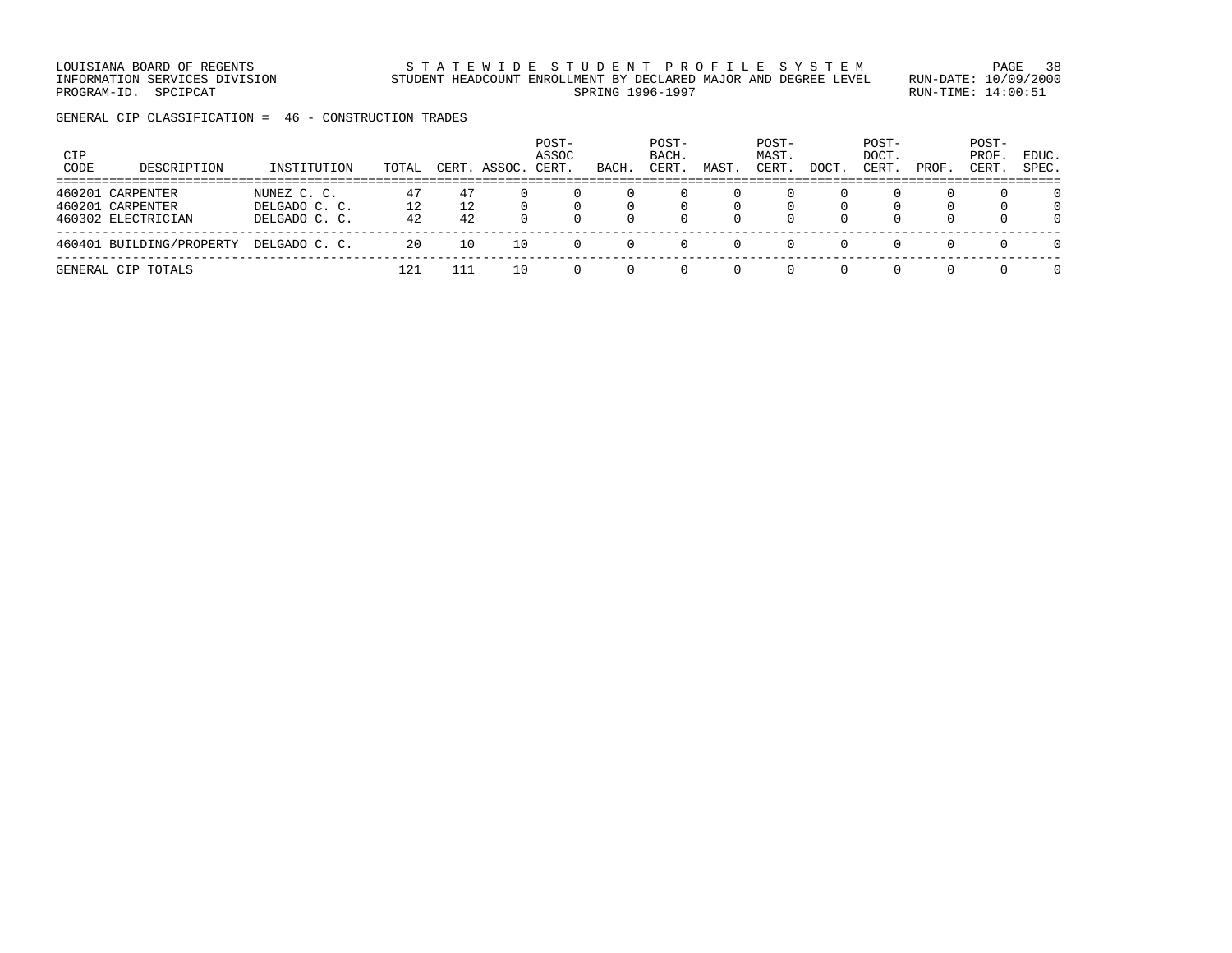LOUISIANA BOARD OF REGENTS STRTEWIDE STUDENT PROFILE SYSTEM PAGE 38 INFORMATION SERVICES DIVISION STUDENT HEADCOUNT ENROLLMENT BY DECLARED MAJOR AND DEGREE LEVEL RUN-DATE: 10/09/2000 PROGRAM-ID. SPCIPCAT SERING RUN-TIME: 14:00:51

GENERAL CIP CLASSIFICATION = 46 - CONSTRUCTION TRADES

| CIP<br>CODE | DESCRIPTION                                                | INSTITUTION                                   | TOTAL          | CERT.          | ASSOC. | POST-<br>ASSOC<br>CERT. | BACH. | POST-<br>BACH.<br>CERT. | MAST. | POST-<br>MAST.<br>CERT | DOCT | POST-<br><b>DOCT</b><br>CERT. | PROF.                                    | POST-<br>PROF<br>CERT. | EDUC.<br>SPEC.                   |
|-------------|------------------------------------------------------------|-----------------------------------------------|----------------|----------------|--------|-------------------------|-------|-------------------------|-------|------------------------|------|-------------------------------|------------------------------------------|------------------------|----------------------------------|
|             | 460201 CARPENTER<br>460201 CARPENTER<br>460302 ELECTRICIAN | NUNEZ C. C.<br>DELGADO C. C.<br>DELGADO C. C. | 47<br>12<br>42 | 47<br>12<br>42 |        |                         |       |                         |       |                        |      |                               | $\left( \right)$<br>$\Omega$<br>$\Omega$ | $\Omega$<br>$\Omega$   | $\Omega$<br>$\Omega$<br>$\Omega$ |
|             | 460401 BUILDING/PROPERTY                                   | DELGADO C. C.                                 | 20             | 10             | 10     |                         |       |                         |       |                        |      |                               | $\Omega$                                 |                        | $\Omega$                         |
|             | GENERAL CIP TOTALS                                         |                                               | 121            | 111            | 10     |                         |       |                         |       |                        |      |                               | 0                                        |                        | $\Omega$                         |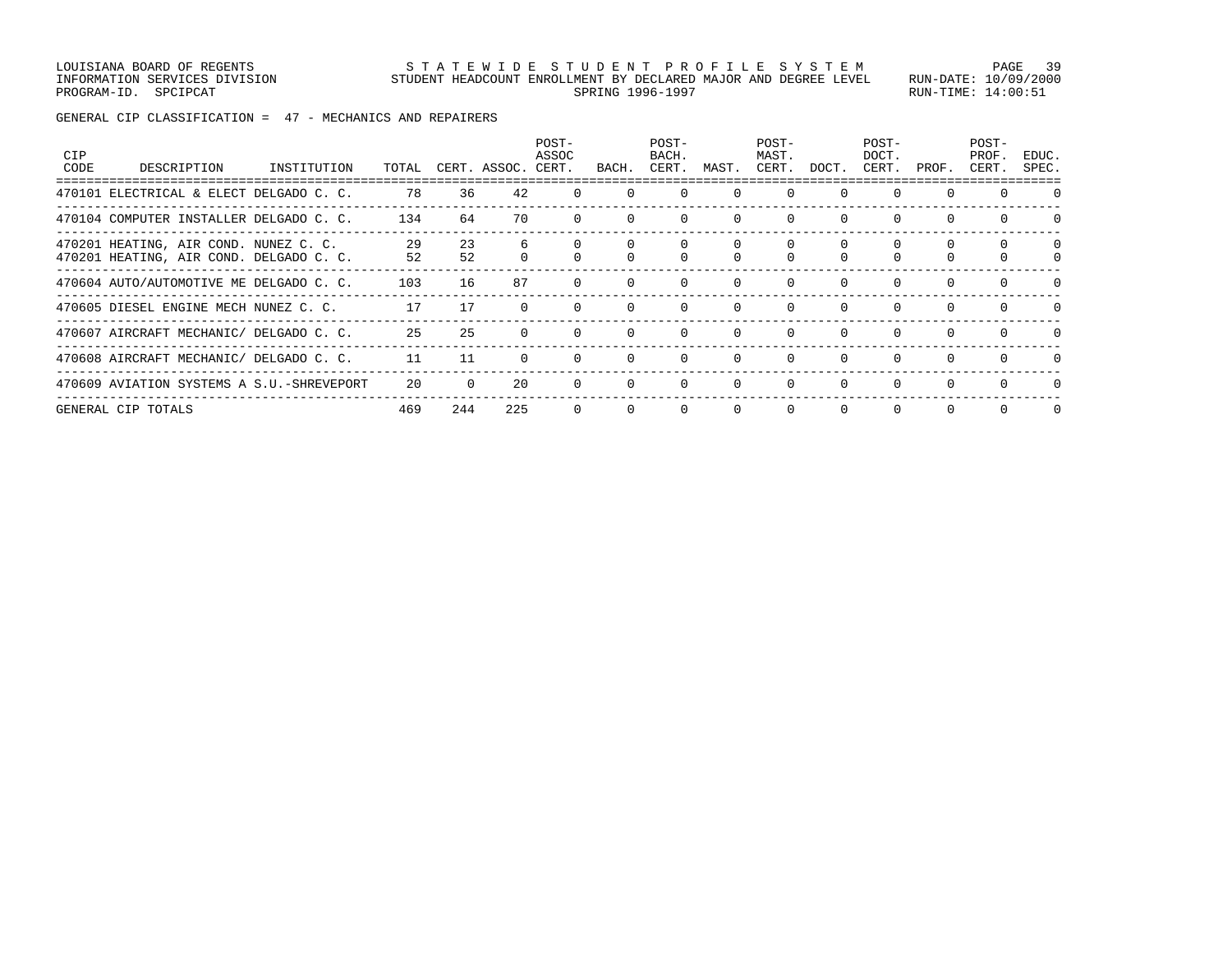LOUISIANA BOARD OF REGENTS STATEWIDE STUDENT PROFILE SYSTEM PAGE 39 INFORMATION SERVICES DIVISION STUDENT HEADCOUNT ENROLLMENT BY DECLARED MAJOR AND DEGREE LEVEL RUN-DATE: 10/09/2000 PROGRAM-ID. SPCIPCAT SERING 1996-1997 SPRING 1996-1997 SPROGRAM-ID. SPCIPCAT: 14:00:51

GENERAL CIP CLASSIFICATION = 47 - MECHANICS AND REPAIRERS

| <b>CIP</b><br>CODE | DESCRIPTION                                                                      | INSTITUTION | TOTAL    |          | CERT. ASSOC. CERT. | POST-<br>ASSOC | BACH.        | POST-<br>BACH.<br>CERT. | MAST.    | POST-<br>MAST.<br>CERT. | DOCT.    | POST-<br>DOCT.<br>CERT. | PROF.    | POST-<br>PROF.<br>CERT. | EDUC.<br>SPEC. |
|--------------------|----------------------------------------------------------------------------------|-------------|----------|----------|--------------------|----------------|--------------|-------------------------|----------|-------------------------|----------|-------------------------|----------|-------------------------|----------------|
|                    | 470101 ELECTRICAL & ELECT DELGADO C. C.                                          |             | 78       | 36       | 42                 |                |              | $\Omega$                | $\Omega$ | $\Omega$                |          | $\Omega$                |          |                         |                |
|                    | 470104 COMPUTER INSTALLER DELGADO C. C.                                          |             | 134      | 64       | 70                 |                | $\Omega$     | $\Omega$                | $\Omega$ | $\Omega$                | $\Omega$ | 0                       |          |                         |                |
|                    | 470201 HEATING, AIR COND. NUNEZ C. C.<br>470201 HEATING, AIR COND. DELGADO C. C. |             | 29<br>52 | 23<br>52 |                    |                |              |                         |          |                         |          |                         |          | 0                       | $\Omega$       |
|                    | 470604 AUTO/AUTOMOTIVE ME DELGADO C. C.                                          |             | 103      | 16       | 87                 |                | $\Omega$     | $\Omega$                | $\Omega$ | $\Omega$                | $\Omega$ | $\Omega$                | $\Omega$ | $\Omega$                | <sup>n</sup>   |
|                    | 470605 DIESEL ENGINE MECH NUNEZ C. C.                                            |             | 17       | 17       |                    |                | $\Omega$     | $\Omega$                | $\Omega$ | $\Omega$                | $\Omega$ | $\Omega$                | $\cap$   | $\Omega$                | $\cap$         |
|                    | 470607 AIRCRAFT MECHANIC/ DELGADO C. C.                                          |             | 25       | 25       | $\Omega$           |                | $\Omega$     | $\Omega$                | $\Omega$ | $\Omega$                | $\Omega$ | $\Omega$                |          |                         |                |
|                    | 470608 AIRCRAFT MECHANIC/ DELGADO C. C.                                          |             | 11       | 11       | $\Omega$           |                | $\Omega$     | $\Omega$                | $\Omega$ | $\Omega$                | $\Omega$ | $\Omega$                |          | $\Omega$                | <sup>n</sup>   |
|                    | 470609 AVIATION SYSTEMS A S.U.-SHREVEPORT                                        |             | 20       |          | 20                 |                | $\Omega$     | $\Omega$                | $\Omega$ | $\Omega$                |          | $\Omega$                |          |                         |                |
|                    | GENERAL CIP TOTALS                                                               |             | 469      | 244      | 225                | $\Omega$       | $\mathbf{0}$ | $\circ$                 | 0        | $\mathbf 0$             | 0        | 0                       | $\Omega$ | $\Omega$                | $\Omega$       |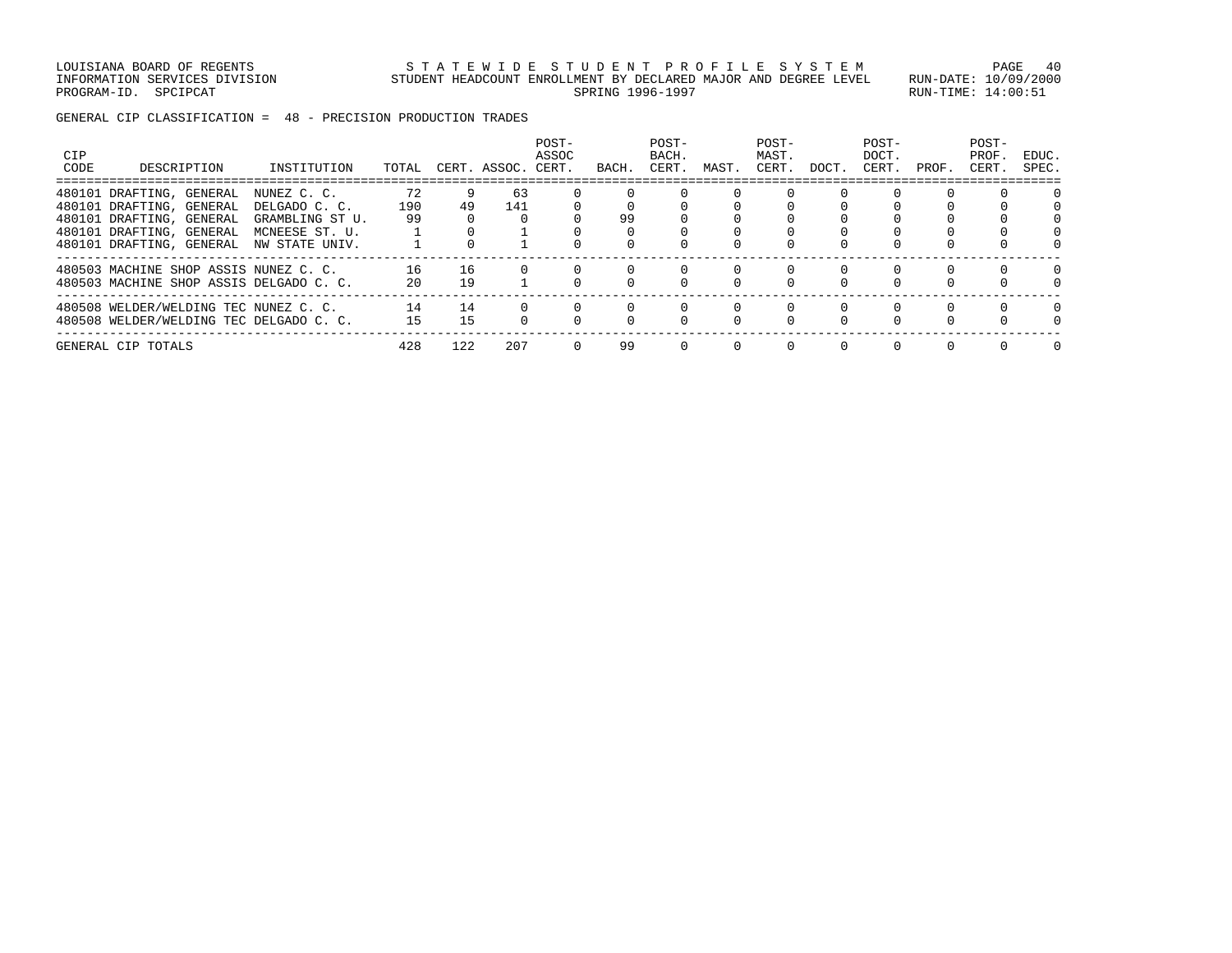LOUISIANA BOARD OF REGENTS STATEWIDE STUDENT PROFILE SYSTEM PAGE 40 INFORMATION SERVICES DIVISION STUDENT HEADCOUNT ENROLLMENT BY DECLARED MAJOR AND DEGREE LEVEL RUN-DATE: 10/09/2000 PROGRAM-ID. SPCIPCAT SERING 1996-1997 SPRING 1996-1997 SPROGRAM-ID. SPCIPCAT: 14:00:51

GENERAL CIP CLASSIFICATION = 48 - PRECISION PRODUCTION TRADES

| <b>CIP</b><br>CODE | DESCRIPTION                             | INSTITUTION     | TOTAL |     | CERT. ASSOC. | POST-<br>ASSOC<br>CERT. | BACH. | POST-<br>BACH.<br>CERT. | MAST. | POST-<br>MAST.<br>CERT. | DOCT.    | POST-<br>DOCT.<br>CERT. | PROF. | POST-<br>PROF<br>CERT. | EDUC.<br>SPEC.   |
|--------------------|-----------------------------------------|-----------------|-------|-----|--------------|-------------------------|-------|-------------------------|-------|-------------------------|----------|-------------------------|-------|------------------------|------------------|
|                    | 480101 DRAFTING, GENERAL                | NUNEZ C. C.     | 72    |     | 63           |                         |       |                         |       |                         |          |                         |       |                        |                  |
|                    | 480101 DRAFTING, GENERAL                | DELGADO C. C.   | 190   | 49  | 141          |                         |       |                         |       |                         |          |                         |       |                        |                  |
|                    | 480101 DRAFTING, GENERAL                | GRAMBLING ST U. | 99    |     |              |                         | 99    |                         |       |                         |          |                         |       |                        |                  |
|                    | 480101 DRAFTING, GENERAL                | MCNEESE ST. U.  |       |     |              |                         |       |                         |       |                         |          |                         |       |                        |                  |
|                    | 480101 DRAFTING, GENERAL                | NW STATE UNIV.  |       |     |              |                         |       |                         |       |                         |          |                         |       |                        |                  |
|                    | 480503 MACHINE SHOP ASSIS NUNEZ C. C.   |                 | 16    | 16  |              |                         |       |                         |       |                         |          |                         |       |                        | 0                |
|                    | 480503 MACHINE SHOP ASSIS DELGADO C. C. |                 | 20    | 19  |              |                         |       |                         |       |                         | $\Omega$ |                         |       |                        |                  |
|                    | 480508 WELDER/WELDING TEC NUNEZ C. C.   |                 | 14    | 14  |              |                         |       |                         |       | $\Omega$                | 0        | $\Omega$                | 0     | $\Omega$               | $\left( \right)$ |
|                    | 480508 WELDER/WELDING TEC DELGADO C. C. |                 | 15    | 15  |              |                         |       |                         |       | $\cap$                  |          |                         |       |                        |                  |
|                    | GENERAL CIP TOTALS                      |                 | 428   | 122 | 207          |                         | 99    |                         |       |                         | $\Omega$ |                         |       |                        |                  |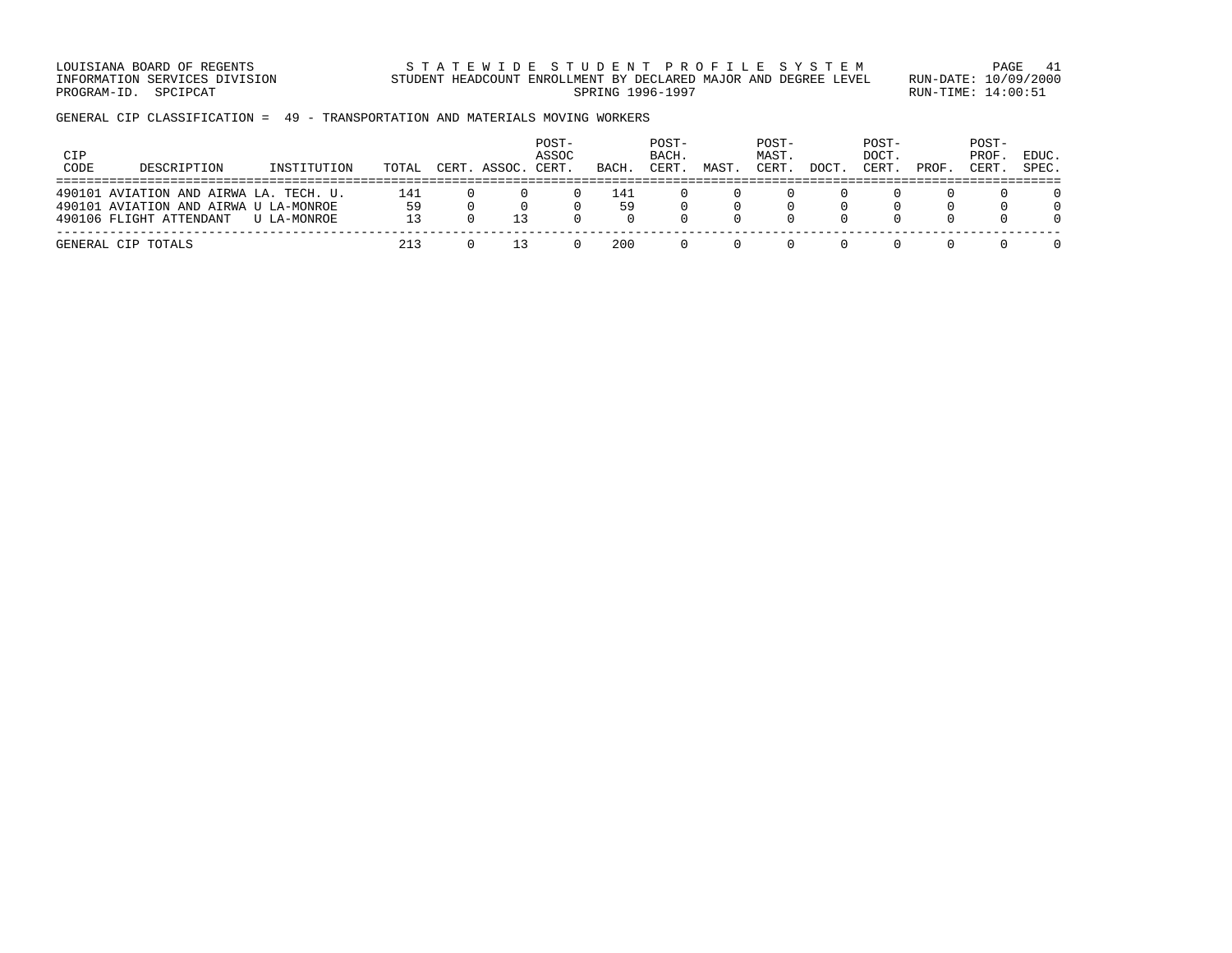LOUISIANA BOARD OF REGENTS STATEWIDE STUDENT PROFILE SYSTEM PAGE 41 INFORMATION SERVICES DIVISION STUDENT HEADCOUNT ENROLLMENT BY DECLARED MAJOR AND DEGREE LEVEL RUN-DATE: 10/09/2000 PROGRAM-ID. SPCIPCAT SERING 1996-1997 SPRING 1996-1997 SPROGRAM-ID. SPCIPCAT: 14:00:51

GENERAL CIP CLASSIFICATION = 49 - TRANSPORTATION AND MATERIALS MOVING WORKERS

| <b>CIP</b><br>CODE | DESCRIPTION                                                                                                | INSTITUTION | TOTAL     | CERT. ASSOC. | POST-<br>ASSOC<br>CERT. | BACH.     | POST-<br>BACH.<br>CERT. | MAST. | POST-<br>MAST.<br>CERT. | DOCT | POST-<br>DOCT.<br>CERT. | PROF             | POST-<br>PROF.<br>CERT. | EDUC.<br>SPEC. |
|--------------------|------------------------------------------------------------------------------------------------------------|-------------|-----------|--------------|-------------------------|-----------|-------------------------|-------|-------------------------|------|-------------------------|------------------|-------------------------|----------------|
|                    | 490101 AVIATION AND AIRWA LA. TECH. U.<br>490101 AVIATION AND AIRWA U LA-MONROE<br>490106 FLIGHT ATTENDANT | U LA-MONROE | 141<br>59 |              | $\left( \right)$        | 141<br>59 |                         |       |                         |      |                         | $\cap$<br>$\cap$ | <sup>n</sup>            |                |
|                    | GENERAL CIP TOTALS                                                                                         |             | 213       |              |                         | 200       |                         |       |                         |      |                         |                  |                         |                |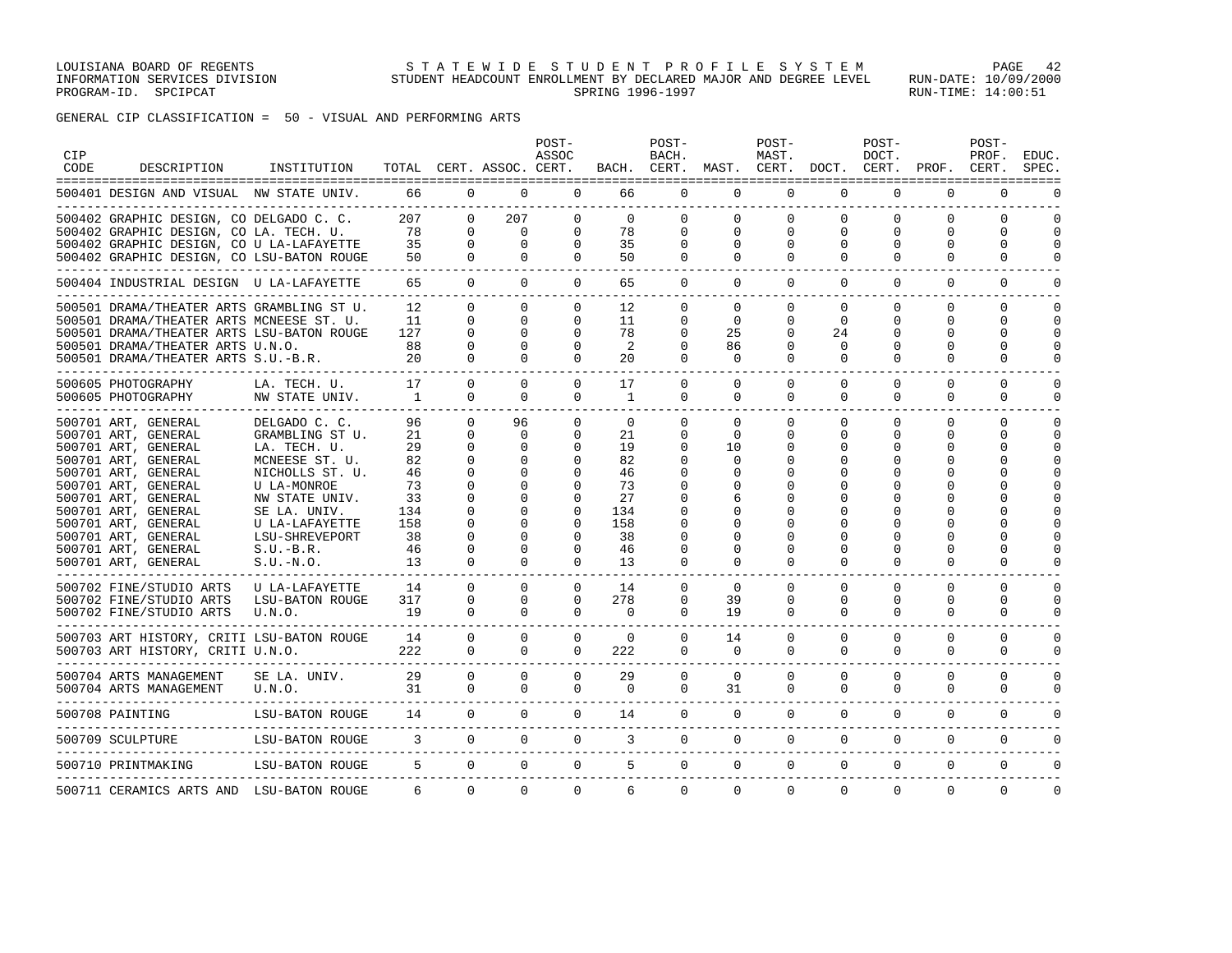GENERAL CIP CLASSIFICATION = 50 - VISUAL AND PERFORMING ARTS

| CIP<br>CODE | DESCRIPTION                                                                                                                                                                                                                                                                      | INSTITUTION                                                                                                                                                                                              |                                                                        |                                                                                                                                  | TOTAL CERT. ASSOC. CERT.                                                           | POST-<br>ASSOC                                                                           | BACH.                                                                        | POST-<br>BACH.<br>CERT.                                           | MAST.                                                                     | POST-<br>MAST.<br>CERT.               | DOCT.                                        | POST-<br>DOCT.<br>CERT.                      | PROF.                               | POST-<br>PROF.<br>CERT.                                                                                    | EDUC.<br>SPEC.                      |
|-------------|----------------------------------------------------------------------------------------------------------------------------------------------------------------------------------------------------------------------------------------------------------------------------------|----------------------------------------------------------------------------------------------------------------------------------------------------------------------------------------------------------|------------------------------------------------------------------------|----------------------------------------------------------------------------------------------------------------------------------|------------------------------------------------------------------------------------|------------------------------------------------------------------------------------------|------------------------------------------------------------------------------|-------------------------------------------------------------------|---------------------------------------------------------------------------|---------------------------------------|----------------------------------------------|----------------------------------------------|-------------------------------------|------------------------------------------------------------------------------------------------------------|-------------------------------------|
|             | 500401 DESIGN AND VISUAL NW STATE UNIV.                                                                                                                                                                                                                                          |                                                                                                                                                                                                          | 66<br>-----------------------                                          | $\Omega$                                                                                                                         | $\Omega$                                                                           | $\Omega$                                                                                 | 66                                                                           | $\Omega$                                                          | $\Omega$                                                                  | $\Omega$                              | $\mathbf 0$                                  | $\mathbf 0$                                  | $\mathbf 0$                         | $\mathbf 0$                                                                                                | $\Omega$                            |
|             | 500402 GRAPHIC DESIGN, CO DELGADO C. C.<br>500402 GRAPHIC DESIGN, CO LA. TECH. U.<br>500402 GRAPHIC DESIGN, CO U LA-LAFAYETTE<br>500402 GRAPHIC DESIGN, CO LSU-BATON ROUGE<br>---------------------------                                                                        |                                                                                                                                                                                                          | 207<br>78<br>35<br>50                                                  | $\Omega$<br>$\Omega$<br>$\Omega$<br>0                                                                                            | 207<br>$\Omega$<br>$\Omega$<br>$\circ$                                             | 0<br>0<br>$\mathbf{0}$<br>0                                                              | $\Omega$<br>78<br>35<br>50                                                   | $\Omega$<br>$\Omega$<br>$\Omega$<br>0                             | $\Omega$<br>$\Omega$<br>$\Omega$<br>0                                     | 0<br>$\Omega$<br>$\Omega$<br>0        | $\Omega$<br>$\Omega$<br>$\Omega$<br>$\Omega$ | $\Omega$<br>$\Omega$<br>$\Omega$<br>$\Omega$ | $\Omega$<br>$\Omega$<br>0<br>0      | $\mathbf 0$<br>$\Omega$<br>$\Omega$<br>0                                                                   | $\cap$<br>$\Omega$<br>$\Omega$<br>∩ |
|             | 500404 INDUSTRIAL DESIGN U LA-LAFAYETTE                                                                                                                                                                                                                                          |                                                                                                                                                                                                          | 65                                                                     | $\mathbf{0}$                                                                                                                     | $\circ$                                                                            | $\mathbf 0$                                                                              | 65                                                                           | $\mathbf 0$                                                       | $\mathbf 0$                                                               | $\mathbf 0$                           | $\mathbf 0$                                  | $\mathbf 0$                                  | $\mathbf 0$                         | $\mathbf 0$                                                                                                |                                     |
|             | 500501 DRAMA/THEATER ARTS GRAMBLING ST U.<br>500501 DRAMA/THEATER ARTS MCNEESE ST. U.<br>500501 DRAMA/THEATER ARTS LSU-BATON ROUGE<br>500501 DRAMA/THEATER ARTS U.N.O.<br>500501 DRAMA/THEATER ARTS S.U.-B.R.<br>_______________________________                                 |                                                                                                                                                                                                          | 12<br>11<br>127<br>88<br>20                                            | $\Omega$<br>$\Omega$<br>$\Omega$<br>0<br>$\Omega$                                                                                | $\Omega$<br>$\Omega$<br>$\Omega$<br>0<br>$\Omega$                                  | $\Omega$<br>0<br>$\Omega$<br>0<br>$\Omega$                                               | 12<br>11<br>78<br>2<br>20                                                    | $\Omega$<br>0<br>$\Omega$<br>0<br>$\Omega$                        | 0<br>0<br>25<br>86<br>$\Omega$                                            | 0<br>0<br>$\Omega$<br>0<br>$\Omega$   | $\Omega$<br>$\Omega$<br>24<br>0<br>$\Omega$  | $\Omega$<br>O<br>U<br>0<br>$\Omega$          | 0<br>0<br>$\Omega$<br>0<br>$\Omega$ | $\mathbf 0$<br>0<br>$\Omega$<br>0<br>$\mathbf 0$                                                           | ∩<br>$\cap$<br>$\cap$<br>∩          |
|             | 500605 PHOTOGRAPHY<br>500605 PHOTOGRAPHY                                                                                                                                                                                                                                         | LA. TECH. U.<br>NW STATE UNIV.                                                                                                                                                                           | 17<br>$\mathbf{1}$                                                     | $\Omega$<br>$\Omega$                                                                                                             | $\Omega$<br>$\Omega$                                                               | $\Omega$<br>$\Omega$                                                                     | 17<br><sup>1</sup>                                                           | $\Omega$<br>$\Omega$                                              | $\Omega$<br>$\Omega$                                                      | $\Omega$<br>$\Omega$                  | $\Omega$<br>$\Omega$                         | $\Omega$<br>$\Omega$                         | $\Omega$<br>0                       | $\Omega$<br>$\mathbf 0$                                                                                    | $\cap$<br>$\Omega$                  |
|             | 500701 ART, GENERAL<br>500701 ART, GENERAL<br>500701 ART, GENERAL<br>500701 ART, GENERAL<br>500701 ART, GENERAL<br>500701 ART, GENERAL<br>500701 ART, GENERAL<br>500701 ART, GENERAL<br>500701 ART, GENERAL<br>500701 ART, GENERAL<br>500701 ART, GENERAL<br>500701 ART, GENERAL | DELGADO C. C.<br>GRAMBLING ST U.<br>LA. TECH. U.<br>MCNEESE ST. U.<br>NICHOLLS ST. U.<br>U LA-MONROE<br>NW STATE UNIV.<br>SE LA. UNIV.<br>U LA-LAFAYETTE<br>LSU-SHREVEPORT<br>$S.U.-B.R.$<br>$S.U.-N.O.$ | 96<br>21<br>29<br>82<br>46<br>73<br>33<br>134<br>158<br>38<br>46<br>13 | $\Omega$<br>$\Omega$<br>$\Omega$<br>$\Omega$<br>$\Omega$<br>$\Omega$<br>$\Omega$<br>$\Omega$<br>$\Omega$<br>$\Omega$<br>$\Omega$ | 96<br>0<br>$\Omega$<br>$\Omega$<br>U<br>U<br>O<br>$\Omega$<br>$\Omega$<br>$\Omega$ | $\Omega$<br>0<br>$\Omega$<br>∩<br>$\Omega$<br>$\Omega$<br>0<br>$\Omega$<br>0<br>$\Omega$ | $\Omega$<br>21<br>19<br>82<br>46<br>73<br>27<br>134<br>158<br>38<br>46<br>13 | $\Omega$<br>0<br>O<br>O<br>O<br>O<br>O<br>O<br>O<br>O<br>$\Omega$ | $\Omega$<br>$\Omega$<br>10<br>0<br>O<br>6<br>O<br>O<br>O<br>0<br>$\Omega$ | $\Omega$<br>$\Omega$<br>O<br>$\Omega$ | $\Omega$<br>$\Omega$<br>U<br>$\Omega$        | $\Omega$<br>O<br>O<br>U<br>U<br>$\Omega$     | 0<br>O<br>O<br>Λ<br>U<br>O          | 0<br>$\Omega$<br>$\Omega$<br>$\Omega$<br>$\Omega$<br>∩<br><sup>0</sup><br>$\Omega$<br>$\Omega$<br>$\Omega$ |                                     |
|             | 500702 FINE/STUDIO ARTS<br>500702 FINE/STUDIO ARTS<br>500702 FINE/STUDIO ARTS                                                                                                                                                                                                    | U LA-LAFAYETTE<br>LSU-BATON ROUGE<br>U.N.O.                                                                                                                                                              | 14<br>317<br>19                                                        | $\mathbf{0}$<br>0<br>$\Omega$                                                                                                    | $\Omega$<br>$\Omega$<br>0                                                          | 0<br>$\Omega$<br>$\mathbf{0}$                                                            | 14<br>278<br>0                                                               | 0<br>0<br>$\mathbf 0$                                             | 0<br>39<br>19                                                             | $\mathbf 0$<br>$\Omega$<br>0          | $\Omega$<br>$\Omega$<br>0                    | $\Omega$<br>$\Omega$<br>0                    | $\Omega$<br>0<br>0                  | 0<br>$\mathbf 0$<br>0                                                                                      | $\cap$<br>∩                         |
|             | 500703 ART HISTORY, CRITI LSU-BATON ROUGE<br>500703 ART HISTORY, CRITI U.N.O.                                                                                                                                                                                                    |                                                                                                                                                                                                          | 14<br>222                                                              | $\mathbf 0$<br>$\Omega$                                                                                                          | 0<br>$\Omega$                                                                      | 0<br>$\Omega$                                                                            | 0<br>222                                                                     | 0<br>$\Omega$                                                     | 14<br>$\Omega$                                                            | 0<br>$\Omega$                         | 0<br>$\Omega$                                | $\mathbf 0$<br>$\Omega$                      | 0<br>0                              | $\mathbf 0$<br>$\Omega$                                                                                    | $\cap$                              |
|             | 500704 ARTS MANAGEMENT<br>500704 ARTS MANAGEMENT                                                                                                                                                                                                                                 | SE LA. UNIV.<br>U.N.O.                                                                                                                                                                                   | 29<br>31                                                               | 0<br>$\mathbf{0}$                                                                                                                | $\circ$<br>$\mathbf{0}$                                                            | 0<br>$\mathbf{0}$                                                                        | 29<br>$\mathbf 0$                                                            | 0<br>0                                                            | 0<br>31                                                                   | $\mathbf{0}$<br>$\mathbf 0$           | $\Omega$<br>0                                | 0<br>0                                       | $\Omega$<br>0                       | $\mathbf 0$<br>0                                                                                           | ∩<br>$\Omega$                       |
|             | 500708 PAINTING                                                                                                                                                                                                                                                                  |                                                                                                                                                                                                          | 14                                                                     | $\mathbf 0$                                                                                                                      | $\mathbf{0}$                                                                       | $\mathbf 0$                                                                              | 14                                                                           | $\mathbf 0$                                                       | $\mathbf 0$                                                               | $\mathbf 0$                           | $\mathbf 0$                                  | $\mathbf 0$                                  | 0                                   | $\mathbf 0$                                                                                                | $\Omega$                            |
|             | 500709 SCULPTURE                                                                                                                                                                                                                                                                 |                                                                                                                                                                                                          |                                                                        |                                                                                                                                  |                                                                                    | $\Omega$                                                                                 | 3                                                                            | $\Omega$                                                          | $\Omega$                                                                  | $\Omega$                              | $\Omega$                                     | $\Omega$                                     | $\Omega$                            | $\Omega$                                                                                                   | $\Omega$                            |
|             | 500710 PRINTMAKING                                                                                                                                                                                                                                                               | LSU-BATON ROUGE                                                                                                                                                                                          | 5                                                                      | $\Omega$                                                                                                                         | $\Omega$                                                                           | $\mathbf{0}$                                                                             | 5                                                                            | 0                                                                 | 0                                                                         | $\mathbf{0}$                          | 0                                            | 0                                            | 0                                   | 0                                                                                                          | $\Omega$                            |
|             | 500711 CERAMICS ARTS AND LSU-BATON ROUGE                                                                                                                                                                                                                                         |                                                                                                                                                                                                          | б.                                                                     | $\Omega$                                                                                                                         | $\Omega$                                                                           | $\Omega$                                                                                 | 6                                                                            | $\Omega$                                                          | $\Omega$                                                                  | $\Omega$                              | $\Omega$                                     | $\Omega$                                     | $\Omega$                            | $\Omega$                                                                                                   | $\Omega$                            |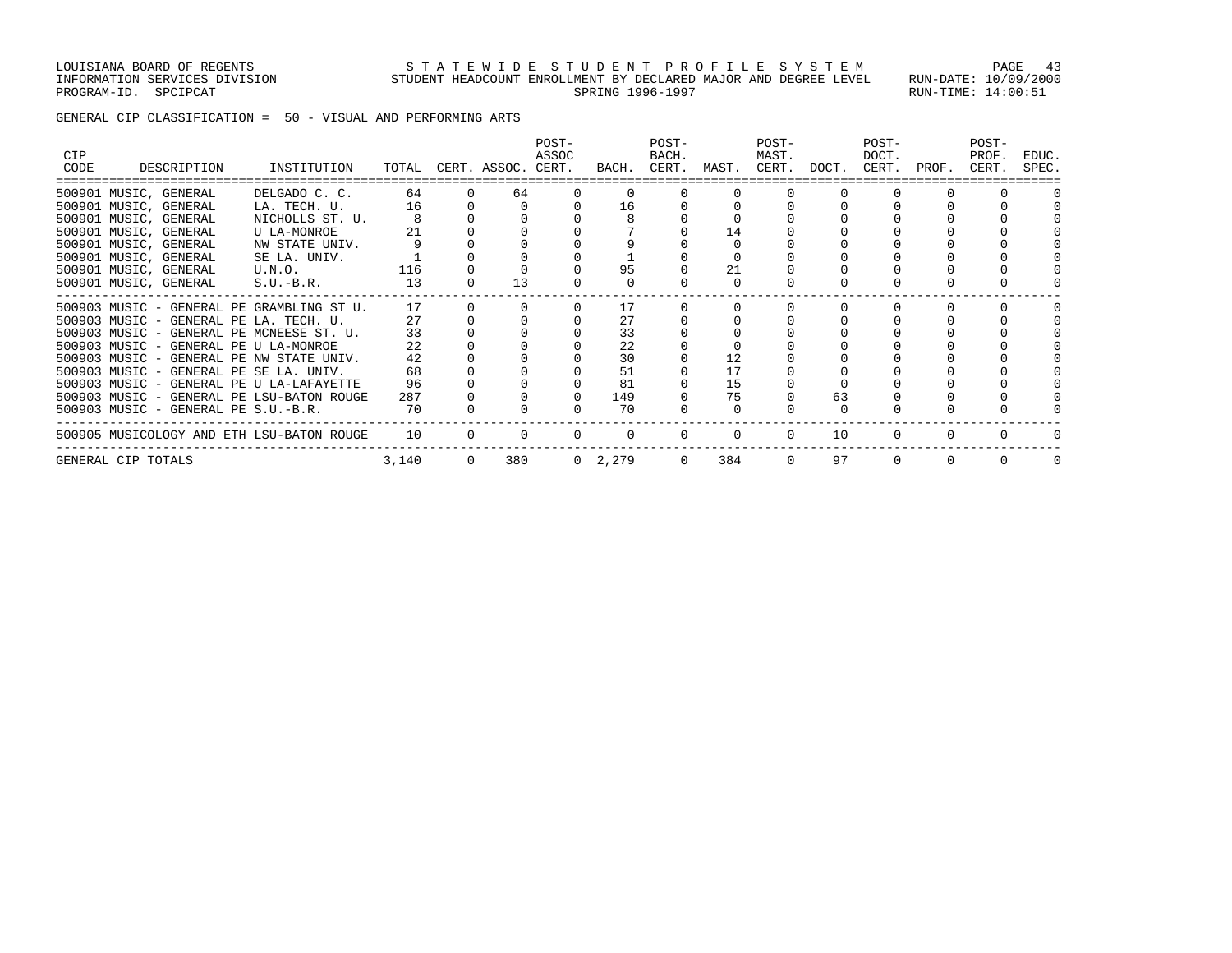### LOUISIANA BOARD OF REGENTS STATEWIDE STUDENT PROFILE SYSTEM PAGE 43 INFORMATION SERVICES DIVISION STUDENT HEADCOUNT ENROLLMENT BY DECLARED MAJOR AND DEGREE LEVEL RUN-DATE: 10/09/2000 PROGRAM-ID. SPCIPCAT SERING 1996-1997 SPRING 1996-1997 SPROGRAM-ID. SPCIPCAT: 14:00:51

GENERAL CIP CLASSIFICATION = 50 - VISUAL AND PERFORMING ARTS

| CIP  |                    |                                     |                                           |       |                |                          | POST-<br>ASSOC |                 | POST-<br>BACH. |                   | POST-<br>MAST. |       | POST-<br>DOCT. |          | POST-<br>PROF. | EDUC. |
|------|--------------------|-------------------------------------|-------------------------------------------|-------|----------------|--------------------------|----------------|-----------------|----------------|-------------------|----------------|-------|----------------|----------|----------------|-------|
| CODE |                    | DESCRIPTION                         | INSTITUTION                               |       |                | TOTAL CERT. ASSOC. CERT. |                |                 |                | BACH. CERT. MAST. | CERT.          | DOCT. | CERT.          | PROF.    | CERT.          | SPEC. |
|      |                    | 500901 MUSIC, GENERAL               | DELGADO C. C.                             | 64    | $\Omega$       | 64                       | $\Omega$       | $\Omega$        |                |                   |                |       |                |          |                |       |
|      |                    | 500901 MUSIC, GENERAL               | LA. TECH. U.                              | 16    |                |                          |                | 16              |                |                   |                |       |                |          |                |       |
|      |                    | 500901 MUSIC, GENERAL               | NICHOLLS ST. U.                           |       |                |                          |                |                 |                |                   |                |       |                |          |                |       |
|      |                    | 500901 MUSIC, GENERAL               | U LA-MONROE                               | 21    |                |                          |                |                 |                | 14                |                |       |                |          |                |       |
|      |                    | 500901 MUSIC, GENERAL               | NW STATE UNIV.                            |       |                |                          |                |                 |                |                   |                |       |                |          |                |       |
|      |                    | 500901 MUSIC, GENERAL               | SE LA. UNIV.                              |       |                |                          |                |                 |                |                   |                |       |                |          |                |       |
|      |                    | 500901 MUSIC, GENERAL               | U.N.O.                                    | 116   |                |                          |                | 95              |                | 21                |                |       |                |          |                |       |
|      |                    | 500901 MUSIC, GENERAL               | $S.U.-B.R.$                               | 13    |                | 13                       |                | $\Omega$        |                | $\Omega$          |                |       |                |          |                |       |
|      |                    |                                     | 500903 MUSIC - GENERAL PE GRAMBLING ST U. | 17    |                |                          |                | 17              |                |                   |                |       |                |          |                |       |
|      |                    |                                     | 500903 MUSIC - GENERAL PE LA. TECH. U.    | 27    |                |                          |                | 27              |                |                   |                |       |                |          |                |       |
|      |                    |                                     | 500903 MUSIC - GENERAL PE MCNEESE ST. U.  | 33    |                |                          |                | 33              |                |                   |                |       |                |          |                |       |
|      |                    |                                     | 500903 MUSIC - GENERAL PE U LA-MONROE     | 22    |                |                          |                | 22              |                |                   |                |       |                |          |                |       |
|      |                    |                                     | 500903 MUSIC - GENERAL PE NW STATE UNIV.  | 42    |                |                          |                | 30              |                |                   |                |       |                |          |                |       |
|      |                    |                                     | 500903 MUSIC - GENERAL PE SE LA. UNIV.    | 68    |                |                          |                | 51              |                | 17                |                |       |                |          |                |       |
|      |                    |                                     | 500903 MUSIC - GENERAL PE U LA-LAFAYETTE  | 96    |                |                          |                | 81              |                | 15                |                |       |                |          |                |       |
|      |                    |                                     | 500903 MUSIC - GENERAL PE LSU-BATON ROUGE | 287   |                |                          |                | 149             |                | 75                |                | 63    |                |          |                |       |
|      |                    | 500903 MUSIC - GENERAL PE S.U.-B.R. |                                           | 70    |                |                          |                | 70              |                |                   |                |       |                |          |                |       |
|      |                    |                                     | 500905 MUSICOLOGY AND ETH LSU-BATON ROUGE | 10    | $\Omega$       | $\Omega$                 | $\Omega$       | $\Omega$        | $\mathbf{0}$   | $\Omega$          | $\Omega$       | 10    | $\Omega$       | 0        |                |       |
|      | GENERAL CIP TOTALS |                                     |                                           | 3,140 | $\overline{0}$ | 380                      |                | $0 \quad 2,279$ | $\overline{0}$ | 384               | $\Omega$       | 97    | $\Omega$       | $\Omega$ |                |       |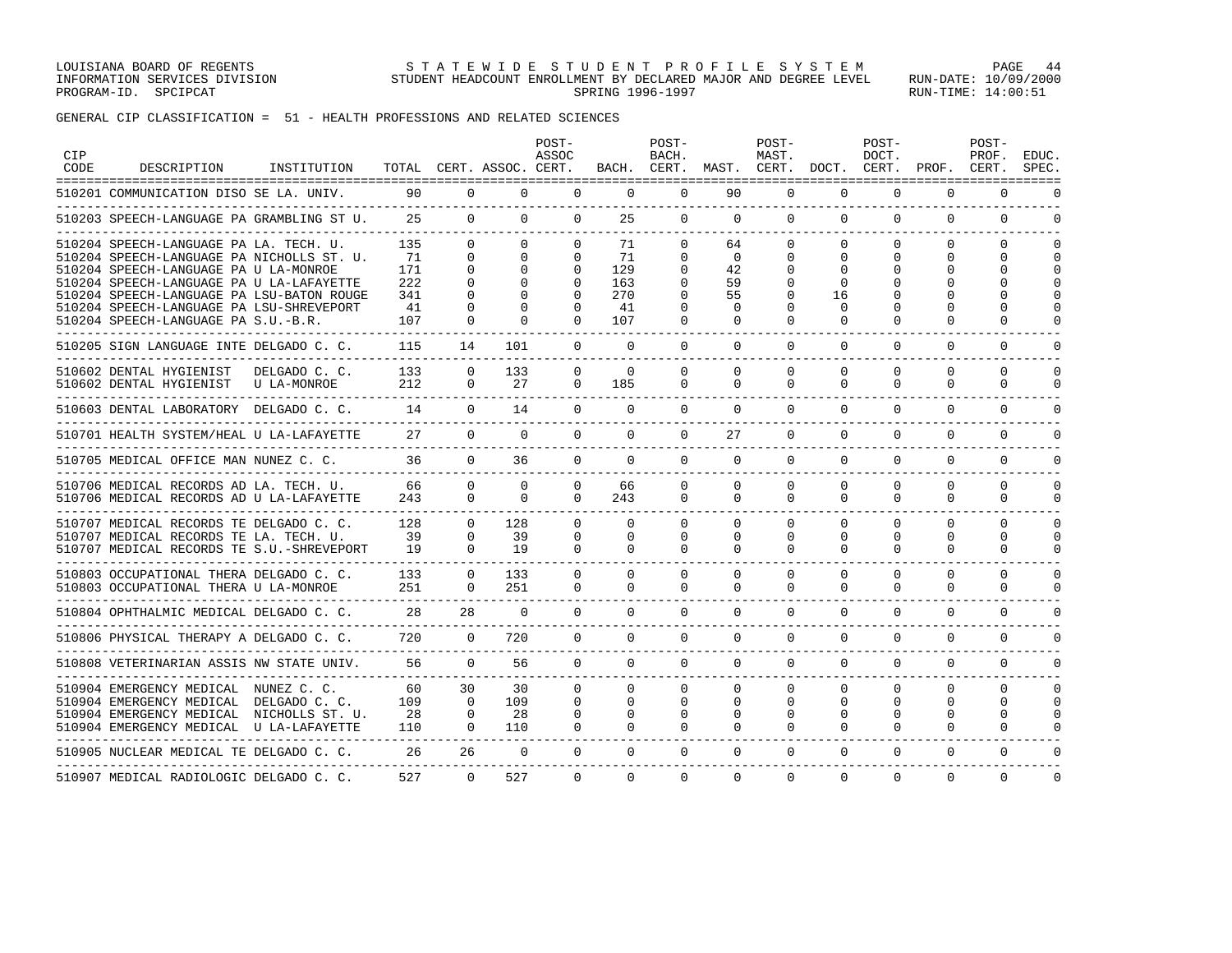LOUISIANA BOARD OF REGENTS STATEWIDE STUDENT PROFILE SYSTEM PAGE 44 INFORMATION SERVICES DIVISION STUDENT HEADCOUNT ENROLLMENT BY DECLARED MAJOR AND DEGREE LEVEL RUN-DATE: 10/09/2000 PROGRAM-ID. SPCIPCAT SERING 1996-1997 SPRING 1996-1997 SPROGRAM-ID. SPCIPCAT: 14:00:51

GENERAL CIP CLASSIFICATION = 51 - HEALTH PROFESSIONS AND RELATED SCIENCES

| <b>CIP</b><br><b>CODE</b> | DESCRIPTION                                                                                                                                                                                                                                                       | INSTITUTION                  |                                      |                                              | TOTAL CERT. ASSOC. CERT.         | POST-<br>ASSOC                                                       |                                              | POST-<br>BACH.                                                | BACH. CERT. MAST. CERT. DOCT. CERT. PROF. CERT. | POST-<br>MAST.                                        |                                                  | POST-<br>DOCT.                                    |                                                            | POST-<br>PROF.                                                     | EDUC.<br>SPEC.                    |
|---------------------------|-------------------------------------------------------------------------------------------------------------------------------------------------------------------------------------------------------------------------------------------------------------------|------------------------------|--------------------------------------|----------------------------------------------|----------------------------------|----------------------------------------------------------------------|----------------------------------------------|---------------------------------------------------------------|-------------------------------------------------|-------------------------------------------------------|--------------------------------------------------|---------------------------------------------------|------------------------------------------------------------|--------------------------------------------------------------------|-----------------------------------|
|                           | 510201 COMMUNICATION DISO SE LA. UNIV.                                                                                                                                                                                                                            |                              | 90                                   | $\Omega$                                     | $\Omega$                         | $\Omega$                                                             | $\Omega$                                     | $\Omega$                                                      | 90                                              | $\Omega$                                              | $\Omega$                                         | $\Omega$                                          | $\Omega$                                                   | $\Omega$                                                           | $\Omega$                          |
|                           | 510203 SPEECH-LANGUAGE PA GRAMBLING ST U.                                                                                                                                                                                                                         |                              | 25                                   | $\Omega$                                     | $\Omega$                         | $\Omega$                                                             | 25                                           | $\Omega$                                                      | $\mathbf 0$                                     | $\Omega$                                              | $\mathbf{0}$                                     | 0                                                 | $\Omega$                                                   | $\Omega$                                                           | $\Omega$                          |
|                           | 510204 SPEECH-LANGUAGE PA LA. TECH. U.<br>510204 SPEECH-LANGUAGE PA NICHOLLS ST. U.<br>510204 SPEECH-LANGUAGE PA U LA-MONROE<br>510204 SPEECH-LANGUAGE PA U LA-LAFAYETTE<br>510204 SPEECH-LANGUAGE PA LSU-BATON ROUGE<br>510204 SPEECH-LANGUAGE PA LSU-SHREVEPORT |                              | 135<br>71<br>171<br>222<br>341<br>41 | $\Omega$<br>$\Omega$<br>$\Omega$<br>$\Omega$ | $\Omega$<br>$\Omega$<br>$\Omega$ | $\Omega$<br>$\Omega$<br>$\Omega$<br>$\Omega$<br>$\Omega$<br>$\Omega$ | 71<br>71<br>129<br>163<br>270<br>41          | $\Omega$<br>$\Omega$<br>$\Omega$<br>0<br>$\Omega$<br>$\Omega$ | 64<br>$\Omega$<br>42<br>59<br>55<br>$\Omega$    | $\Omega$<br>$\Omega$<br>$\Omega$<br>0<br><sup>0</sup> | $\Omega$<br>0<br>$\Omega$<br>0<br>16<br>$\Omega$ | $\Omega$<br>$\Omega$<br>$\Omega$<br>$\Omega$<br>U | $\Omega$<br>$\Omega$<br>$\Omega$<br>0<br>∩<br><sup>0</sup> | $\Omega$<br>$\Omega$<br>$\Omega$<br>$\Omega$<br>$\Omega$<br>$\cap$ | $\Omega$<br>$\cap$<br>$\cap$<br>∩ |
|                           | 510204 SPEECH-LANGUAGE PA S.U.-B.R.                                                                                                                                                                                                                               |                              | 107                                  | $\Omega$                                     | <sup>0</sup>                     | $\Omega$                                                             | 107                                          | $\Omega$                                                      | $\Omega$                                        | $\Omega$                                              | <sup>0</sup>                                     | U                                                 | <sup>0</sup>                                               | $\Omega$                                                           |                                   |
|                           | 510205 SIGN LANGUAGE INTE DELGADO C. C.<br>---------------------------                                                                                                                                                                                            |                              | 115                                  | 14                                           | 101                              | $\Omega$                                                             | $\Omega$                                     | $\Omega$                                                      | $\Omega$                                        | $\Omega$                                              | $\Omega$                                         | $\Omega$                                          | $\Omega$                                                   | $\Omega$                                                           | $\cap$                            |
|                           | 510602 DENTAL HYGIENIST<br>510602 DENTAL HYGIENIST                                                                                                                                                                                                                | DELGADO C. C.<br>U LA-MONROE | 133<br>212                           | $\Omega$<br>$\Omega$                         | 133<br>27                        | $\Omega$<br>$\Omega$                                                 | $\Omega$<br>185                              | $\Omega$<br>$\Omega$                                          | $\Omega$<br>$\Omega$                            | $\Omega$<br>$\Omega$                                  | $\Omega$<br>$\Omega$                             | $\Omega$<br>$\Omega$                              | $\Omega$<br>$\Omega$                                       | $\Omega$<br>$\Omega$                                               | $\cap$<br>$\Omega$                |
|                           | 510603 DENTAL LABORATORY DELGADO C. C.                                                                                                                                                                                                                            |                              | 14                                   | $\Omega$                                     | 14                               | $\Omega$                                                             | $\Omega$                                     | $\Omega$                                                      | $\mathbf 0$                                     | $\Omega$                                              | 0                                                | $\Omega$                                          | $\Omega$                                                   | $\mathbf 0$                                                        | ∩                                 |
|                           | 510701 HEALTH SYSTEM/HEAL U LA-LAFAYETTE                                                                                                                                                                                                                          |                              | 27                                   | $\Omega$                                     | $\Omega$                         | $\Omega$                                                             | $\Omega$                                     | $\Omega$                                                      | 27                                              | $\Omega$                                              | $\Omega$                                         | $\Omega$                                          | $\mathbf 0$                                                | 0                                                                  | O                                 |
|                           | 510705 MEDICAL OFFICE MAN NUNEZ C. C.                                                                                                                                                                                                                             |                              | 36                                   | $\Omega$                                     | 36                               | $\Omega$                                                             | $\Omega$                                     | $\Omega$                                                      | $\Omega$                                        | $\Omega$                                              | $\Omega$                                         | $\Omega$                                          | $\Omega$                                                   | $\Omega$                                                           | $\Omega$                          |
|                           | 510706 MEDICAL RECORDS AD LA. TECH. U.<br>510706 MEDICAL RECORDS AD U LA-LAFAYETTE<br>_____________________                                                                                                                                                       |                              | 66<br>243                            | $\Omega$<br>$\Omega$                         | $\Omega$<br>$\Omega$             | $\Omega$<br>$\Omega$                                                 | 66<br>243                                    | $\Omega$<br>$\Omega$                                          | $\Omega$<br>$\Omega$                            | $\Omega$<br>$\Omega$                                  | $\Omega$<br>$\Omega$                             | $\Omega$<br>$\Omega$                              | $\Omega$<br>$\Omega$                                       | $\Omega$<br>$\Omega$                                               | $\cap$<br>$\Omega$                |
|                           | 510707 MEDICAL RECORDS TE DELGADO C. C.<br>510707 MEDICAL RECORDS TE LA. TECH. U.<br>510707 MEDICAL RECORDS TE S.U.-SHREVEPORT                                                                                                                                    |                              | 128<br>39<br>19                      | $\Omega$<br>$\Omega$<br>$\Omega$             | 128<br>39<br>19                  | $\Omega$<br>$\Omega$<br>$\Omega$                                     | $\Omega$<br>$\Omega$<br>$\Omega$             | $\Omega$<br>$\Omega$<br>$\Omega$                              | $\Omega$<br>$\Omega$<br>$\Omega$                | $\Omega$<br>$\Omega$<br>$\Omega$                      | $\Omega$<br>$\Omega$<br>$\Omega$                 | $\Omega$<br>$\Omega$<br>$\Omega$                  | $\Omega$<br>$\Omega$<br>$\Omega$                           | $\Omega$<br>$\Omega$<br>$\Omega$                                   | $\cap$<br>$\Omega$<br>$\Omega$    |
|                           | 510803 OCCUPATIONAL THERA DELGADO C. C.<br>510803 OCCUPATIONAL THERA U LA-MONROE<br>-------------------                                                                                                                                                           |                              | 133<br>251                           | $\Omega$                                     | 133<br>251                       | $\Omega$<br>0                                                        | $\Omega$<br>$\Omega$                         | $\Omega$<br>$\Omega$                                          | $\Omega$<br>$\Omega$                            | $\Omega$<br>$\Omega$                                  | $\Omega$<br>$\Omega$                             | $\Omega$<br>$\Omega$                              | $\Omega$<br>$\Omega$                                       | $\Omega$<br>$\Omega$                                               | $\Omega$<br>$\Omega$              |
|                           | 510804 OPHTHALMIC MEDICAL DELGADO C. C.                                                                                                                                                                                                                           |                              | 28                                   | 28                                           | $\Omega$                         | $\Omega$                                                             | $\Omega$                                     | $\Omega$                                                      | $\Omega$                                        | $\Omega$                                              | $\Omega$                                         | $\Omega$                                          | $\Omega$                                                   | $\Omega$                                                           | $\cap$                            |
|                           | 510806 PHYSICAL THERAPY A DELGADO C. C.<br>_____________________________________                                                                                                                                                                                  |                              | 720<br>_______________________       | $\Omega$                                     | 720                              | $\Omega$                                                             | $\Omega$                                     | $\Omega$                                                      | $\Omega$                                        | $\Omega$                                              | $\Omega$                                         | $\Omega$                                          | $\Omega$                                                   | $\Omega$                                                           | $\Omega$                          |
|                           | 510808 VETERINARIAN ASSIS NW STATE UNIV.                                                                                                                                                                                                                          |                              | 56                                   | $\Omega$                                     | 56                               | $\Omega$                                                             | $\Omega$                                     | $\Omega$                                                      | $\Omega$                                        | $\Omega$                                              | $\Omega$                                         | $\Omega$                                          | $\Omega$                                                   | $\mathbf 0$                                                        | $\cap$                            |
|                           | 510904 EMERGENCY MEDICAL NUNEZ C. C.<br>510904 EMERGENCY MEDICAL DELGADO C. C.<br>510904 EMERGENCY MEDICAL NICHOLLS ST. U.<br>510904 EMERGENCY MEDICAL U LA-LAFAYETTE                                                                                             |                              | 60<br>109<br>28<br>110               | 30<br>$\Omega$<br>$\Omega$<br>$\Omega$       | 30<br>109<br>28<br>110           | $\Omega$<br>$\Omega$<br>$\Omega$<br>$\Omega$                         | $\Omega$<br>$\Omega$<br>$\Omega$<br>$\Omega$ | $\Omega$<br>$\Omega$<br>$\Omega$<br>$\Omega$                  | $\Omega$<br>$\Omega$<br>$\Omega$<br>$\Omega$    | $\Omega$<br>$\Omega$<br>$\Omega$<br>$\Omega$          | $\Omega$<br>$\Omega$<br>$\Omega$<br>0            | $\Omega$<br>$\Omega$<br>$\Omega$<br>$\Omega$      | $\Omega$<br>$\Omega$<br>$\Omega$<br>$\Omega$               | $\Omega$<br>$\Omega$<br>$\Omega$<br>$\Omega$                       | $\cap$<br>$\cap$<br>$\Omega$<br>∩ |
|                           | 510905 NUCLEAR MEDICAL TE DELGADO C. C.                                                                                                                                                                                                                           |                              | 26                                   | 26                                           | $\Omega$                         | $\Omega$                                                             | $\Omega$                                     | $\Omega$                                                      | $\Omega$                                        | $\Omega$                                              | $\Omega$                                         | $\Omega$                                          | $\Omega$                                                   | $\Omega$                                                           | ∩                                 |
|                           | 510907 MEDICAL RADIOLOGIC DELGADO C. C.                                                                                                                                                                                                                           |                              | 527                                  | $\Omega$                                     | 527                              | $\Omega$                                                             | $\Omega$                                     | $\Omega$                                                      | $\Omega$                                        | $\Omega$                                              | $\Omega$                                         | $\Omega$                                          | $\Omega$                                                   | $\Omega$                                                           | $\Omega$                          |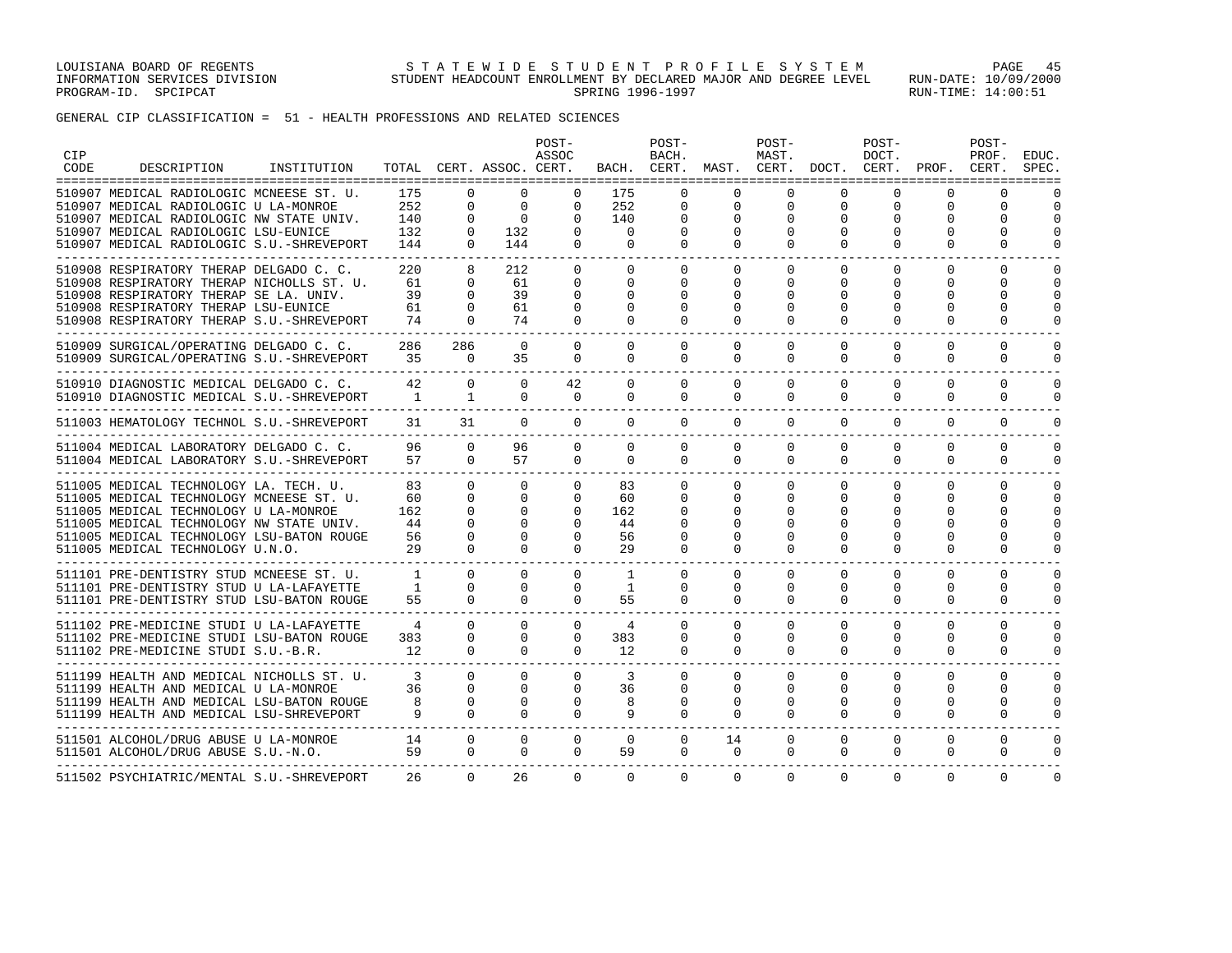GENERAL CIP CLASSIFICATION = 51 - HEALTH PROFESSIONS AND RELATED SCIENCES

| <b>CIP</b><br>CODE | DESCRIPTION                                                                                                                                                                                                                                                                                     | INSTITUTION |                                   |                                                                      | TOTAL CERT. ASSOC. CERT.                                             | POST-<br>ASSOC                                                |                                            | POST-<br>BACH.<br>BACH. CERT.                     |                                                      | POST-<br>MAST.<br>MAST. CERT.              | DOCT.                                                 | POST-<br>DOCT.<br>CERT.               | PROF.                                             | POST-<br>PROF.<br>CERT.                                | EDUC.<br>SPEC.                           |
|--------------------|-------------------------------------------------------------------------------------------------------------------------------------------------------------------------------------------------------------------------------------------------------------------------------------------------|-------------|-----------------------------------|----------------------------------------------------------------------|----------------------------------------------------------------------|---------------------------------------------------------------|--------------------------------------------|---------------------------------------------------|------------------------------------------------------|--------------------------------------------|-------------------------------------------------------|---------------------------------------|---------------------------------------------------|--------------------------------------------------------|------------------------------------------|
|                    | 510907 MEDICAL RADIOLOGIC MCNEESE ST. U.<br>510907 MEDICAL RADIOLOGIC U LA-MONROE<br>510907 MEDICAL RADIOLOGIC NW STATE UNIV.<br>510907 MEDICAL RADIOLOGIC LSU-EUNICE<br>510907 MEDICAL RADIOLOGIC S.U.-SHREVEPORT                                                                              |             | 175<br>252<br>140<br>132<br>144   | $\Omega$<br>$\Omega$<br>$\Omega$<br>$\Omega$<br>$\Omega$             | $\Omega$<br>0<br>$\Omega$<br>132<br>144                              | 0<br>0<br>$\Omega$<br>$\Omega$<br>$\Omega$                    | 175<br>252<br>140<br>$\Omega$<br>$\Omega$  | $\Omega$<br>0<br>$\Omega$<br>$\Omega$<br>$\Omega$ | $\Omega$<br>0<br>$\Omega$<br>$\Omega$<br>$\Omega$    | $\Omega$<br>0<br>$\Omega$<br>0<br>$\Omega$ | $\Omega$<br>0<br>$\Omega$<br>0<br>$\Omega$            | $\Omega$<br>0<br>O<br>0<br>$\Omega$   | $\Omega$<br>0<br>$\Omega$<br>$\Omega$<br>$\Omega$ | $\Omega$<br>0<br>$\Omega$<br>$\Omega$<br>$\Omega$      | $\Omega$<br>$\cap$<br>$\Omega$<br>$\cap$ |
|                    | 510908 RESPIRATORY THERAP DELGADO C. C.<br>510908 RESPIRATORY THERAP NICHOLLS ST. U.<br>510908 RESPIRATORY THERAP SE LA. UNIV.<br>510908 RESPIRATORY THERAP LSU-EUNICE<br>510908 RESPIRATORY THERAP S.U.-SHREVEPORT<br>______________________________________                                   |             | 220<br>61<br>39<br>61<br>74       | 8<br>$\Omega$<br>$\Omega$<br>0<br>$\Omega$                           | 212<br>61<br>39<br>61<br>74                                          | $\Omega$<br>0<br>0<br>0<br>$\Omega$                           | 0<br>$\Omega$<br>$\Omega$<br>0<br>$\Omega$ | $\Omega$<br>$\Omega$<br>$\Omega$<br>0<br>$\Omega$ | 0<br>$\Omega$<br>$\Omega$<br>0<br>$\Omega$           | 0<br>$\Omega$<br>0<br>0<br>$\Omega$        | $\Omega$<br>0<br>$\Omega$<br>0<br>$\Omega$            | 0<br>0<br>$\Omega$<br>0<br>$\Omega$   | $\Omega$<br>$\Omega$<br>$\Omega$<br>0<br>$\Omega$ | 0<br>$\Omega$<br>$\Omega$<br>0<br>$\Omega$             | ∩<br>$\cap$<br>$\Omega$<br>∩             |
|                    | 510909 SURGICAL/OPERATING DELGADO C. C.<br>510909 SURGICAL/OPERATING S.U.-SHREVEPORT                                                                                                                                                                                                            |             | 286<br>35                         | 286<br>$\Omega$                                                      | $\Omega$<br>35                                                       | $\Omega$<br>$\Omega$                                          | $\Omega$<br>$\Omega$                       | $\Omega$<br>$\Omega$                              | $\Omega$<br>$\Omega$                                 | $\Omega$<br>$\Omega$                       | $\Omega$<br>$\Omega$                                  | $\Omega$<br>$\Omega$                  | $\Omega$<br>$\Omega$                              | $\Omega$<br>$\Omega$                                   | $\cap$<br>$\Omega$                       |
|                    | 510910 DIAGNOSTIC MEDICAL DELGADO C. C.<br>510910 DIAGNOSTIC MEDICAL S.U.-SHREVEPORT                                                                                                                                                                                                            |             | 42<br>$\overline{1}$              | $\Omega$<br>1                                                        | $\Omega$<br>$\Omega$                                                 | 42<br>$\Omega$                                                | $\Omega$<br>$\Omega$                       | $\Omega$<br>$\Omega$                              | $\Omega$<br>$\Omega$                                 | $\Omega$<br>$\Omega$                       | $\Omega$<br>0                                         | $\Omega$<br>$\Omega$                  | $\Omega$<br>$\Omega$                              | $\Omega$<br>$\Omega$                                   | $\cap$<br>$\Omega$                       |
|                    | 511003 HEMATOLOGY TECHNOL S.U.-SHREVEPORT<br>--------------------------------                                                                                                                                                                                                                   |             | 31                                | 31                                                                   | $\Omega$                                                             | $\Omega$                                                      | $\Omega$                                   | $\Omega$                                          | $\Omega$                                             | $\Omega$                                   | $\Omega$                                              | $\Omega$                              | $\Omega$                                          | $\Omega$                                               | $\cap$                                   |
|                    | 511004 MEDICAL LABORATORY DELGADO C. C.<br>511004 MEDICAL LABORATORY S.U.-SHREVEPORT                                                                                                                                                                                                            |             | 96<br>57                          | $\Omega$<br>$\Omega$                                                 | 96<br>57                                                             | $\Omega$<br>$\Omega$                                          | $\Omega$<br>$\Omega$                       | $\Omega$<br>$\Omega$                              | 0<br>$\Omega$                                        | $\mathbf 0$<br>$\Omega$                    | $\Omega$<br>$\Omega$                                  | $\Omega$<br>$\Omega$                  | $\Omega$<br>$\Omega$                              | 0<br>$\Omega$                                          | $\Omega$<br>$\Omega$                     |
|                    | ___________________________________<br>511005 MEDICAL TECHNOLOGY LA. TECH. U.<br>511005 MEDICAL TECHNOLOGY MCNEESE ST. U.<br>511005 MEDICAL TECHNOLOGY U LA-MONROE<br>511005 MEDICAL TECHNOLOGY NW STATE UNIV.<br>511005 MEDICAL TECHNOLOGY LSU-BATON ROUGE<br>511005 MEDICAL TECHNOLOGY U.N.O. |             | 83<br>60<br>162<br>44<br>56<br>29 | $\Omega$<br>$\Omega$<br>$\Omega$<br>$\Omega$<br>$\Omega$<br>$\Omega$ | $\Omega$<br>$\Omega$<br>$\Omega$<br>$\Omega$<br>$\Omega$<br>$\Omega$ | $\Omega$<br>0<br>$\Omega$<br>$\Omega$<br>$\Omega$<br>$\Omega$ | 83<br>60<br>162<br>44<br>56<br>29          | $\Omega$<br>$\Omega$<br>∩<br>$\Omega$<br>$\Omega$ | $\Omega$<br>$\Omega$<br>O<br>$\cap$<br>O<br>$\Omega$ | $\Omega$<br>0<br>0<br>U<br>O<br>$\Omega$   | $\Omega$<br>0<br><sup>0</sup><br>$\Omega$<br>$\Omega$ | $\Omega$<br>0<br>O<br>O<br>$\Omega$   | $\Omega$<br>0<br>∩<br>$\cap$<br>0<br>$\Omega$     | $\Omega$<br>0<br>$\Omega$<br>$\Omega$<br>0<br>$\Omega$ | $\cap$<br>$\cap$<br>$\Omega$<br>∩        |
|                    | 511101 PRE-DENTISTRY STUD MCNEESE ST. U.<br>511101 PRE-DENTISTRY STUD U LA-LAFAYETTE<br>511101 PRE-DENTISTRY STUD LSU-BATON ROUGE                                                                                                                                                               |             | $\mathbf{1}$<br>1<br>55           | $\Omega$<br>$\Omega$<br>$\Omega$                                     | $\Omega$<br>$\Omega$<br>$\Omega$                                     | $\Omega$<br>0<br>$\Omega$                                     | 1<br>1<br>55                               | $\Omega$<br>0<br>$\Omega$                         | $\Omega$<br>0<br>$\Omega$                            | $\Omega$<br>0<br>0                         | $\Omega$<br>0<br>$\Omega$                             | $\Omega$<br>0<br>0                    | $\Omega$<br>$\Omega$<br>$\Omega$                  | $\mathbf 0$<br>0<br>$\mathbf 0$                        | $\cap$<br>$\Omega$<br>$\Omega$           |
|                    | 511102 PRE-MEDICINE STUDI U LA-LAFAYETTE<br>511102 PRE-MEDICINE STUDI LSU-BATON ROUGE<br>511102 PRE-MEDICINE STUDI S.U.-B.R.                                                                                                                                                                    |             | 4<br>383<br>12                    | $\Omega$<br>0<br>$\cap$                                              | $\Omega$<br>0<br>$\cap$                                              | $\Omega$<br>$\mathbf{0}$<br>$\Omega$                          | 4<br>383<br>12                             | $\Omega$<br>0<br>$\Omega$                         | $\Omega$<br>0<br>$\Omega$                            | $\Omega$<br>0<br>$\Omega$                  | $\Omega$<br>0<br>$\Omega$                             | $\Omega$<br>0<br>$\Omega$             | $\Omega$<br>0<br>$\Omega$                         | $\Omega$<br>0<br>$\Omega$                              | $\cap$<br>$\Omega$<br>$\cap$             |
|                    | 511199 HEALTH AND MEDICAL NICHOLLS ST. U.<br>511199 HEALTH AND MEDICAL U LA-MONROE<br>511199 HEALTH AND MEDICAL LSU-BATON ROUGE<br>511199 HEALTH AND MEDICAL LSU-SHREVEPORT                                                                                                                     |             | 3<br>36<br>8<br>9                 | $\Omega$<br>$\Omega$<br>$\Omega$<br>$\Omega$                         | $\Omega$<br>$\Omega$<br>$\Omega$<br>$\Omega$                         | $\Omega$<br>$\Omega$<br>$\Omega$<br>$\Omega$                  | 3<br>36<br>8<br>9                          | $\Omega$<br>$\Omega$<br>0<br>$\Omega$             | $\Omega$<br>$\Omega$<br>0<br>$\Omega$                | $\Omega$<br>0<br>0<br>$\Omega$             | $\Omega$<br>$\Omega$<br>0<br>$\Omega$                 | $\Omega$<br>$\Omega$<br>0<br>$\Omega$ | $\Omega$<br>$\Omega$<br>0<br>$\Omega$             | $\Omega$<br>$\Omega$<br>0<br>$\Omega$                  | $\cap$<br>$\Omega$<br>$\Omega$<br>$\cap$ |
|                    | 511501 ALCOHOL/DRUG ABUSE U LA-MONROE<br>511501 ALCOHOL/DRUG ABUSE S.U.-N.O.                                                                                                                                                                                                                    |             | 14<br>59                          | $\Omega$<br>$\Omega$                                                 | $\mathbf{0}$<br>$\Omega$                                             | 0<br>$\Omega$                                                 | $\mathbf{0}$<br>59                         | $\mathbf{0}$<br>$\Omega$                          | 14<br>0                                              | 0<br>$\mathbf{0}$                          | 0<br>0                                                | 0<br>0                                | 0<br>0                                            | 0<br>$\mathbf 0$                                       | $\Omega$<br>$\cap$                       |
|                    | 511502 PSYCHIATRIC/MENTAL S.U.-SHREVEPORT                                                                                                                                                                                                                                                       |             | 26                                | $\cap$                                                               | 26                                                                   | $\Omega$                                                      | $\cap$                                     | $\Omega$                                          | $\Omega$                                             | $\Omega$                                   | $\Omega$                                              | $\Omega$                              | $\Omega$                                          | $\Omega$                                               | $\Omega$                                 |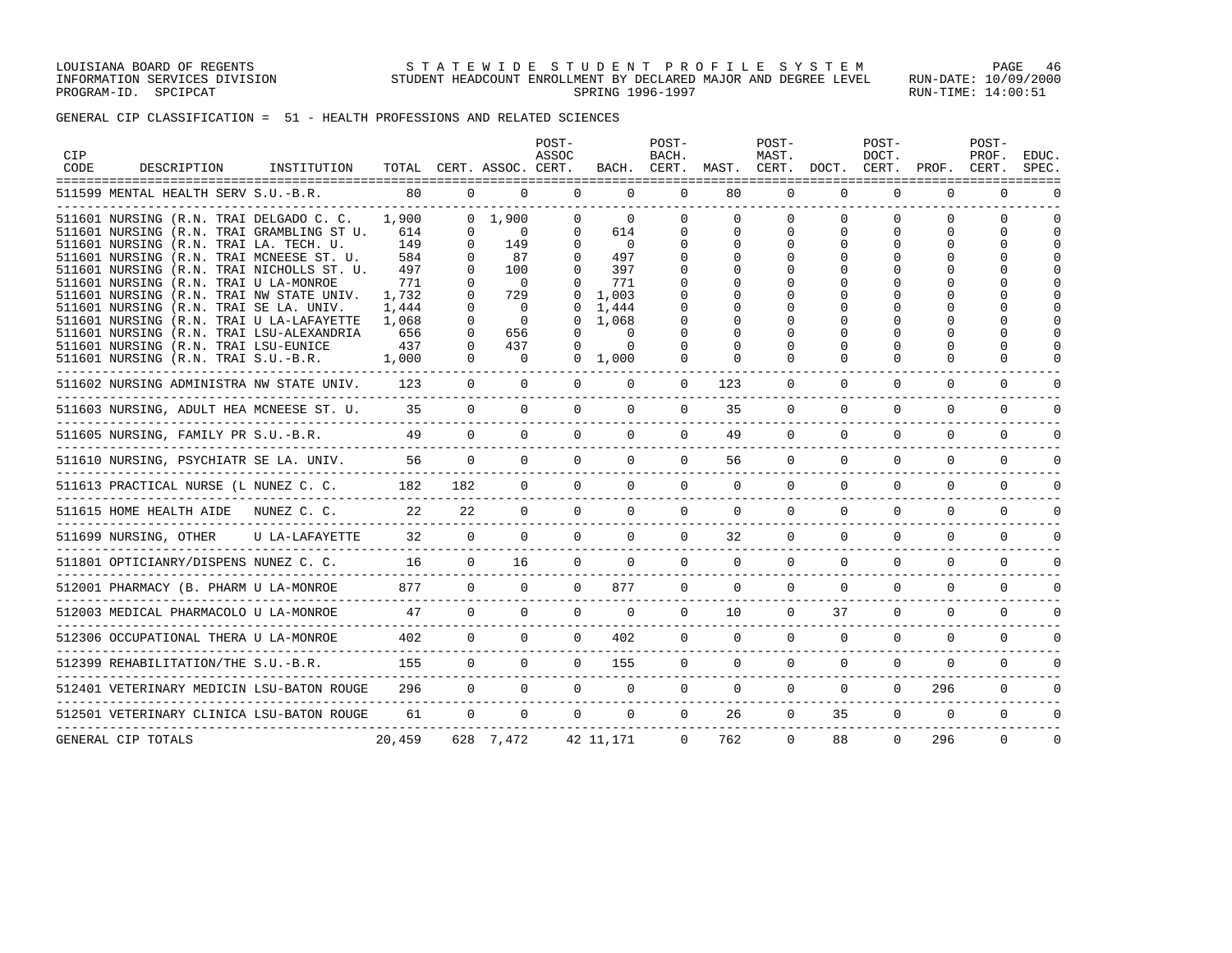LOUISIANA BOARD OF REGENTS STATEWIDE STUDENT PROFILE SYSTEM PAGE 46 INFORMATION SERVICES DIVISION STUDENT HEADCOUNT ENROLLMENT BY DECLARED MAJOR AND DEGREE LEVEL RUN-DATE: 10/09/2000 PROGRAM-ID. SPCIPCAT SERING 1996-1997 SPRING 1996-1997 SPROGRAM-ID. SPCIPCAT: 14:00:51

GENERAL CIP CLASSIFICATION = 51 - HEALTH PROFESSIONS AND RELATED SCIENCES

| <b>CIP</b><br>CODE | DESCRIPTION                                                                                                                    | INSTITUTION    | TOTAL                 |                      | CERT. ASSOC. CERT.           | POST-<br>ASSOC                   | BACH.                      | POST-<br>BACH.<br>CERT.  | MAST.              | POST-<br>MAST.<br>CERT. | DOCT.                          | POST-<br>DOCT.<br>CERT.   | PROF.                          | POST-<br>PROF.<br>CERT.        | EDUC.<br>SPEC. |
|--------------------|--------------------------------------------------------------------------------------------------------------------------------|----------------|-----------------------|----------------------|------------------------------|----------------------------------|----------------------------|--------------------------|--------------------|-------------------------|--------------------------------|---------------------------|--------------------------------|--------------------------------|----------------|
|                    | 511599 MENTAL HEALTH SERV S.U.-B.R.                                                                                            |                | 80                    | $\Omega$             | $\Omega$                     | $\Omega$                         | $\Omega$                   | $\Omega$                 | 80                 | $\Omega$                | $\Omega$                       | $\Omega$                  | $\Omega$                       | $\Omega$                       |                |
|                    | 511601 NURSING (R.N. TRAI DELGADO C. C.<br>511601 NURSING (R.N. TRAI GRAMBLING ST U.<br>511601 NURSING (R.N. TRAI LA. TECH. U. |                | 1,900<br>614<br>149   | 0<br>$\Omega$        | 0, 1, 900<br>$\Omega$<br>149 | $\Omega$<br>$\Omega$<br>$\Omega$ | $\Omega$<br>614<br>0       | <sup>0</sup><br>$\Omega$ | $\Omega$<br>0<br>0 | $\Omega$                | $\Omega$<br>$\Omega$<br>$\cap$ | $\Omega$<br>$\Omega$<br>U | $\Omega$<br>$\Omega$<br>$\cap$ | $\cap$<br>$\Omega$<br>$\Omega$ |                |
|                    | 511601 NURSING (R.N. TRAI MCNEESE ST. U.<br>511601 NURSING (R.N. TRAI NICHOLLS ST. U.                                          |                | 584<br>497            | $\Omega$             | 87<br>100                    | 0<br>$\Omega$                    | 497<br>397                 |                          | U                  |                         |                                | U                         | $\cap$                         | $\Omega$<br>$\Omega$           |                |
|                    | 511601 NURSING (R.N. TRAI U LA-MONROE<br>511601 NURSING (R.N. TRAI NW STATE UNIV.                                              |                | 771<br>1,732          | $\Omega$             | $\Omega$<br>729              | $\Omega$                         | 771<br>1,003               |                          |                    |                         |                                | ∩                         |                                | $\cap$<br>$\cap$<br>$\Omega$   |                |
|                    | 511601 NURSING (R.N. TRAI SE LA. UNIV.<br>511601 NURSING (R.N. TRAI U LA-LAFAYETTE<br>511601 NURSING (R.N. TRAI LSU-ALEXANDRIA |                | 1,444<br>1,068<br>656 | $\Omega$<br>0        | $\Omega$<br>$\Omega$<br>656  | $\Omega$<br>$\Omega$             | 1,444<br>1,068<br>$\Omega$ |                          |                    |                         |                                |                           | $\cap$                         | $\Omega$<br>$\cap$             |                |
|                    | 511601 NURSING (R.N. TRAI LSU-EUNICE<br>511601 NURSING (R.N. TRAI S.U.-B.R.                                                    |                | 437<br>1,000          | $\Omega$<br>$\Omega$ | 437<br>$\circ$               | $\Omega$<br>$\mathbf{0}$         | $\Omega$<br>1,000          | $\Omega$                 | 0<br>$\Omega$      |                         | U<br>U                         | $\cap$<br>$\Omega$        | $\cap$<br>$\cap$               | $\cap$<br>$\Omega$             |                |
|                    | 511602 NURSING ADMINISTRA NW STATE UNIV.                                                                                       |                | 123                   | $\overline{0}$       | $\Omega$                     | $\Omega$                         | 0                          | 0                        | 123                | 0                       | 0                              | 0                         | 0                              | 0                              | U              |
|                    | 511603 NURSING, ADULT HEA MCNEESE ST. U.                                                                                       |                | 35                    | $\Omega$             | $\Omega$                     | $\Omega$                         | $\Omega$                   | $\Omega$                 | 35                 | $\Omega$                | $\Omega$                       | $\Omega$                  | $\Omega$                       | $\Omega$                       | $\Omega$       |
|                    | 511605 NURSING, FAMILY PR S.U.-B.R.                                                                                            |                | 49                    | $\Omega$             | $\Omega$                     | $\Omega$                         | $\Omega$                   | $\Omega$                 | 49                 | $\Omega$                | $\Omega$                       | $\Omega$                  | $\Omega$                       | $\Omega$                       | $\cap$         |
|                    | 511610 NURSING, PSYCHIATR SE LA. UNIV.                                                                                         |                | 56                    | $\Omega$             | $\Omega$                     | $\Omega$                         | $\Omega$                   | $\Omega$                 | 56                 | $\mathbf 0$             | $\Omega$                       | $\Omega$                  | $\Omega$                       | $\Omega$                       | $\Omega$       |
|                    | 511613 PRACTICAL NURSE (L NUNEZ C. C.                                                                                          |                | 182                   | 182                  | $\Omega$                     | $\Omega$                         | $\Omega$                   | $\Omega$                 | $\Omega$           | $\Omega$                | $\Omega$                       | $\Omega$                  | $\Omega$                       | $\Omega$                       |                |
|                    | 511615 HOME HEALTH AIDE                                                                                                        | NUNEZ C. C.    | 22                    | 22                   | $\Omega$                     | $\Omega$                         | $\Omega$                   | $\Omega$                 | $\Omega$           | $\Omega$                | $\Omega$                       | $\Omega$                  | $\Omega$                       | $\Omega$                       | $\cap$         |
|                    | 511699 NURSING, OTHER                                                                                                          | U LA-LAFAYETTE | 32                    | $\Omega$             | $\Omega$                     | $\Omega$                         | $\Omega$                   | $\Omega$                 | 32                 | $\Omega$                | $\Omega$                       | $\Omega$                  | $\Omega$                       | $\Omega$                       | $\cap$         |
|                    | 511801 OPTICIANRY/DISPENS NUNEZ C. C.                                                                                          |                | 16                    | $\Omega$             | 16                           | $\Omega$                         | $\Omega$                   | $\Omega$                 | $\Omega$           | $\Omega$                | $\Omega$                       | $\Omega$                  | $\Omega$                       | $\Omega$                       | $\Omega$       |
|                    | 512001 PHARMACY (B. PHARM U LA-MONROE                                                                                          |                | 877                   | $\Omega$             | $\Omega$                     | $\Omega$                         | 877                        | $\Omega$                 | $\Omega$           | $\Omega$                | $\Omega$                       | $\Omega$                  | $\Omega$                       | $\Omega$                       | $\cap$         |
|                    | 512003 MEDICAL PHARMACOLO U LA-MONROE                                                                                          |                | 47                    | $\Omega$             | $\Omega$                     | $\Omega$                         | $\Omega$                   | $\Omega$                 | 10                 | $\Omega$                | 37                             | $\Omega$                  | $\Omega$                       | $\Omega$                       | $\cap$         |
|                    | 512306 OCCUPATIONAL THERA U LA-MONROE                                                                                          |                | 402                   | $\mathbf{0}$         | $\Omega$                     | $\Omega$                         | 402                        | $\mathbf 0$              | $\mathbf 0$        | $\mathbf 0$             | $\mathbf 0$                    | $\mathbf 0$               | $\mathbf 0$                    | $\mathbf 0$                    | 0              |
|                    | 512399 REHABILITATION/THE S.U.-B.R.                                                                                            |                | 155                   | $\Omega$             | $\Omega$                     | $\Omega$                         | 155                        | $\mathbf 0$              | $\mathbf 0$        | $\mathbf 0$             | $\mathbf 0$                    | $\mathbf 0$               | $\mathbf 0$                    | $\mathbf 0$                    | $\Omega$       |
|                    | 512401 VETERINARY MEDICIN LSU-BATON ROUGE                                                                                      |                | 296                   | $\mathbf 0$          | $\mathbf 0$                  | $\Omega$                         | $\mathbf 0$                | $\mathbf 0$              | $\mathbf 0$        | $\mathbf 0$             | $\mathbf 0$                    | $\mathbf{0}$              | 296                            | $\Omega$                       | $\Omega$       |
|                    | 512501 VETERINARY CLINICA LSU-BATON ROUGE                                                                                      |                | 61                    | $\Omega$             | $\Omega$                     | $\Omega$                         | $\Omega$                   | $\Omega$                 | 26                 | $\Omega$                | 35                             | $\Omega$                  | $\mathbf 0$                    | $\mathbf 0$                    | $\Omega$       |
|                    | GENERAL CIP TOTALS                                                                                                             |                | 20,459                |                      | 628 7,472                    |                                  | 42 11,171                  | $\Omega$                 | 762                | $\Omega$                | 88                             | $\Omega$                  | 296                            | $\Omega$                       | $\Omega$       |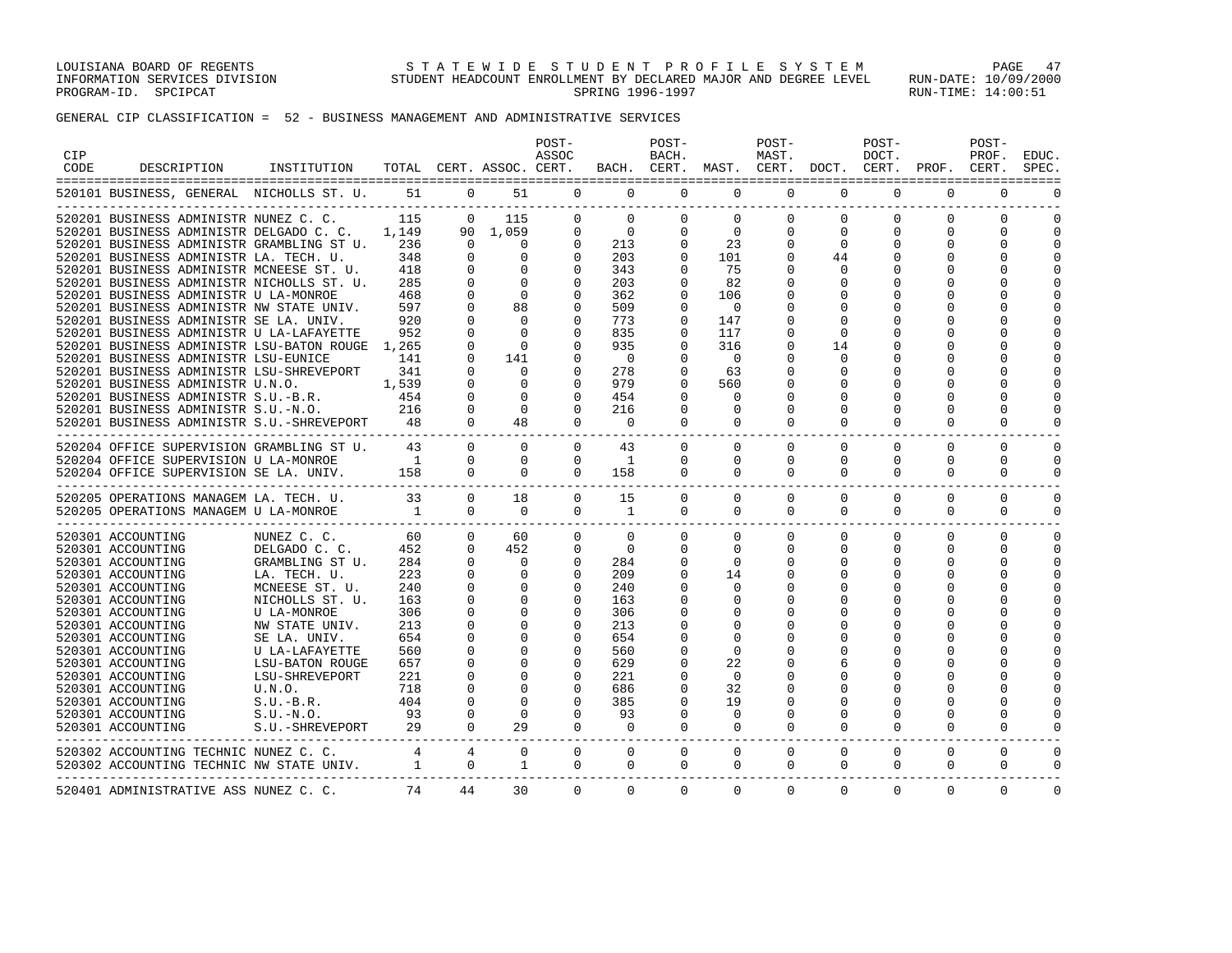LOUISIANA BOARD OF REGENTS STATEWIDE STUDENT PROFILE SYSTEM PAGE 47 INFORMATION SERVICES DIVISION STUDENT HEADCOUNT ENROLLMENT BY DECLARED MAJOR AND DEGREE LEVEL RUN-DATE: 10/09/2000 PROGRAM-ID. SPCIPCAT SERING 1996-1997 SPRING 1996-1997 SPROGRAM-ID. SPCIPCAT: 14:00:51

# GENERAL CIP CLASSIFICATION = 52 - BUSINESS MANAGEMENT AND ADMINISTRATIVE SERVICES

| CIP<br>CODE | DESCRIPTION                                                                                                                                                                                                               | INSTITUTION                                                                       |                                |                                                                  | TOTAL CERT. ASSOC. CERT.                            | POST-<br>ASSOC                                                       |                                               | POST-<br>BACH.                                           | BACH. CERT. MAST. CERT. DOCT. CERT. PROF. CERT. | POST-<br>MAST.                                   |                                               | POST-<br>DOCT.                                    |                                                          | POST-<br>PROF.                                           | EDUC.<br>SPEC.                                       |
|-------------|---------------------------------------------------------------------------------------------------------------------------------------------------------------------------------------------------------------------------|-----------------------------------------------------------------------------------|--------------------------------|------------------------------------------------------------------|-----------------------------------------------------|----------------------------------------------------------------------|-----------------------------------------------|----------------------------------------------------------|-------------------------------------------------|--------------------------------------------------|-----------------------------------------------|---------------------------------------------------|----------------------------------------------------------|----------------------------------------------------------|------------------------------------------------------|
|             | 520101 BUSINESS, GENERAL NICHOLLS ST. U.                                                                                                                                                                                  |                                                                                   |                                | 51 0                                                             |                                                     | 51 7<br>$\circ$                                                      | $\overline{0}$                                | $\mathbf 0$                                              | $\mathbf{0}$                                    | $\mathbf 0$                                      | 0                                             | $\mathbf 0$                                       | $\mathbf 0$                                              | $\mathbf 0$                                              | $\Omega$                                             |
|             | 520201 BUSINESS ADMINISTR NUNEZ C. C.<br>520201 BUSINESS ADMINISTR DELGADO C. C. 1.149<br>520201 BUSINESS ADMINISTR GRAMBLING ST U.<br>520201 BUSINESS ADMINISTR LA. TECH. U.<br>520201 BUSINESS ADMINISTR MCNEESE ST. U. |                                                                                   | 115<br>236<br>348<br>418       | $\Omega$<br>$\Omega$<br>$\Omega$<br>$\Omega$                     | 115<br>90 1,059<br>$\Omega$<br>$\Omega$<br>$\Omega$ | $\Omega$<br>$\mathbf{0}$<br>$\mathbf{0}$<br>$\mathbf{0}$<br>$\Omega$ | $\Omega$<br>$\Omega$<br>213<br>203<br>343     | $\Omega$<br>$\Omega$<br>$\Omega$<br>$\Omega$<br>$\Omega$ | $\Omega$<br>$\Omega$<br>23<br>101<br>75         | $\Omega$<br>$\Omega$<br>$\Omega$<br><sup>n</sup> | $\Omega$<br>$\Omega$<br>$\Omega$<br>44<br>0   | $\Omega$<br>$\Omega$<br>$\Omega$<br>$\Omega$      | $\Omega$<br>$\Omega$<br>$\Omega$<br>$\Omega$<br>$\Omega$ | $\Omega$<br>$\Omega$<br>$\Omega$<br>$\Omega$<br>$\Omega$ | $\Omega$<br>$\Omega$<br>$\Omega$<br>$\cap$<br>$\cap$ |
|             | 520201 BUSINESS ADMINISTR NICHOLLS ST. U.<br>520201 BUSINESS ADMINISTR U LA-MONROE<br>520201 BUSINESS ADMINISTR NW STATE UNIV.<br>520201 BUSINESS ADMINISTR SE LA. UNIV.                                                  |                                                                                   | 285<br>468<br>597<br>920       | $\Omega$<br>$\mathbf 0$<br>$\Omega$<br>$\Omega$                  | $\Omega$<br>$\mathbf 0$<br>88<br>$\Omega$           | $\Omega$<br>0<br>$\Omega$<br>$\Omega$                                | 203<br>362<br>509<br>773                      | $\Omega$<br>0<br>$\Omega$<br>$\Omega$                    | 82<br>106<br>$\Omega$<br>147                    |                                                  | $\Omega$<br>0<br><sup>0</sup><br><sup>0</sup> | $\Omega$<br>$\Omega$<br>$\Omega$                  | $\Omega$<br>$\Omega$                                     | $\Omega$<br>$\Omega$<br>$\Omega$<br>$\Omega$             | $\Omega$<br>O<br>$\cap$<br>$\cap$                    |
|             | 520201 BUSINESS ADMINISTR U LA-LAFAYETTE<br>520201 BUSINESS ADMINISTR LSU-BATON ROUGE 1,265<br>520201 BUSINESS ADMINISTR LSU-EUNICE<br>520201 BUSINESS ADMINISTR LSU-SHREVEPORT                                           |                                                                                   | 952<br>141<br>341              | $\Omega$<br>$\Omega$<br>$\Omega$<br>$\Omega$                     | $\Omega$<br>$\Omega$<br>141<br>$\Omega$             | $\Omega$<br>$\Omega$<br>$\Omega$<br>$\Omega$                         | 835<br>935<br>$\overline{\phantom{0}}$<br>278 | $\Omega$<br>$\Omega$<br>$\Omega$<br>$\Omega$             | 117<br>316<br>$\Omega$<br>63                    |                                                  | $\Omega$<br>14<br>$\Omega$<br>$\Omega$        | $\Omega$<br>0<br>$\Omega$<br>$\Omega$             | $\Omega$<br>$\Omega$<br>$\Omega$<br>$\Omega$             | $\Omega$<br>$\Omega$<br>$\Omega$<br>$\Omega$             | $\cap$<br>∩<br>$\cap$<br>U                           |
|             | 520201 BUSINESS ADMINISTR U.N.O.<br>520201 BUSINESS ADMINISTR S.U.-B.R.<br>520201 BUSINESS ADMINISTR S.U.-N.O.<br>520201 BUSINESS ADMINISTR S.U.-SHREVEPORT 48                                                            | 1,539                                                                             | 454<br>216                     | $\Omega$<br>$\Omega$<br>$\mathbf{0}$<br>$\Omega$                 | $\Omega$<br>$\Omega$<br>$\Omega$<br>48              | $\Omega$<br>$\Omega$<br>$\Omega$<br>$\Omega$                         | 979<br>454<br>216<br>$\Omega$                 | $\Omega$<br>$\Omega$<br>0<br>$\Omega$                    | 560<br>$\Omega$<br>$\Omega$<br>$\Omega$         | $\Omega$                                         | $\Omega$<br>$\Omega$<br>$\Omega$              | $\Omega$<br>$\cap$<br>$\Omega$<br>$\Omega$        | $\Omega$<br>$\Omega$<br>$\Omega$                         | $\Omega$<br>$\Omega$<br>$\cap$<br>$\Omega$               | $\Omega$<br>$\cap$<br>$\cap$<br>$\cap$               |
|             | 520204 OFFICE SUPERVISION GRAMBLING ST U.<br>520204 OFFICE SUPERVISION U LA-MONROE<br>520204 OFFICE SUPERVISION SE LA. UNIV.                                                                                              |                                                                                   | 43<br>158                      | $\Omega$<br>$\mathbf{0}$<br>$\overline{0}$                       | $\Omega$<br>$\circ$<br>$\overline{0}$               | $\Omega$<br>$\mathbf 0$<br>$\Omega$                                  | 43<br>1<br>158                                | $\Omega$<br>0<br>$\Omega$                                | $\Omega$<br>$\mathbf{0}$<br>$\Omega$            | $\Omega$<br>$\mathbf 0$<br>$\Omega$              | $\Omega$<br>$\Omega$<br>$\Omega$              | $\Omega$<br>0<br>$\Omega$                         | $\Omega$<br>$\Omega$<br>$\Omega$                         | $\Omega$<br>$\mathbf 0$<br>$\Omega$                      | $\Omega$<br>$\Omega$<br>$\Omega$                     |
|             | 520205 OPERATIONS MANAGEM LA. TECH. U. 33<br>520205 OPERATIONS MANAGEM U LA-MONROE 1                                                                                                                                      |                                                                                   |                                | $\mathbf{0}$<br>$\Omega$                                         | 18<br>$\Omega$                                      | $\mathbf{0}$<br>$\Omega$                                             | 15<br>1                                       | $\mathbf 0$<br>$\Omega$                                  | $\mathbf{0}$<br>$\Omega$                        | $\Omega$<br>$\Omega$                             | $\Omega$<br>$\Omega$                          | $\Omega$<br>$\Omega$                              | $\Omega$<br>$\Omega$                                     | $\Omega$<br>$\Omega$                                     | $\Omega$<br>$\Omega$                                 |
|             | 520301 ACCOUNTING<br>520301 ACCOUNTING<br>520301 ACCOUNTING<br>520301 ACCOUNTING<br>520301 ACCOUNTING                                                                                                                     | NUNEZ C. C.<br>DELGADO C. C.<br>GRAMBLING ST U.<br>LA. TECH. U.<br>MCNEESE ST. U. | 60<br>452<br>284<br>223<br>240 | $\overline{0}$<br>$\overline{0}$<br>$\Omega$<br>$\mathbf 0$<br>0 | 60<br>452<br>$\Omega$<br>$\mathbf 0$<br>0           | $\mathbf{0}$<br>$\mathbf{0}$<br>$\Omega$<br>$\Omega$<br>0            | $\Omega$<br>$\mathbf 0$<br>284<br>209<br>240  | $\mathbf 0$<br>$\Omega$<br>$\Omega$<br>$\Omega$<br>0     | $\Omega$<br>$\Omega$<br>$\Omega$<br>14<br>0     | $\Omega$<br>$\Omega$<br>$\Omega$                 | $\Omega$<br>$\Omega$<br>0<br>$\Omega$         | $\Omega$<br>0<br>$\Omega$<br>$\Omega$<br>$\Omega$ | $\Omega$<br>$\Omega$<br>$\Omega$<br>$\Omega$             | $\Omega$<br>$\Omega$<br>$\Omega$<br>$\Omega$<br>$\Omega$ | $\Omega$<br>$\Omega$<br>$\Omega$<br>$\cap$<br>∩      |
|             | 520301 ACCOUNTING<br>520301 ACCOUNTING<br>520301 ACCOUNTING<br>520301 ACCOUNTING                                                                                                                                          | NICHOLLS ST. U.<br>U LA-MONROE<br>NW STATE UNIV.<br>SE LA. UNIV.                  | 163<br>306<br>213<br>654       | $\Omega$<br>0<br>$\mathbf 0$<br>$\Omega$                         | $\Omega$<br>0<br>$\mathbf{0}$<br>$\mathbf 0$        | $\Omega$<br>0<br>0<br>$\Omega$                                       | 163<br>306<br>213<br>654                      | U<br>U<br>U                                              | $\Omega$<br>0<br>$\Omega$<br>$\Omega$           |                                                  | <sup>0</sup>                                  | <sup>0</sup><br>∩<br>$\Omega$                     | ∩<br>$\Omega$                                            | $\Omega$<br>O<br>$\Omega$<br>$\Omega$                    | $\cap$<br>U<br>$\cap$<br>U                           |
|             | 520301 ACCOUNTING<br>520301 ACCOUNTING<br>520301 ACCOUNTING<br>520301 ACCOUNTING                                                                                                                                          | U LA-LAFAYETTE<br>LSU-BATON ROUGE<br>LSU-SHREVEPORT<br>U.N.O.                     | 560<br>657<br>221<br>718       | $\Omega$<br>$\mathbf 0$<br>0<br>0                                | $\Omega$<br>$\mathbf 0$<br>0<br>$\Omega$            | $\Omega$<br>$\Omega$<br>0<br>$\Omega$                                | 560<br>629<br>221<br>686                      | $\Omega$<br>$\Omega$<br>0<br>$\Omega$                    | $\Omega$<br>22<br>0<br>32                       |                                                  | O<br>6<br>O<br><sup>0</sup>                   | $\Omega$<br>O<br>$\Omega$<br>$\Omega$             | $\Omega$<br>∩<br>∩<br>$\cap$                             | $\Omega$<br>$\Omega$<br>$\Omega$<br>$\Omega$             | $\Omega$<br>∩<br>∩                                   |
|             | 520301 ACCOUNTING<br>520301 ACCOUNTING<br>520301 ACCOUNTING<br>---------------------------                                                                                                                                | S.U.-B.R.<br>S.U.-N.O.<br>S.U.-SHREVEPORT 29                                      | 404<br>93                      | $\Omega$<br>$\Omega$<br>$\Omega$                                 | $\Omega$<br>$\Omega$<br>29                          | $\Omega$<br>$\mathbf{0}$<br>$\Omega$                                 | 385<br>93<br>$\mathbf 0$                      | $\Omega$<br>$\Omega$<br>$\Omega$                         | 19<br>$\mathbf 0$<br>$\Omega$                   | <sup>0</sup><br>$\Omega$                         | $\Omega$<br>$\Omega$<br>$\Omega$              | $\cap$<br>$\Omega$<br>$\Omega$                    | $\Omega$<br>$\Omega$<br>$\Omega$                         | O<br>$\Omega$<br>$\Omega$                                | ∩<br>$\Omega$<br>$\Omega$                            |
|             | 520302 ACCOUNTING TECHNIC NUNEZ C. C. 4<br>520302 ACCOUNTING TECHNIC NW STATE UNIV. 1 0                                                                                                                                   |                                                                                   |                                | 4                                                                | $\Omega$<br>$\overline{1}$                          | $\Omega$<br>$\mathbf{0}$                                             | $\Omega$<br>$\mathbf 0$                       | $\Omega$<br>$\mathbf 0$                                  | $\Omega$<br>$\mathbf{0}$                        | $\Omega$<br>0                                    | $\Omega$<br>0                                 | $\Omega$<br>0                                     | $\Omega$<br>0                                            | $\Omega$<br>0                                            | $\Omega$<br>$\Omega$                                 |
|             | 520401 ADMINISTRATIVE ASS NUNEZ C. C.                                                                                                                                                                                     |                                                                                   | 74                             | 44                                                               | 30                                                  | $\Omega$                                                             | $\Omega$                                      | $\Omega$                                                 | $\Omega$                                        | $\Omega$                                         | $\Omega$                                      | $\Omega$                                          | $\Omega$                                                 | $\Omega$                                                 | $\Omega$                                             |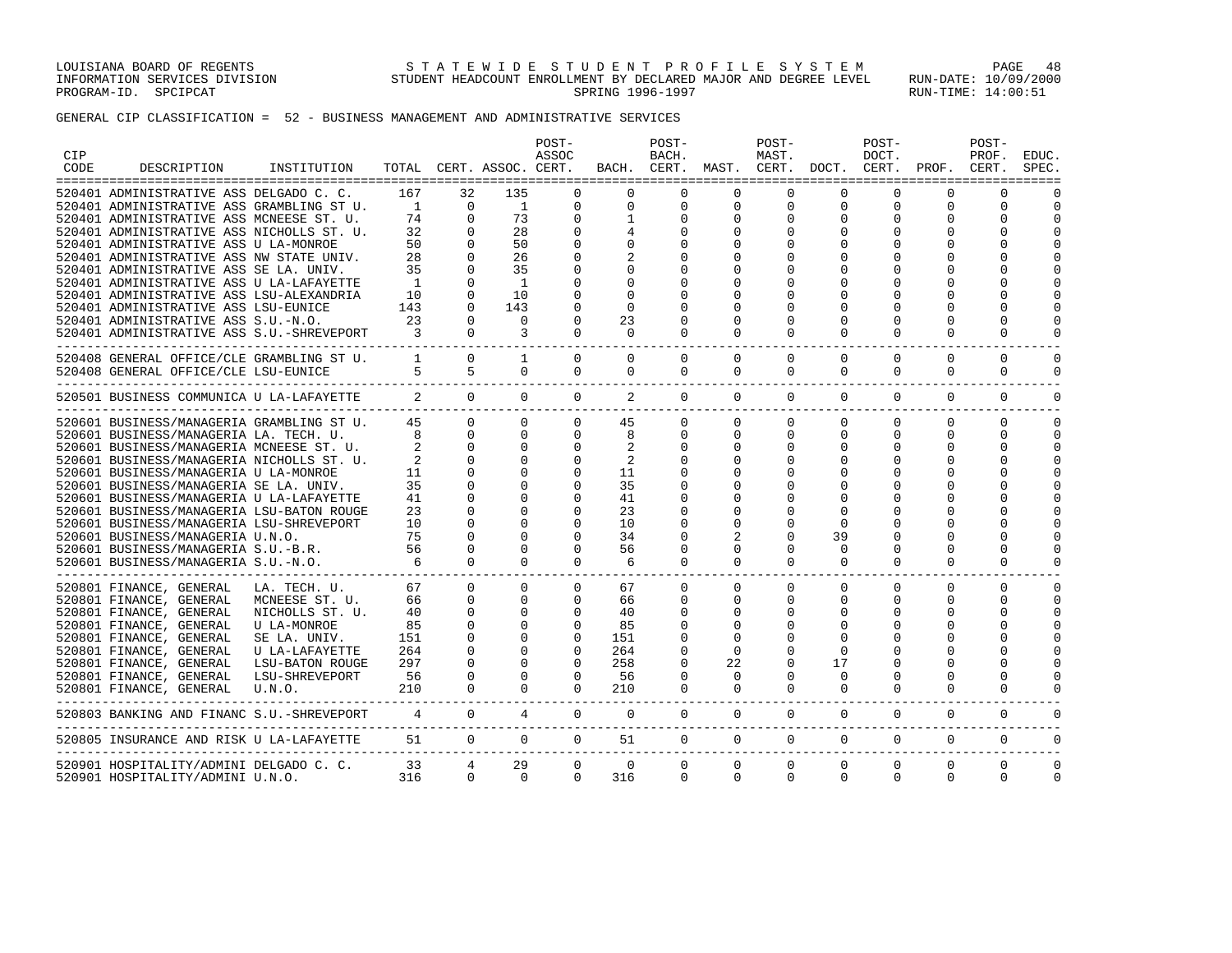LOUISIANA BOARD OF REGENTS STATEWIDE STUDENT PROFILE SYSTEM PAGE 48 INFORMATION SERVICES DIVISION STUDENT HEADCOUNT ENROLLMENT BY DECLARED MAJOR AND DEGREE LEVEL RUN-DATE: 10/09/2000 PROGRAM-ID. SPCIPCAT SERING 1996-1997 SPRING 1996-1997 SPROGRAM-ID. SPCIPCAT: 14:00:51

GENERAL CIP CLASSIFICATION = 52 - BUSINESS MANAGEMENT AND ADMINISTRATIVE SERVICES

| CIP<br>CODE | DESCRIPTION                                                         | INSTITUTION     |                 |                        | TOTAL CERT. ASSOC. CERT. | POST-<br>ASSOC |             | POST-<br>BACH. |              | POST-<br>MAST. | BACH. CERT. MAST. CERT. DOCT. CERT. PROF. CERT. | POST-<br>DOCT. |             | POST-<br>PROF. | EDUC.<br>SPEC. |
|-------------|---------------------------------------------------------------------|-----------------|-----------------|------------------------|--------------------------|----------------|-------------|----------------|--------------|----------------|-------------------------------------------------|----------------|-------------|----------------|----------------|
|             |                                                                     |                 |                 |                        |                          |                |             |                |              |                |                                                 |                |             |                |                |
|             | 520401 ADMINISTRATIVE ASS DELGADO C. C.                             |                 | 167             | 32                     | 135                      | $\Omega$       | $\Omega$    | $\Omega$       | $\Omega$     | $\Omega$       | $\Omega$                                        | $\Omega$       | $\Omega$    | $\Omega$       |                |
|             | 520401 ADMINISTRATIVE ASS GRAMBLING ST U.                           |                 | $\sim$ 1        | $\overline{0}$         | $\overline{1}$           | $\mathbf 0$    | $\mathbf 0$ | 0              | 0            | $\mathbf{0}$   | 0                                               | 0              | 0           | 0              | $\Omega$       |
|             | 520401 ADMINISTRATIVE ASS MCNEESE ST. U.                            |                 | 74              | $\Omega$               | 73                       | 0              | 1           | $\mathbf 0$    | 0            | 0              | $\Omega$                                        | 0              | $\mathbf 0$ | $\Omega$       | $\Omega$       |
|             | 520401 ADMINISTRATIVE ASS NICHOLLS ST. U.                           |                 | 32              | $\Omega$               | 28                       | $\mathbf 0$    |             | $\Omega$       | $\Omega$     |                |                                                 |                | $\Omega$    | $\Omega$       | $\Omega$       |
|             | 520401 ADMINISTRATIVE ASS U LA-MONROE                               |                 | 50              | $\Omega$               | 50                       | 0              | $\mathbf 0$ | $\Omega$       |              | $\Omega$       |                                                 |                | $\Omega$    | $\Omega$       | $\Omega$       |
|             | 520401 ADMINISTRATIVE ASS NW STATE UNIV.                            |                 | 28              |                        | 26                       | $\Omega$       | 2           | O              |              |                |                                                 |                | $\cap$      | $\Omega$       | $\cap$         |
|             | 520401 ADMINISTRATIVE ASS SE LA. UNIV.                              |                 | 35              | $\Omega$               | 35                       | $\Omega$       | $\Omega$    | $\Omega$       |              |                |                                                 |                | $\cap$      | $\Omega$       | $\cap$         |
|             | 520401 ADMINISTRATIVE ASS U LA-LAFAYETTE                            |                 | $\overline{1}$  | $\Omega$               | 1                        |                |             | $\Omega$       |              |                |                                                 |                | O           | <sup>0</sup>   | O              |
|             | 520401 ADMINISTRATIVE ASS LSU-ALEXANDRIA                            |                 | 10              | $\Omega$               | 10                       | $\Omega$       | O           | O              |              | 0              |                                                 |                | O           | $\Omega$       | ∩              |
|             | 520401 ADMINISTRATIVE ASS LSU-EUNICE                                |                 | 143             | $\Omega$               | 143                      | $\Omega$       | $\Omega$    |                |              |                |                                                 |                | U           |                |                |
|             | 520401 ADMINISTRATIVE ASS S.U.-N.O.                                 |                 | 23              |                        | $\Omega$                 | $\Omega$       | 23          | O              | O            | 0              |                                                 | U              | 0           | <sup>0</sup>   | O              |
|             | 520401 ADMINISTRATIVE ASS S.U.-SHREVEPORT 3                         |                 |                 | $\Omega$               | 3                        | $\Omega$       | $\Omega$    | $\cap$         | $\Omega$     | $\Omega$       | 0                                               | $\Omega$       | 0           | $\Omega$       | $\cap$         |
|             | 520408 GENERAL OFFICE/CLE GRAMBLING ST U.                           |                 | $\overline{1}$  | $\Omega$               | 1                        | 0              | $\mathbf 0$ | $\mathbf 0$    | 0            | $\Omega$       | $\Omega$                                        | 0              | 0           | $\mathbf 0$    | $\Omega$       |
|             | 520408 GENERAL OFFICE/CLE LSU-EUNICE                                |                 | $5 -$           | 5                      | $\Omega$                 | $\Omega$       | $\Omega$    | $\Omega$       | $\Omega$     | $\Omega$       | $\Omega$                                        | $\Omega$       | $\Omega$    | $\Omega$       | $\Omega$       |
|             | 520501 BUSINESS COMMUNICA U LA-LAFAYETTE<br>----------------------- |                 |                 | $2 \qquad \qquad 0$    | $\Omega$                 | $\Omega$       | 2           | $\mathbf{0}$   | $\mathbf{0}$ | $\mathbf{0}$   | $\mathbf{0}$                                    | $\mathbf{0}$   | $\Omega$    | 0              | $\Omega$       |
|             | 520601 BUSINESS/MANAGERIA GRAMBLING ST U.                           |                 | 45              | $\Omega$               | $\Omega$                 | $\mathbf 0$    | 45          | 0              | $\Omega$     | $\mathbf 0$    | $\Omega$                                        | $\Omega$       | $\Omega$    | $\Omega$       | $\Omega$       |
|             | 520601 BUSINESS/MANAGERIA LA. TECH. U.                              |                 | 8               | $\Omega$               | $\Omega$                 | $\mathbf 0$    | 8           | 0              | 0            | $\mathbf 0$    | 0                                               | $\Omega$       | 0           | $\mathbf 0$    | $\Omega$       |
|             | 520601 BUSINESS/MANAGERIA MCNEESE ST. U.                            |                 |                 | $\Omega$               | $\mathbf{0}$             | $\mathbf{0}$   | 2           | 0              | 0            | 0              | 0                                               | $\Omega$       | $\Omega$    | $\Omega$       | $\Omega$       |
|             | 520601 BUSINESS/MANAGERIA NICHOLLS ST. U.                           |                 |                 | $\Omega$               | $\Omega$                 | $\Omega$       | 2           | $\Omega$       | $\Omega$     | $\Omega$       | $\Omega$                                        | $\Omega$       | $\Omega$    | $\Omega$       | $\Omega$       |
|             | 520601 BUSINESS/MANAGERIA U LA-MONROE                               |                 | 11              | $\Omega$               | 0                        | 0              | 11          | $\Omega$       | 0            | 0              |                                                 |                | 0           | <sup>0</sup>   | ∩              |
|             | 520601 BUSINESS/MANAGERIA SE LA. UNIV.                              |                 | 35              | $\Omega$               |                          | $\Omega$       | 35          | O              |              |                |                                                 |                | U           |                | $\cap$         |
|             | 520601 BUSINESS/MANAGERIA U LA-LAFAYETTE                            |                 | 41              | $\Omega$               | $\Omega$                 | $\Omega$       | 41          | $\Omega$       | O            |                |                                                 |                |             | $\Omega$       | $\cap$         |
|             | 520601 BUSINESS/MANAGERIA LSU-BATON ROUGE                           |                 | 23              | $\Omega$               | $\Omega$                 | $\Omega$       | 23          | O              | O            |                |                                                 |                |             | $\Omega$       | $\cap$         |
|             | 520601 BUSINESS/MANAGERIA LSU-SHREVEPORT                            |                 | 10 <sup>°</sup> | $\Omega$               | $\Omega$                 | $\Omega$       | 10          | $\Omega$       | $\Omega$     | $\Omega$       | $\Omega$                                        |                |             | $\Omega$       | $\cap$         |
|             | 520601 BUSINESS/MANAGERIA U.N.O.                                    |                 | 75              | $\Omega$               | $\Omega$                 | $\Omega$       | 34          | $\Omega$       | 2            | $\Omega$       | 39                                              | $\Omega$       | $\Omega$    | $\Omega$       | $\Omega$       |
|             | 520601 BUSINESS/MANAGERIA S.U.-B.R.                                 |                 | 56              | $\Omega$               | 0                        | 0              | 56          | $\Omega$       | 0            | $\Omega$       | $\Omega$                                        | $\Omega$       | $\Omega$    | $\Omega$       | $\Omega$       |
|             | 520601 BUSINESS/MANAGERIA S.U.-N.O.                                 |                 | 6               |                        | $\Omega$                 | $\Omega$       | 6           | $\Omega$       | $\Omega$     | $\Omega$       | $\Omega$                                        | $\Omega$       | $\Omega$    | $\Omega$       | $\Omega$       |
|             | 520801 FINANCE, GENERAL                                             | LA. TECH. U.    | 67              | $\overline{0}$         | $\Omega$                 | $\mathbf{0}$   | 67          | 0              | 0            | $\circ$        | $\Omega$                                        | $\Omega$       | $\Omega$    | $\Omega$       | $\Omega$       |
|             | 520801 FINANCE, GENERAL                                             | MCNEESE ST. U.  | 66              | $\mathbf 0$            | $\mathbf 0$              | $\mathbf 0$    | 66          | $\Omega$       | 0            | 0              | $\Omega$                                        | $\Omega$       | $\mathbf 0$ | $\Omega$       | $\Omega$       |
|             | 520801 FINANCE, GENERAL                                             | NICHOLLS ST. U. | 40              | $\Omega$               | $\Omega$                 | $\Omega$       | 40          | $\Omega$       | $\Omega$     | $\Omega$       | $\Omega$                                        | $\Omega$       | $\Omega$    | $\Omega$       | $\Omega$       |
|             | 520801 FINANCE, GENERAL                                             | U LA-MONROE     | 85              | $\Omega$               | $\Omega$                 | $\Omega$       | 85          | O              | $\Omega$     | $\Omega$       | $\Omega$                                        | $\Omega$       | $\Omega$    | $\Omega$       | $\cap$         |
|             | 520801 FINANCE, GENERAL                                             | SE LA. UNIV.    | 151             | $\Omega$               | $\Omega$                 | 0              | 151         | $\Omega$       | 0            |                |                                                 |                | 0           | $\Omega$       | $\cap$         |
|             | 520801 FINANCE, GENERAL                                             | U LA-LAFAYETTE  | 264             | $\Omega$               | $\Omega$                 | $\Omega$       | 264         | $\Omega$       | $\Omega$     | $\Omega$       | $\Omega$                                        |                | $\Omega$    | $\Omega$       | $\Omega$       |
|             | 520801 FINANCE, GENERAL                                             | LSU-BATON ROUGE | 297             | $\Omega$               | $\Omega$                 | $\Omega$       | 258         | $\Omega$       | 22           | $\Omega$       | 17                                              |                | O           | ∩              | $\cap$         |
|             | 520801 FINANCE, GENERAL                                             | LSU-SHREVEPORT  | 56              | $\Omega$               | $\Omega$                 | $\Omega$       | 56          | $\Omega$       | $\Omega$     | $\Omega$       | $\Omega$                                        | $\Omega$       | $\Omega$    | $\Omega$       | $\cap$         |
|             | 520801 FINANCE, GENERAL                                             | U.N.O.          | 210             | $\Omega$               | $\Omega$                 | $\Omega$       | 210         | $\Omega$       | $\Omega$     | $\Omega$       | $\Omega$                                        | $\Omega$       | $\Omega$    | $\Omega$       | $\Omega$       |
|             | 520803 BANKING AND FINANC S.U.-SHREVEPORT                           |                 | $\overline{4}$  | $\overline{0}$         | $4\overline{ }$          | $\mathbf{0}$   | $\mathbf 0$ | $\mathbf 0$    | $\mathbf 0$  | $\mathbf 0$    | $\mathbf 0$                                     | $\mathbf 0$    | $\mathbf 0$ | $\mathbf 0$    | $\Omega$       |
|             | 520805 INSURANCE AND RISK U LA-LAFAYETTE                            |                 |                 | 51 7<br>$\overline{0}$ | $\overline{0}$           | $\mathbf{0}$   | 51          | $\circ$        | $\mathbf 0$  | $\overline{0}$ | 0                                               | $\mathbf 0$    | 0           | 0              | $\mathbf 0$    |
|             | 520901 HOSPITALITY/ADMINI DELGADO C. C.                             |                 | 33              | 4                      | 29                       | $\mathbf{0}$   | $\mathbf 0$ | $\mathbf 0$    | $\mathbf 0$  | $\mathbf 0$    | 0                                               | 0              | $\mathbf 0$ | $\mathbf 0$    | $\mathbf 0$    |
|             | 520901 HOSPITALITY/ADMINI U.N.O.                                    |                 | 316             | $\Omega$               | $\Omega$                 | $\Omega$       | 316         | $\Omega$       | $\Omega$     | $\Omega$       | $\Omega$                                        | $\Omega$       | $\Omega$    | $\Omega$       | $\Omega$       |